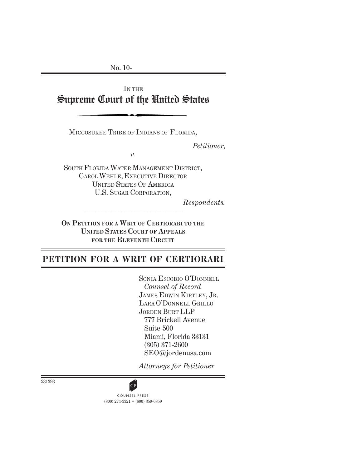No. 10-

IN THE Supreme Court of the United States

MICCOSUKEE TRIBE OF INDIANS OF FLORIDA,

*Petitioner*,

*v.*

SOUTH FLORIDA WATER MANAGEMENT DISTRICT, CAROL WEHLE, EXECUTIVE DIRECTOR UNITED STATES OF AMERICA U.S. SUGAR CORPORATION,

*Respondents.*

**ON PETITION FOR A WRIT OF CERTIORARI TO THE UNITED STATES COURT OF APPEALS FOR THE ELEVENTH CIRCUIT**

# **PETITION FOR A WRIT OF CERTIORARI**

SONIA ESCOBIO O'DONNELL *Counsel of Record* JAMES EDWIN KIRTLEY, JR. LARA O'DONNELL GRILLO JORDEN BURT LLP 777 Brickell Avenue Suite 500 Miami, Florida 33131 (305) 371-2600 SEO@jordenusa.com

*Attorneys for Petitioner*



(800) 274-3321 • (800) 359-6859 **CP**<br>COUNSEL PRESS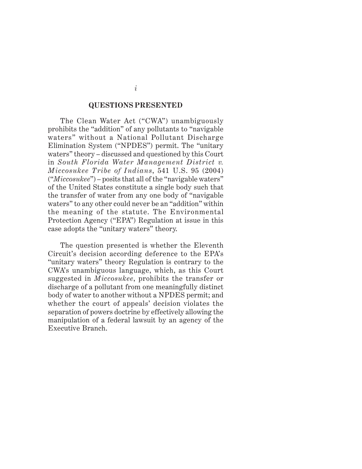#### **QUESTIONS PRESENTED**

The Clean Water Act ("CWA") unambiguously prohibits the "addition" of any pollutants to "navigable waters" without a National Pollutant Discharge Elimination System ("NPDES") permit. The "unitary waters" theory – discussed and questioned by this Court in *South Florida Water Management District v. Miccosukee Tribe of Indians*, 541 U.S. 95 (2004) ("*Miccosukee*") – posits that all of the "navigable waters" of the United States constitute a single body such that the transfer of water from any one body of "navigable waters" to any other could never be an "addition" within the meaning of the statute. The Environmental Protection Agency ("EPA") Regulation at issue in this case adopts the "unitary waters" theory.

The question presented is whether the Eleventh Circuit's decision according deference to the EPA's "unitary waters" theory Regulation is contrary to the CWA's unambiguous language, which, as this Court suggested in *Miccosukee*, prohibits the transfer or discharge of a pollutant from one meaningfully distinct body of water to another without a NPDES permit; and whether the court of appeals' decision violates the separation of powers doctrine by effectively allowing the manipulation of a federal lawsuit by an agency of the Executive Branch.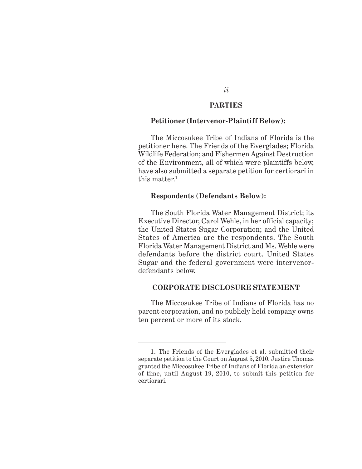### **PARTIES**

*ii*

### **Petitioner (Intervenor-Plaintiff Below):**

The Miccosukee Tribe of Indians of Florida is the petitioner here. The Friends of the Everglades; Florida Wildlife Federation; and Fishermen Against Destruction of the Environment, all of which were plaintiffs below, have also submitted a separate petition for certiorari in this matter.<sup>1</sup>

### **Respondents (Defendants Below):**

The South Florida Water Management District; its Executive Director, Carol Wehle, in her official capacity; the United States Sugar Corporation; and the United States of America are the respondents. The South Florida Water Management District and Ms. Wehle were defendants before the district court. United States Sugar and the federal government were intervenordefendants below.

## **CORPORATE DISCLOSURE STATEMENT**

The Miccosukee Tribe of Indians of Florida has no parent corporation, and no publicly held company owns ten percent or more of its stock.

<sup>1.</sup> The Friends of the Everglades et al. submitted their separate petition to the Court on August 5, 2010. Justice Thomas granted the Miccosukee Tribe of Indians of Florida an extension of time, until August 19, 2010, to submit this petition for certiorari.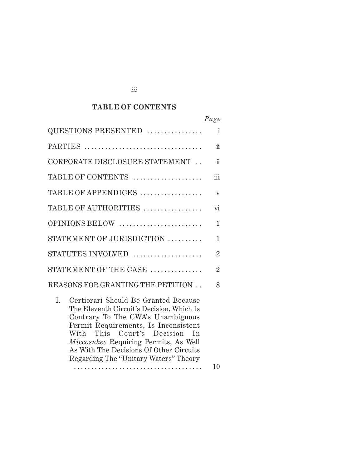#### $\mathbf{TABLE}$  OF CONTENTS

|                                                                                                                                                                                                                                                                                                                                       | Page                    |
|---------------------------------------------------------------------------------------------------------------------------------------------------------------------------------------------------------------------------------------------------------------------------------------------------------------------------------------|-------------------------|
| QUESTIONS PRESENTED                                                                                                                                                                                                                                                                                                                   | $\mathbf{i}$            |
| PARTIES                                                                                                                                                                                                                                                                                                                               | $\ddot{\rm n}$          |
| CORPORATE DISCLOSURE STATEMENT.                                                                                                                                                                                                                                                                                                       | ii                      |
| TABLE OF CONTENTS                                                                                                                                                                                                                                                                                                                     | iii                     |
| TABLE OF APPENDICES                                                                                                                                                                                                                                                                                                                   | $\overline{\mathbf{V}}$ |
| TABLE OF AUTHORITIES                                                                                                                                                                                                                                                                                                                  | vi                      |
| OPINIONS BELOW                                                                                                                                                                                                                                                                                                                        | $\mathbf{1}$            |
| STATEMENT OF JURISDICTION                                                                                                                                                                                                                                                                                                             | 1                       |
| STATUTES INVOLVED                                                                                                                                                                                                                                                                                                                     | $\overline{2}$          |
| STATEMENT OF THE CASE                                                                                                                                                                                                                                                                                                                 | $\overline{2}$          |
| REASONS FOR GRANTING THE PETITION.                                                                                                                                                                                                                                                                                                    | 8                       |
| L.<br>Certiorari Should Be Granted Because<br>The Eleventh Circuit's Decision, Which Is<br>Contrary To The CWA's Unambiguous<br>Permit Requirements, Is Inconsistent<br>This Court's Decision In<br>With<br>Miccosukee Requiring Permits, As Well<br>As With The Decisions Of Other Circuits<br>Regarding The "Unitary Waters" Theory | 10                      |
|                                                                                                                                                                                                                                                                                                                                       |                         |

*iii*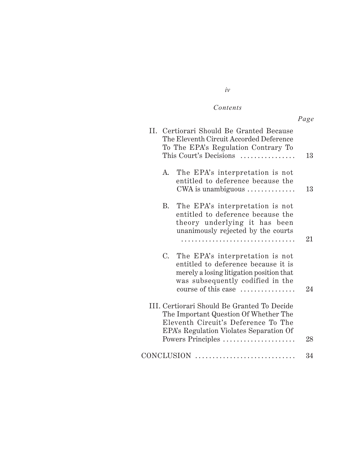#### $Contents$

|    |                                                                                                                                                                                             | Page |
|----|---------------------------------------------------------------------------------------------------------------------------------------------------------------------------------------------|------|
|    | II. Certiorari Should Be Granted Because<br>The Eleventh Circuit Accorded Deference<br>To The EPA's Regulation Contrary To<br>This Court's Decisions                                        | 13   |
| A. | The EPA's interpretation is not<br>entitled to deference because the<br>CWA is unambiguous $\dots\dots\dots\dots\dots$                                                                      | 13   |
| В. | The EPA's interpretation is not<br>entitled to deference because the<br>theory underlying it has been<br>unanimously rejected by the courts                                                 | 21   |
|    | C. The EPA's interpretation is not<br>entitled to deference because it is<br>merely a losing litigation position that<br>was subsequently codified in the<br>course of this case            | 24   |
|    | III. Certiorari Should Be Granted To Decide<br>The Important Question Of Whether The<br>Eleventh Circuit's Deference To The<br>EPA's Regulation Violates Separation Of<br>Powers Principles | 28   |
|    |                                                                                                                                                                                             | 34   |

## *iv*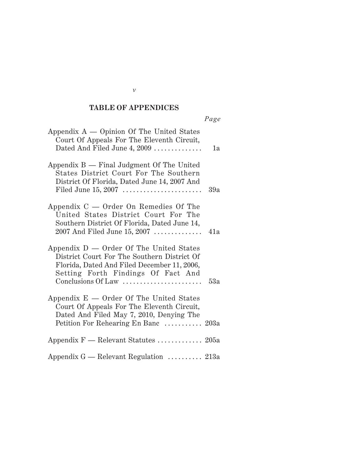#### **TABLE OF APPENDICES**

| Appendix $A$ — Opinion Of The United States<br>Court Of Appeals For The Eleventh Circuit,<br>Dated And Filed June 4, 2009                                                                         | 1a  |
|---------------------------------------------------------------------------------------------------------------------------------------------------------------------------------------------------|-----|
| Appendix $B$ — Final Judgment Of The United<br>States District Court For The Southern<br>District Of Florida, Dated June 14, 2007 And<br>Filed June 15, 2007                                      | 39a |
| Appendix $C -$ Order On Remedies Of The<br>United States District Court For The<br>Southern District Of Florida, Dated June 14,<br>2007 And Filed June 15, 2007                                   | 41a |
| Appendix D - Order Of The United States<br>District Court For The Southern District Of<br>Florida, Dated And Filed December 11, 2006,<br>Setting Forth Findings Of Fact And<br>Conclusions Of Law | 53a |
| Appendix E - Order Of The United States<br>Court Of Appeals For The Eleventh Circuit,<br>Dated And Filed May 7, 2010, Denying The<br>Petition For Rehearing En Banc  203a                         |     |
| Appendix $F$ — Relevant Statutes  205a                                                                                                                                                            |     |
| Appendix $G$ — Relevant Regulation  213a                                                                                                                                                          |     |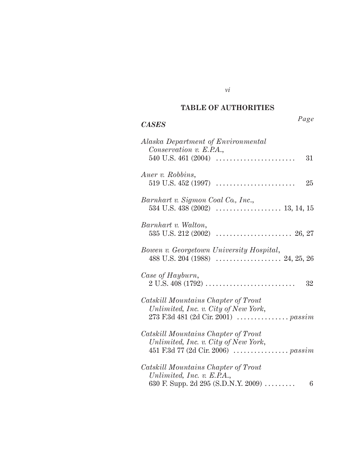#### *Authorities* **TABLE OF AUTHORITIES**

*vi*

# *CASES*

| Alaska Department of Environmental<br>Conservation v. E.P.A.,                                                      |                 |
|--------------------------------------------------------------------------------------------------------------------|-----------------|
| 540 U.S. 461 (2004) $\dots\dots\dots\dots\dots\dots\dots\dots\dots$                                                | 31              |
| Auer v. Robbins,                                                                                                   | 25              |
| Barnhart v. Sigmon Coal Co., Inc.,                                                                                 |                 |
| Barnhart v. Walton,                                                                                                |                 |
| Bowen v. Georgetown University Hospital,                                                                           |                 |
| Case of Hayburn,<br>$2 U.S. 408 (1792) \ldots$                                                                     | 32              |
| Catskill Mountains Chapter of Trout<br>Unlimited, Inc. v. City of New York,<br>273 F.3d 481 (2d Cir. 2001)  passim |                 |
| Catskill Mountains Chapter of Trout<br>Unlimited, Inc. v. City of New York,<br>451 F.3d 77 (2d Cir. 2006)  passim  |                 |
| Catskill Mountains Chapter of Trout<br>Unlimited, Inc. v. E.P.A.,                                                  |                 |
| 630 F. Supp. 2d 295 (S.D.N.Y. 2009)                                                                                | $6\phantom{.}6$ |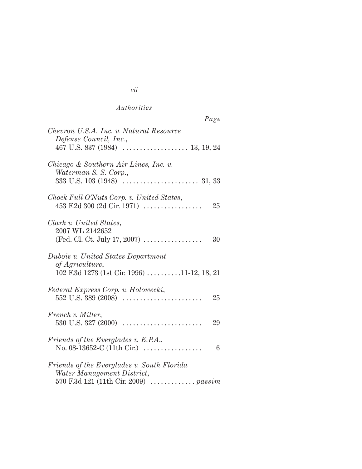| $a\mathfrak{g}$<br>o |
|----------------------|
|----------------------|

| Chevron U.S.A. Inc. v. Natural Resource<br>Defense Council, Inc.,                                                 |
|-------------------------------------------------------------------------------------------------------------------|
| Chicago & Southern Air Lines, Inc. v.                                                                             |
| Waterman S. S. Corp.,                                                                                             |
| Chock Full O'Nuts Corp. v. United States,<br>$453$ F.2d 300 (2d Cir. 1971)<br>25                                  |
| Clark v. United States,<br>2007 WL 2142652<br>(Fed. Cl. Ct. July 17, 2007) $\ldots$<br>30                         |
| Dubois v. United States Department<br>of Agriculture,<br>102 F.3d 1273 (1st Cir. 1996) 11-12, 18, 21              |
| Federal Express Corp. v. Holowecki,<br>$552$ U.S. 389 (2008)<br>25                                                |
| French v. Miller,<br>29                                                                                           |
| Friends of the Everglades v. E.P.A.,<br>No. 08-13652-C (11th Cir.) $\ldots$<br>6                                  |
| Friends of the Everglades v. South Florida<br>Water Management District,<br>570 F.3d 121 (11th Cir. 2009)  passim |

#### *vii*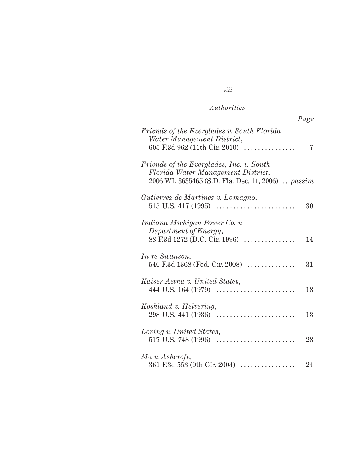*viii*

|--|

| Friends of the Everglades v. South Florida<br>Water Management District,<br>605 F.3d 962 (11th Cir. 2010)                           | 7  |
|-------------------------------------------------------------------------------------------------------------------------------------|----|
| Friends of the Everglades, Inc. v. South<br>Florida Water Management District,<br>2006 WL 3635465 (S.D. Fla. Dec. 11, 2006). passim |    |
| Gutierrez de Martinez v. Lamagno,                                                                                                   | 30 |
| Indiana Michigan Power Co. v.<br>Department of Energy,<br>88 F.3d 1272 (D.C. Cir. 1996)                                             | 14 |
| In re Swanson,<br>540 F.3d 1368 (Fed. Cir. 2008) $\ldots$                                                                           | 31 |
| Kaiser Aetna v. United States,                                                                                                      | 18 |
| Koshland v. Helvering,<br>$298$ U.S. 441 (1936)                                                                                     | 13 |
| Loving v. United States,                                                                                                            | 28 |
| Ma v. Ashcroft,<br>361 F.3d 553 (9th Cir. 2004) $\ldots$                                                                            | 24 |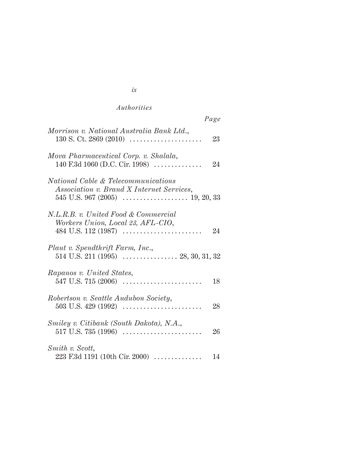|                                                                                                                   | Page |
|-------------------------------------------------------------------------------------------------------------------|------|
| Morrison v. National Australia Bank Ltd.,<br>$130$ S. Ct. 2869 (2010)                                             | 23   |
| Mova Pharmaceutical Corp. v. Shalala,<br>140 F.3d 1060 (D.C. Cir. 1998)                                           | 24   |
| <i>National Cable &amp; Telecommunications</i><br>Association v. Brand X Internet Services,                       |      |
| N.L.R.B. v. United Food & Commercial<br>Workers Union, Local 23, AFL-CIO,                                         | 24   |
| Plaut v. Spendthrift Farm, Inc.,                                                                                  |      |
| Rapanos v. United States,                                                                                         | 18   |
| Robertson v. Seattle Audubon Society,<br>503 U.S. 429 (1992) $\dots\dots\dots\dots\dots\dots\dots\dots\dots\dots$ | 28   |
| Smiley v. Citibank (South Dakota), N.A.,<br>$517$ U.S. $735$ (1996)                                               | 26   |
| Smith v. Scott,<br>$223$ F.3d 1191 (10th Cir. 2000)                                                               | 14   |

|          | ٦<br>I   |
|----------|----------|
| I<br>. . | ۰.<br>۰. |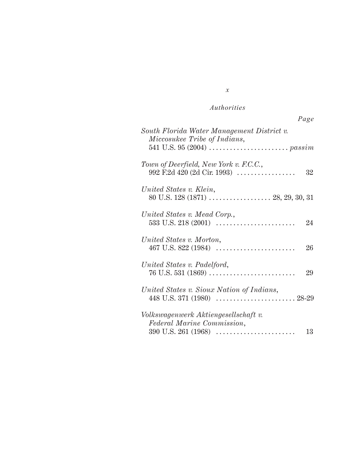| Page                                                                        |
|-----------------------------------------------------------------------------|
| South Florida Water Management District v.<br>Miccosukee Tribe of Indians,  |
|                                                                             |
| Town of Deerfield, New York v. F.C.C.,<br>992 F.2d 420 (2d Cir. 1993)<br>32 |
| United States v. Klein,                                                     |
| United States v. Mead Corp.,<br>24                                          |
| United States v. Morton,<br>26                                              |
| United States v. Padelford,<br>29                                           |
| United States v. Sioux Nation of Indians,                                   |
| Volkswagenwerk Aktiengesellschaft v.<br>Federal Marine Commission,<br>13    |

# *x*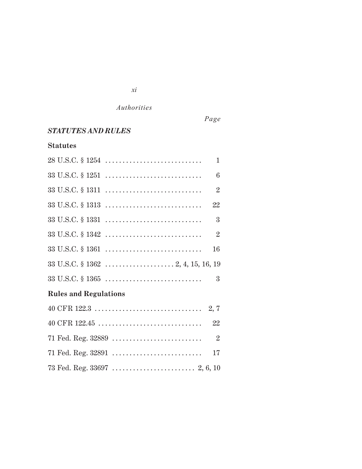*xi*

*Page*

# *STATUTES AND RULES*

# **Statutes**

| $28 \text{ U.S.C.} \$ $1254 \ldots \ldots \ldots \ldots \ldots \ldots \ldots \ldots$ | $\mathbf{1}$              |
|--------------------------------------------------------------------------------------|---------------------------|
| $33 \text{ U.S.C.} \$ $1251 \ldots \ldots \ldots \ldots \ldots \ldots \ldots \ldots$ | 6                         |
| $33 \text{ U.S.C.} \$ $1311 \ldots \ldots \ldots \ldots \ldots \ldots \ldots \ldots$ | $\overline{2}$            |
| $33 \text{ U.S.C.} \$ $1313 \ldots \ldots \ldots \ldots \ldots \ldots \ldots \ldots$ | 22                        |
| $33 \text{ U.S.C.} \$ $1331 \ldots \ldots \ldots \ldots \ldots \ldots \ldots \ldots$ | $\mathbf{3}$              |
| $33 \text{ U.S.C.} \$ $1342 \ldots \ldots \ldots \ldots \ldots \ldots \ldots \ldots$ | $\overline{\mathbf{2}}$   |
| $33 \text{ U.S.C.} \S 1361 \ldots \ldots \ldots \ldots \ldots \ldots \ldots \ldots$  | 16                        |
|                                                                                      |                           |
| $33 \text{ U.S.C.} \$ $1365 \ldots \ldots \ldots \ldots \ldots \ldots \ldots \ldots$ | $\overline{3}$            |
| <b>Rules and Regulations</b>                                                         |                           |
|                                                                                      |                           |
| $40 \text{ CFR } 122.45 \ldots \ldots \ldots \ldots \ldots \ldots \ldots \ldots$     | 22                        |
|                                                                                      | $\overline{\phantom{a}2}$ |
|                                                                                      | 17                        |
|                                                                                      |                           |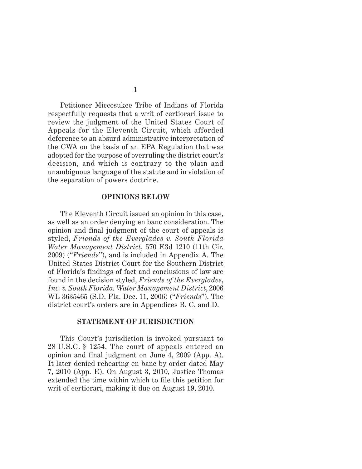Petitioner Miccosukee Tribe of Indians of Florida respectfully requests that a writ of certiorari issue to review the judgment of the United States Court of Appeals for the Eleventh Circuit, which afforded deference to an absurd administrative interpretation of the CWA on the basis of an EPA Regulation that was adopted for the purpose of overruling the district court's decision, and which is contrary to the plain and unambiguous language of the statute and in violation of the separation of powers doctrine.

#### **OPINIONS BELOW**

The Eleventh Circuit issued an opinion in this case, as well as an order denying en banc consideration. The opinion and final judgment of the court of appeals is styled, *Friends of the Everglades v. South Florida Water Management District*, 570 F.3d 1210 (11th Cir. 2009) ("*Friends*"), and is included in Appendix A. The United States District Court for the Southern District of Florida's findings of fact and conclusions of law are found in the decision styled, *Friends of the Everglades*, *Inc. v. South Florida. Water Management District*, 2006 WL 3635465 (S.D. Fla. Dec. 11, 2006) ("*Friends*"). The district court's orders are in Appendices B, C, and D.

#### **STATEMENT OF JURISDICTION**

This Court's jurisdiction is invoked pursuant to 28 U.S.C. § 1254. The court of appeals entered an opinion and final judgment on June 4, 2009 (App. A). It later denied rehearing en banc by order dated May 7, 2010 (App. E). On August 3, 2010, Justice Thomas extended the time within which to file this petition for writ of certiorari, making it due on August 19, 2010.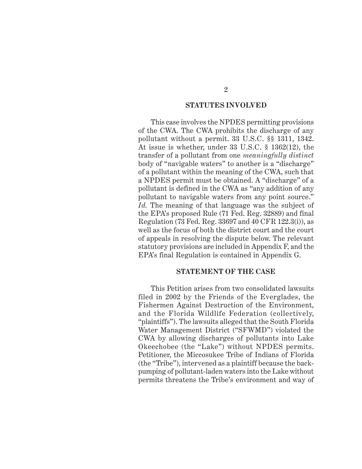## **STATUTES INVOLVED**

This case involves the NPDES permitting provisions of the CWA. The CWA prohibits the discharge of any pollutant without a permit. 33 U.S.C. §§ 1311, 1342. At issue is whether, under 33 U.S.C. § 1362(12), the transfer of a pollutant from one *meaningfully distinct* body of "navigable waters" to another is a "discharge" of a pollutant within the meaning of the CWA, such that a NPDES permit must be obtained. A "discharge" of a pollutant is defined in the CWA as "any addition of any pollutant to navigable waters from any point source." *Id.* The meaning of that language was the subject of the EPA's proposed Rule (71 Fed. Reg. 32889) and final Regulation (73 Fed. Reg. 33697 and 40 CFR 122.3(i)), as well as the focus of both the district court and the court of appeals in resolving the dispute below. The relevant statutory provisions are included in Appendix F, and the EPA's final Regulation is contained in Appendix G.

#### **STATEMENT OF THE CASE**

This Petition arises from two consolidated lawsuits filed in 2002 by the Friends of the Everglades, the Fishermen Against Destruction of the Environment, and the Florida Wildlife Federation (collectively, "plaintiffs"). The lawsuits alleged that the South Florida Water Management District ("SFWMD") violated the CWA by allowing discharges of pollutants into Lake Okeechobee (the "Lake") without NPDES permits. Petitioner, the Miccosukee Tribe of Indians of Florida (the "Tribe"), intervened as a plaintiff because the backpumping of pollutant-laden waters into the Lake without permits threatens the Tribe's environment and way of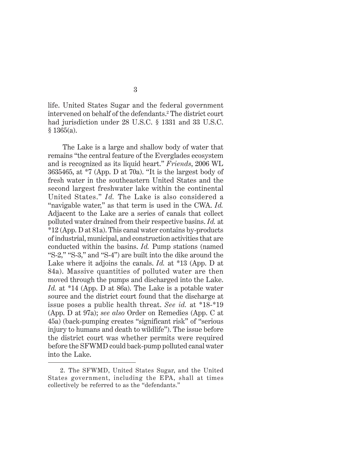life. United States Sugar and the federal government intervened on behalf of the defendants.2 The district court had jurisdiction under 28 U.S.C. § 1331 and 33 U.S.C.  $$1365(a).$ 

 The Lake is a large and shallow body of water that remains "the central feature of the Everglades ecosystem and is recognized as its liquid heart." *Friends*, 2006 WL 3635465, at \*7 (App. D at 70a). "It is the largest body of fresh water in the southeastern United States and the second largest freshwater lake within the continental United States." *Id.* The Lake is also considered a "navigable water," as that term is used in the CWA. *Id.* Adjacent to the Lake are a series of canals that collect polluted water drained from their respective basins. *Id.* at \*12 (App. D at 81a). This canal water contains by-products of industrial, municipal, and construction activities that are conducted within the basins. *Id.* Pump stations (named "S-2," "S-3," and "S-4") are built into the dike around the Lake where it adjoins the canals. *Id.* at \*13 (App. D at 84a). Massive quantities of polluted water are then moved through the pumps and discharged into the Lake. *Id.* at \*14 (App. D at 86a). The Lake is a potable water source and the district court found that the discharge at issue poses a public health threat. *See id.* at \*18-\*19 (App. D at 97a); *see also* Order on Remedies (App. C at 45a) (back-pumping creates "significant risk" of "serious injury to humans and death to wildlife"). The issue before the district court was whether permits were required before the SFWMD could back-pump polluted canal water into the Lake.

<sup>2.</sup> The SFWMD, United States Sugar, and the United States government, including the EPA, shall at times collectively be referred to as the "defendants."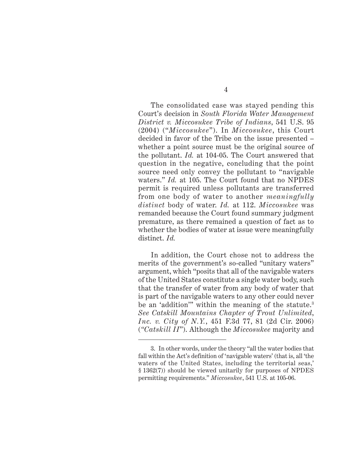The consolidated case was stayed pending this Court's decision in *South Florida Water Management District v. Miccosukee Tribe of Indians*, 541 U.S. 95 (2004) ("*Miccosukee*"). In *Miccosukee*, this Court decided in favor of the Tribe on the issue presented – whether a point source must be the original source of the pollutant. *Id.* at 104-05. The Court answered that question in the negative, concluding that the point source need only convey the pollutant to "navigable waters." *Id.* at 105. The Court found that no NPDES permit is required unless pollutants are transferred from one body of water to another *meaningfully distinct* body of water. *Id.* at 112. *Miccosukee* was remanded because the Court found summary judgment premature, as there remained a question of fact as to whether the bodies of water at issue were meaningfully distinct. *Id.*

In addition, the Court chose not to address the merits of the government's so-called "unitary waters" argument, which "posits that all of the navigable waters of the United States constitute a single water body, such that the transfer of water from any body of water that is part of the navigable waters to any other could never be an 'addition'" within the meaning of the statute.<sup>3</sup> *See Catskill Mountains Chapter of Trout Unlimited*, *Inc. v. City of N.Y.*, 451 F.3d 77, 81 (2d Cir. 2006) (*"Catskill II*"). Although the *Miccosukee* majority and

<sup>3.</sup> In other words, under the theory "all the water bodies that fall within the Act's definition of 'navigable waters' (that is, all 'the waters of the United States, including the territorial seas,' § 1362(7)) should be viewed unitarily for purposes of NPDES permitting requirements." *Miccosukee*, 541 U.S. at 105-06.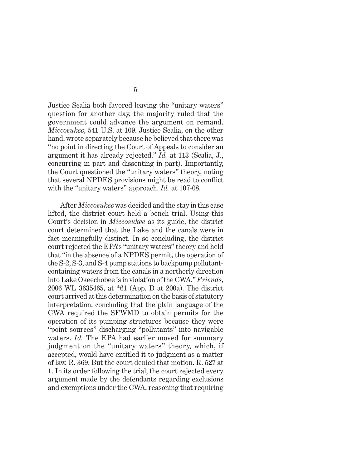Justice Scalia both favored leaving the "unitary waters" question for another day, the majority ruled that the government could advance the argument on remand. *Miccosukee*, 541 U.S. at 109. Justice Scalia, on the other hand, wrote separately because he believed that there was "no point in directing the Court of Appeals to consider an argument it has already rejected." *Id.* at 113 (Scalia, J., concurring in part and dissenting in part). Importantly, the Court questioned the "unitary waters" theory, noting that several NPDES provisions might be read to conflict with the "unitary waters" approach. *Id.* at 107-08.

After *Miccosukee* was decided and the stay in this case lifted, the district court held a bench trial. Using this Court's decision in *Miccosukee* as its guide, the district court determined that the Lake and the canals were in fact meaningfully distinct. In so concluding, the district court rejected the EPA's "unitary waters" theory and held that "in the absence of a NPDES permit, the operation of the S-2, S-3, and S-4 pump stations to backpump pollutantcontaining waters from the canals in a northerly direction into Lake Okeechobee is in violation of the CWA." *Friends*, 2006 WL 3635465, at \*61 (App. D at 200a). The district court arrived at this determination on the basis of statutory interpretation, concluding that the plain language of the CWA required the SFWMD to obtain permits for the operation of its pumping structures because they were "point sources" discharging "pollutants" into navigable waters. *Id.* The EPA had earlier moved for summary judgment on the "unitary waters" theory, which, if accepted, would have entitled it to judgment as a matter of law. R. 369. But the court denied that motion. R. 527 at 1. In its order following the trial, the court rejected every argument made by the defendants regarding exclusions and exemptions under the CWA, reasoning that requiring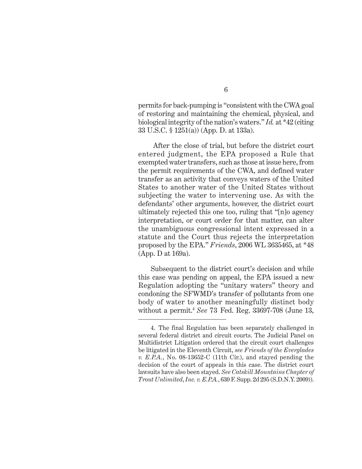permits for back-pumping is "consistent with the CWA goal of restoring and maintaining the chemical, physical, and biological integrity of the nation's waters." *Id.* at \*42 (citing 33 U.S.C. § 1251(a)) (App. D. at 133a).

 After the close of trial, but before the district court entered judgment, the EPA proposed a Rule that exempted water transfers, such as those at issue here, from the permit requirements of the CWA, and defined water transfer as an activity that conveys waters of the United States to another water of the United States without subjecting the water to intervening use. As with the defendants' other arguments, however, the district court ultimately rejected this one too, ruling that "[n]o agency interpretation, or court order for that matter, can alter the unambiguous congressional intent expressed in a statute and the Court thus rejects the interpretation proposed by the EPA." *Friends*, 2006 WL 3635465, at \*48 (App. D at 169a).

Subsequent to the district court's decision and while this case was pending on appeal, the EPA issued a new Regulation adopting the "unitary waters" theory and condoning the SFWMD's transfer of pollutants from one body of water to another meaningfully distinct body without a permit.4 *See* 73 Fed. Reg. 33697-708 (June 13,

<sup>4.</sup> The final Regulation has been separately challenged in several federal district and circuit courts. The Judicial Panel on Multidistrict Litigation ordered that the circuit court challenges be litigated in the Eleventh Circuit, *see Friends of the Everglades v. E.P.A.*, No. 08-13652-C (11th Cir.), and stayed pending the decision of the court of appeals in this case. The district court lawsuits have also been stayed. *See Catskill Mountains Chapter of Trout Unlimited*, *Inc. v. E.P.A.*, 630 F. Supp. 2d 295 (S.D.N.Y. 2009)).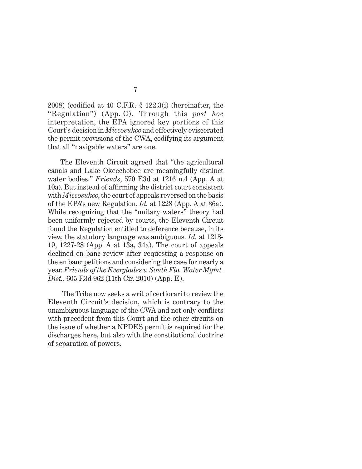2008) (codified at 40 C.F.R. § 122.3(i) (hereinafter, the "Regulation") (App. G). Through this *post hoc* interpretation, the EPA ignored key portions of this Court's decision in *Miccosukee* and effectively eviscerated the permit provisions of the CWA, codifying its argument that all "navigable waters" are one.

The Eleventh Circuit agreed that "the agricultural canals and Lake Okeechobee are meaningfully distinct water bodies." *Friends*, 570 F.3d at 1216 n.4 (App. A at 10a). But instead of affirming the district court consistent with *Miccosukee*, the court of appeals reversed on the basis of the EPA's new Regulation. *Id.* at 1228 (App. A at 36a). While recognizing that the "unitary waters" theory had been uniformly rejected by courts, the Eleventh Circuit found the Regulation entitled to deference because, in its view, the statutory language was ambiguous. *Id.* at 1218- 19, 1227-28 (App. A at 13a, 34a). The court of appeals declined en banc review after requesting a response on the en banc petitions and considering the case for nearly a year. *Friends of the Everglades v. South Fla. Water Mgmt. Dist.*, 605 F.3d 962 (11th Cir. 2010) (App. E).

 The Tribe now seeks a writ of certiorari to review the Eleventh Circuit's decision, which is contrary to the unambiguous language of the CWA and not only conflicts with precedent from this Court and the other circuits on the issue of whether a NPDES permit is required for the discharges here, but also with the constitutional doctrine of separation of powers.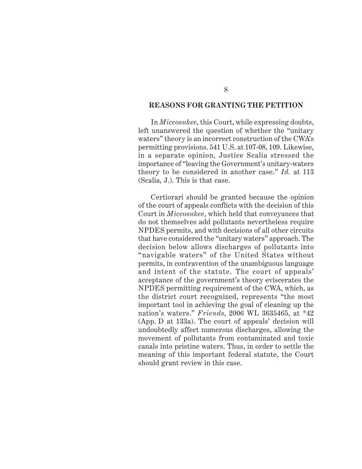## **REASONS FOR GRANTING THE PETITION**

In *Miccosukee*, this Court, while expressing doubts, left unanswered the question of whether the "unitary waters" theory is an incorrect construction of the CWA's permitting provisions. 541 U.S. at 107-08, 109. Likewise, in a separate opinion, Justice Scalia stressed the importance of "leaving the Government's unitary-waters theory to be considered in another case." *Id.* at 113 (Scalia, J.). This is that case.

Certiorari should be granted because the opinion of the court of appeals conflicts with the decision of this Court in *Miccosukee*, which held that conveyances that do not themselves add pollutants nevertheless require NPDES permits, and with decisions of all other circuits that have considered the "unitary waters" approach. The decision below allows discharges of pollutants into "navigable waters" of the United States without permits, in contravention of the unambiguous language and intent of the statute. The court of appeals' acceptance of the government's theory eviscerates the NPDES permitting requirement of the CWA, which, as the district court recognized, represents "the most important tool in achieving the goal of cleaning up the nation's waters." *Friends*, 2006 WL 3635465, at \*42 (App. D at 133a). The court of appeals' decision will undoubtedly affect numerous discharges, allowing the movement of pollutants from contaminated and toxic canals into pristine waters. Thus, in order to settle the meaning of this important federal statute, the Court should grant review in this case.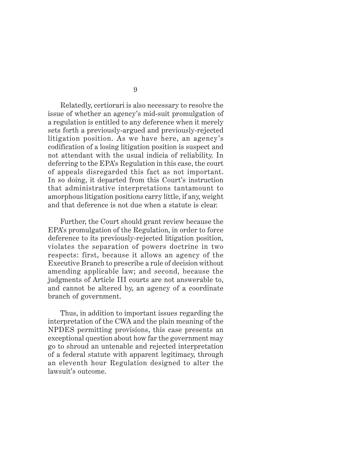Relatedly, certiorari is also necessary to resolve the issue of whether an agency's mid-suit promulgation of a regulation is entitled to any deference when it merely sets forth a previously-argued and previously-rejected litigation position. As we have here, an agency's codification of a losing litigation position is suspect and not attendant with the usual indicia of reliability. In deferring to the EPA's Regulation in this case, the court of appeals disregarded this fact as not important. In so doing, it departed from this Court's instruction that administrative interpretations tantamount to amorphous litigation positions carry little, if any, weight and that deference is not due when a statute is clear.

Further, the Court should grant review because the EPA's promulgation of the Regulation, in order to force deference to its previously-rejected litigation position, violates the separation of powers doctrine in two respects: first, because it allows an agency of the Executive Branch to prescribe a rule of decision without amending applicable law; and second, because the judgments of Article III courts are not answerable to, and cannot be altered by, an agency of a coordinate branch of government.

Thus, in addition to important issues regarding the interpretation of the CWA and the plain meaning of the NPDES permitting provisions, this case presents an exceptional question about how far the government may go to shroud an untenable and rejected interpretation of a federal statute with apparent legitimacy, through an eleventh hour Regulation designed to alter the lawsuit's outcome.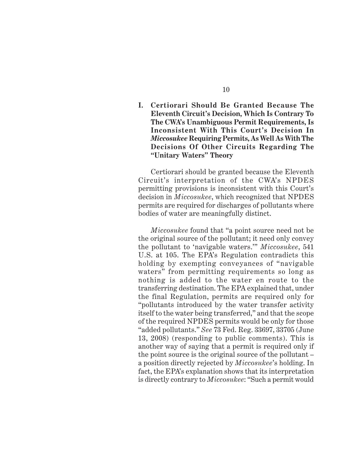**I. Certiorari Should Be Granted Because The Eleventh Circuit's Decision, Which Is Contrary To The CWA's Unambiguous Permit Requirements, Is Inconsistent With This Court's Decision In** *Miccosukee* **Requiring Permits, As Well As With The Decisions Of Other Circuits Regarding The "Unitary Waters" Theory**

Certiorari should be granted because the Eleventh Circuit's interpretation of the CWA's NPDES permitting provisions is inconsistent with this Court's decision in *Miccosukee*, which recognized that NPDES permits are required for discharges of pollutants where bodies of water are meaningfully distinct.

*Miccosukee* found that "a point source need not be the original source of the pollutant; it need only convey the pollutant to 'navigable waters.'" *Miccosukee*, 541 U.S. at 105. The EPA's Regulation contradicts this holding by exempting conveyances of "navigable waters" from permitting requirements so long as nothing is added to the water en route to the transferring destination. The EPA explained that, under the final Regulation, permits are required only for "pollutants introduced by the water transfer activity itself to the water being transferred," and that the scope of the required NPDES permits would be only for those "added pollutants." *See* 73 Fed. Reg. 33697, 33705 (June 13, 2008) (responding to public comments). This is another way of saying that a permit is required only if the point source is the original source of the pollutant – a position directly rejected by *Miccosukee*'s holding. In fact, the EPA's explanation shows that its interpretation is directly contrary to *Miccosukee*: "Such a permit would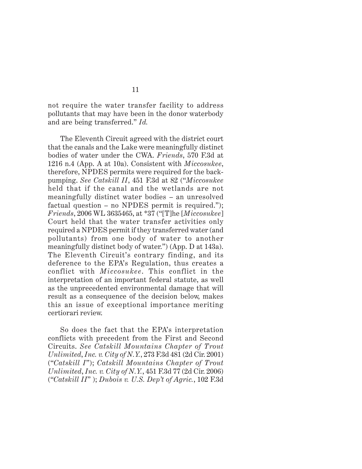not require the water transfer facility to address pollutants that may have been in the donor waterbody and are being transferred." *Id.*

The Eleventh Circuit agreed with the district court that the canals and the Lake were meaningfully distinct bodies of water under the CWA. *Friends*, 570 F.3d at 1216 n.4 (App. A at 10a). Consistent with *Miccosukee*, therefore, NPDES permits were required for the backpumping. *See Catskill II*, 451 F.3d at 82 ("*Miccosukee* held that if the canal and the wetlands are not meaningfully distinct water bodies – an unresolved factual question – no NPDES permit is required."); *Friends*, 2006 WL 3635465, at \*37 ("[T]he [*Miccosukee*] Court held that the water transfer activities only required a NPDES permit if they transferred water (and pollutants) from one body of water to another meaningfully distinct body of water.") (App. D at 143a). The Eleventh Circuit's contrary finding, and its deference to the EPA's Regulation, thus creates a conflict with *Miccosukee*. This conflict in the interpretation of an important federal statute, as well as the unprecedented environmental damage that will result as a consequence of the decision below, makes this an issue of exceptional importance meriting certiorari review.

So does the fact that the EPA's interpretation conflicts with precedent from the First and Second Circuits. *See Catskill Mountains Chapter of Trout Unlimited*, *Inc. v. City of N.Y.*, 273 F.3d 481 (2d Cir. 2001) ("*Catskill I*"); *Catskill Mountains Chapter of Trout Unlimited*, *Inc. v. City of N.Y.*, 451 F.3d 77 (2d Cir. 2006) ("*Catskill II*" ); *Dubois v. U.S. Dep't of Agric.*, 102 F.3d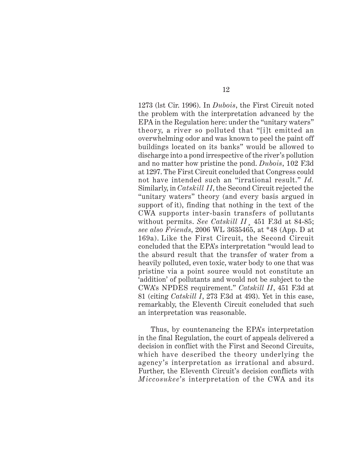1273 (lst Cir. 1996). In *Dubois*, the First Circuit noted the problem with the interpretation advanced by the EPA in the Regulation here: under the "unitary waters" theory, a river so polluted that "[i]t emitted an overwhelming odor and was known to peel the paint off buildings located on its banks" would be allowed to discharge into a pond irrespective of the river's pollution and no matter how pristine the pond. *Dubois*, 102 F.3d at 1297. The First Circuit concluded that Congress could not have intended such an "irrational result." *Id.* Similarly, in *Catskill II*, the Second Circuit rejected the "unitary waters" theory (and every basis argued in support of it), finding that nothing in the text of the CWA supports inter-basin transfers of pollutants without permits. *See Catskill II*¸ 451 F.3d at 84-85; *see also Friends*, 2006 WL 3635465, at \*48 (App. D at 169a). Like the First Circuit, the Second Circuit concluded that the EPA's interpretation "would lead to the absurd result that the transfer of water from a heavily polluted, even toxic, water body to one that was pristine via a point source would not constitute an 'addition' of pollutants and would not be subject to the CWA's NPDES requirement." *Catskill II*, 451 F.3d at 81 (citing *Catskill I*, 273 F.3d at 493). Yet in this case, remarkably, the Eleventh Circuit concluded that such an interpretation was reasonable.

Thus, by countenancing the EPA's interpretation in the final Regulation, the court of appeals delivered a decision in conflict with the First and Second Circuits, which have described the theory underlying the agency's interpretation as irrational and absurd. Further, the Eleventh Circuit's decision conflicts with *Miccosukee*'s interpretation of the CWA and its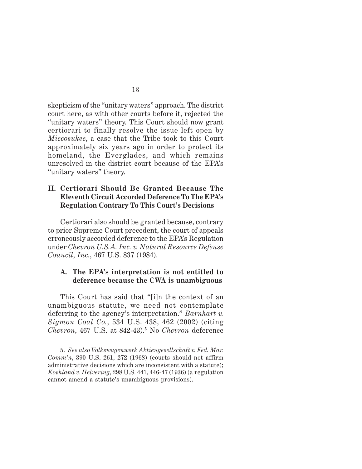skepticism of the "unitary waters" approach. The district court here, as with other courts before it, rejected the "unitary waters" theory. This Court should now grant certiorari to finally resolve the issue left open by *Miccosukee*, a case that the Tribe took to this Court approximately six years ago in order to protect its homeland, the Everglades, and which remains unresolved in the district court because of the EPA's "unitary waters" theory.

## **II. Certiorari Should Be Granted Because The Eleventh Circuit Accorded Deference To The EPA's Regulation Contrary To This Court's Decisions**

Certiorari also should be granted because, contrary to prior Supreme Court precedent, the court of appeals erroneously accorded deference to the EPA's Regulation under *Chevron U.S.A. Inc. v. Natural Resource Defense Council*, *Inc.*, 467 U.S. 837 (1984).

## **A. The EPA's interpretation is not entitled to deference because the CWA is unambiguous**

This Court has said that "[i]n the context of an unambiguous statute, we need not contemplate deferring to the agency's interpretation." *Barnhart v. Sigmon Coal Co.*, 534 U.S. 438, 462 (2002) (citing *Chevron*, 467 U.S. at 842-43).5 No *Chevron* deference

<sup>5.</sup> *See also Volkswagenwerk Aktiengesellschaft v. Fed. Mar. Comm'n*, 390 U.S. 261, 272 (1968) (courts should not affirm administrative decisions which are inconsistent with a statute); *Koshland v. Helvering*, 298 U.S. 441, 446-47 (1936) (a regulation cannot amend a statute's unambiguous provisions).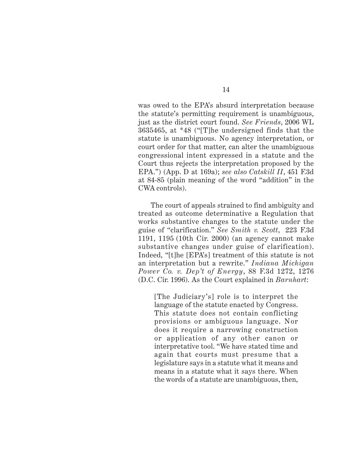was owed to the EPA's absurd interpretation because the statute's permitting requirement is unambiguous, just as the district court found. *See Friends*, 2006 WL 3635465, at \*48 ("[T]he undersigned finds that the statute is unambiguous. No agency interpretation, or court order for that matter, can alter the unambiguous congressional intent expressed in a statute and the Court thus rejects the interpretation proposed by the EPA.") (App. D at 169a); *see also Catskill II*, 451 F.3d at 84-85 (plain meaning of the word "addition" in the CWA controls).

The court of appeals strained to find ambiguity and treated as outcome determinative a Regulation that works substantive changes to the statute under the guise of "clarification." *See Smith v. Scott*, 223 F.3d 1191, 1195 (10th Cir. 2000) (an agency cannot make substantive changes under guise of clarification). Indeed, "[t]he [EPA's] treatment of this statute is not an interpretation but a rewrite." *Indiana Michigan Power Co. v. Dep't of Energy*, 88 F.3d 1272, 1276 (D.C. Cir. 1996). As the Court explained in *Barnhart*:

[The Judiciary's] role is to interpret the language of the statute enacted by Congress. This statute does not contain conflicting provisions or ambiguous language. Nor does it require a narrowing construction or application of any other canon or interpretative tool. "We have stated time and again that courts must presume that a legislature says in a statute what it means and means in a statute what it says there. When the words of a statute are unambiguous, then,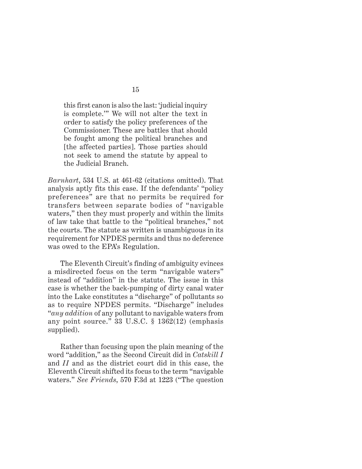this first canon is also the last: 'judicial inquiry is complete.'" We will not alter the text in order to satisfy the policy preferences of the Commissioner. These are battles that should be fought among the political branches and [the affected parties]. Those parties should not seek to amend the statute by appeal to the Judicial Branch.

*Barnhart*, 534 U.S. at 461-62 (citations omitted). That analysis aptly fits this case. If the defendants' "policy preferences" are that no permits be required for transfers between separate bodies of "navigable waters," then they must properly and within the limits of law take that battle to the "political branches," not the courts. The statute as written is unambiguous in its requirement for NPDES permits and thus no deference was owed to the EPA's Regulation.

The Eleventh Circuit's finding of ambiguity evinces a misdirected focus on the term "navigable waters" instead of "addition" in the statute. The issue in this case is whether the back-pumping of dirty canal water into the Lake constitutes a "discharge" of pollutants so as to require NPDES permits. "Discharge" includes "*any addition* of any pollutant to navigable waters from any point source." 33 U.S.C. § 1362(12) (emphasis supplied).

Rather than focusing upon the plain meaning of the word "addition," as the Second Circuit did in *Catskill I* and *II* and as the district court did in this case, the Eleventh Circuit shifted its focus to the term "navigable waters." *See Friends*, 570 F.3d at 1223 ("The question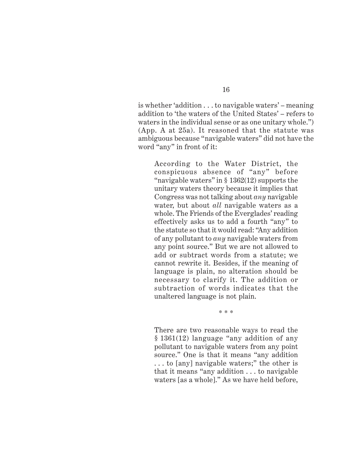is whether 'addition . . . to navigable waters' – meaning addition to 'the waters of the United States' – refers to

waters in the individual sense or as one unitary whole.") (App. A at 25a). It reasoned that the statute was ambiguous because "navigable waters" did not have the word "any" in front of it:

According to the Water District, the conspicuous absence of "any" before "navigable waters" in § 1362(12) supports the unitary waters theory because it implies that Congress was not talking about *any* navigable water, but about *all* navigable waters as a whole. The Friends of the Everglades' reading effectively asks us to add a fourth "any" to the statute so that it would read: "Any addition of any pollutant to *any* navigable waters from any point source." But we are not allowed to add or subtract words from a statute; we cannot rewrite it. Besides, if the meaning of language is plain, no alteration should be necessary to clarify it. The addition or subtraction of words indicates that the unaltered language is not plain.

\* \* \*

There are two reasonable ways to read the § 1361(12) language "any addition of any pollutant to navigable waters from any point source." One is that it means "any addition . . . to [any] navigable waters;" the other is that it means "any addition . . . to navigable waters [as a whole]." As we have held before,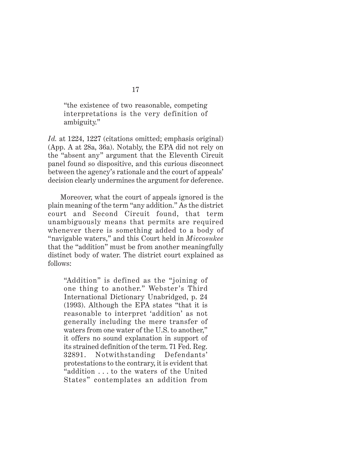"the existence of two reasonable, competing interpretations is the very definition of ambiguity."

*Id.* at 1224, 1227 (citations omitted; emphasis original) (App. A at 28a, 36a). Notably, the EPA did not rely on the "absent any" argument that the Eleventh Circuit panel found so dispositive, and this curious disconnect between the agency's rationale and the court of appeals' decision clearly undermines the argument for deference.

Moreover, what the court of appeals ignored is the plain meaning of the term "any addition." As the district court and Second Circuit found, that term unambiguously means that permits are required whenever there is something added to a body of "navigable waters," and this Court held in *Miccosukee* that the "addition" must be from another meaningfully distinct body of water. The district court explained as follows:

"Addition" is defined as the "joining of one thing to another." Webster 's Third International Dictionary Unabridged, p. 24 (1993). Although the EPA states "that it is reasonable to interpret 'addition' as not generally including the mere transfer of waters from one water of the U.S. to another," it offers no sound explanation in support of its strained definition of the term. 71 Fed. Reg. 32891. Notwithstanding Defendants' protestations to the contrary, it is evident that "addition . . . to the waters of the United States" contemplates an addition from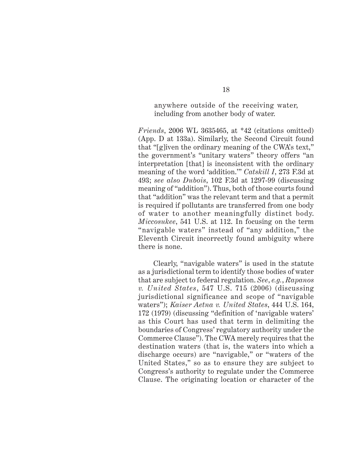anywhere outside of the receiving water, including from another body of water.

*Friends*, 2006 WL 3635465, at \*42 (citations omitted) (App. D at 133a). Similarly, the Second Circuit found that "[g]iven the ordinary meaning of the CWA's text," the government's "unitary waters" theory offers "an interpretation [that] is inconsistent with the ordinary meaning of the word 'addition.'" *Catskill I*, 273 F.3d at 493; *see also Dubois*, 102 F.3d at 1297-99 (discussing meaning of "addition"). Thus, both of those courts found that "addition" was the relevant term and that a permit is required if pollutants are transferred from one body of water to another meaningfully distinct body. *Miccosukee*, 541 U.S. at 112. In focusing on the term "navigable waters" instead of "any addition," the Eleventh Circuit incorrectly found ambiguity where there is none.

 Clearly, "navigable waters" is used in the statute as a jurisdictional term to identify those bodies of water that are subject to federal regulation. *See*, *e.g.*, *Rapanos v. United States*, 547 U.S. 715 (2006) (discussing jurisdictional significance and scope of "navigable waters"); *Kaiser Aetna v. United States*, 444 U.S. 164, 172 (1979) (discussing "definition of 'navigable waters' as this Court has used that term in delimiting the boundaries of Congress' regulatory authority under the Commerce Clause"). The CWA merely requires that the destination waters (that is, the waters into which a discharge occurs) are "navigable," or "waters of the United States," so as to ensure they are subject to Congress's authority to regulate under the Commerce Clause. The originating location or character of the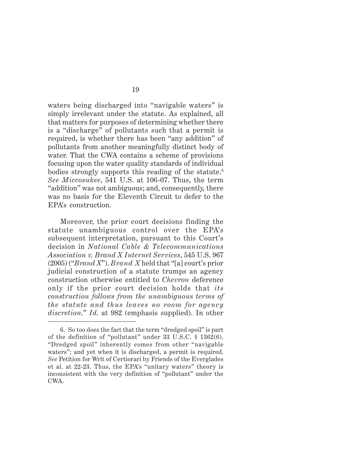waters being discharged into "navigable waters" is simply irrelevant under the statute. As explained, all that matters for purposes of determining whether there is a "discharge" of pollutants such that a permit is required, is whether there has been "any addition" of pollutants from another meaningfully distinct body of water. That the CWA contains a scheme of provisions focusing upon the water quality standards of individual bodies strongly supports this reading of the statute.<sup>6</sup> *See Miccosukee*, 541 U.S. at 106-07. Thus, the term "addition" was not ambiguous; and, consequently, there was no basis for the Eleventh Circuit to defer to the EPA's construction.

Moreover, the prior court decisions finding the statute unambiguous control over the EPA's subsequent interpretation, pursuant to this Court's decision in *National Cable & Telecommunications Association v. Brand X Internet Services*, 545 U.S. 967 (2005) ("*Brand X*"). *Brand X* held that "[a] court's prior judicial construction of a statute trumps an agency construction otherwise entitled to *Chevron* deference only if the prior court decision holds that *its construction follows from the unambiguous terms of the statute and thus leaves no room for agency discretion*." *Id.* at 982 (emphasis supplied). In other

<sup>6.</sup> So too does the fact that the term "dredged spoil" is part of the definition of "pollutant" under 33 U.S.C. § 1362(6). "Dredged spoil" inherently comes from other "navigable waters"; and yet when it is discharged, a permit is required. *See* Petition for Writ of Certiorari by Friends of the Everglades et al. at 22-23. Thus, the EPA's "unitary waters" theory is inconsistent with the very definition of "pollutant" under the CWA.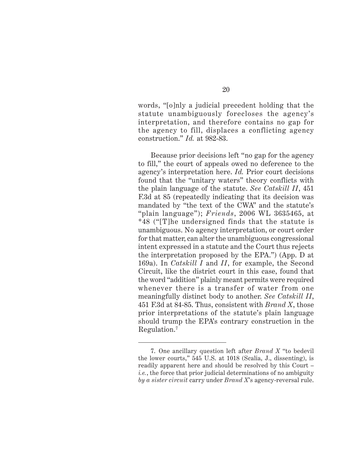20

words, "[o]nly a judicial precedent holding that the statute unambiguously forecloses the agency's interpretation, and therefore contains no gap for the agency to fill, displaces a conflicting agency construction." *Id.* at 982-83.

Because prior decisions left "no gap for the agency to fill," the court of appeals owed no deference to the agency's interpretation here. *Id.* Prior court decisions found that the "unitary waters" theory conflicts with the plain language of the statute. *See Catskill II*, 451 F.3d at 85 (repeatedly indicating that its decision was mandated by "the text of the CWA" and the statute's "plain language"); *Friends*, 2006 WL 3635465, at \*48 ("[T]he undersigned finds that the statute is unambiguous. No agency interpretation, or court order for that matter, can alter the unambiguous congressional intent expressed in a statute and the Court thus rejects the interpretation proposed by the EPA.") (App. D at 169a). In *Catskill I* and *II*, for example, the Second Circuit, like the district court in this case, found that the word "addition" plainly meant permits were required whenever there is a transfer of water from one meaningfully distinct body to another. *See Catskill II*, 451 F.3d at 84-85. Thus, consistent with *Brand X*, those prior interpretations of the statute's plain language should trump the EPA's contrary construction in the Regulation.7

<sup>7.</sup> One ancillary question left after *Brand X* "to bedevil the lower courts," 545 U.S. at 1018 (Scalia, J., dissenting), is readily apparent here and should be resolved by this Court – *i.e.*, the force that prior judicial determinations of no ambiguity *by a sister circuit* carry under *Brand X*'s agency-reversal rule.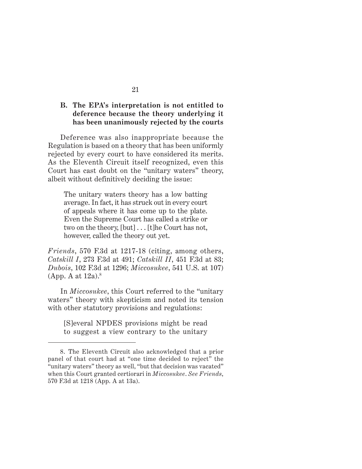## **B. The EPA's interpretation is not entitled to deference because the theory underlying it has been unanimously rejected by the courts**

Deference was also inappropriate because the Regulation is based on a theory that has been uniformly rejected by every court to have considered its merits. As the Eleventh Circuit itself recognized, even this Court has cast doubt on the "unitary waters" theory, albeit without definitively deciding the issue:

The unitary waters theory has a low batting average. In fact, it has struck out in every court of appeals where it has come up to the plate. Even the Supreme Court has called a strike or two on the theory, [but] . . . [t]he Court has not, however, called the theory out yet.

*Friends*, 570 F.3d at 1217-18 (citing, among others, *Catskill I*, 273 F.3d at 491; *Catskill II*, 451 F.3d at 83; *Dubois*, 102 F.3d at 1296; *Miccosukee*, 541 U.S. at 107)  $(App. A at 12a).<sup>8</sup>$ 

In *Miccosukee*, this Court referred to the "unitary waters" theory with skepticism and noted its tension with other statutory provisions and regulations:

[S]everal NPDES provisions might be read to suggest a view contrary to the unitary

<sup>8.</sup> The Eleventh Circuit also acknowledged that a prior panel of that court had at "one time decided to reject" the "unitary waters" theory as well, "but that decision was vacated" when this Court granted certiorari in *Miccosukee*. *See Friends*, 570 F.3d at 1218 (App. A at 13a).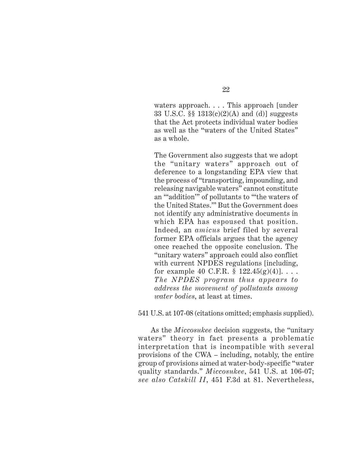waters approach. . . . This approach [under 33 U.S.C. §§ 1313(c)(2)(A) and (d)] suggests that the Act protects individual water bodies as well as the "waters of the United States" as a whole.

The Government also suggests that we adopt the "unitary waters" approach out of deference to a longstanding EPA view that the process of "transporting, impounding, and releasing navigable waters" cannot constitute an "'addition'" of pollutants to "'the waters of the United States.'" But the Government does not identify any administrative documents in which EPA has espoused that position. Indeed, an *amicus* brief filed by several former EPA officials argues that the agency once reached the opposite conclusion. The "unitary waters" approach could also conflict with current NPDES regulations [including, for example 40 C.F.R.  $\S 122.45(g)(4)$ ]... *The NPDES program thus appears to address the movement of pollutants among water bodies*, at least at times.

541 U.S. at 107-08 (citations omitted; emphasis supplied).

As the *Miccosukee* decision suggests, the "unitary waters" theory in fact presents a problematic interpretation that is incompatible with several provisions of the CWA – including, notably, the entire group of provisions aimed at water-body-specific "water quality standards." *Miccosukee*, 541 U.S. at 106-07; *see also Catskill II*, 451 F.3d at 81. Nevertheless,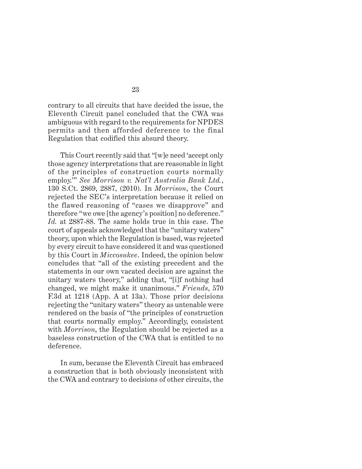contrary to all circuits that have decided the issue, the Eleventh Circuit panel concluded that the CWA was ambiguous with regard to the requirements for NPDES permits and then afforded deference to the final Regulation that codified this absurd theory.

This Court recently said that "[w]e need 'accept only those agency interpretations that are reasonable in light of the principles of construction courts normally employ.'" *See Morrison v. Nat'l Australia Bank Ltd.*, 130 S.Ct. 2869, 2887, (2010). In *Morrison*, the Court rejected the SEC's interpretation because it relied on the flawed reasoning of "cases we disapprove" and therefore "we owe [the agency's position] no deference." *Id.* at 2887-88. The same holds true in this case. The court of appeals acknowledged that the "unitary waters" theory, upon which the Regulation is based, was rejected by every circuit to have considered it and was questioned by this Court in *Miccosukee*. Indeed, the opinion below concludes that "all of the existing precedent and the statements in our own vacated decision are against the unitary waters theory," adding that, "[i]f nothing had changed, we might make it unanimous." *Friends*, 570 F.3d at 1218 (App. A at 13a). Those prior decisions rejecting the "unitary waters" theory as untenable were rendered on the basis of "the principles of construction that courts normally employ." Accordingly, consistent with *Morrison*, the Regulation should be rejected as a baseless construction of the CWA that is entitled to no deference.

In sum, because the Eleventh Circuit has embraced a construction that is both obviously inconsistent with the CWA and contrary to decisions of other circuits, the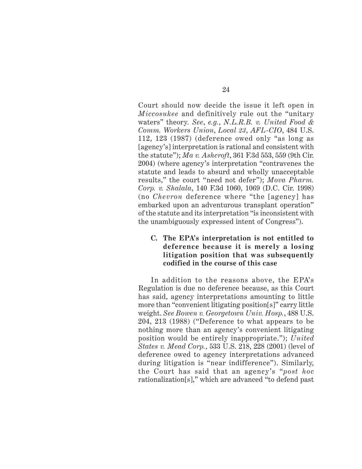Court should now decide the issue it left open in *Miccosukee* and definitively rule out the "unitary waters" theory*. See*, *e.g.*, *N.L.R.B. v. United Food & Comm. Workers Union*, *Local 23*, *AFL-CIO*, 484 U.S. 112, 123 (1987) (deference owed only "as long as [agency's] interpretation is rational and consistent with the statute"); *Ma v. Ashcroft*, 361 F.3d 553, 559 (9th Cir. 2004) (where agency's interpretation "contravenes the statute and leads to absurd and wholly unacceptable results," the court "need not defer"); *Mova Pharm. Corp. v. Shalala*, 140 F.3d 1060, 1069 (D.C. Cir. 1998) (no *Chevron* deference where "the [agency] has embarked upon an adventurous transplant operation" of the statute and its interpretation "is inconsistent with the unambiguously expressed intent of Congress").

**C. The EPA's interpretation is not entitled to deference because it is merely a losing litigation position that was subsequently codified in the course of this case**

In addition to the reasons above, the EPA's Regulation is due no deference because, as this Court has said, agency interpretations amounting to little more than "convenient litigating position[s]" carry little weight. *See Bowen v. Georgetown Univ. Hosp.*, 488 U.S. 204, 213 (1988) ("Deference to what appears to be nothing more than an agency's convenient litigating position would be entirely inappropriate."); *United States v. Mead Corp.*, 533 U.S. 218, 228 (2001) (level of deference owed to agency interpretations advanced during litigation is "near indifference"). Similarly, the Court has said that an agency's "*post hoc* rationalization[s]," which are advanced "to defend past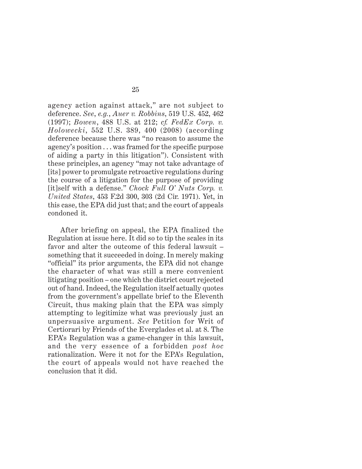agency action against attack," are not subject to deference. *See*, *e.g.*, *Auer v. Robbins*, 519 U.S. 452, 462 (1997); *Bowen*, 488 U.S. at 212; *cf. FedEx Corp. v. Holowecki*, 552 U.S. 389, 400 (2008) (according deference because there was "no reason to assume the agency's position . . . was framed for the specific purpose of aiding a party in this litigation"). Consistent with these principles, an agency "may not take advantage of [its] power to promulgate retroactive regulations during the course of a litigation for the purpose of providing [it]self with a defense." *Chock Full O' Nuts Corp. v. United States*, 453 F.2d 300, 303 (2d Cir. 1971). Yet, in this case, the EPA did just that; and the court of appeals condoned it.

After briefing on appeal, the EPA finalized the Regulation at issue here. It did so to tip the scales in its favor and alter the outcome of this federal lawsuit – something that it succeeded in doing. In merely making "official" its prior arguments, the EPA did not change the character of what was still a mere convenient litigating position – one which the district court rejected out of hand. Indeed, the Regulation itself actually quotes from the government's appellate brief to the Eleventh Circuit, thus making plain that the EPA was simply attempting to legitimize what was previously just an unpersuasive argument. *See* Petition for Writ of Certiorari by Friends of the Everglades et al. at 8. The EPA's Regulation was a game-changer in this lawsuit, and the very essence of a forbidden *post hoc* rationalization. Were it not for the EPA's Regulation, the court of appeals would not have reached the conclusion that it did.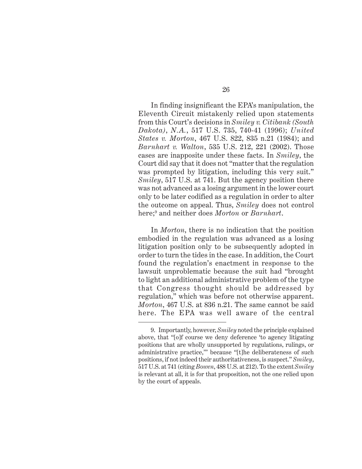In finding insignificant the EPA's manipulation, the Eleventh Circuit mistakenly relied upon statements from this Court's decisions in *Smiley v. Citibank (South Dakota)*, *N.A.*, 517 U.S. 735, 740-41 (1996); *United States v. Morton*, 467 U.S. 822, 835 n.21 (1984); and *Barnhart v. Walton*, 535 U.S. 212, 221 (2002). Those cases are inapposite under these facts. In *Smiley*, the Court did say that it does not "matter that the regulation was prompted by litigation, including this very suit." *Smiley*, 517 U.S. at 741. But the agency position there was not advanced as a losing argument in the lower court only to be later codified as a regulation in order to alter the outcome on appeal. Thus, *Smiley* does not control here;9 and neither does *Morton* or *Barnhart*.

In *Morton*, there is no indication that the position embodied in the regulation was advanced as a losing litigation position only to be subsequently adopted in order to turn the tides in the case. In addition, the Court found the regulation's enactment in response to the lawsuit unproblematic because the suit had "brought to light an additional administrative problem of the type that Congress thought should be addressed by regulation," which was before not otherwise apparent. *Morton*, 467 U.S. at 836 n.21. The same cannot be said here. The EPA was well aware of the central

<sup>9.</sup> Importantly, however, *Smiley* noted the principle explained above, that "[o]f course we deny deference 'to agency litigating positions that are wholly unsupported by regulations, rulings, or administrative practice,'" because "[t]he deliberateness of such positions, if not indeed their authoritativeness, is suspect." *Smiley*, 517 U.S. at 741 (citing *Bowen*, 488 U.S. at 212). To the extent *Smiley* is relevant at all, it is for that proposition, not the one relied upon by the court of appeals.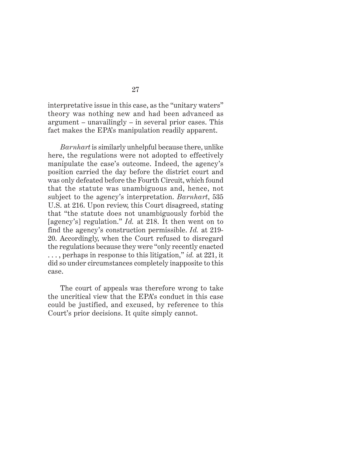interpretative issue in this case, as the "unitary waters" theory was nothing new and had been advanced as argument – unavailingly – in several prior cases. This fact makes the EPA's manipulation readily apparent.

*Barnhart* is similarly unhelpful because there, unlike here, the regulations were not adopted to effectively manipulate the case's outcome. Indeed, the agency's position carried the day before the district court and was only defeated before the Fourth Circuit, which found that the statute was unambiguous and, hence, not subject to the agency's interpretation. *Barnhart*, 535 U.S. at 216. Upon review, this Court disagreed, stating that "the statute does not unambiguously forbid the [agency's] regulation." *Id.* at 218. It then went on to find the agency's construction permissible. *Id.* at 219- 20. Accordingly, when the Court refused to disregard the regulations because they were "only recently enacted . . . , perhaps in response to this litigation," *id.* at 221, it did so under circumstances completely inapposite to this case.

The court of appeals was therefore wrong to take the uncritical view that the EPA's conduct in this case could be justified, and excused, by reference to this Court's prior decisions. It quite simply cannot.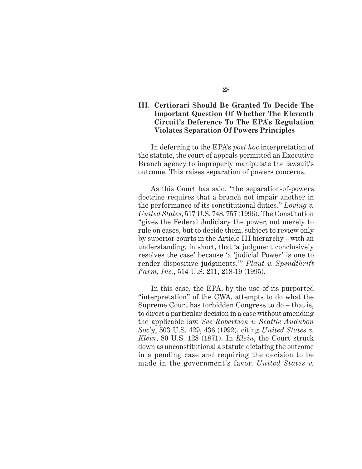# **III. Certiorari Should Be Granted To Decide The Important Question Of Whether The Eleventh Circuit's Deference To The EPA's Regulation Violates Separation Of Powers Principles**

In deferring to the EPA's *post hoc* interpretation of the statute, the court of appeals permitted an Executive Branch agency to improperly manipulate the lawsuit's outcome. This raises separation of powers concerns.

As this Court has said, "the separation-of-powers doctrine requires that a branch not impair another in the performance of its constitutional duties." *Loving v. United States*, 517 U.S. 748, 757 (1996). The Constitution "gives the Federal Judiciary the power, not merely to rule on cases, but to decide them, subject to review only by superior courts in the Article III hierarchy – with an understanding, in short, that 'a judgment conclusively resolves the case' because 'a 'judicial Power' is one to render dispositive judgments.'" *Plaut v. Spendthrift Farm*, *Inc.*, 514 U.S. 211, 218-19 (1995).

In this case, the EPA, by the use of its purported "interpretation" of the CWA, attempts to do what the Supreme Court has forbidden Congress to do – that is, to direct a particular decision in a case without amending the applicable law. *See Robertson v. Seattle Audubon Soc'y*, 503 U.S. 429, 436 (1992), citing *United States v. Klein*, 80 U.S. 128 (1871). In *Klein*, the Court struck down as unconstitutional a statute dictating the outcome in a pending case and requiring the decision to be made in the government's favor. *United States v.*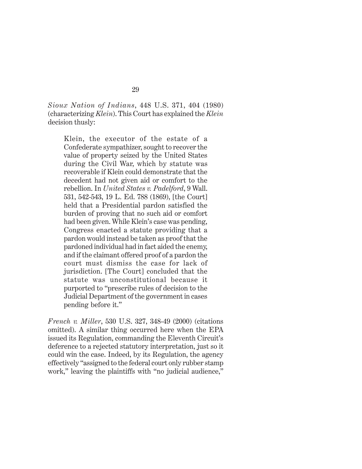*Sioux Nation of Indians*, 448 U.S. 371, 404 (1980) (characterizing *Klein*). This Court has explained the *Klein* decision thusly:

Klein, the executor of the estate of a Confederate sympathizer, sought to recover the value of property seized by the United States during the Civil War, which by statute was recoverable if Klein could demonstrate that the decedent had not given aid or comfort to the rebellion. In *United States v. Padelford*, 9 Wall. 531, 542-543, 19 L. Ed. 788 (1869), [the Court] held that a Presidential pardon satisfied the burden of proving that no such aid or comfort had been given. While Klein's case was pending, Congress enacted a statute providing that a pardon would instead be taken as proof that the pardoned individual had in fact aided the enemy, and if the claimant offered proof of a pardon the court must dismiss the case for lack of jurisdiction. [The Court] concluded that the statute was unconstitutional because it purported to "prescribe rules of decision to the Judicial Department of the government in cases pending before it."

*French v. Miller*, 530 U.S. 327, 348-49 (2000) (citations omitted). A similar thing occurred here when the EPA issued its Regulation, commanding the Eleventh Circuit's deference to a rejected statutory interpretation, just so it could win the case. Indeed, by its Regulation, the agency effectively "assigned to the federal court only rubber stamp work," leaving the plaintiffs with "no judicial audience,"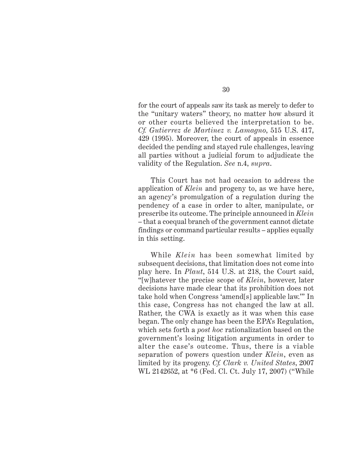for the court of appeals saw its task as merely to defer to the "unitary waters" theory, no matter how absurd it or other courts believed the interpretation to be. *Cf. Gutierrez de Martinez v. Lamagno*, 515 U.S. 417, 429 (1995). Moreover, the court of appeals in essence decided the pending and stayed rule challenges, leaving all parties without a judicial forum to adjudicate the validity of the Regulation. *See* n.4, *supra*.

This Court has not had occasion to address the application of *Klein* and progeny to, as we have here, an agency's promulgation of a regulation during the pendency of a case in order to alter, manipulate, or prescribe its outcome. The principle announced in *Klein* – that a coequal branch of the government cannot dictate findings or command particular results – applies equally in this setting.

While *Klein* has been somewhat limited by subsequent decisions, that limitation does not come into play here. In *Plaut*, 514 U.S. at 218, the Court said, "[w]hatever the precise scope of *Klein*, however, later decisions have made clear that its prohibition does not take hold when Congress 'amend[s] applicable law.'" In this case, Congress has not changed the law at all. Rather, the CWA is exactly as it was when this case began. The only change has been the EPA's Regulation, which sets forth a *post hoc* rationalization based on the government's losing litigation arguments in order to alter the case's outcome. Thus, there is a viable separation of powers question under *Klein*, even as limited by its progeny. *Cf. Clark v. United States*, 2007 WL 2142652, at \*6 (Fed. Cl. Ct. July 17, 2007) ("While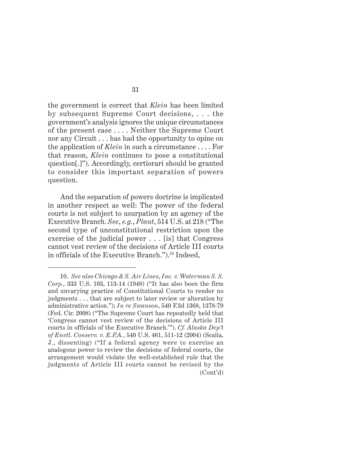the government is correct that *Klein* has been limited by subsequent Supreme Court decisions, . . . the government's analysis ignores the unique circumstances of the present case . . . . Neither the Supreme Court nor any Circuit . . . has had the opportunity to opine on the application of *Klein* in such a circumstance . . . . For that reason, *Klein* continues to pose a constitutional question[.]"). Accordingly, certiorari should be granted to consider this important separation of powers question.

And the separation of powers doctrine is implicated in another respect as well: The power of the federal courts is not subject to usurpation by an agency of the Executive Branch. *See*, *e.g.*, *Plaut*, 514 U.S. at 218 ("The second type of unconstitutional restriction upon the exercise of the judicial power . . . [is] that Congress cannot vest review of the decisions of Article III courts in officials of the Executive Branch.").<sup>10</sup> Indeed,

<sup>10.</sup> *See also Chicago & S. Air Lines*, *Inc. v. Waterman S. S. Corp.*, 333 U.S. 103, 113-14 (1948) ("It has also been the firm and unvarying practice of Constitutional Courts to render no judgments . . . that are subject to later review or alteration by administrative action."); *In re Swanson*, 540 F.3d 1368, 1378-79 (Fed. Cir. 2008) ("The Supreme Court has repeatedly held that 'Congress cannot vest review of the decisions of Article III courts in officials of the Executive Branch.'"). *Cf. Alaska Dep't of Envtl. Conserv. v. E.P.A.*, 540 U.S. 461, 511-12 (2004) (Scalia, J., dissenting) ("If a federal agency were to exercise an analogous power to review the decisions of federal courts, the arrangement would violate the well-established rule that the judgments of Article III courts cannot be revised by the (Cont'd)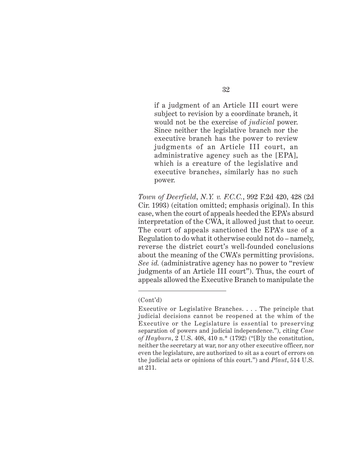if a judgment of an Article III court were subject to revision by a coordinate branch, it would not be the exercise of *judicial* power. Since neither the legislative branch nor the executive branch has the power to review judgments of an Article III court, an administrative agency such as the [EPA], which is a creature of the legislative and executive branches, similarly has no such power.

*Town of Deerfield*, *N.Y. v. F.C.C.*, 992 F.2d 420, 428 (2d Cir. 1993) (citation omitted; emphasis original). In this case, when the court of appeals heeded the EPA's absurd interpretation of the CWA, it allowed just that to occur. The court of appeals sanctioned the EPA's use of a Regulation to do what it otherwise could not do – namely, reverse the district court's well-founded conclusions about the meaning of the CWA's permitting provisions. *See id.* (administrative agency has no power to "review judgments of an Article III court"). Thus, the court of appeals allowed the Executive Branch to manipulate the

<sup>(</sup>Cont'd)

Executive or Legislative Branches. . . . The principle that judicial decisions cannot be reopened at the whim of the Executive or the Legislature is essential to preserving separation of powers and judicial independence."), citing *Case of Hayburn*, 2 U.S. 408, 410 n.\* (1792) ("[B]y the constitution, neither the secretary at war, nor any other executive officer, nor even the legislature, are authorized to sit as a court of errors on the judicial acts or opinions of this court.") and *Plaut*, 514 U.S. at 211.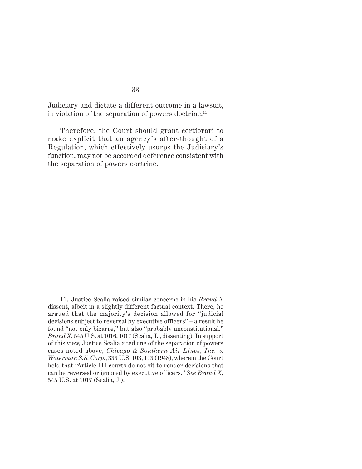Judiciary and dictate a different outcome in a lawsuit, in violation of the separation of powers doctrine.11

Therefore, the Court should grant certiorari to make explicit that an agency's after-thought of a Regulation, which effectively usurps the Judiciary's function, may not be accorded deference consistent with the separation of powers doctrine.

<sup>11.</sup> Justice Scalia raised similar concerns in his *Brand X* dissent, albeit in a slightly different factual context. There, he argued that the majority's decision allowed for "judicial decisions subject to reversal by executive officers" – a result he found "not only bizarre," but also "probably unconstitutional." *Brand X*, 545 U.S. at 1016, 1017 (Scalia, J. , dissenting). In support of this view, Justice Scalia cited one of the separation of powers cases noted above, *Chicago & Southern Air Lines*, *Inc. v. Waterman S.S. Corp.*, 333 U.S. 103, 113 (1948), wherein the Court held that "Article III courts do not sit to render decisions that can be reversed or ignored by executive officers." *See Brand X*, 545 U.S. at 1017 (Scalia, J.).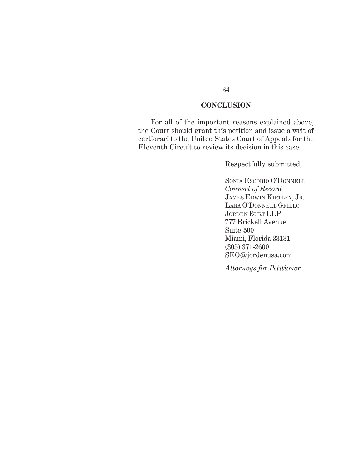# **CONCLUSION**

For all of the important reasons explained above, the Court should grant this petition and issue a writ of certiorari to the United States Court of Appeals for the Eleventh Circuit to review its decision in this case.

Respectfully submitted,

SONIA ESCOBIO O'DONNELL *Counsel of Record* JAMES EDWIN KIRTLEY, JR. LARA O'DONNELL GRILLO JORDEN BURT LLP 777 Brickell Avenue Suite 500 Miami, Florida 33131 (305) 371-2600 SEO@jordenusa.com

*Attorneys for Petitioner*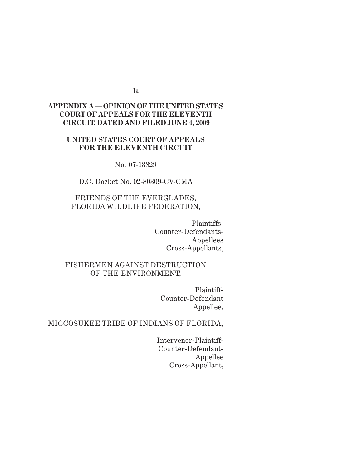1a

# *Appendix A* **APPENDIX A — OPINION OF THE UNITED STATES COURT OF APPEALS FOR THE ELEVENTH CIRCUIT, DATED AND FILED JUNE 4, 2009**

# **UNITED STATES COURT OF APPEALS FOR THE ELEVENTH CIRCUIT**

No. 07-13829

D.C. Docket No. 02-80309-CV-CMA

# FRIENDS OF THE EVERGLADES, FLORIDA WILDLIFE FEDERATION,

Plaintiffs-Counter-Defendants-Appellees Cross-Appellants,

# FISHERMEN AGAINST DESTRUCTION OF THE ENVIRONMENT,

Plaintiff-Counter-Defendant Appellee,

# MICCOSUKEE TRIBE OF INDIANS OF FLORIDA,

Intervenor-Plaintiff-Counter-Defendant-Appellee Cross-Appellant,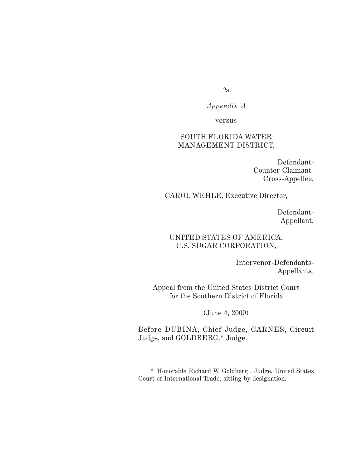$2a$ 

*Appendix A*

versus

# SOUTH FLORIDA WATER MANAGEMENT DISTRICT,

Defendant-Counter-Claimant-Cross-Appellee,

CAROL WEHLE, Executive Director,

Defendant-Appellant,

# UNITED STATES OF AMERICA, U.S. SUGAR CORPORATION,

Intervenor-Defendants-Appellants.

Appeal from the United States District Court for the Southern District of Florida

(June 4, 2009)

Before DUBINA, Chief Judge, CARNES, Circuit Judge, and GOLDBERG,\* Judge.

<sup>\*</sup> Honorable Richard W. Goldberg , Judge, United States Court of International Trade, sitting by designation.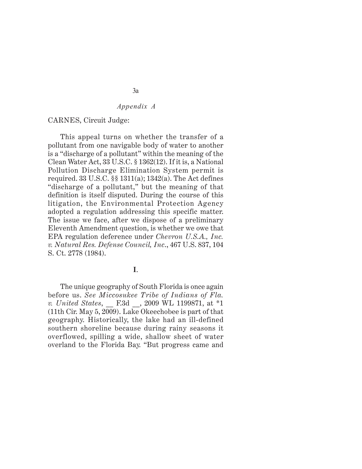#### CARNES, Circuit Judge:

This appeal turns on whether the transfer of a pollutant from one navigable body of water to another is a "discharge of a pollutant" within the meaning of the Clean Water Act, 33 U.S.C. § 1362(12). If it is, a National Pollution Discharge Elimination System permit is required. 33 U.S.C. §§ 1311(a); 1342(a). The Act defines "discharge of a pollutant," but the meaning of that definition is itself disputed. During the course of this litigation, the Environmental Protection Agency adopted a regulation addressing this specific matter. The issue we face, after we dispose of a preliminary Eleventh Amendment question, is whether we owe that EPA regulation deference under *Chevron U.S.A., Inc. v. Natural Res. Defense Council, Inc*., 467 U.S. 837, 104 S. Ct. 2778 (1984).

**I**.

The unique geography of South Florida is once again before us. *See Miccosukee Tribe of Indians of Fla. v. United States*, \_\_ F.3d \_\_, 2009 WL 1199871, at \*1 (11th Cir. May 5, 2009). Lake Okeechobee is part of that geography. Historically, the lake had an ill-defined southern shoreline because during rainy seasons it overflowed, spilling a wide, shallow sheet of water overland to the Florida Bay. "But progress came and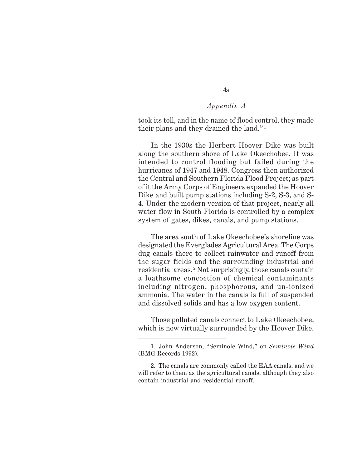took its toll, and in the name of flood control, they made their plans and they drained the land." <sup>1</sup>

In the 1930s the Herbert Hoover Dike was built along the southern shore of Lake Okeechobee. It was intended to control flooding but failed during the hurricanes of 1947 and 1948. Congress then authorized the Central and Southern Florida Flood Project; as part of it the Army Corps of Engineers expanded the Hoover Dike and built pump stations including S-2, S-3, and S-4. Under the modern version of that project, nearly all water flow in South Florida is controlled by a complex system of gates, dikes, canals, and pump stations.

The area south of Lake Okeechobee's shoreline was designated the Everglades Agricultural Area. The Corps dug canals there to collect rainwater and runoff from the sugar fields and the surrounding industrial and residential areas. 2 Not surprisingly, those canals contain a loathsome concoction of chemical contaminants including nitrogen, phosphorous, and un-ionized ammonia. The water in the canals is full of suspended and dissolved solids and has a low oxygen content.

Those polluted canals connect to Lake Okeechobee, which is now virtually surrounded by the Hoover Dike.

<sup>1.</sup> John Anderson, "Seminole Wind," on *Seminole Wind* (BMG Records 1992).

<sup>2.</sup> The canals are commonly called the EAA canals, and we will refer to them as the agricultural canals, although they also contain industrial and residential runoff.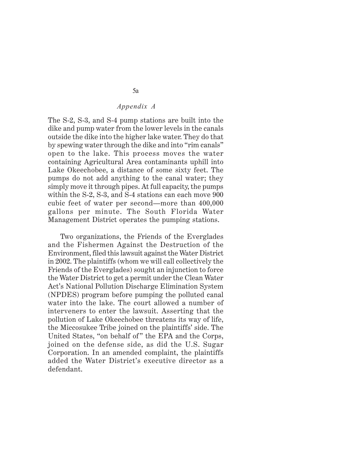The S-2, S-3, and S-4 pump stations are built into the dike and pump water from the lower levels in the canals outside the dike into the higher lake water. They do that by spewing water through the dike and into "rim canals" open to the lake. This process moves the water containing Agricultural Area contaminants uphill into Lake Okeechobee, a distance of some sixty feet. The pumps do not add anything to the canal water; they simply move it through pipes. At full capacity, the pumps within the S-2, S-3, and S-4 stations can each move 900 cubic feet of water per second—more than 400,000 gallons per minute. The South Florida Water Management District operates the pumping stations.

Two organizations, the Friends of the Everglades and the Fishermen Against the Destruction of the Environment, filed this lawsuit against the Water District in 2002. The plaintiffs (whom we will call collectively the Friends of the Everglades) sought an injunction to force the Water District to get a permit under the Clean Water Act's National Pollution Discharge Elimination System (NPDES) program before pumping the polluted canal water into the lake. The court allowed a number of interveners to enter the lawsuit. Asserting that the pollution of Lake Okeechobee threatens its way of life, the Miccosukee Tribe joined on the plaintiffs' side. The United States, "on behalf of" the EPA and the Corps, joined on the defense side, as did the U.S. Sugar Corporation. In an amended complaint, the plaintiffs added the Water District's executive director as a defendant.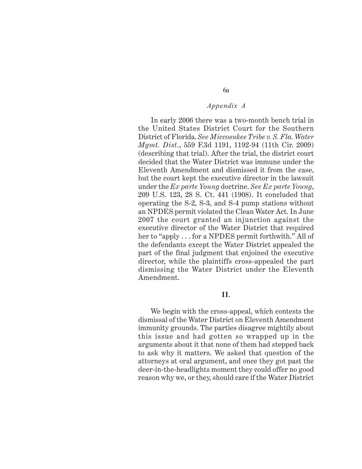6a

In early 2006 there was a two-month bench trial in the United States District Court for the Southern District of Florida. *See Miccosukee Tribe v. S. Fla. Water Mgmt. Dist*., 559 F.3d 1191, 1192-94 (11th Cir. 2009) (describing that trial). After the trial, the district court decided that the Water District was immune under the Eleventh Amendment and dismissed it from the case, but the court kept the executive director in the lawsuit under the *Ex parte Young* doctrine. *See Ex parte Young*, 209 U.S. 123, 28 S. Ct. 441 (1908). It concluded that operating the S-2, S-3, and S-4 pump stations without an NPDES permit violated the Clean Water Act. In June 2007 the court granted an injunction against the executive director of the Water District that required her to "apply . . . for a NPDES permit forthwith." All of the defendants except the Water District appealed the part of the final judgment that enjoined the executive director, while the plaintiffs cross-appealed the part dismissing the Water District under the Eleventh Amendment.

### **II**.

We begin with the cross-appeal, which contests the dismissal of the Water District on Eleventh Amendment immunity grounds. The parties disagree mightily about this issue and had gotten so wrapped up in the arguments about it that none of them had stepped back to ask why it matters. We asked that question of the attorneys at oral argument, and once they got past the deer-in-the-headlights moment they could offer no good reason why we, or they, should care if the Water District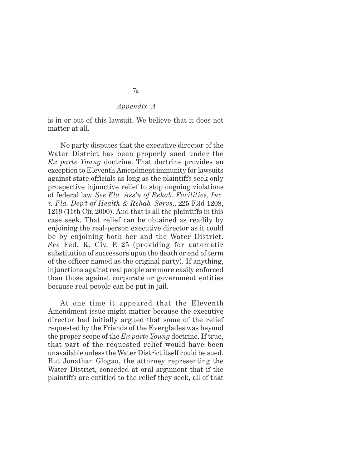is in or out of this lawsuit. We believe that it does not matter at all.

No party disputes that the executive director of the Water District has been properly sued under the *Ex parte Young* doctrine. That doctrine provides an exception to Eleventh Amendment immunity for lawsuits against state officials as long as the plaintiffs seek only prospective injunctive relief to stop ongoing violations of federal law. *See Fla. Ass'n of Rehab. Facilities, Inc. v. Fla. Dep't of Health & Rehab. Servs*., 225 F.3d 1208, 1219 (11th Cir. 2000). And that is all the plaintiffs in this case seek. That relief can be obtained as readily by enjoining the real-person executive director as it could be by enjoining both her and the Water District. *See* Fed. R. Civ. P. 25 (providing for automatic substitution of successors upon the death or end of term of the officer named as the original party). If anything, injunctions against real people are more easily enforced than those against corporate or government entities because real people can be put in jail.

At one time it appeared that the Eleventh Amendment issue might matter because the executive director had initially argued that some of the relief requested by the Friends of the Everglades was beyond the proper scope of the *Ex parte Young* doctrine. If true, that part of the requested relief would have been unavailable unless the Water District itself could be sued. But Jonathan Glogau, the attorney representing the Water District, conceded at oral argument that if the plaintiffs are entitled to the relief they seek, all of that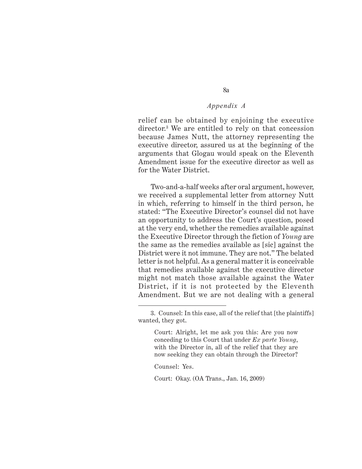8a

relief can be obtained by enjoining the executive director.3 We are entitled to rely on that concession because James Nutt, the attorney representing the executive director, assured us at the beginning of the arguments that Glogau would speak on the Eleventh Amendment issue for the executive director as well as for the Water District.

Two-and-a-half weeks after oral argument, however, we received a supplemental letter from attorney Nutt in which, referring to himself in the third person, he stated: "The Executive Director's counsel did not have an opportunity to address the Court's question, posed at the very end, whether the remedies available against the Executive Director through the fiction of *Young* are the same as the remedies available as [sic] against the District were it not immune. They are not." The belated letter is not helpful. As a general matter it is conceivable that remedies available against the executive director might not match those available against the Water District, if it is not protected by the Eleventh Amendment. But we are not dealing with a general

Counsel: Yes.

Court: Okay. (OA Trans., Jan. 16, 2009)

<sup>3.</sup> Counsel: In this case, all of the relief that [the plaintiffs] wanted, they got.

Court: Alright, let me ask you this: Are you now conceding to this Court that under *Ex parte Young*, with the Director in, all of the relief that they are now seeking they can obtain through the Director?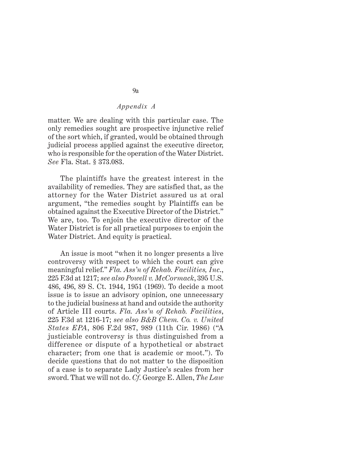matter. We are dealing with this particular case. The only remedies sought are prospective injunctive relief of the sort which, if granted, would be obtained through judicial process applied against the executive director, who is responsible for the operation of the Water District. *See* Fla. Stat. § 373.083.

The plaintiffs have the greatest interest in the availability of remedies. They are satisfied that, as the attorney for the Water District assured us at oral argument, "the remedies sought by Plaintiffs can be obtained against the Executive Director of the District." We are, too. To enjoin the executive director of the Water District is for all practical purposes to enjoin the Water District. And equity is practical.

An issue is moot "when it no longer presents a live controversy with respect to which the court can give meaningful relief." *Fla. Ass'n of Rehab. Facilities, Inc*., 225 F.3d at 1217; *see also Powell v. McCormack*, 395 U.S. 486, 496, 89 S. Ct. 1944, 1951 (1969). To decide a moot issue is to issue an advisory opinion, one unnecessary to the judicial business at hand and outside the authority of Article III courts. *Fla. Ass'n of Rehab. Facilities*, 225 F.3d at 1216-17; *see also B&B Chem. Co. v. United States EPA*, 806 F.2d 987, 989 (11th Cir. 1986) ("A justiciable controversy is thus distinguished from a difference or dispute of a hypothetical or abstract character; from one that is academic or moot."). To decide questions that do not matter to the disposition of a case is to separate Lady Justice's scales from her sword. That we will not do. *Cf*. George E. Allen, *The Law*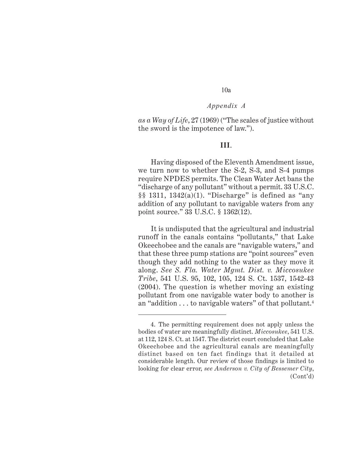# 10a

#### *Appendix A*

*as a Way of Life*, 27 (1969) ("The scales of justice without the sword is the impotence of law.").

#### **III**.

Having disposed of the Eleventh Amendment issue, we turn now to whether the S-2, S-3, and S-4 pumps require NPDES permits. The Clean Water Act bans the "discharge of any pollutant" without a permit. 33 U.S.C.  $\S$ § 1311, 1342(a)(1). "Discharge" is defined as "any addition of any pollutant to navigable waters from any point source." 33 U.S.C. § 1362(12).

It is undisputed that the agricultural and industrial runoff in the canals contains "pollutants," that Lake Okeechobee and the canals are "navigable waters," and that these three pump stations are "point sources" even though they add nothing to the water as they move it along. *See S. Fla. Water Mgmt. Dist. v. Miccosukee Tribe*, 541 U.S. 95, 102, 105, 124 S. Ct. 1537, 1542-43 (2004). The question is whether moving an existing pollutant from one navigable water body to another is an "addition . . . to navigable waters" of that pollutant.<sup>4</sup>

<sup>4.</sup> The permitting requirement does not apply unless the bodies of water are meaningfully distinct. *Miccosukee*, 541 U.S. at 112, 124 S. Ct. at 1547. The district court concluded that Lake Okeechobee and the agricultural canals are meaningfully distinct based on ten fact findings that it detailed at considerable length. Our review of those findings is limited to looking for clear error, *see Anderson v. City of Bessemer City*, (Cont'd)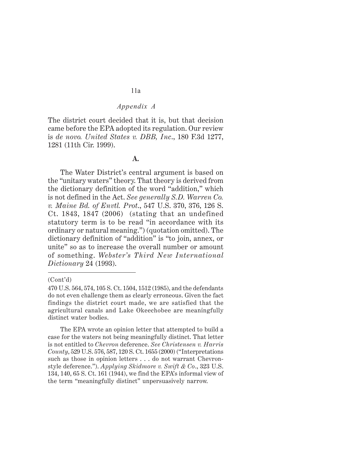The district court decided that it is, but that decision came before the EPA adopted its regulation. Our review is *de novo. United States v. DBB, Inc*., 180 F.3d 1277, 1281 (11th Cir. 1999).

### **A.**

The Water District's central argument is based on the "unitary waters" theory. That theory is derived from the dictionary definition of the word "addition," which is not defined in the Act. *See generally S.D. Warren Co. v. Maine Bd. of Envtl. Prot*., 547 U.S. 370, 376, 126 S. Ct. 1843, 1847 (2006) (stating that an undefined statutory term is to be read "in accordance with its ordinary or natural meaning.") (quotation omitted). The dictionary definition of "addition" is "to join, annex, or unite" so as to increase the overall number or amount of something. *Webster's Third New International Dictionary* 24 (1993).

#### (Cont'd)

<sup>470</sup> U.S. 564, 574, 105 S. Ct. 1504, 1512 (1985), and the defendants do not even challenge them as clearly erroneous. Given the fact findings the district court made, we are satisfied that the agricultural canals and Lake Okeechobee are meaningfully distinct water bodies.

The EPA wrote an opinion letter that attempted to build a case for the waters not being meaningfully distinct. That letter is not entitled to *Chevron* deference. *See Christensen v. Harris County*, 529 U.S. 576, 587, 120 S. Ct. 1655 (2000) ("Interpretations such as those in opinion letters . . . do not warrant Chevronstyle deference."). *Applying Skidmore v. Swift & Co*., 323 U.S. 134, 140, 65 S. Ct. 161 (1944), we find the EPA's informal view of the term "meaningfully distinct" unpersuasively narrow.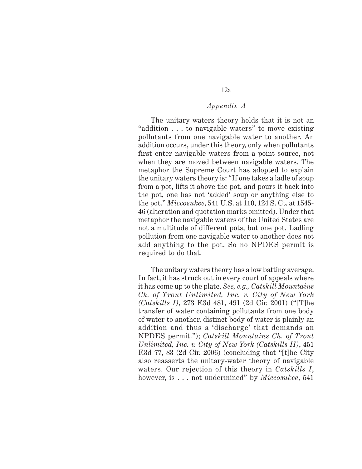12a

The unitary waters theory holds that it is not an "addition . . . to navigable waters" to move existing pollutants from one navigable water to another. An addition occurs, under this theory, only when pollutants first enter navigable waters from a point source, not when they are moved between navigable waters. The metaphor the Supreme Court has adopted to explain the unitary waters theory is: "If one takes a ladle of soup from a pot, lifts it above the pot, and pours it back into the pot, one has not 'added' soup or anything else to the pot." *Miccosukee*, 541 U.S. at 110, 124 S. Ct. at 1545- 46 (alteration and quotation marks omitted). Under that metaphor the navigable waters of the United States are not a multitude of different pots, but one pot. Ladling pollution from one navigable water to another does not add anything to the pot. So no NPDES permit is required to do that.

The unitary waters theory has a low batting average. In fact, it has struck out in every court of appeals where it has come up to the plate. *See, e.g., Catskill Mountains Ch. of Trout Unlimited, Inc. v. City of New York (Catskills I)*, 273 F.3d 481, 491 (2d Cir. 2001) ("[T]he transfer of water containing pollutants from one body of water to another, distinct body of water is plainly an addition and thus a 'discharge' that demands an NPDES permit."); *Catskill Mountains Ch. of Trout Unlimited, Inc. v. City of New York (Catskills II)*, 451 F.3d 77, 83 (2d Cir. 2006) (concluding that "[t]he City also reasserts the unitary-water theory of navigable waters. Our rejection of this theory in *Catskills I*, however, is . . . not undermined" by *Miccosukee*, 541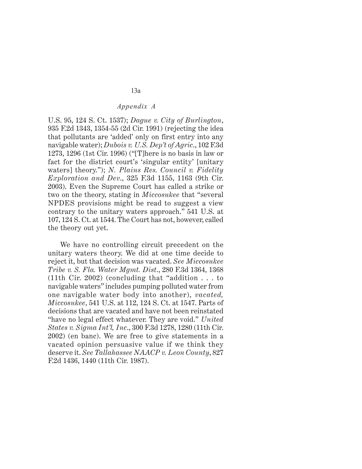U.S. 95, 124 S. Ct. 1537); *Dague v. City of Burlington*, 935 F.2d 1343, 1354-55 (2d Cir. 1991) (rejecting the idea that pollutants are 'added' only on first entry into any navigable water); *Dubois v. U.S. Dep't of Agric*., 102 F.3d 1273, 1296 (1st Cir. 1996) ("[T]here is no basis in law or fact for the district court's 'singular entity' [unitary waters] theory."); *N. Plains Res. Council v. Fidelity Exploration and Dev*., 325 F.3d 1155, 1163 (9th Cir. 2003). Even the Supreme Court has called a strike or two on the theory, stating in *Miccosukee* that "several NPDES provisions might be read to suggest a view contrary to the unitary waters approach." 541 U.S. at 107, 124 S. Ct. at 1544. The Court has not, however, called the theory out yet.

We have no controlling circuit precedent on the unitary waters theory. We did at one time decide to reject it, but that decision was vacated. *See Miccosukee Tribe v. S. Fla. Water Mgmt. Dist*., 280 F.3d 1364, 1368 (11th Cir. 2002) (concluding that "addition . . . to navigable waters" includes pumping polluted water from one navigable water body into another), *vacated, Miccosukee*, 541 U.S. at 112, 124 S. Ct. at 1547. Parts of decisions that are vacated and have not been reinstated "have no legal effect whatever. They are void." *United States v. Sigma Int'l, Inc*., 300 F.3d 1278, 1280 (11th Cir. 2002) (en banc). We are free to give statements in a vacated opinion persuasive value if we think they deserve it. *See Tallahassee NAACP v. Leon County*, 827 F.2d 1436, 1440 (11th Cir. 1987).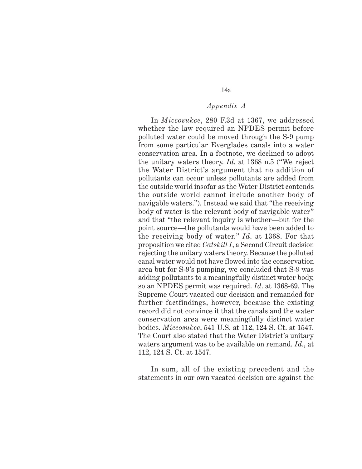In *Miccosukee*, 280 F.3d at 1367, we addressed whether the law required an NPDES permit before polluted water could be moved through the S-9 pump from some particular Everglades canals into a water conservation area. In a footnote, we declined to adopt the unitary waters theory. *Id*. at 1368 n.5 ("We reject the Water District's argument that no addition of pollutants can occur unless pollutants are added from the outside world insofar as the Water District contends the outside world cannot include another body of navigable waters."). Instead we said that "the receiving body of water is the relevant body of navigable water" and that "the relevant inquiry is whether—but for the point source—the pollutants would have been added to the receiving body of water." *Id*. at 1368. For that proposition we cited *Catskill I*, a Second Circuit decision rejecting the unitary waters theory. Because the polluted canal water would not have flowed into the conservation area but for S-9's pumping, we concluded that S-9 was adding pollutants to a meaningfully distinct water body, so an NPDES permit was required. *Id*. at 1368-69. The Supreme Court vacated our decision and remanded for further factfindings, however, because the existing record did not convince it that the canals and the water conservation area were meaningfully distinct water bodies. *Miccosukee*, 541 U.S. at 112, 124 S. Ct. at 1547. The Court also stated that the Water District's unitary waters argument was to be available on remand. *Id*., at 112, 124 S. Ct. at 1547.

In sum, all of the existing precedent and the statements in our own vacated decision are against the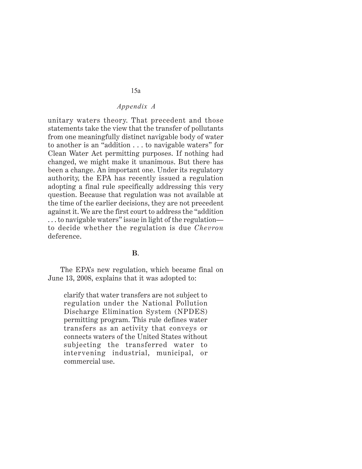unitary waters theory. That precedent and those statements take the view that the transfer of pollutants from one meaningfully distinct navigable body of water to another is an "addition . . . to navigable waters" for Clean Water Act permitting purposes. If nothing had changed, we might make it unanimous. But there has been a change. An important one. Under its regulatory authority, the EPA has recently issued a regulation adopting a final rule specifically addressing this very question. Because that regulation was not available at the time of the earlier decisions, they are not precedent against it. We are the first court to address the "addition . . . to navigable waters" issue in light of the regulation to decide whether the regulation is due *Chevron* deference.

### **B**.

The EPA's new regulation, which became final on June 13, 2008, explains that it was adopted to:

clarify that water transfers are not subject to regulation under the National Pollution Discharge Elimination System (NPDES) permitting program. This rule defines water transfers as an activity that conveys or connects waters of the United States without subjecting the transferred water to intervening industrial, municipal, or commercial use.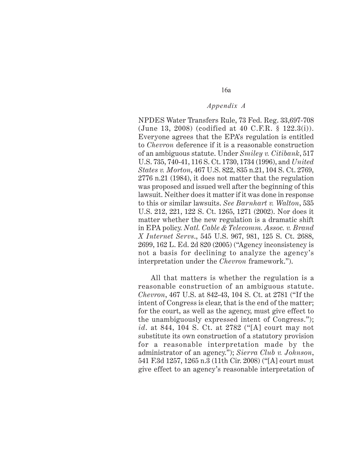16a

NPDES Water Transfers Rule, 73 Fed. Reg. 33,697-708 (June 13, 2008) (codified at 40 C.F.R. § 122.3(i)). Everyone agrees that the EPA's regulation is entitled to *Chevron* deference if it is a reasonable construction of an ambiguous statute. Under *Smiley v. Citibank*, 517 U.S. 735, 740-41, 116 S. Ct. 1730, 1734 (1996), and *United States v. Morton*, 467 U.S. 822, 835 n.21, 104 S. Ct. 2769, 2776 n.21 (1984), it does not matter that the regulation was proposed and issued well after the beginning of this lawsuit. Neither does it matter if it was done in response to this or similar lawsuits. *See Barnhart v. Walton*, 535 U.S. 212, 221, 122 S. Ct. 1265, 1271 (2002). Nor does it matter whether the new regulation is a dramatic shift in EPA policy. *Natl. Cable & Telecomm. Assoc. v. Brand X Internet Servs*., 545 U.S. 967, 981, 125 S. Ct. 2688, 2699, 162 L. Ed. 2d 820 (2005) ("Agency inconsistency is not a basis for declining to analyze the agency's interpretation under the *Chevron* framework.").

All that matters is whether the regulation is a reasonable construction of an ambiguous statute. *Chevron*, 467 U.S. at 842-43, 104 S. Ct. at 2781 ("If the intent of Congress is clear, that is the end of the matter; for the court, as well as the agency, must give effect to the unambiguously expressed intent of Congress."); *id*. at 844, 104 S. Ct. at 2782 ("[A] court may not substitute its own construction of a statutory provision for a reasonable interpretation made by the administrator of an agency."); *Sierra Club v. Johnson*, 541 F.3d 1257, 1265 n.3 (11th Cir. 2008) ("[A] court must give effect to an agency's reasonable interpretation of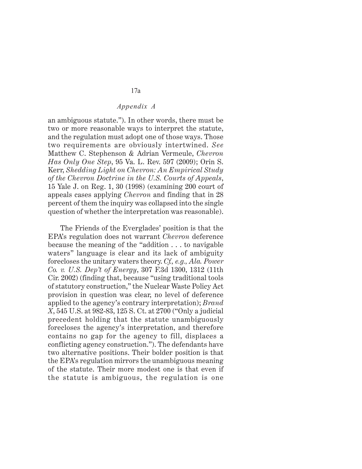an ambiguous statute."). In other words, there must be two or more reasonable ways to interpret the statute, and the regulation must adopt one of those ways. Those two requirements are obviously intertwined. *See* Matthew C. Stephenson & Adrian Vermeule, *Chevron Has Only One Step*, 95 Va. L. Rev. 597 (2009); Orin S. Kerr, *Shedding Light on Chevron: An Empirical Study of the Chevron Doctrine in the U.S. Courts of Appeals*, 15 Yale J. on Reg. 1, 30 (1998) (examining 200 court of appeals cases applying *Chevron* and finding that in 28 percent of them the inquiry was collapsed into the single question of whether the interpretation was reasonable).

The Friends of the Everglades' position is that the EPA's regulation does not warrant *Chevron* deference because the meaning of the "addition . . . to navigable waters" language is clear and its lack of ambiguity forecloses the unitary waters theory. *Cf., e.g., Ala. Power Co. v. U.S. Dep't of Energy*, 307 F.3d 1300, 1312 (11th Cir. 2002) (finding that, because "using traditional tools of statutory construction," the Nuclear Waste Policy Act provision in question was clear, no level of deference applied to the agency's contrary interpretation); *Brand X*, 545 U.S. at 982-83, 125 S. Ct. at 2700 ("Only a judicial precedent holding that the statute unambiguously forecloses the agency's interpretation, and therefore contains no gap for the agency to fill, displaces a conflicting agency construction."). The defendants have two alternative positions. Their bolder position is that the EPA's regulation mirrors the unambiguous meaning of the statute. Their more modest one is that even if the statute is ambiguous, the regulation is one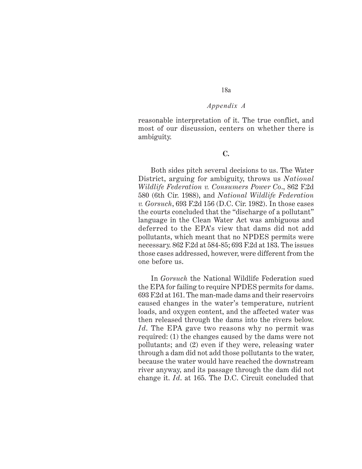# 18a

#### *Appendix A*

reasonable interpretation of it. The true conflict, and most of our discussion, centers on whether there is ambiguity.

#### **C.**

Both sides pitch several decisions to us. The Water District, arguing for ambiguity, throws us *National Wildlife Federation v. Consumers Power Co*., 862 F.2d 580 (6th Cir. 1988), and *National Wildlife Federation v. Gorsuch*, 693 F.2d 156 (D.C. Cir. 1982). In those cases the courts concluded that the "discharge of a pollutant" language in the Clean Water Act was ambiguous and deferred to the EPA's view that dams did not add pollutants, which meant that no NPDES permits were necessary. 862 F.2d at 584-85; 693 F.2d at 183. The issues those cases addressed, however, were different from the one before us.

In *Gorsuch* the National Wildlife Federation sued the EPA for failing to require NPDES permits for dams. 693 F.2d at 161. The man-made dams and their reservoirs caused changes in the water's temperature, nutrient loads, and oxygen content, and the affected water was then released through the dams into the rivers below. *Id*. The EPA gave two reasons why no permit was required: (1) the changes caused by the dams were not pollutants; and (2) even if they were, releasing water through a dam did not add those pollutants to the water, because the water would have reached the downstream river anyway, and its passage through the dam did not change it. *Id*. at 165. The D.C. Circuit concluded that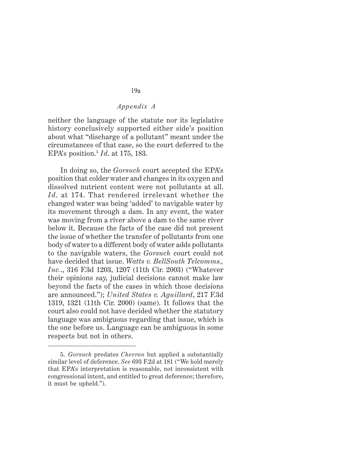neither the language of the statute nor its legislative history conclusively supported either side's position about what "discharge of a pollutant" meant under the circumstances of that case, so the court deferred to the EPA's position.5 *Id*. at 175, 183.

In doing so, the *Gorsuch* court accepted the EPA's position that colder water and changes in its oxygen and dissolved nutrient content were not pollutants at all. *Id*. at 174. That rendered irrelevant whether the changed water was being 'added' to navigable water by its movement through a dam. In any event, the water was moving from a river above a dam to the same river below it. Because the facts of the case did not present the issue of whether the transfer of pollutants from one body of water to a different body of water adds pollutants to the navigable waters, the *Gorsuch* court could not have decided that issue. *Watts v. BellSouth Telcomms., Inc.*., 316 F.3d 1203, 1207 (11th Cir. 2003) ("Whatever their opinions say, judicial decisions cannot make law beyond the facts of the cases in which those decisions are announced."); *United States v. Aguillard*, 217 F.3d 1319, 1321 (11th Cir. 2000) (same). It follows that the court also could not have decided whether the statutory language was ambiguous regarding that issue, which is the one before us. Language can be ambiguous in some respects but not in others.

<sup>5.</sup> *Gorsuch* predates *Chevron* but applied a substantially similar level of deference. *See* 693 F.2d at 181 ("We hold merely that EPA's interpretation is reasonable, not inconsistent with congressional intent, and entitled to great deference; therefore, it must be upheld.").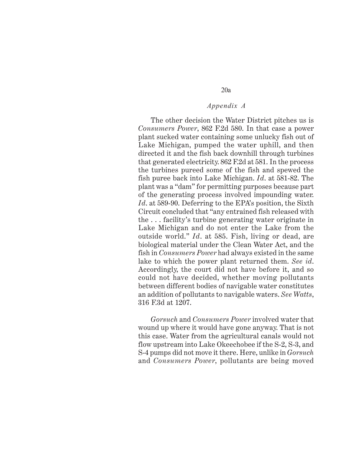The other decision the Water District pitches us is *Consumers Power*, 862 F.2d 580. In that case a power plant sucked water containing some unlucky fish out of Lake Michigan, pumped the water uphill, and then directed it and the fish back downhill through turbines that generated electricity. 862 F.2d at 581. In the process the turbines pureed some of the fish and spewed the fish puree back into Lake Michigan. *Id*. at 581-82. The plant was a "dam" for permitting purposes because part of the generating process involved impounding water. *Id*. at 589-90. Deferring to the EPA's position, the Sixth Circuit concluded that "any entrained fish released with the . . . facility's turbine generating water originate in Lake Michigan and do not enter the Lake from the outside world." *Id*. at 585. Fish, living or dead, are biological material under the Clean Water Act, and the fish in *Consumers Power* had always existed in the same lake to which the power plant returned them. *See id*. Accordingly, the court did not have before it, and so could not have decided, whether moving pollutants between different bodies of navigable water constitutes an addition of pollutants to navigable waters. *See Watts*, 316 F.3d at 1207.

*Gorsuch* and *Consumers Power* involved water that wound up where it would have gone anyway. That is not this case. Water from the agricultural canals would not flow upstream into Lake Okeechobee if the S-2, S-3, and S-4 pumps did not move it there. Here, unlike in *Gorsuch* and *Consumers Power*, pollutants are being moved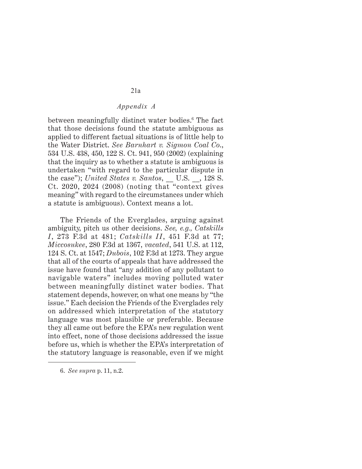between meaningfully distinct water bodies.6 The fact that those decisions found the statute ambiguous as applied to different factual situations is of little help to the Water District. *See Barnhart v. Sigmon Coal Co*., 534 U.S. 438, 450, 122 S. Ct. 941, 950 (2002) (explaining that the inquiry as to whether a statute is ambiguous is undertaken "with regard to the particular dispute in the case"); *United States v. Santos*, U.S. , 128 S. Ct. 2020, 2024 (2008) (noting that "context gives meaning" with regard to the circumstances under which a statute is ambiguous). Context means a lot.

The Friends of the Everglades, arguing against ambiguity, pitch us other decisions. *See, e.g., Catskills I*, 273 F.3d at 481; *Catskills II*, 451 F.3d at 77; *Miccosukee*, 280 F.3d at 1367, *vacated*, 541 U.S. at 112, 124 S. Ct. at 1547; *Dubois*, 102 F.3d at 1273. They argue that all of the courts of appeals that have addressed the issue have found that "any addition of any pollutant to navigable waters" includes moving polluted water between meaningfully distinct water bodies. That statement depends, however, on what one means by "the issue." Each decision the Friends of the Everglades rely on addressed which interpretation of the statutory language was most plausible or preferable. Because they all came out before the EPA's new regulation went into effect, none of those decisions addressed the issue before us, which is whether the EPA's interpretation of the statutory language is reasonable, even if we might

<sup>6.</sup> *See supra* p. 11, n.2.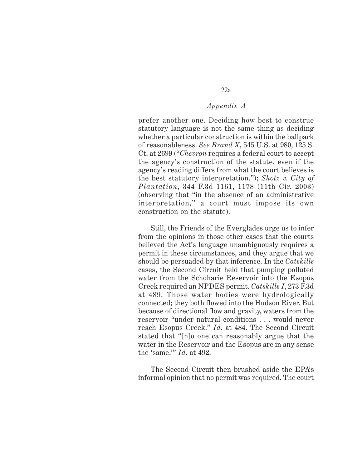prefer another one. Deciding how best to construe statutory language is not the same thing as deciding whether a particular construction is within the ballpark of reasonableness. *See Brand X*, 545 U.S. at 980, 125 S. Ct. at 2699 ("*Chevron* requires a federal court to accept the agency's construction of the statute, even if the agency's reading differs from what the court believes is the best statutory interpretation."); *Shotz v. City of Plantation*, 344 F.3d 1161, 1178 (11th Cir. 2003) (observing that "in the absence of an administrative interpretation," a court must impose its own construction on the statute).

Still, the Friends of the Everglades urge us to infer from the opinions in those other cases that the courts believed the Act's language unambiguously requires a permit in these circumstances, and they argue that we should be persuaded by that inference. In the *Catskills* cases, the Second Circuit held that pumping polluted water from the Schoharie Reservoir into the Esopus Creek required an NPDES permit. *Catskills I*, 273 F.3d at 489. Those water bodies were hydrologically connected; they both flowed into the Hudson River. But because of directional flow and gravity, waters from the reservoir "under natural conditions . . . would never reach Esopus Creek." *Id*. at 484. The Second Circuit stated that "[n]o one can reasonably argue that the water in the Reservoir and the Esopus are in any sense the 'same.'" *Id*. at 492.

The Second Circuit then brushed aside the EPA's informal opinion that no permit was required. The court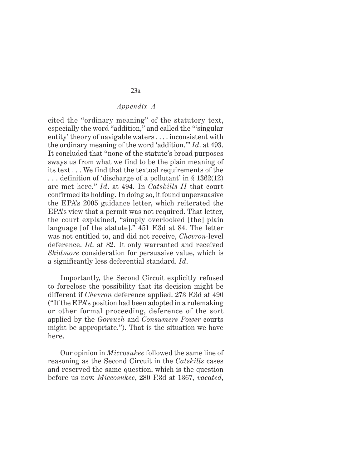cited the "ordinary meaning" of the statutory text, especially the word "addition," and called the "'singular entity' theory of navigable waters . . . . inconsistent with the ordinary meaning of the word 'addition.'" *Id*. at 493. It concluded that "none of the statute's broad purposes sways us from what we find to be the plain meaning of its text . . . We find that the textual requirements of the . . . definition of 'discharge of a pollutant' in § 1362(12) are met here." *Id*. at 494. In *Catskills II* that court confirmed its holding. In doing so, it found unpersuasive the EPA's 2005 guidance letter, which reiterated the EPA's view that a permit was not required. That letter, the court explained, "simply overlooked [the] plain language [of the statute]." 451 F.3d at 84. The letter was not entitled to, and did not receive, *Chevron*-level deference. *Id*. at 82. It only warranted and received *Skidmore* consideration for persuasive value, which is a significantly less deferential standard. *Id*.

Importantly, the Second Circuit explicitly refused to foreclose the possibility that its decision might be different if *Chevron* deference applied. 273 F.3d at 490 ("If the EPA's position had been adopted in a rulemaking or other formal proceeding, deference of the sort applied by the *Gorsuch* and *Consumers Power* courts might be appropriate."). That is the situation we have here.

Our opinion in *Miccosukee* followed the same line of reasoning as the Second Circuit in the *Catskills* cases and reserved the same question, which is the question before us now. *Miccosukee*, 280 F.3d at 1367, *vacated*,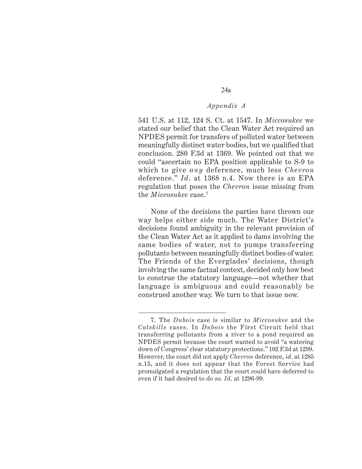541 U.S. at 112, 124 S. Ct. at 1547. In *Miccosukee* we stated our belief that the Clean Water Act required an NPDES permit for transfers of polluted water between meaningfully distinct water bodies, but we qualified that conclusion. 280 F.3d at 1369. We pointed out that we could "ascertain no EPA position applicable to S-9 to which to give *any* deference, much less *Chevron* deference." *Id*. at 1368 n.4. Now there is an EPA regulation that poses the *Chevron* issue missing from the *Miccosukee* case.7

None of the decisions the parties have thrown our way helps either side much. The Water District's decisions found ambiguity in the relevant provision of the Clean Water Act as it applied to dams involving the same bodies of water, not to pumps transferring pollutants between meaningfully distinct bodies of water. The Friends of the Everglades' decisions, though involving the same factual context, decided only how best to construe the statutory language—not whether that language is ambiguous and could reasonably be construed another way. We turn to that issue now.

<sup>7.</sup> The *Dubois* case is similar to *Miccosukee* and the *Catskills* cases. In *Dubois* the First Circuit held that transferring pollutants from a river to a pond required an NPDES permit because the court wanted to avoid "a watering down of Congress' clear statutory protections." 102 F.3d at 1299. However, the court did not apply *Chevron* deference, *id*. at 1285 n.15, and it does not appear that the Forest Service had promulgated a regulation that the court could have deferred to even if it had desired to do so. *Id*. at 1296-99.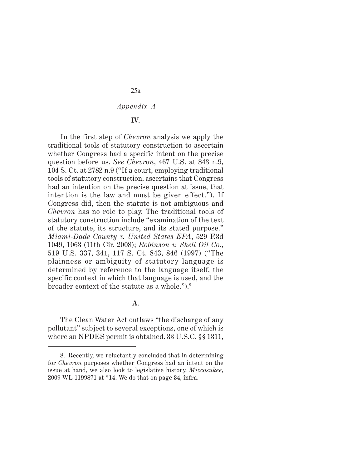### **IV**.

In the first step of *Chevron* analysis we apply the traditional tools of statutory construction to ascertain whether Congress had a specific intent on the precise question before us. *See Chevron*, 467 U.S. at 843 n.9, 104 S. Ct. at 2782 n.9 ("If a court, employing traditional tools of statutory construction, ascertains that Congress had an intention on the precise question at issue, that intention is the law and must be given effect."). If Congress did, then the statute is not ambiguous and *Chevron* has no role to play. The traditional tools of statutory construction include "examination of the text of the statute, its structure, and its stated purpose." *Miami-Dade County v. United States EPA*, 529 F.3d 1049, 1063 (11th Cir. 2008); *Robinson v. Shell Oil Co*., 519 U.S. 337, 341, 117 S. Ct. 843, 846 (1997) ("The plainness or ambiguity of statutory language is determined by reference to the language itself, the specific context in which that language is used, and the broader context of the statute as a whole.").8

#### **A**.

The Clean Water Act outlaws "the discharge of any pollutant" subject to several exceptions, one of which is where an NPDES permit is obtained. 33 U.S.C. §§ 1311,

<sup>8.</sup> Recently, we reluctantly concluded that in determining for *Chevron* purposes whether Congress had an intent on the issue at hand, we also look to legislative history. *Miccosukee*, 2009 WL 1199871 at \*14. We do that on page 34, infra.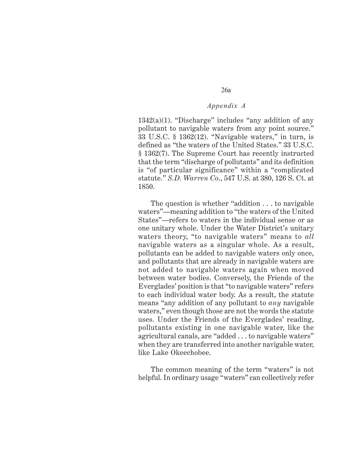26a

 $1342(a)(1)$ . "Discharge" includes "any addition of any pollutant to navigable waters from any point source." 33 U.S.C. § 1362(12). "Navigable waters," in turn, is defined as "the waters of the United States." 33 U.S.C. § 1362(7). The Supreme Court has recently instructed that the term "discharge of pollutants" and its definition is "of particular significance" within a "complicated statute." *S.D. Warren Co*., 547 U.S. at 380, 126 S. Ct. at 1850.

The question is whether "addition . . . to navigable waters"—meaning addition to "the waters of the United States"—refers to waters in the individual sense or as one unitary whole. Under the Water District's unitary waters theory, "to navigable waters" means to *all* navigable waters as a singular whole. As a result, pollutants can be added to navigable waters only once, and pollutants that are already in navigable waters are not added to navigable waters again when moved between water bodies. Conversely, the Friends of the Everglades' position is that "to navigable waters" refers to each individual water body. As a result, the statute means "any addition of any pollutant to *any* navigable waters," even though those are not the words the statute uses. Under the Friends of the Everglades' reading, pollutants existing in one navigable water, like the agricultural canals, are "added . . . to navigable waters" when they are transferred into another navigable water, like Lake Okeechobee.

The common meaning of the term "waters" is not helpful. In ordinary usage "waters" can collectively refer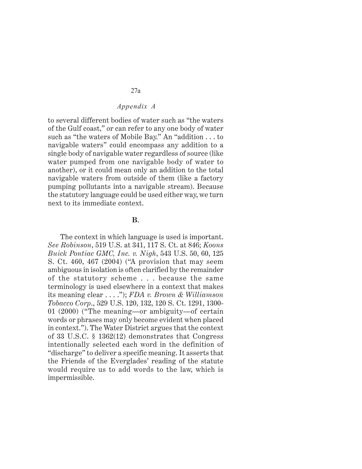to several different bodies of water such as "the waters of the Gulf coast," or can refer to any one body of water such as "the waters of Mobile Bay." An "addition . . . to navigable waters" could encompass any addition to a single body of navigable water regardless of source (like water pumped from one navigable body of water to another), or it could mean only an addition to the total navigable waters from outside of them (like a factory pumping pollutants into a navigable stream). Because the statutory language could be used either way, we turn next to its immediate context.

## **B**.

The context in which language is used is important. *See Robinson*, 519 U.S. at 341, 117 S. Ct. at 846; *Koons Buick Pontiac GMC, Inc. v. Nigh*, 543 U.S. 50, 60, 125 S. Ct. 460, 467 (2004) ("A provision that may seem ambiguous in isolation is often clarified by the remainder of the statutory scheme . . . because the same terminology is used elsewhere in a context that makes its meaning clear . . . ."); *FDA v. Brown & Williamson Tobacco Corp*., 529 U.S. 120, 132, 120 S. Ct. 1291, 1300- 01 (2000) ("The meaning—or ambiguity—of certain words or phrases may only become evident when placed in context."). The Water District argues that the context of 33 U.S.C. § 1362(12) demonstrates that Congress intentionally selected each word in the definition of "discharge" to deliver a specific meaning. It asserts that the Friends of the Everglades' reading of the statute would require us to add words to the law, which is impermissible.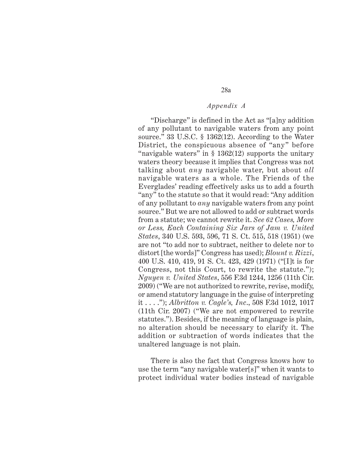"Discharge" is defined in the Act as "[a]ny addition of any pollutant to navigable waters from any point source." 33 U.S.C. § 1362(12). According to the Water District, the conspicuous absence of "any" before "navigable waters" in  $\S$  1362(12) supports the unitary waters theory because it implies that Congress was not talking about *any* navigable water, but about *all* navigable waters as a whole. The Friends of the Everglades' reading effectively asks us to add a fourth "any" to the statute so that it would read: "Any addition of any pollutant to *any* navigable waters from any point source." But we are not allowed to add or subtract words from a statute; we cannot rewrite it. *See 62 Cases, More or Less, Each Containing Six Jars of Jam v. United States*, 340 U.S. 593, 596, 71 S. Ct. 515, 518 (1951) (we are not "to add nor to subtract, neither to delete nor to distort [the words]" Congress has used); *Blount v. Rizzi*, 400 U.S. 410, 419, 91 S. Ct. 423, 429 (1971) ("[I]t is for Congress, not this Court, to rewrite the statute."); *Nguyen v. United States*, 556 F.3d 1244, 1256 (11th Cir. 2009) ("We are not authorized to rewrite, revise, modify, or amend statutory language in the guise of interpreting it . . . ."); *Albritton v. Cagle's, Inc*., 508 F.3d 1012, 1017 (11th Cir. 2007) ("We are not empowered to rewrite statutes."). Besides, if the meaning of language is plain, no alteration should be necessary to clarify it. The addition or subtraction of words indicates that the unaltered language is not plain.

There is also the fact that Congress knows how to use the term "any navigable water[s]" when it wants to protect individual water bodies instead of navigable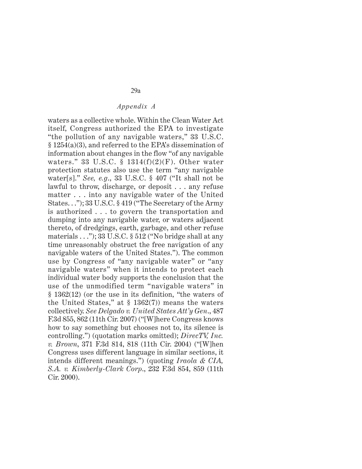waters as a collective whole. Within the Clean Water Act itself, Congress authorized the EPA to investigate "the pollution of any navigable waters," 33 U.S.C. § 1254(a)(3), and referred to the EPA's dissemination of information about changes in the flow "of any navigable waters." 33 U.S.C.  $\S$  1314(f)(2)(F). Other water protection statutes also use the term "any navigable water[s]." *See, e.g*., 33 U.S.C. § 407 ("It shall not be lawful to throw, discharge, or deposit . . . any refuse matter . . . into any navigable water of the United States. . ."); 33 U.S.C. § 419 ("The Secretary of the Army is authorized . . . to govern the transportation and dumping into any navigable water, or waters adjacent thereto, of dredgings, earth, garbage, and other refuse materials . . ."); 33 U.S.C. § 512 ("No bridge shall at any time unreasonably obstruct the free navigation of any navigable waters of the United States."). The common use by Congress of "any navigable water" or "any navigable waters" when it intends to protect each individual water body supports the conclusion that the use of the unmodified term "navigable waters" in § 1362(12) (or the use in its definition, "the waters of the United States," at  $\S$  1362(7)) means the waters collectively. *See Delgado v. United States Att'y Gen*., 487 F.3d 855, 862 (11th Cir. 2007) ("[W]here Congress knows how to say something but chooses not to, its silence is controlling.") (quotation marks omitted); *DirecTV, Inc. v. Brown*, 371 F.3d 814, 818 (11th Cir. 2004) ("[W]hen Congress uses different language in similar sections, it intends different meanings.") (quoting *Iraola & CIA, S.A. v. Kimberly-Clark Corp*., 232 F.3d 854, 859 (11th Cir. 2000).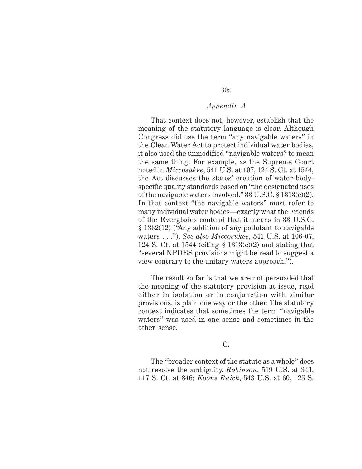That context does not, however, establish that the meaning of the statutory language is clear. Although Congress did use the term "any navigable waters" in the Clean Water Act to protect individual water bodies, it also used the unmodified "navigable waters" to mean the same thing. For example, as the Supreme Court noted in *Miccosukee*, 541 U.S. at 107, 124 S. Ct. at 1544, the Act discusses the states' creation of water-bodyspecific quality standards based on "the designated uses of the navigable waters involved." 33 U.S.C. § 1313(c)(2). In that context "the navigable waters" must refer to many individual water bodies—exactly what the Friends of the Everglades contend that it means in 33 U.S.C. § 1362(12) ("Any addition of any pollutant to navigable waters . . ."). *See also Miccosukee*, 541 U.S. at 106-07, 124 S. Ct. at 1544 (citing § 1313(c)(2) and stating that "several NPDES provisions might be read to suggest a view contrary to the unitary waters approach.").

The result so far is that we are not persuaded that the meaning of the statutory provision at issue, read either in isolation or in conjunction with similar provisions, is plain one way or the other. The statutory context indicates that sometimes the term "navigable waters" was used in one sense and sometimes in the other sense.

#### **C.**

The "broader context of the statute as a whole" does not resolve the ambiguity. *Robinson*, 519 U.S. at 341, 117 S. Ct. at 846; *Koons Buick*, 543 U.S. at 60, 125 S.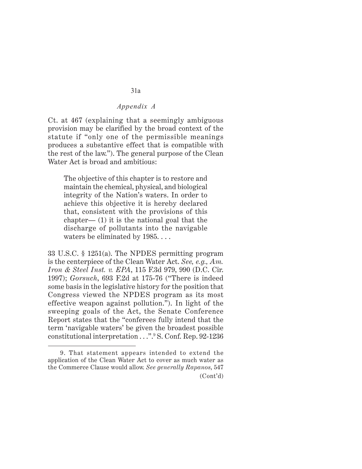Ct. at 467 (explaining that a seemingly ambiguous provision may be clarified by the broad context of the statute if "only one of the permissible meanings produces a substantive effect that is compatible with the rest of the law."). The general purpose of the Clean Water Act is broad and ambitious:

The objective of this chapter is to restore and maintain the chemical, physical, and biological integrity of the Nation's waters. In order to achieve this objective it is hereby declared that, consistent with the provisions of this chapter— (1) it is the national goal that the discharge of pollutants into the navigable waters be eliminated by 1985...

33 U.S.C. § 1251(a). The NPDES permitting program is the centerpiece of the Clean Water Act. *See, e.g., Am. Iron & Steel Inst. v. EPA*, 115 F.3d 979, 990 (D.C. Cir. 1997); *Gorsuch*, 693 F.2d at 175-76 ("There is indeed some basis in the legislative history for the position that Congress viewed the NPDES program as its most effective weapon against pollution."). In light of the sweeping goals of the Act, the Senate Conference Report states that the "conferees fully intend that the term 'navigable waters' be given the broadest possible constitutional interpretation . . .".9 S. Conf. Rep. 92-1236

<sup>9.</sup> That statement appears intended to extend the application of the Clean Water Act to cover as much water as the Commerce Clause would allow. *See generally Rapanos*, 547 (Cont'd)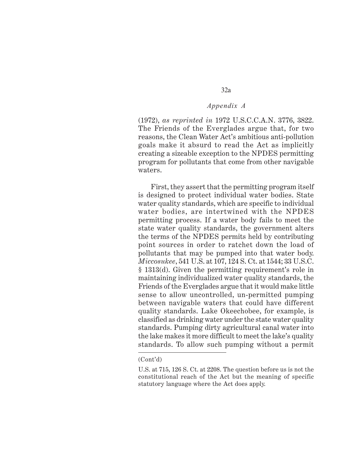32a

(1972), *as reprinted in* 1972 U.S.C.C.A.N. 3776, 3822. The Friends of the Everglades argue that, for two reasons, the Clean Water Act's ambitious anti-pollution goals make it absurd to read the Act as implicitly creating a sizeable exception to the NPDES permitting program for pollutants that come from other navigable waters.

First, they assert that the permitting program itself is designed to protect individual water bodies. State water quality standards, which are specific to individual water bodies, are intertwined with the NPDES permitting process. If a water body fails to meet the state water quality standards, the government alters the terms of the NPDES permits held by contributing point sources in order to ratchet down the load of pollutants that may be pumped into that water body. *Miccosukee*, 541 U.S. at 107, 124 S. Ct. at 1544; 33 U.S.C. § 1313(d). Given the permitting requirement's role in maintaining individualized water quality standards, the Friends of the Everglades argue that it would make little sense to allow uncontrolled, un-permitted pumping between navigable waters that could have different quality standards. Lake Okeechobee, for example, is classified as drinking water under the state water quality standards. Pumping dirty agricultural canal water into the lake makes it more difficult to meet the lake's quality standards. To allow such pumping without a permit

<sup>(</sup>Cont'd)

U.S. at 715, 126 S. Ct. at 2208. The question before us is not the constitutional reach of the Act but the meaning of specific statutory language where the Act does apply.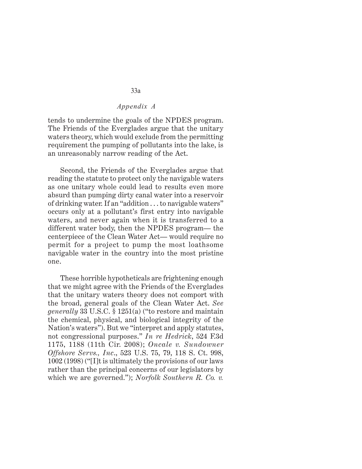tends to undermine the goals of the NPDES program. The Friends of the Everglades argue that the unitary waters theory, which would exclude from the permitting requirement the pumping of pollutants into the lake, is an unreasonably narrow reading of the Act.

Second, the Friends of the Everglades argue that reading the statute to protect only the navigable waters as one unitary whole could lead to results even more absurd than pumping dirty canal water into a reservoir of drinking water. If an "addition . . . to navigable waters" occurs only at a pollutant's first entry into navigable waters, and never again when it is transferred to a different water body, then the NPDES program— the centerpiece of the Clean Water Act— would require no permit for a project to pump the most loathsome navigable water in the country into the most pristine one.

These horrible hypotheticals are frightening enough that we might agree with the Friends of the Everglades that the unitary waters theory does not comport with the broad, general goals of the Clean Water Act. *See generally* 33 U.S.C. § 1251(a) ("to restore and maintain the chemical, physical, and biological integrity of the Nation's waters"). But we "interpret and apply statutes, not congressional purposes." *In re Hedrick*, 524 F.3d 1175, 1188 (11th Cir. 2008); *Oncale v. Sundowner Offshore Servs., Inc*., 523 U.S. 75, 79, 118 S. Ct. 998, 1002 (1998) ("[I]t is ultimately the provisions of our laws rather than the principal concerns of our legislators by which we are governed."); *Norfolk Southern R. Co. v.*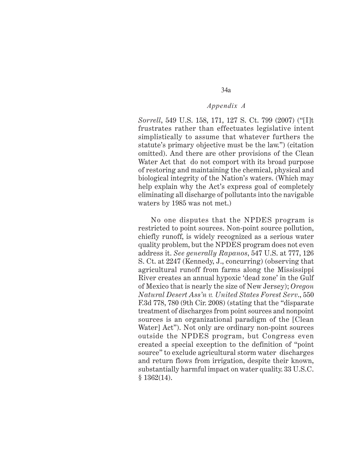34a

*Sorrell*, 549 U.S. 158, 171, 127 S. Ct. 799 (2007) ("[I]t frustrates rather than effectuates legislative intent simplistically to assume that whatever furthers the statute's primary objective must be the law.") (citation omitted). And there are other provisions of the Clean Water Act that do not comport with its broad purpose of restoring and maintaining the chemical, physical and biological integrity of the Nation's waters. (Which may help explain why the Act's express goal of completely eliminating all discharge of pollutants into the navigable waters by 1985 was not met.)

No one disputes that the NPDES program is restricted to point sources. Non-point source pollution, chiefly runoff, is widely recognized as a serious water quality problem, but the NPDES program does not even address it. *See generally Rapanos*, 547 U.S. at 777, 126 S. Ct. at 2247 (Kennedy, J., concurring) (observing that agricultural runoff from farms along the Mississippi River creates an annual hypoxic 'dead zone' in the Gulf of Mexico that is nearly the size of New Jersey); *Oregon Natural Desert Ass'n v. United States Forest Serv*., 550 F.3d 778, 780 (9th Cir. 2008) (stating that the "disparate treatment of discharges from point sources and nonpoint sources is an organizational paradigm of the [Clean Water] Act"). Not only are ordinary non-point sources outside the NPDES program, but Congress even created a special exception to the definition of "point source" to exclude agricultural storm water discharges and return flows from irrigation, despite their known, substantially harmful impact on water quality. 33 U.S.C. § 1362(14).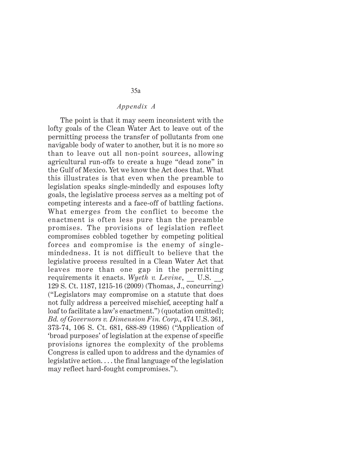The point is that it may seem inconsistent with the lofty goals of the Clean Water Act to leave out of the permitting process the transfer of pollutants from one navigable body of water to another, but it is no more so than to leave out all non-point sources, allowing agricultural run-offs to create a huge "dead zone" in the Gulf of Mexico. Yet we know the Act does that. What this illustrates is that even when the preamble to legislation speaks single-mindedly and espouses lofty goals, the legislative process serves as a melting pot of competing interests and a face-off of battling factions. What emerges from the conflict to become the enactment is often less pure than the preamble promises. The provisions of legislation reflect compromises cobbled together by competing political forces and compromise is the enemy of singlemindedness. It is not difficult to believe that the legislative process resulted in a Clean Water Act that leaves more than one gap in the permitting requirements it enacts. *Wyeth v. Levine*, \_\_ U.S. \_\_, 129 S. Ct. 1187, 1215-16 (2009) (Thomas, J., concurring) ("Legislators may compromise on a statute that does not fully address a perceived mischief, accepting half a loaf to facilitate a law's enactment.") (quotation omitted); *Bd. of Governors v. Dimension Fin. Corp*., 474 U.S. 361, 373-74, 106 S. Ct. 681, 688-89 (1986) ("Application of 'broad purposes' of legislation at the expense of specific provisions ignores the complexity of the problems Congress is called upon to address and the dynamics of legislative action. . . . the final language of the legislation may reflect hard-fought compromises.").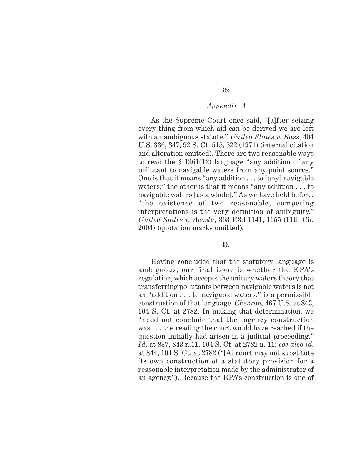36a

As the Supreme Court once said, "[a]fter seizing every thing from which aid can be derived we are left with an ambiguous statute." *United States v. Bass*, 404 U.S. 336, 347, 92 S. Ct. 515, 522 (1971) (internal citation and alteration omitted). There are two reasonable ways to read the § 1361(12) language "any addition of any pollutant to navigable waters from any point source." One is that it means "any addition . . . to [any] navigable waters;" the other is that it means "any addition . . . to navigable waters [as a whole]." As we have held before, "the existence of two reasonable, competing interpretations is the very definition of ambiguity." *United States v. Acosta*, 363 F.3d 1141, 1155 (11th Cir. 2004) (quotation marks omitted).

## **D**.

Having concluded that the statutory language is ambiguous, our final issue is whether the EPA's regulation, which accepts the unitary waters theory that transferring pollutants between navigable waters is not an "addition . . . to navigable waters," is a permissible construction of that language. *Chevron*, 467 U.S. at 843, 104 S. Ct. at 2782. In making that determination, we "need not conclude that the agency construction was . . . the reading the court would have reached if the question initially had arisen in a judicial proceeding." *Id*. at 837, 843 n.11, 104 S. Ct. at 2782 n. 11; *see also id*. at 844, 104 S. Ct. at 2782 ("[A] court may not substitute its own construction of a statutory provision for a reasonable interpretation made by the administrator of an agency."). Because the EPA's construction is one of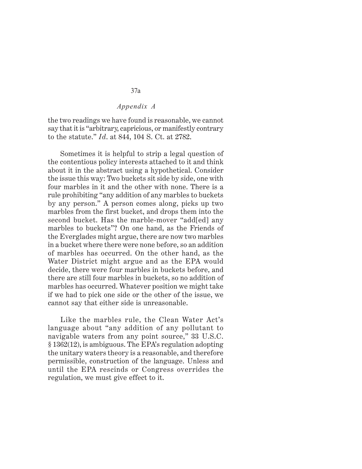the two readings we have found is reasonable, we cannot say that it is "arbitrary, capricious, or manifestly contrary to the statute." *Id*. at 844, 104 S. Ct. at 2782.

Sometimes it is helpful to strip a legal question of the contentious policy interests attached to it and think about it in the abstract using a hypothetical. Consider the issue this way: Two buckets sit side by side, one with four marbles in it and the other with none. There is a rule prohibiting "any addition of any marbles to buckets by any person." A person comes along, picks up two marbles from the first bucket, and drops them into the second bucket. Has the marble-mover "add[ed] any marbles to buckets"? On one hand, as the Friends of the Everglades might argue, there are now two marbles in a bucket where there were none before, so an addition of marbles has occurred. On the other hand, as the Water District might argue and as the EPA would decide, there were four marbles in buckets before, and there are still four marbles in buckets, so no addition of marbles has occurred. Whatever position we might take if we had to pick one side or the other of the issue, we cannot say that either side is unreasonable.

Like the marbles rule, the Clean Water Act's language about "any addition of any pollutant to navigable waters from any point source," 33 U.S.C. § 1362(12), is ambiguous. The EPA's regulation adopting the unitary waters theory is a reasonable, and therefore permissible, construction of the language. Unless and until the EPA rescinds or Congress overrides the regulation, we must give effect to it.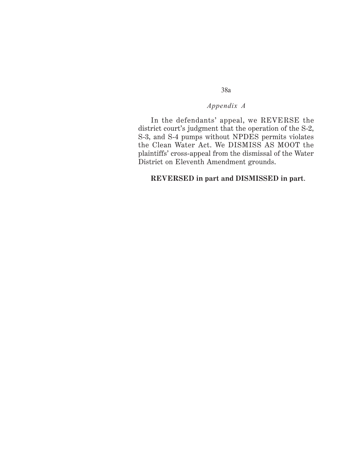38a

In the defendants' appeal, we REVERSE the district court's judgment that the operation of the S-2, S-3, and S-4 pumps without NPDES permits violates the Clean Water Act. We DISMISS AS MOOT the plaintiffs' cross-appeal from the dismissal of the Water District on Eleventh Amendment grounds.

## **REVERSED in part and DISMISSED in part**.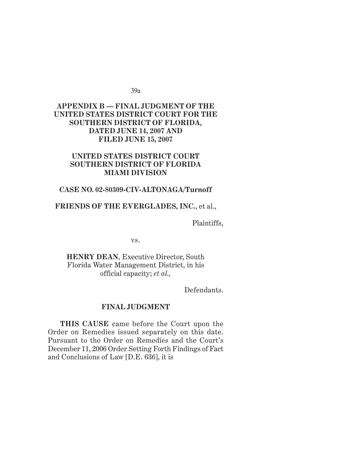39a

## *Appendix B* **APPENDIX B — FINAL JUDGMENT OF THE UNITED STATES DISTRICT COURT FOR THE SOUTHERN DISTRICT OF FLORIDA, DATED JUNE 14, 2007 AND FILED JUNE 15, 2007**

## **UNITED STATES DISTRICT COURT SOUTHERN DISTRICT OF FLORIDA MIAMI DIVISION**

## **CASE NO. 02-80309-CIV-ALTONAGA/Turnoff**

## **FRIENDS OF THE EVERGLADES, INC.**, et al.,

Plaintiffs,

vs.

**HENRY DEAN**, Executive Director, South Florida Water Management District, in his official capacity; *et al.,*

Defendants.

#### **FINAL JUDGMENT**

**THIS CAUSE** came before the Court upon the Order on Remedies issued separately on this date. Pursuant to the Order on Remedies and the Court's December 11, 2006 Order Setting Forth Findings of Fact and Conclusions of Law [D.E. 636], it is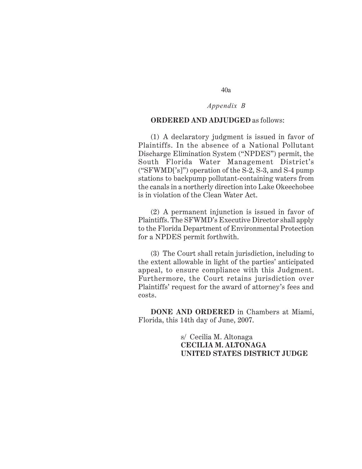# *Appendix B*

#### **ORDERED AND ADJUDGED** as follows:

(1) A declaratory judgment is issued in favor of Plaintiffs. In the absence of a National Pollutant Discharge Elimination System ("NPDES") permit, the South Florida Water Management District's ("SFWMD['s]") operation of the S-2, S-3, and S-4 pump stations to backpump pollutant-containing waters from the canals in a northerly direction into Lake Okeechobee is in violation of the Clean Water Act.

(2) A permanent injunction is issued in favor of Plaintiffs. The SFWMD's Executive Director shall apply to the Florida Department of Environmental Protection for a NPDES permit forthwith.

(3) The Court shall retain jurisdiction, including to the extent allowable in light of the parties' anticipated appeal, to ensure compliance with this Judgment. Furthermore, the Court retains jurisdiction over Plaintiffs' request for the award of attorney's fees and costs.

**DONE AND ORDERED** in Chambers at Miami, Florida, this 14th day of June, 2007.

> s/ Cecilia M. Altonaga **CECILIA M. ALTONAGA UNITED STATES DISTRICT JUDGE**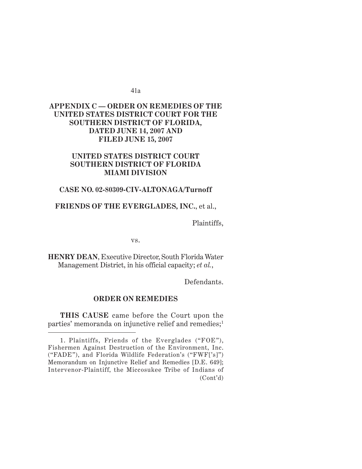41a

## *Appendix C* **APPENDIX C — ORDER ON REMEDIES OF THE UNITED STATES DISTRICT COURT FOR THE SOUTHERN DISTRICT OF FLORIDA, DATED JUNE 14, 2007 AND FILED JUNE 15, 2007**

## **UNITED STATES DISTRICT COURT SOUTHERN DISTRICT OF FLORIDA MIAMI DIVISION**

## **CASE NO. 02-80309-CIV-ALTONAGA/Turnoff**

## **FRIENDS OF THE EVERGLADES, INC.**, et al.,

Plaintiffs,

vs.

**HENRY DEAN**, Executive Director, South Florida Water Management District, in his official capacity; *et al.*,

Defendants.

## **ORDER ON REMEDIES**

**THIS CAUSE** came before the Court upon the parties' memoranda on injunctive relief and remedies;<sup>1</sup>

<sup>1.</sup> Plaintiffs, Friends of the Everglades ("FOE"), Fishermen Against Destruction of the Environment, Inc. ("FADE"), and Florida Wildlife Federation's ("FWF['s]") Memorandum on Injunctive Relief and Remedies [D.E. 649]; Intervenor-Plaintiff, the Miccosukee Tribe of Indians of (Cont'd)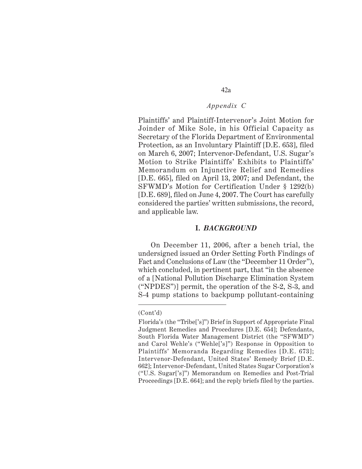42a

Plaintiffs' and Plaintiff-Intervenor's Joint Motion for Joinder of Mike Sole, in his Official Capacity as Secretary of the Florida Department of Environmental Protection, as an Involuntary Plaintiff [D.E. 653], filed on March 6, 2007; Intervenor-Defendant, U.S. Sugar's Motion to Strike Plaintiffs' Exhibits to Plaintiffs' Memorandum on Injunctive Relief and Remedies [D.E. 665], filed on April 13, 2007; and Defendant, the SFWMD's Motion for Certification Under § 1292(b) [D.E. 689], filed on June 4, 2007. The Court has carefully considered the parties' written submissions, the record, and applicable law.

#### **I.** *BACKGROUND*

On December 11, 2006, after a bench trial, the undersigned issued an Order Setting Forth Findings of Fact and Conclusions of Law (the "December 11 Order"), which concluded, in pertinent part, that "in the absence of a [National Pollution Discharge Elimination System ("NPDES")] permit, the operation of the S-2, S-3, and S-4 pump stations to backpump pollutant-containing

<sup>(</sup>Cont'd)

Florida's (the "Tribe['s]") Brief in Support of Appropriate Final Judgment Remedies and Procedures [D.E. 654]; Defendants, South Florida Water Management District (the "SFWMD") and Carol Wehle's ("Wehle['s]") Response in Opposition to Plaintiffs' Memoranda Regarding Remedies [D.E. 673]; Intervenor-Defendant, United States' Remedy Brief [D.E. 662]; Intervenor-Defendant, United States Sugar Corporation's ("U.S. Sugar['s]") Memorandum on Remedies and Post-Trial Proceedings [D.E. 664]; and the reply briefs filed by the parties.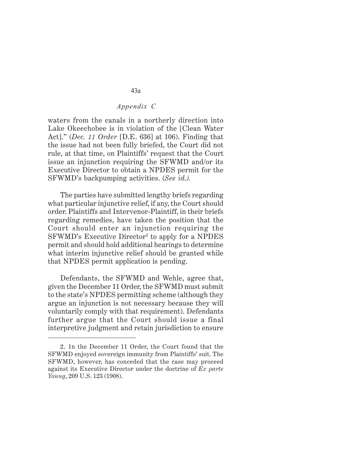waters from the canals in a northerly direction into Lake Okeechobee is in violation of the [Clean Water Act]." (*Dec. 11 Order* [D.E. 636] at 106). Finding that the issue had not been fully briefed, the Court did not rule, at that time, on Plaintiffs' request that the Court issue an injunction requiring the SFWMD and/or its Executive Director to obtain a NPDES permit for the SFWMD's backpumping activities. (*See id.).*

The parties have submitted lengthy briefs regarding what particular injunctive relief, if any, the Court should order. Plaintiffs and Intervenor-Plaintiff, in their briefs regarding remedies, have taken the position that the Court should enter an injunction requiring the SFWMD's Executive Director2 to apply for a NPDES permit and should hold additional hearings to determine what interim injunctive relief should be granted while that NPDES permit application is pending.

Defendants, the SFWMD and Wehle, agree that, given the December 11 Order, the SFWMD must submit to the state's NPDES permitting scheme (although they argue an injunction is not necessary because they will voluntarily comply with that requirement). Defendants further argue that the Court should issue a final interpretive judgment and retain jurisdiction to ensure

<sup>2. 1</sup>n the December 11 Order, the Court found that the SFWMD enjoyed sovereign immunity from Plaintiffs' suit. The SFWMD, however, has conceded that the case may proceed against its Executive Director under the doctrine of *Ex parte Young*, 209 U.S. 123 (1908).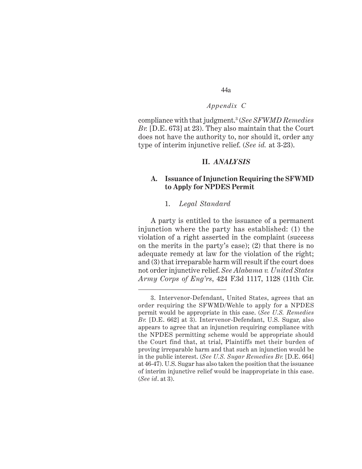44a

compliance with that judgment.3 (*See SFWMD Remedies Br.* [D.E. 673] at 23). They also maintain that the Court does not have the authority to, nor should it, order any type of interim injunctive relief. (*See id.* at 3-23).

#### **II.** *ANALYSIS*

## **A. Issuance of Injunction Requiring the SFWMD to Apply for NPDES Permit**

#### 1. *Legal Standard*

A party is entitled to the issuance of a permanent injunction where the party has established: (1) the violation of a right asserted in the complaint (success on the merits in the party's case); (2) that there is no adequate remedy at law for the violation of the right; and (3) that irreparable harm will result if the court does not order injunctive relief. *See Alabama v. United States Army Corps of Eng'rs*, 424 F.3d 1117, 1128 (11th Cir.

<sup>3.</sup> Intervenor-Defendant, United States, agrees that an order requiring the SFWMD/Wehle to apply for a NPDES permit would be appropriate in this case. (*See U.S. Remedies Br.* [D.E. 662] at 3). Intervenor-Defendant, U.S. Sugar, also appears to agree that an injunction requiring compliance with the NPDES permitting scheme would be appropriate should the Court find that, at trial, Plaintiffs met their burden of proving irreparable harm and that such an injunction would be in the public interest. (*See U.S. Sugar Remedies Br.* [D.E. 664] at 46-47). U.S. Sugar has also taken the position that the issuance of interim injunctive relief would be inappropriate in this case. (*See id*. at 3).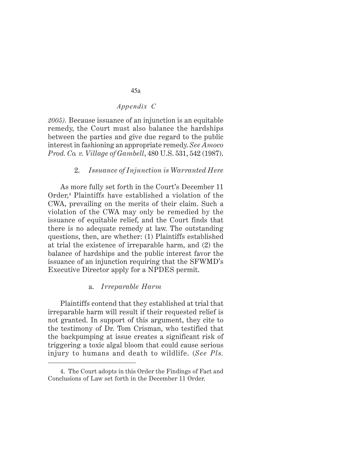*2005).* Because issuance of an injunction is an equitable remedy, the Court must also balance the hardships between the parties and give due regard to the public interest in fashioning an appropriate remedy. *See Amoco Prod. Co. v. Village of Gambell*, 480 U.S. 531, 542 (1987).

## 2. *Issuance of Injunction is Warranted Here*

As more fully set forth in the Court's December 11 Order,4 Plaintiffs have established a violation of the CWA, prevailing on the merits of their claim. Such a violation of the CWA may only be remedied by the issuance of equitable relief, and the Court finds that there is no adequate remedy at law. The outstanding questions, then, are whether: (1) Plaintiffs established at trial the existence of irreparable harm, and (2) the balance of hardships and the public interest favor the issuance of an injunction requiring that the SFWMD's Executive Director apply for a NPDES permit.

## a. *Irreparable Harm*

Plaintiffs contend that they established at trial that irreparable harm will result if their requested relief is not granted. In support of this argument, they cite to the testimony of Dr. Tom Crisman, who testified that the backpumping at issue creates a significant risk of triggering a toxic algal bloom that could cause serious injury to humans and death to wildlife. (*See Pls.*

<sup>4.</sup> The Court adopts in this Order the Findings of Fact and Conclusions of Law set forth in the December 11 Order.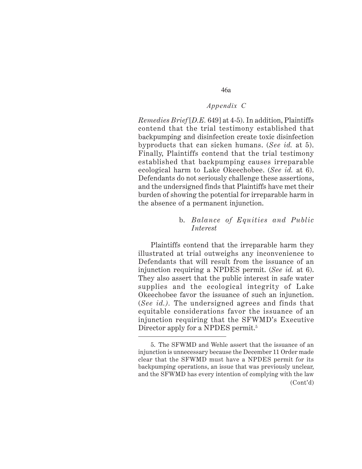*Remedies Brief* [*D.E.* 649] at 4-5). In addition, Plaintiffs contend that the trial testimony established that backpumping and disinfection create toxic disinfection byproducts that can sicken humans. (*See id.* at 5). Finally, Plaintiffs contend that the trial testimony established that backpumping causes irreparable ecological harm to Lake Okeechobee. (*See id.* at 6). Defendants do not seriously challenge these assertions, and the undersigned finds that Plaintiffs have met their burden of showing the potential for irreparable harm in the absence of a permanent injunction.

## b. *Balance of Equities and Public Interest*

Plaintiffs contend that the irreparable harm they illustrated at trial outweighs any inconvenience to Defendants that will result from the issuance of an injunction requiring a NPDES permit. (*See id.* at 6). They also assert that the public interest in safe water supplies and the ecological integrity of Lake Okeechobee favor the issuance of such an injunction. (*See id.).* The undersigned agrees and finds that equitable considerations favor the issuance of an injunction requiring that the SFWMD's Executive Director apply for a NPDES permit.<sup>5</sup>

<sup>5.</sup> The SFWMD and Wehle assert that the issuance of an injunction is unnecessary because the December 11 Order made clear that the SFWMD must have a NPDES permit for its backpumping operations, an issue that was previously unclear, and the SFWMD has every intention of complying with the law (Cont'd)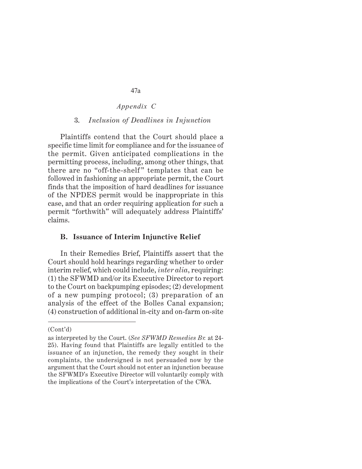#### 3. *Inclusion of Deadlines in Injunction*

Plaintiffs contend that the Court should place a specific time limit for compliance and for the issuance of the permit. Given anticipated complications in the permitting process, including, among other things, that there are no "off-the-shelf" templates that can be followed in fashioning an appropriate permit, the Court finds that the imposition of hard deadlines for issuance of the NPDES permit would be inappropriate in this case, and that an order requiring application for such a permit "forthwith" will adequately address Plaintiffs' claims.

#### **B. Issuance of Interim Injunctive Relief**

In their Remedies Brief, Plaintiffs assert that the Court should hold hearings regarding whether to order interim relief, which could include, *inter alia*, requiring: (1) the SFWMD and/or its Executive Director to report to the Court on backpumping episodes; (2) development of a new pumping protocol; (3) preparation of an analysis of the effect of the Bolles Canal expansion; (4) construction of additional in-city and on-farm on-site

<sup>(</sup>Cont'd)

as interpreted by the Court. (*See SFWMD Remedies Br.* at 24- 25). Having found that Plaintiffs are legally entitled to the issuance of an injunction, the remedy they sought in their complaints, the undersigned is not persuaded now by the argument that the Court should not enter an injunction because the SFWMD's Executive Director will voluntarily comply with the implications of the Court's interpretation of the CWA.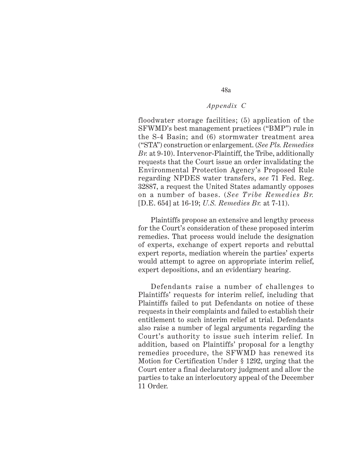48a

floodwater storage facilities; (5) application of the SFWMD's best management practices ("BMP") rule in the S-4 Basin; and (6) stormwater treatment area ("STA") construction or enlargement. (*See Pls. Remedies Br.* at 9-10). Intervenor-Plaintiff, the Tribe, additionally requests that the Court issue an order invalidating the Environmental Protection Agency's Proposed Rule regarding NPDES water transfers, *see* 71 Fed. Reg. 32887, a request the United States adamantly opposes on a number of bases. (*See Tribe Remedies Br.* [D.E. 654] at 16-19; *U.S. Remedies Br.* at 7-11).

Plaintiffs propose an extensive and lengthy process for the Court's consideration of these proposed interim remedies. That process would include the designation of experts, exchange of expert reports and rebuttal expert reports, mediation wherein the parties' experts would attempt to agree on appropriate interim relief, expert depositions, and an evidentiary hearing.

Defendants raise a number of challenges to Plaintiffs' requests for interim relief, including that Plaintiffs failed to put Defendants on notice of these requests in their complaints and failed to establish their entitlement to such interim relief at trial. Defendants also raise a number of legal arguments regarding the Court's authority to issue such interim relief. In addition, based on Plaintiffs' proposal for a lengthy remedies procedure, the SFWMD has renewed its Motion for Certification Under § 1292, urging that the Court enter a final declaratory judgment and allow the parties to take an interlocutory appeal of the December 11 Order.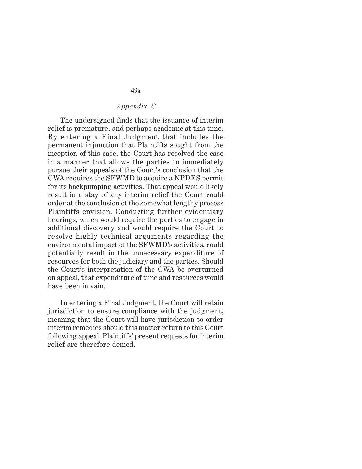The undersigned finds that the issuance of interim relief is premature, and perhaps academic at this time. By entering a Final Judgment that includes the permanent injunction that Plaintiffs sought from the inception of this case, the Court has resolved the case in a manner that allows the parties to immediately pursue their appeals of the Court's conclusion that the CWA requires the SFWMD to acquire a NPDES permit for its backpumping activities. That appeal would likely result in a stay of any interim relief the Court could order at the conclusion of the somewhat lengthy process Plaintiffs envision. Conducting further evidentiary hearings, which would require the parties to engage in additional discovery and would require the Court to resolve highly technical arguments regarding the environmental impact of the SFWMD's activities, could potentially result in the unnecessary expenditure of resources for both the judiciary and the parties. Should the Court's interpretation of the CWA be overturned on appeal, that expenditure of time and resources would have been in vain.

In entering a Final Judgment, the Court will retain jurisdiction to ensure compliance with the judgment, meaning that the Court will have jurisdiction to order interim remedies should this matter return to this Court following appeal. Plaintiffs' present requests for interim relief are therefore denied.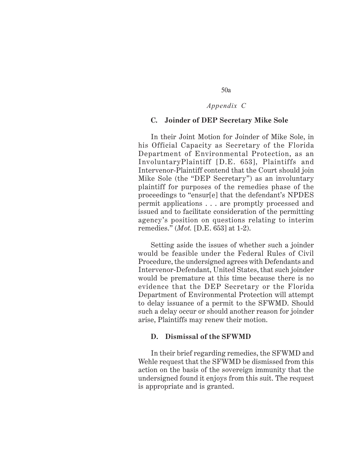50a

#### **C. Joinder of DEP Secretary Mike Sole**

In their Joint Motion for Joinder of Mike Sole, in his Official Capacity as Secretary of the Florida Department of Environmental Protection, as an InvoluntaryPlaintiff [D.E. 653], Plaintiffs and Intervenor-Plaintiff contend that the Court should join Mike Sole (the "DEP Secretary") as an involuntary plaintiff for purposes of the remedies phase of the proceedings to "ensur[e] that the defendant's NPDES permit applications . . . are promptly processed and issued and to facilitate consideration of the permitting agency's position on questions relating to interim remedies." (*Mot.* [D.E. 653] at 1-2).

Setting aside the issues of whether such a joinder would be feasible under the Federal Rules of Civil Procedure, the undersigned agrees with Defendants and Intervenor-Defendant, United States, that such joinder would be premature at this time because there is no evidence that the DEP Secretary or the Florida Department of Environmental Protection will attempt to delay issuance of a permit to the SFWMD. Should such a delay occur or should another reason for joinder arise, Plaintiffs may renew their motion.

#### **D. Dismissal of the SFWMD**

In their brief regarding remedies, the SFWMD and Wehle request that the SFWMD be dismissed from this action on the basis of the sovereign immunity that the undersigned found it enjoys from this suit. The request is appropriate and is granted.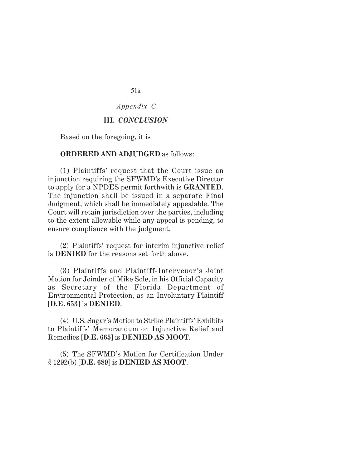51a

## *Appendix C*

#### **III.** *CONCLUSION*

Based on the foregoing, it is

#### **ORDERED AND ADJUDGED** as follows:

(1) Plaintiffs' request that the Court issue an injunction requiring the SFWMD's Executive Director to apply for a NPDES permit forthwith is **GRANTED**. The injunction shall be issued in a separate Final Judgment, which shall be immediately appealable. The Court will retain jurisdiction over the parties, including to the extent allowable while any appeal is pending, to ensure compliance with the judgment.

(2) Plaintiffs' request for interim injunctive relief is **DENIED** for the reasons set forth above.

(3) Plaintiffs and Plaintiff-Intervenor's Joint Motion for Joinder of Mike Sole, in his Official Capacity as Secretary of the Florida Department of Environmental Protection, as an Involuntary Plaintiff [**D.E. 653**] is **DENIED**.

(4) U.S. Sugar's Motion to Strike Plaintiffs' Exhibits to Plaintiffs' Memorandum on Injunctive Relief and Remedies [**D.E. 665**] is **DENIED AS MOOT**.

(5) The SFWMD's Motion for Certification Under § 1292(b) [**D.E. 689**] is **DENIED AS MOOT**.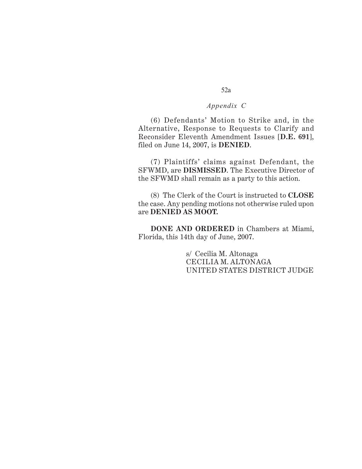(6) Defendants' Motion to Strike and, in the Alternative, Response to Requests to Clarify and Reconsider Eleventh Amendment Issues [**D.E. 691**], filed on June 14, 2007, is **DENIED**.

(7) Plaintiffs' claims against Defendant, the SFWMD, are **DISMISSED**. The Executive Director of the SFWMD shall remain as a party to this action.

(8) The Clerk of the Court is instructed to **CLOSE** the case. Any pending motions not otherwise ruled upon are **DENIED AS MOOT.**

**DONE AND ORDERED** in Chambers at Miami, Florida, this 14th day of June, 2007.

> s/ Cecilia M. Altonaga CECILIA M. ALTONAGA UNITED STATES DISTRICT JUDGE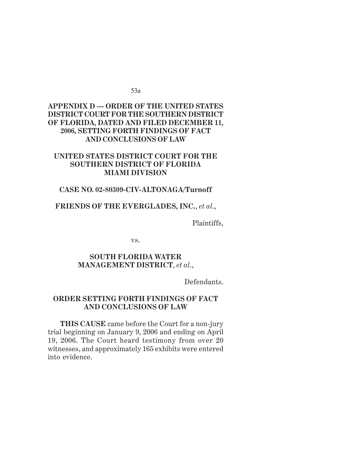53a

## *Appendix D* **APPENDIX D — ORDER OF THE UNITED STATES DISTRICT COURT FOR THE SOUTHERN DISTRICT OF FLORIDA, DATED AND FILED DECEMBER 11, 2006, SETTING FORTH FINDINGS OF FACT AND CONCLUSIONS OF LAW**

## **UNITED STATES DISTRICT COURT FOR THE SOUTHERN DISTRICT OF FLORIDA MIAMI DIVISION**

## **CASE NO. 02-80309-CIV-ALTONAGA/Turnoff**

## **FRIENDS OF THE EVERGLADES, INC.**, *et al*.,

Plaintiffs,

vs.

## **SOUTH FLORIDA WATER MANAGEMENT DISTRICT**, *et al*.,

Defendants.

## **ORDER SETTING FORTH FINDINGS OF FACT AND CONCLUSIONS OF LAW**

**THIS CAUSE** came before the Court for a non-jury trial beginning on January 9, 2006 and ending on April 19, 2006. The Court heard testimony from over 20 witnesses, and approximately 165 exhibits were entered into evidence.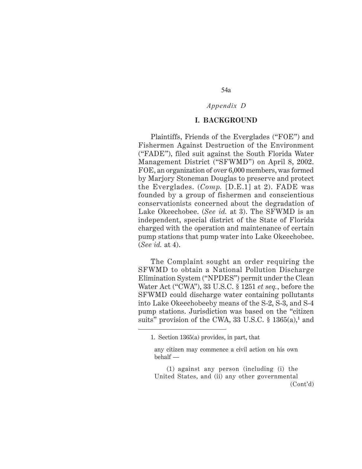# 54a

# *Appendix D*

## **I. BACKGROUND**

Plaintiffs, Friends of the Everglades ("FOE") and Fishermen Against Destruction of the Environment ("FADE"), filed suit against the South Florida Water Management District ("SFWMD") on April 8, 2002. FOE, an organization of over 6,000 members, was formed by Marjory Stoneman Douglas to preserve and protect the Everglades. (*Comp.* [D.E.1] at 2). FADE was founded by a group of fishermen and conscientious conservationists concerned about the degradation of Lake Okeechobee. (*See id.* at 3). The SFWMD is an independent, special district of the State of Florida charged with the operation and maintenance of certain pump stations that pump water into Lake Okeechobee. (*See id.* at 4).

The Complaint sought an order requiring the SFWMD to obtain a National Pollution Discharge Elimination System ("NPDES") permit under the Clean Water Act ("CWA"), 33 U.S.C. § 1251 *et seq.*, before the SFWMD could discharge water containing pollutants into Lake Okeechobeeby means of the S-2, S-3, and S-4 pump stations. Jurisdiction was based on the "citizen suits" provision of the CWA, 33 U.S.C. § 1365(a),**<sup>1</sup>** and

(1) against any person (including (i) the United States, and (ii) any other governmental (Cont'd)

<sup>1.</sup> Section 1365(a) provides, in part, that

any citizen may commence a civil action on his own behalf —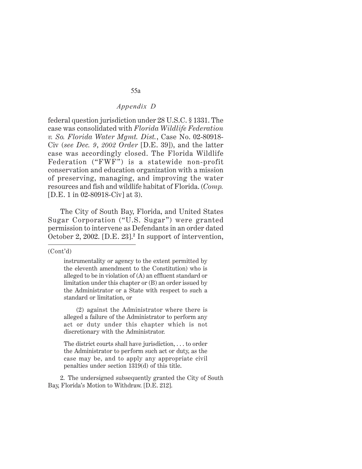federal question jurisdiction under 28 U.S.C. § 1331. The case was consolidated with *Florida Wildlife Federation v. So. Florida Water Mgmt. Dist.*, Case No. 02-80918- Civ (*see Dec. 9*, *2002 Order* [D.E. 39]), and the latter case was accordingly closed. The Florida Wildlife Federation ("FWF") is a statewide non-profit conservation and education organization with a mission of preserving, managing, and improving the water resources and fish and wildlife habitat of Florida. (*Comp.* [D.E. 1 in 02-80918-Civ] at 3).

The City of South Bay, Florida, and United States Sugar Corporation ("U.S. Sugar") were granted permission to intervene as Defendants in an order dated October 2, 2002. [D.E. 23].**<sup>2</sup>** In support of intervention,

#### (Cont'd)

(2) against the Administrator where there is alleged a failure of the Administrator to perform any act or duty under this chapter which is not discretionary with the Administrator.

The district courts shall have jurisdiction, . . . to order the Administrator to perform such act or duty, as the case may be, and to apply any appropriate civil penalties under section 1319(d) of this title.

2. The undersigned subsequently granted the City of South Bay, Florida's Motion to Withdraw. [D.E. 212].

instrumentality or agency to the extent permitted by the eleventh amendment to the Constitution) who is alleged to be in violation of (A) an effluent standard or limitation under this chapter or (B) an order issued by the Administrator or a State with respect to such a standard or limitation, or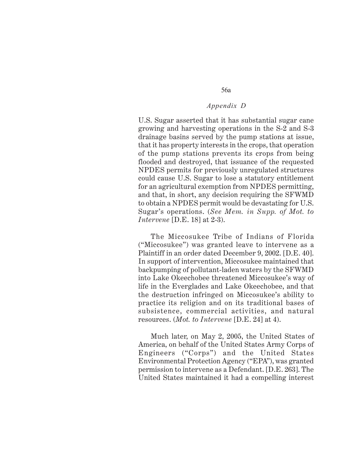56a

U.S. Sugar asserted that it has substantial sugar cane growing and harvesting operations in the S-2 and S-3 drainage basins served by the pump stations at issue, that it has property interests in the crops, that operation of the pump stations prevents its crops from being flooded and destroyed, that issuance of the requested NPDES permits for previously unregulated structures could cause U.S. Sugar to lose a statutory entitlement for an agricultural exemption from NPDES permitting, and that, in short, any decision requiring the SFWMD to obtain a NPDES permit would be devastating for U.S. Sugar's operations. (*See Mem. in Supp. of Mot. to Intervene* [D.E. 18] at 2-3).

The Miccosukee Tribe of Indians of Florida ("Miccosukee") was granted leave to intervene as a Plaintiff in an order dated December 9, 2002. [D.E. 40]. In support of intervention, Miccosukee maintained that backpumping of pollutant-laden waters by the SFWMD into Lake Okeechobee threatened Miccosukee's way of life in the Everglades and Lake Okeechobee, and that the destruction infringed on Miccosukee's ability to practice its religion and on its traditional bases of subsistence, commercial activities, and natural resources. (*Mot. to Intervene* [D.E. 24] at 4).

Much later, on May 2, 2005, the United States of America, on behalf of the United States Army Corps of Engineers ("Corps") and the United States Environmental Protection Agency ("EPA"), was granted permission to intervene as a Defendant. [D.E. 263]. The United States maintained it had a compelling interest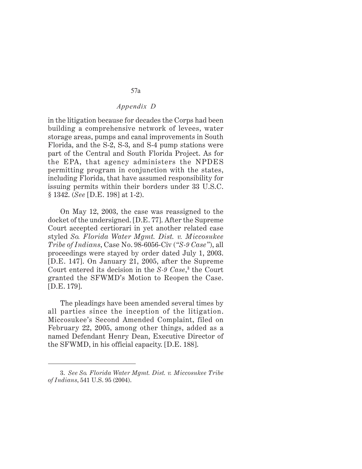in the litigation because for decades the Corps had been building a comprehensive network of levees, water storage areas, pumps and canal improvements in South Florida, and the S-2, S-3, and S-4 pump stations were part of the Central and South Florida Project. As for the EPA, that agency administers the NPDES permitting program in conjunction with the states, including Florida, that have assumed responsibility for issuing permits within their borders under 33 U.S.C. § 1342. (*See* [D.E. 198] at 1-2).

On May 12, 2003, the case was reassigned to the docket of the undersigned. [D.E. 77]. After the Supreme Court accepted certiorari in yet another related case styled *So. Florida Water Mgmt. Dist. v. Miccosukee Tribe of Indians*, Case No. 98-6056-Civ (*"S-9 Case"*), all proceedings were stayed by order dated July 1, 2003. [D.E. 147]. On January 21, 2005, after the Supreme Court entered its decision in the *S-9 Case*, **3** the Court granted the SFWMD's Motion to Reopen the Case. [D.E. 179].

The pleadings have been amended several times by all parties since the inception of the litigation. Miccosukee's Second Amended Complaint, filed on February 22, 2005, among other things, added as a named Defendant Henry Dean, Executive Director of the SFWMD, in his official capacity. [D.E. 188].

<sup>3.</sup> *See So. Florida Water Mgmt. Dist. v. Miccosukee Tribe of Indians*, 541 U.S. 95 (2004).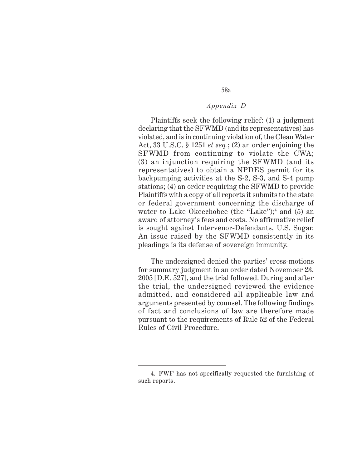Plaintiffs seek the following relief: (1) a judgment declaring that the SFWMD (and its representatives) has violated, and is in continuing violation of, the Clean Water Act, 33 U.S.C. § 1251 *et seq.*; (2) an order enjoining the SFWMD from continuing to violate the CWA; (3) an injunction requiring the SFWMD (and its representatives) to obtain a NPDES permit for its backpumping activities at the S-2, S-3, and S-4 pump stations; (4) an order requiring the SFWMD to provide Plaintiffs with a copy of all reports it submits to the state or federal government concerning the discharge of water to Lake Okeechobee (the "Lake");**<sup>4</sup>** and (5) an award of attorney's fees and costs. No affirmative relief is sought against Intervenor-Defendants, U.S. Sugar. An issue raised by the SFWMD consistently in its pleadings is its defense of sovereign immunity.

The undersigned denied the parties' cross-motions for summary judgment in an order dated November 23, 2005 [D.E. 527], and the trial followed. During and after the trial, the undersigned reviewed the evidence admitted, and considered all applicable law and arguments presented by counsel. The following findings of fact and conclusions of law are therefore made pursuant to the requirements of Rule 52 of the Federal Rules of Civil Procedure.

<sup>4.</sup> FWF has not specifically requested the furnishing of such reports.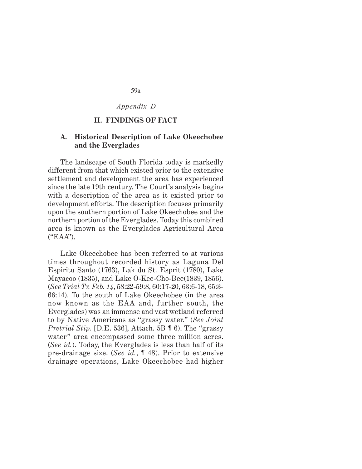59a

*Appendix D*

## **II. FINDINGS OF FACT**

## **A. Historical Description of Lake Okeechobee and the Everglades**

The landscape of South Florida today is markedly different from that which existed prior to the extensive settlement and development the area has experienced since the late 19th century. The Court's analysis begins with a description of the area as it existed prior to development efforts. The description focuses primarily upon the southern portion of Lake Okeechobee and the northern portion of the Everglades. Today this combined area is known as the Everglades Agricultural Area ("EAA").

Lake Okeechobee has been referred to at various times throughout recorded history as Laguna Del Espiritu Santo (1763), Lak du St. Esprit (1780), Lake Mayacoo (1835), and Lake O-Kee-Cho-Bee(1839, 1856). (*See Trial Tr. Feb. 14*, 58:22-59:8, 60:17-20, 63:6-18, 65:3- 66:14). To the south of Lake Okeechobee (in the area now known as the EAA and, further south, the Everglades) was an immense and vast wetland referred to by Native Americans as "grassy water." (*See Joint Pretrial Stip.* [D.E. 536], Attach. 5B ¶ 6). The "grassy water" area encompassed some three million acres. (*See id.*). Today, the Everglades is less than half of its pre-drainage size. (*See id.*, ¶ 48). Prior to extensive drainage operations, Lake Okeechobee had higher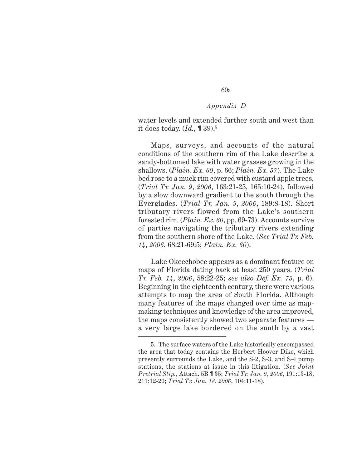water levels and extended further south and west than it does today. (*Id.*, ¶ 39).**<sup>5</sup>**

Maps, surveys, and accounts of the natural conditions of the southern rim of the Lake describe a sandy-bottomed lake with water grasses growing in the shallows. (*Plain. Ex. 60*, p. 66; *Plain. Ex. 57*). The Lake bed rose to a muck rim covered with custard apple trees, (*Trial Tr. Jan. 9*, *2006*, 163:21-25, 165:10-24), followed by a slow downward gradient to the south through the Everglades. (*Trial Tr. Jan. 9*, *2006*, 189:8-18). Short tributary rivers flowed from the Lake's southern forested rim. (*Plain. Ex. 60*, pp. 69-73). Accounts survive of parties navigating the tributary rivers extending from the southern shore of the Lake. (*See Trial Tr. Feb. 14*, *2006*, 68:21-69:5; *Plain. Ex. 60*).

Lake Okeechobee appears as a dominant feature on maps of Florida dating back at least 250 years. (*Trial Tr. Feb. 14*, *2006*, 58:22-25; *see also Def. Ex. 75*, p. 6). Beginning in the eighteenth century, there were various attempts to map the area of South Florida. Although many features of the maps changed over time as mapmaking techniques and knowledge of the area improved, the maps consistently showed two separate features a very large lake bordered on the south by a vast

<sup>5.</sup> The surface waters of the Lake historically encompassed the area that today contains the Herbert Hoover Dike, which presently surrounds the Lake, and the S-2, S-3, and S-4 pump stations, the stations at issue in this litigation. (*See Joint Pretrial Stip.*, Attach. 5B ¶ 35; *Trial Tr. Jan. 9*, *2006*, 191:13-18, 211:12-20; *Trial Tr. Jan. 18*, *2006*, 104:11-18).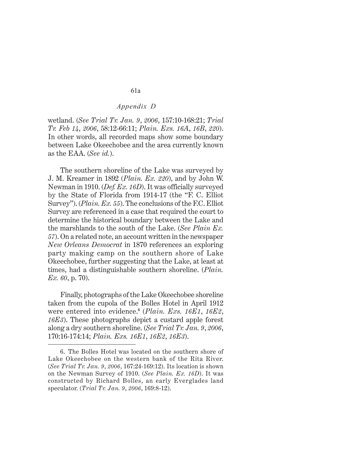wetland. (*See Trial Tr. Jan. 9*, *2006*, 157:10-168:21; *Trial Tr. Feb 14*, *2006*, 58:12-66:11; *Plain. Exs. 16A*, *16B*, *220*). In other words, all recorded maps show some boundary between Lake Okeechobee and the area currently known as the EAA. (*See id.*).

The southern shoreline of the Lake was surveyed by J. M. Kreamer in 1892 (*Plain. Ex. 220*), and by John W. Newman in 1910. (*Def. Ex. 16D*). It was officially surveyed by the State of Florida from 1914-17 (the "F. C. Elliot Survey"). (*Plain. Ex. 55*). The conclusions of the F.C. Elliot Survey are referenced in a case that required the court to determine the historical boundary between the Lake and the marshlands to the south of the Lake. (*See Plain Ex. 57*). On a related note, an account written in the newspaper *New Orleans Democrat* in 1870 references an exploring party making camp on the southern shore of Lake Okeechobee, further suggesting that the Lake, at least at times, had a distinguishable southern shoreline. (*Plain. Ex. 60*, p. 70).

Finally, photographs of the Lake Okeechobee shoreline taken from the cupola of the Bolles Hotel in April 1912 were entered into evidence.**<sup>6</sup>** (*Plain. Exs. 16E1*, *16E2*, *16E3*). These photographs depict a custard apple forest along a dry southern shoreline. (*See Trial Tr. Jan. 9*, *2006*, 170:16-174:14; *Plain. Exs. 16E1*, *16E2*, *16E3*).

<sup>6.</sup> The Bolles Hotel was located on the southern shore of Lake Okeechobee on the western bank of the Rita River. (*See Trial Tr. Jan. 9*, *2006*, 167:24-169:12). Its location is shown on the Newman Survey of 1910. (*See Plain. Ex. 16D*). It was constructed by Richard Bolles, an early Everglades land speculator. (*Trial Tr. Jan. 9*, *2006*, 169:8-12).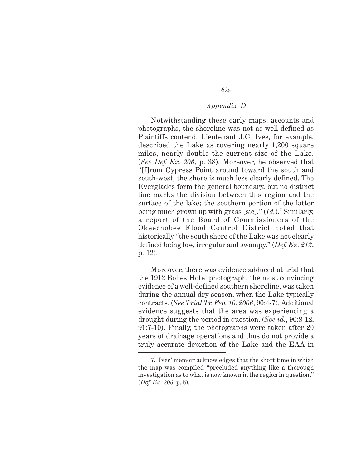Notwithstanding these early maps, accounts and photographs, the shoreline was not as well-defined as Plaintiffs contend. Lieutenant J.C. Ives, for example, described the Lake as covering nearly 1,200 square miles, nearly double the current size of the Lake. (*See Def. Ex. 206*, p. 38). Moreover, he observed that "[f]rom Cypress Point around toward the south and south-west, the shore is much less clearly defined. The Everglades form the general boundary, but no distinct line marks the division between this region and the surface of the lake; the southern portion of the latter being much grown up with grass [sic]." (*Id.*).**<sup>7</sup>** Similarly, a report of the Board of Commissioners of the Okeechobee Flood Control District noted that historically "the south shore of the Lake was not clearly defined being low, irregular and swampy." (*Def. Ex. 213*, p. 12).

Moreover, there was evidence adduced at trial that the 1912 Bolles Hotel photograph, the most convincing evidence of a well-defined southern shoreline, was taken during the annual dry season, when the Lake typically contracts. (*See Trial Tr. Feb. 10*, *2006*, 90:4-7). Additional evidence suggests that the area was experiencing a drought during the period in question. (*See id.*, 90:8-12, 91:7-10). Finally, the photographs were taken after 20 years of drainage operations and thus do not provide a truly accurate depiction of the Lake and the EAA in

<sup>7.</sup> Ives' memoir acknowledges that the short time in which the map was compiled "precluded anything like a thorough investigation as to what is now known in the region in question." (*Def. Ex. 206*, p. 6).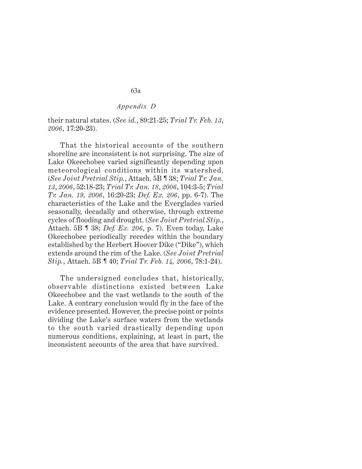their natural states. (*See id.*, 89:21-25; *Trial Tr. Feb. 13*, *2006*, 17:20-23).

That the historical accounts of the southern shoreline are inconsistent is not surprising. The size of Lake Okeechobee varied significantly depending upon meteorological conditions within its watershed. (*See Joint Pretrial Stip.*, Attach. 5B ¶ 38; *Trial Tr. Jan. 13*, *2006*, 52:18-23; *Trial Tr. Jan. 18*, *2006*, 104:3-5; *Trial Tr. Jan. 19, 2006*, 16:20-23; *Def. Ex. 206*, pp. 6-7). The characteristics of the Lake and the Everglades varied seasonally, decadally and otherwise, through extreme cycles of flooding and drought. (*See Joint Pretrial Stip.*, Attach. 5B ¶ 38; *Def. Ex. 206*, p. 7). Even today, Lake Okeechobee periodically recedes within the boundary established by the Herbert Hoover Dike ("Dike"), which extends around the rim of the Lake. (*See Joint Pretrial Stip.*, Attach. 5B ¶ 40; *Trial Tr. Feb. 14, 2006*, 78:1-24).

The undersigned concludes that, historically, observable distinctions existed between Lake Okeechobee and the vast wetlands to the south of the Lake. A contrary conclusion would fly in the face of the evidence presented. However, the precise point or points dividing the Lake's surface waters from the wetlands to the south varied drastically depending upon numerous conditions, explaining, at least in part, the inconsistent accounts of the area that have survived.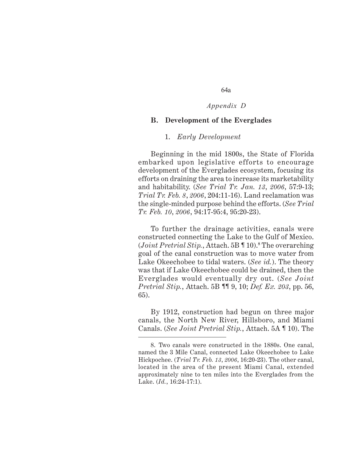## 64a

## *Appendix D*

## **B. Development of the Everglades**

#### 1. *Early Development*

Beginning in the mid 1800s, the State of Florida embarked upon legislative efforts to encourage development of the Everglades ecosystem, focusing its efforts on draining the area to increase its marketability and habitability. (*See Trial Tr. Jan. 13*, *2006*, 57:9-13; *Trial Tr. Feb. 8*, *2006*, 204:11-16). Land reclamation was the single-minded purpose behind the efforts. (*See Trial Tr. Feb. 10*, *2006*, 94:17-95:4, 95:20-23).

To further the drainage activities, canals were constructed connecting the Lake to the Gulf of Mexico. (*Joint Pretrial Stip.*, Attach. 5B ¶ 10).**<sup>8</sup>** The overarching goal of the canal construction was to move water from Lake Okeechobee to tidal waters. (*See id.*). The theory was that if Lake Okeechobee could be drained, then the Everglades would eventually dry out. (*See Joint Pretrial Stip.*, Attach. 5B ¶¶ 9, 10; *Def. Ex. 203*, pp. 56, 65).

By 1912, construction had begun on three major canals, the North New River, Hillsboro, and Miami Canals. (*See Joint Pretrial Stip.*, Attach. 5A ¶ 10). The

<sup>8.</sup> Two canals were constructed in the 1880s. One canal, named the 3 Mile Canal, connected Lake Okeechobee to Lake Hickpochee. (*Trial Tr. Feb. 13*, *2006*, 16:20-23). The other canal, located in the area of the present Miami Canal, extended approximately nine to ten miles into the Everglades from the Lake. (*Id.*, 16:24-17:1).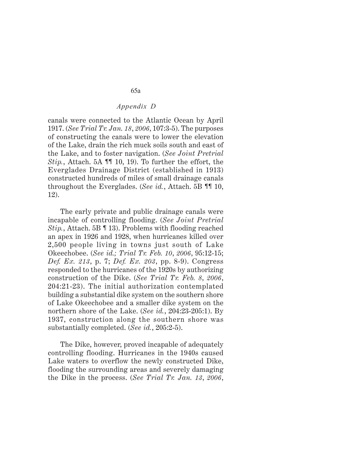canals were connected to the Atlantic Ocean by April 1917. (*See Trial Tr. Jan. 18*, *2006*, 107:3-5). The purposes of constructing the canals were to lower the elevation of the Lake, drain the rich muck soils south and east of the Lake, and to foster navigation. (*See Joint Pretrial Stip.*, Attach. 5A ¶¶ 10, 19). To further the effort, the Everglades Drainage District (established in 1913) constructed hundreds of miles of small drainage canals throughout the Everglades. (*See id.*, Attach. 5B ¶¶ 10, 12).

The early private and public drainage canals were incapable of controlling flooding. (*See Joint Pretrial Stip.*, Attach. 5B ¶ 13). Problems with flooding reached an apex in 1926 and 1928, when hurricanes killed over 2,500 people living in towns just south of Lake Okeechobee. (*See id.; Trial Tr. Feb. 10*, *2006*, 95:12-15; *Def. Ex. 213*, p. 7; *Def. Ex. 203*, pp. 8-9). Congress responded to the hurricanes of the 1920s by authorizing construction of the Dike. (*See Trial Tr. Feb. 8*, *2006*, 204:21-23). The initial authorization contemplated building a substantial dike system on the southern shore of Lake Okeechobee and a smaller dike system on the northern shore of the Lake. (*See id.*, 204:23-205:1). By 1937, construction along the southern shore was substantially completed. (*See id.*, 205:2-5).

The Dike, however, proved incapable of adequately controlling flooding. Hurricanes in the 1940s caused Lake waters to overflow the newly constructed Dike, flooding the surrounding areas and severely damaging the Dike in the process. (*See Trial Tr. Jan. 13*, *2006*,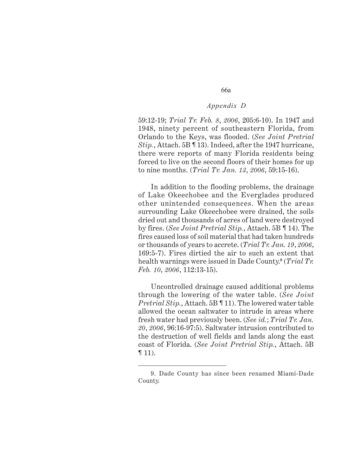59:12-19; *Trial Tr. Feb. 8*, *2006*, 205:6-10). In 1947 and 1948, ninety percent of southeastern Florida, from Orlando to the Keys, was flooded. (*See Joint Pretrial Stip.*, Attach. 5B ¶ 13). Indeed, after the 1947 hurricane, there were reports of many Florida residents being forced to live on the second floors of their homes for up to nine months. (*Trial Tr. Jan. 13*, *2006*, 59:15-16).

In addition to the flooding problems, the drainage of Lake Okeechobee and the Everglades produced other unintended consequences. When the areas surrounding Lake Okeechobee were drained, the soils dried out and thousands of acres of land were destroyed by fires. (*See Joint Pretrial Stip.*, Attach. 5B ¶ 14). The fires caused loss of soil material that had taken hundreds or thousands of years to accrete. (*Trial Tr. Jan. 19*, *2006*, 169:5-7). Fires dirtied the air to such an extent that health warnings were issued in Dade County.**<sup>9</sup>** (*Trial Tr. Feb. 10*, *2006*, 112:13-15).

Uncontrolled drainage caused additional problems through the lowering of the water table. (*See Joint Pretrial Stip.*, Attach. 5B ¶ 11). The lowered water table allowed the ocean saltwater to intrude in areas where fresh water had previously been. (*See id.*; *Trial Tr. Jan. 20*, *2006*, 96:16-97:5). Saltwater intrusion contributed to the destruction of well fields and lands along the east coast of Florida. (*See Joint Pretrial Stip.*, Attach. 5B  $\P$  11).

<sup>9.</sup> Dade County has since been renamed Miami-Dade County.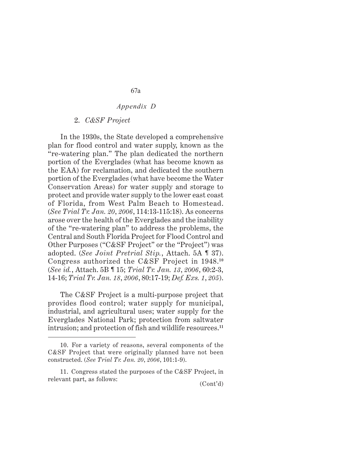#### 2. *C&SF Project*

In the 1930s, the State developed a comprehensive plan for flood control and water supply, known as the "re-watering plan." The plan dedicated the northern portion of the Everglades (what has become known as the EAA) for reclamation, and dedicated the southern portion of the Everglades (what have become the Water Conservation Areas) for water supply and storage to protect and provide water supply to the lower east coast of Florida, from West Palm Beach to Homestead. (*See Trial Tr. Jan. 20*, *2006*, 114:13-115:18). As concerns arose over the health of the Everglades and the inability of the "re-watering plan" to address the problems, the Central and South Florida Project for Flood Control and Other Purposes ("C&SF Project" or the "Project") was adopted. (*See Joint Pretrial Stip.*, Attach. 5A ¶ 37). Congress authorized the C&SF Project in 1948.**<sup>10</sup>** (*See id.*, Attach. 5B ¶ 15; *Trial Tr. Jan. 13*, *2006*, 60:2-3, 14-16; *Trial Tr. Jan. 18*, *2006*, 80:17-19; *Def. Exs. 1*, *205*).

The C&SF Project is a multi-purpose project that provides flood control; water supply for municipal, industrial, and agricultural uses; water supply for the Everglades National Park; protection from saltwater intrusion; and protection of fish and wildlife resources.**<sup>11</sup>**

<sup>10.</sup> For a variety of reasons, several components of the C&SF Project that were originally planned have not been constructed. (*See Trial Tr. Jan. 20*, *2006*, 101:1-9).

<sup>11.</sup> Congress stated the purposes of the C&SF Project, in relevant part, as follows:  $(Cont'd)$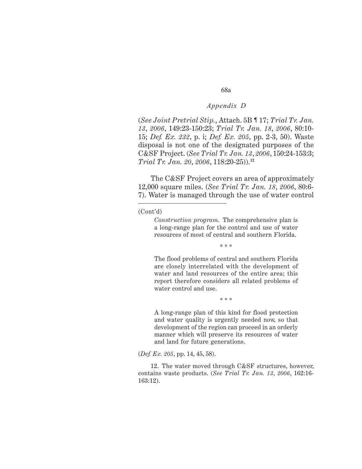68a

(*See Joint Pretrial Stip.*, Attach. 5B ¶ 17; *Trial Tr. Jan. 13*, *2006*, 149:23-150:23; *Trial Tr. Jan. 18*, *2006*, 80:10- 15; *Def. Ex. 232*, p. i; *Def. Ex. 205*, pp. 2-3, 50). Waste disposal is not one of the designated purposes of the C&SF Project. (*See Trial Tr. Jan. 13*, *2006*, 150:24-153:3; *Trial Tr. Jan. 20*, *2006*, 118:20-25)).**<sup>12</sup>**

The C&SF Project covers an area of approximately 12,000 square miles. (*See Trial Tr. Jan. 18*, *2006*, 80:6- 7). Water is managed through the use of water control

#### (Cont'd)

*Construction program*. The comprehensive plan is a long-range plan for the control and use of water resources of most of central and southern Florida.

\* \* \*

The flood problems of central and southern Florida are closely interrelated with the development of water and land resources of the entire area; this report therefore considers all related problems of water control and use.

\* \* \*

A long-range plan of this kind for flood protection and water quality is urgently needed now, so that development of the region can proceed in an orderly manner which will preserve its resources of water and land for future generations.

(*Def. Ex. 205*, pp. 14, 45, 58).

12. The water moved through C&SF structures, however, contains waste products. (*See Trial Tr. Jan. 13*, *2006*, 162:16- 163:12).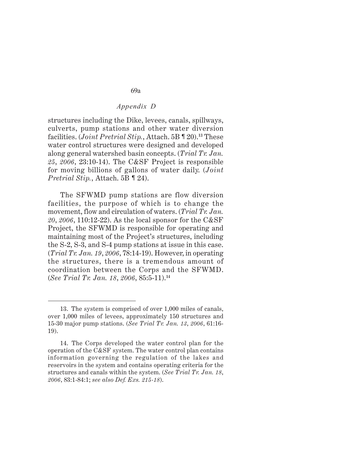structures including the Dike, levees, canals, spillways, culverts, pump stations and other water diversion facilities. (*Joint Pretrial Stip.*, Attach. 5B ¶ 20).**<sup>13</sup>** These water control structures were designed and developed along general watershed basin concepts. (*Trial Tr. Jan. 25*, *2006*, 23:10-14). The C&SF Project is responsible for moving billions of gallons of water daily. (*Joint Pretrial Stip.*, Attach. 5B ¶ 24).

The SFWMD pump stations are flow diversion facilities, the purpose of which is to change the movement, flow and circulation of waters. (*Trial Tr. Jan. 20*, *2006*, 110:12-22). As the local sponsor for the C&SF Project, the SFWMD is responsible for operating and maintaining most of the Project's structures, including the S-2, S-3, and S-4 pump stations at issue in this case. (*Trial Tr. Jan. 19*, *2006*, 78:14-19). However, in operating the structures, there is a tremendous amount of coordination between the Corps and the SFWMD. (*See Trial Tr. Jan. 18*, *2006*, 85:5-11).**<sup>14</sup>**

<sup>13.</sup> The system is comprised of over 1,000 miles of canals, over 1,000 miles of levees, approximately 150 structures and 15-30 major pump stations. (*See Trial Tr. Jan. 13*, *2006*, 61:16- 19).

<sup>14.</sup> The Corps developed the water control plan for the operation of the C&SF system. The water control plan contains information governing the regulation of the lakes and reservoirs in the system and contains operating criteria for the structures and canals within the system. (*See Trial Tr. Jan. 18*, *2006*, 83:1-84:1; *see also Def. Exs. 215-18*).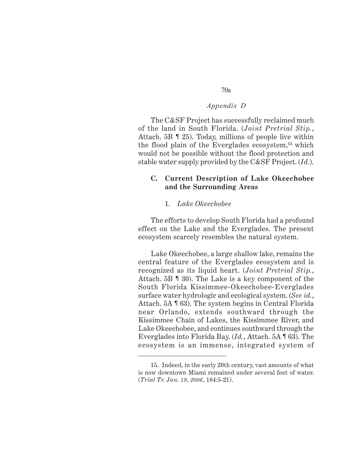The C&SF Project has successfully reclaimed much of the land in South Florida. (*Joint Pretrial Stip.*, Attach. 5B ¶ 25). Today, millions of people live within the flood plain of the Everglades ecosystem,**<sup>15</sup>** which would not be possible without the flood protection and stable water supply provided by the C&SF Project. (*Id.*).

## **C. Current Description of Lake Okeechobee and the Surrounding Areas**

### 1. *Lake Okeechobee*

The efforts to develop South Florida had a profound effect on the Lake and the Everglades. The present ecosystem scarcely resembles the natural system.

Lake Okeechobee, a large shallow lake, remains the central feature of the Everglades ecosystem and is recognized as its liquid heart. (*Joint Pretrial Stip.*, Attach. 5B ¶ 30). The Lake is a key component of the South Florida Kissimmee-Okeechobee-Everglades surface water hydrologic and ecological system. (*See id.*, Attach. 5A ¶ 63). The system begins in Central Florida near Orlando, extends southward through the Kissimmee Chain of Lakes, the Kissimmee River, and Lake Okeechobee, and continues southward through the Everglades into Florida Bay. (*Id.*, Attach. 5A ¶ 63). The ecosystem is an immense, integrated system of

<sup>15.</sup> Indeed, in the early 20th century, vast amounts of what is now downtown Miami remained under several feet of water. (*Trial Tr. Jan. 19*, *2006*, 184:5-21).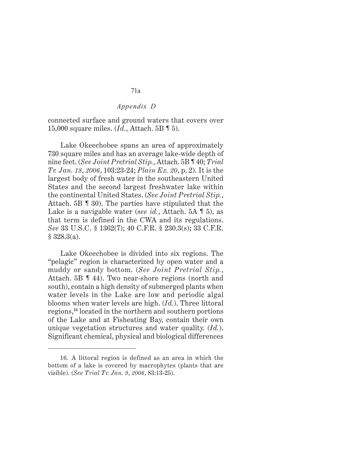connected surface and ground waters that covers over 15,000 square miles. (*Id.*, Attach. 5B ¶ 5).

Lake Okeechobee spans an area of approximately 730 square miles and has an average lake-wide depth of nine feet. (*See Joint Pretrial Stip.*, Attach. 5B ¶ 40; *Trial Tr. Jan. 18*, *2006*, 103:23-24; *Plain Ex. 20*, p. 2). It is the largest body of fresh water in the southeastern United States and the second largest freshwater lake within the continental United States. (*See Joint Pretrial Stip.*, Attach. 5B ¶ 30). The parties have stipulated that the Lake is a navigable water (*see id.*, Attach. 5A ¶ 5), as that term is defined in the CWA and its regulations. *See* 33 U.S.C. § 1362(7); 40 C.F.R. § 230.3(s); 33 C.F.R. § 328.3(a).

Lake Okeechobee is divided into six regions. The "pelagic" region is characterized by open water and a muddy or sandy bottom. (*See Joint Pretrial Stip.*, Attach. 5B ¶ 44). Two near-shore regions (north and south), contain a high density of submerged plants when water levels in the Lake are low and periodic algal blooms when water levels are high. (*Id.*). Three littoral regions,**<sup>16</sup>** located in the northern and southern portions of the Lake and at Fisheating Bay, contain their own unique vegetation structures and water quality. (*Id.*). Significant chemical, physical and biological differences

<sup>16.</sup> A littoral region is defined as an area in which the bottom of a lake is covered by macrophytes (plants that are visible). (*See Trial Tr. Jan. 9*, *2006*, 83:13-25).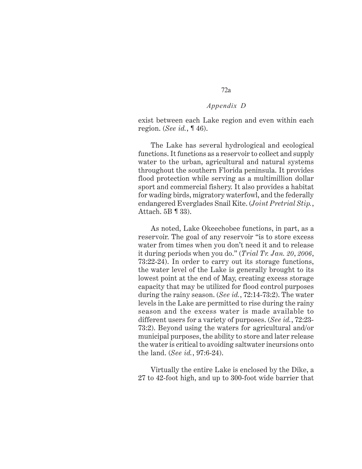exist between each Lake region and even within each region. (*See id.*, ¶ 46).

The Lake has several hydrological and ecological functions. It functions as a reservoir to collect and supply water to the urban, agricultural and natural systems throughout the southern Florida peninsula. It provides flood protection while serving as a multimillion dollar sport and commercial fishery. It also provides a habitat for wading birds, migratory waterfowl, and the federally endangered Everglades Snail Kite. (*Joint Pretrial Stip.*, Attach. 5B ¶ 33).

As noted, Lake Okeechobee functions, in part, as a reservoir. The goal of any reservoir "is to store excess water from times when you don't need it and to release it during periods when you do." (*Trial Tr. Jan. 20*, *2006*, 73:22-24). In order to carry out its storage functions, the water level of the Lake is generally brought to its lowest point at the end of May, creating excess storage capacity that may be utilized for flood control purposes during the rainy season. (*See id.*, 72:14-73:2). The water levels in the Lake are permitted to rise during the rainy season and the excess water is made available to different users for a variety of purposes. (*See id.*, 72:23- 73:2). Beyond using the waters for agricultural and/or municipal purposes, the ability to store and later release the water is critical to avoiding saltwater incursions onto the land. (*See id.*, 97:6-24).

Virtually the entire Lake is enclosed by the Dike, a 27 to 42-foot high, and up to 300-foot wide barrier that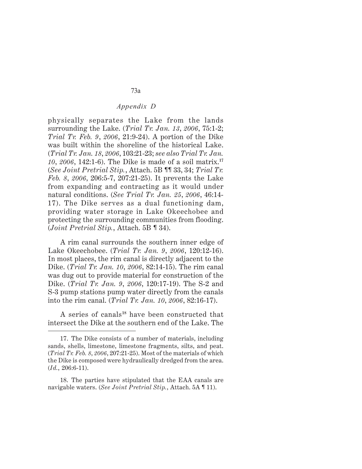physically separates the Lake from the lands surrounding the Lake. (*Trial Tr. Jan. 13*, *2006*, 75:1-2; *Trial Tr. Feb. 9*, *2006*, 21:9-24). A portion of the Dike was built within the shoreline of the historical Lake. (*Trial Tr. Jan. 18*, *2006*, 103:21-23; *see also Trial Tr. Jan. 10*, *2006*, 142:1-6). The Dike is made of a soil matrix.**<sup>17</sup>** (*See Joint Pretrial Stip.*, Attach. 5B ¶¶ 33, 34; *Trial Tr. Feb. 8*, *2006*, 206:5-7, 207:21-25). It prevents the Lake from expanding and contracting as it would under natural conditions. (*See Trial Tr. Jan. 25*, *2006*, 46:14- 17). The Dike serves as a dual functioning dam, providing water storage in Lake Okeechobee and protecting the surrounding communities from flooding. (*Joint Pretrial Stip.*, Attach. 5B ¶ 34).

A rim canal surrounds the southern inner edge of Lake Okeechobee. (*Trial Tr. Jan. 9*, *2006*, 120:12-16). In most places, the rim canal is directly adjacent to the Dike. (*Trial Tr. Jan. 10*, *2006*, 82:14-15). The rim canal was dug out to provide material for construction of the Dike. (*Trial Tr. Jan. 9*, *2006*, 120:17-19). The S-2 and S-3 pump stations pump water directly from the canals into the rim canal. (*Trial Tr. Jan. 10*, *2006*, 82:16-17).

A series of canals**<sup>18</sup>** have been constructed that intersect the Dike at the southern end of the Lake. The

<sup>17.</sup> The Dike consists of a number of materials, including sands, shells, limestone, limestone fragments, silts, and peat. (*Trial Tr. Feb. 8*, *2006*, 207:21-25). Most of the materials of which the Dike is composed were hydraulically dredged from the area. (*Id.*, 206:6-11).

<sup>18.</sup> The parties have stipulated that the EAA canals are navigable waters. (*See Joint Pretrial Stip.*, Attach. 5A ¶ 11).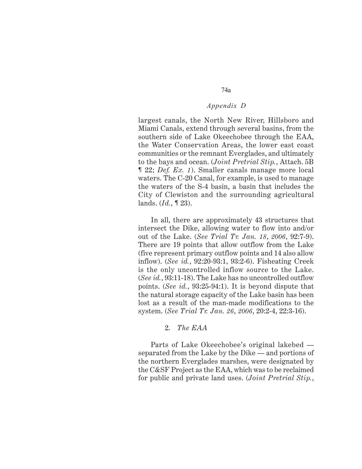74a

largest canals, the North New River, Hillsboro and Miami Canals, extend through several basins, from the southern side of Lake Okeechobee through the EAA, the Water Conservation Areas, the lower east coast communities or the remnant Everglades, and ultimately to the bays and ocean. (*Joint Pretrial Stip.*, Attach. 5B ¶ 22; *Def. Ex. 1*). Smaller canals manage more local waters. The C-20 Canal, for example, is used to manage the waters of the S-4 basin, a basin that includes the City of Clewiston and the surrounding agricultural lands. (*Id.*, ¶ 23).

In all, there are approximately 43 structures that intersect the Dike, allowing water to flow into and/or out of the Lake. (*See Trial Tr. Jan. 18*, *2006*, 92:7-9). There are 19 points that allow outflow from the Lake (five represent primary outflow points and 14 also allow inflow). (*See id.*, 92:20-93:1, 93:2-6). Fisheating Creek is the only uncontrolled inflow source to the Lake. (*See id.*, 93:11-18). The Lake has no uncontrolled outflow points. (*See id.*, 93:25-94:1). It is beyond dispute that the natural storage capacity of the Lake basin has been lost as a result of the man-made modifications to the system. (*See Trial Tr. Jan. 26*, *2006*, 20:2-4, 22:3-16).

## 2. *The EAA*

Parts of Lake Okeechobee's original lakebed separated from the Lake by the Dike — and portions of the northern Everglades marshes, were designated by the C&SF Project as the EAA, which was to be reclaimed for public and private land uses. (*Joint Pretrial Stip.*,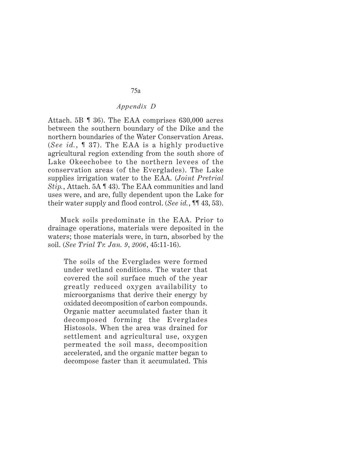Attach. 5B ¶ 36). The EAA comprises 630,000 acres between the southern boundary of the Dike and the northern boundaries of the Water Conservation Areas. (*See id.*, ¶ 37). The EAA is a highly productive agricultural region extending from the south shore of Lake Okeechobee to the northern levees of the conservation areas (of the Everglades). The Lake supplies irrigation water to the EAA. (*Joint Pretrial Stip.*, Attach. 5A ¶ 43). The EAA communities and land uses were, and are, fully dependent upon the Lake for their water supply and flood control. (*See id.*, ¶¶ 43, 53).

Muck soils predominate in the EAA. Prior to drainage operations, materials were deposited in the waters; those materials were, in turn, absorbed by the soil. (*See Trial Tr. Jan. 9*, *2006*, 45:11-16).

The soils of the Everglades were formed under wetland conditions. The water that covered the soil surface much of the year greatly reduced oxygen availability to microorganisms that derive their energy by oxidated decomposition of carbon compounds. Organic matter accumulated faster than it decomposed forming the Everglades Histosols. When the area was drained for settlement and agricultural use, oxygen permeated the soil mass, decomposition accelerated, and the organic matter began to decompose faster than it accumulated. This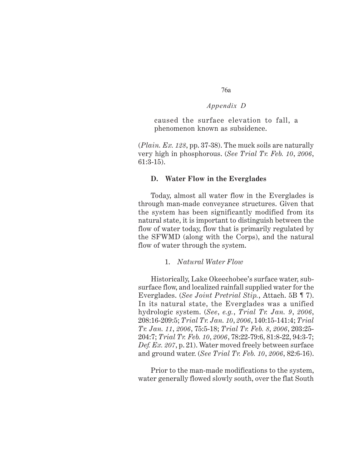caused the surface elevation to fall, a phenomenon known as subsidence.

(*Plain. Ex. 128*, pp. 37-38). The muck soils are naturally very high in phosphorous. (*See Trial Tr. Feb. 10*, *2006*, 61:3-15).

## **D. Water Flow in the Everglades**

Today, almost all water flow in the Everglades is through man-made conveyance structures. Given that the system has been significantly modified from its natural state, it is important to distinguish between the flow of water today, flow that is primarily regulated by the SFWMD (along with the Corps), and the natural flow of water through the system.

### 1. *Natural Water Flow*

Historically, Lake Okeechobee's surface water, subsurface flow, and localized rainfall supplied water for the Everglades. (*See Joint Pretrial Stip.*, Attach. 5B ¶ 7). In its natural state, the Everglades was a unified hydrologic system. (*See*, *e.g.*, *Trial Tr. Jan. 9*, *2006*, 208:16-209:5; *Trial Tr. Jan. 10*, *2006*, 140:15-141:4; *Trial Tr. Jan. 11*, *2006*, 75:5-18; *Trial Tr. Feb. 8*, *2006*, 203:25- 204:7; *Trial Tr. Feb. 10*, *2006*, 78:22-79:6, 81:8-22, 94:3-7; *Def. Ex. 207*, p. 21). Water moved freely between surface and ground water. (*See Trial Tr. Feb. 10*, *2006*, 82:6-16).

Prior to the man-made modifications to the system, water generally flowed slowly south, over the flat South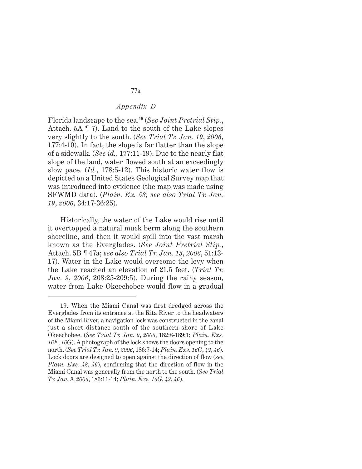Florida landscape to the sea.**<sup>19</sup>** (*See Joint Pretrial Stip.*, Attach. 5A ¶ 7). Land to the south of the Lake slopes very slightly to the south. (*See Trial Tr. Jan. 19*, *2006*, 177:4-10). In fact, the slope is far flatter than the slope of a sidewalk. (*See id.*, 177:11-19). Due to the nearly flat slope of the land, water flowed south at an exceedingly slow pace. (*Id.*, 178:5-12). This historic water flow is depicted on a United States Geological Survey map that was introduced into evidence (the map was made using SFWMD data). (*Plain. Ex. 58; see also Trial Tr. Jan. 19*, *2006*, 34:17-36:25).

Historically, the water of the Lake would rise until it overtopped a natural muck berm along the southern shoreline, and then it would spill into the vast marsh known as the Everglades. (*See Joint Pretrial Stip.*, Attach. 5B ¶ 47a; *see also Trial Tr. Jan. 13*, *2006*, 51:13- 17). Water in the Lake would overcome the levy when the Lake reached an elevation of 21.5 feet. (*Trial Tr. Jan. 9*, *2006*, 208:25-209:5). During the rainy season, water from Lake Okeechobee would flow in a gradual

<sup>19.</sup> When the Miami Canal was first dredged across the Everglades from its entrance at the Rita River to the headwaters of the Miami River, a navigation lock was constructed in the canal just a short distance south of the southern shore of Lake Okeechobee. (*See Trial Tr. Jan. 9*, *2006*, 182:8-189:1; *Plain. Exs. 16F*, *16G*). A photograph of the lock shows the doors opening to the north. (*See Trial Tr. Jan. 9*, *2006*, 186:7-14; *Plain. Exs. 16G*, *42*, *46*). Lock doors are designed to open against the direction of flow (*see Plain. Exs. 42*, *46*), confirming that the direction of flow in the Miami Canal was generally from the north to the south. (*See Trial Tr. Jan. 9*, *2006*, 186:11-14; *Plain. Exs. 16G*, *42*, *46*).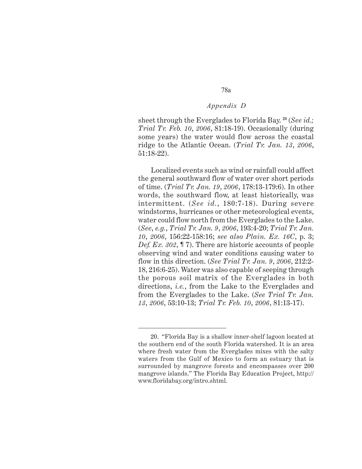78a

sheet through the Everglades to Florida Bay. **<sup>20</sup>** (*See id.; Trial Tr. Feb. 10*, *2006*, 81:18-19). Occasionally (during some years) the water would flow across the coastal ridge to the Atlantic Ocean. (*Trial Tr. Jan. 13*, *2006*, 51:18-22).

Localized events such as wind or rainfall could affect the general southward flow of water over short periods of time. (*Trial Tr. Jan. 19*, *2006*, 178:13-179:6). In other words, the southward flow, at least historically, was intermittent. (*See id.*, 180:7-18). During severe windstorms, hurricanes or other meteorological events, water could flow north from the Everglades to the Lake. (*See*, *e.g.*, *Trial Tr. Jan. 9*, *2006*, 193:4-20; *Trial Tr. Jan. 10*, *2006*, 156:22-158:16; *see also Plain. Ex. 16C*, p. 3; *Def. Ex. 302*, ¶ 7). There are historic accounts of people observing wind and water conditions causing water to flow in this direction. (*See Trial Tr. Jan. 9*, *2006*, 212:2- 18, 216:6-25). Water was also capable of seeping through the porous soil matrix of the Everglades in both directions, *i.e.*, from the Lake to the Everglades and from the Everglades to the Lake. (*See Trial Tr. Jan. 13*, *2006*, 53:10-13; *Trial Tr. Feb. 10*, *2006*, 81:13-17).

<sup>20. &</sup>quot;Florida Bay is a shallow inner-shelf lagoon located at the southern end of the south Florida watershed. It is an area where fresh water from the Everglades mixes with the salty waters from the Gulf of Mexico to form an estuary that is surrounded by mangrove forests and encompasses over 200 mangrove islands." The Florida Bay Education Project, http:// www.floridabay.org/intro.shtml.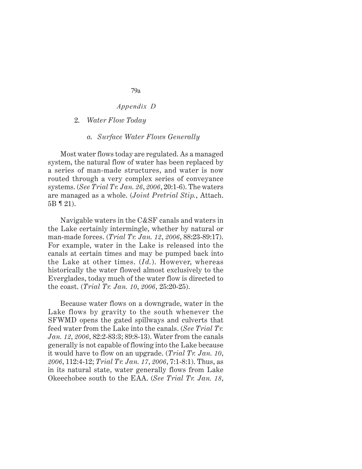## 2. *Water Flow Today*

#### *a. Surface Water Flows Generally*

Most water flows today are regulated. As a managed system, the natural flow of water has been replaced by a series of man-made structures, and water is now routed through a very complex series of conveyance systems. (*See Trial Tr. Jan. 26*, *2006*, 20:1-6). The waters are managed as a whole. (*Joint Pretrial Stip.*, Attach. 5B ¶ 21).

Navigable waters in the C&SF canals and waters in the Lake certainly intermingle, whether by natural or man-made forces. (*Trial Tr. Jan. 12*, *2006*, 88:23-89:17). For example, water in the Lake is released into the canals at certain times and may be pumped back into the Lake at other times. (*Id.*). However, whereas historically the water flowed almost exclusively to the Everglades, today much of the water flow is directed to the coast. (*Trial Tr. Jan. 10*, *2006*, 25:20-25).

Because water flows on a downgrade, water in the Lake flows by gravity to the south whenever the SFWMD opens the gated spillways and culverts that feed water from the Lake into the canals. (*See Trial Tr. Jan. 12*, *2006*, 82:2-83:3; 89:8-13). Water from the canals generally is not capable of flowing into the Lake because it would have to flow on an upgrade. (*Trial Tr. Jan. 10*, *2006*, 112:4-12; *Trial Tr. Jan. 17*, *2006*, 7:1-8:1). Thus, as in its natural state, water generally flows from Lake Okeechobee south to the EAA. (*See Trial Tr. Jan. 18*,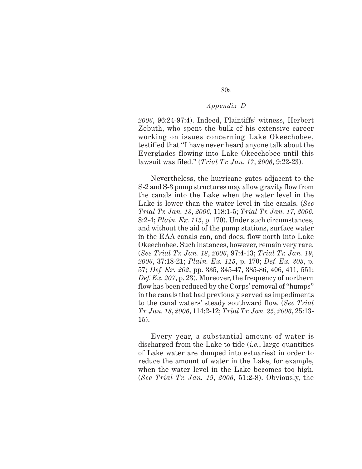80a

*2006*, 96:24-97:4). Indeed, Plaintiffs' witness, Herbert Zebuth, who spent the bulk of his extensive career working on issues concerning Lake Okeechobee, testified that "I have never heard anyone talk about the Everglades flowing into Lake Okeechobee until this lawsuit was filed." (*Trial Tr. Jan. 17*, *2006*, 9:22-23).

Nevertheless, the hurricane gates adjacent to the S-2 and S-3 pump structures may allow gravity flow from the canals into the Lake when the water level in the Lake is lower than the water level in the canals. (*See Trial Tr. Jan. 13*, *2006*, 118:1-5; *Trial Tr. Jan. 17*, *2006*, 8:2-4; *Plain. Ex. 115*, p. 170). Under such circumstances, and without the aid of the pump stations, surface water in the EAA canals can, and does, flow north into Lake Okeechobee. Such instances, however, remain very rare. (*See Trial Tr. Jan. 18*, *2006*, 97:4-13; *Trial Tr. Jan. 19*, *2006*, 37:18-21; *Plain. Ex. 115*, p. 170; *Def. Ex. 203*, p. 57; *Def. Ex. 202*, pp. 335, 345-47, 385-86, 406, 411, 551; *Def. Ex. 207*, p. 23). Moreover, the frequency of northern flow has been reduced by the Corps' removal of "humps" in the canals that had previously served as impediments to the canal waters' steady southward flow. (*See Trial Tr. Jan. 18*, *2006*, 114:2-12; *Trial Tr. Jan. 25*, *2006*, 25:13- 15).

Every year, a substantial amount of water is discharged from the Lake to tide (*i.e.*, large quantities of Lake water are dumped into estuaries) in order to reduce the amount of water in the Lake, for example, when the water level in the Lake becomes too high. (*See Trial Tr. Jan. 19*, *2006*, 51:2-8). Obviously, the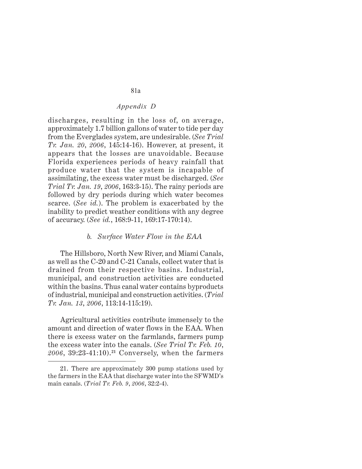discharges, resulting in the loss of, on average, approximately 1.7 billion gallons of water to tide per day from the Everglades system, are undesirable. (*See Trial Tr. Jan. 20*, *2006*, 145:14-16). However, at present, it appears that the losses are unavoidable. Because Florida experiences periods of heavy rainfall that produce water that the system is incapable of assimilating, the excess water must be discharged. (*See Trial Tr. Jan. 19*, *2006*, 163:3-15). The rainy periods are followed by dry periods during which water becomes scarce. (*See id.*). The problem is exacerbated by the inability to predict weather conditions with any degree of accuracy. (*See id.*, 168:9-11, 169:17-170:14).

#### *b. Surface Water Flow in the EAA*

The Hillsboro, North New River, and Miami Canals, as well as the C-20 and C-21 Canals, collect water that is drained from their respective basins. Industrial, municipal, and construction activities are conducted within the basins. Thus canal water contains byproducts of industrial, municipal and construction activities. (*Trial Tr. Jan. 13*, *2006*, 113:14-115:19).

Agricultural activities contribute immensely to the amount and direction of water flows in the EAA. When there is excess water on the farmlands, farmers pump the excess water into the canals. (*See Trial Tr. Feb. 10*, *2006*, 39:23-41:10).**21** Conversely, when the farmers

<sup>21.</sup> There are approximately 300 pump stations used by the farmers in the EAA that discharge water into the SFWMD's main canals. (*Trial Tr. Feb. 9*, *2006*, 32:2-4).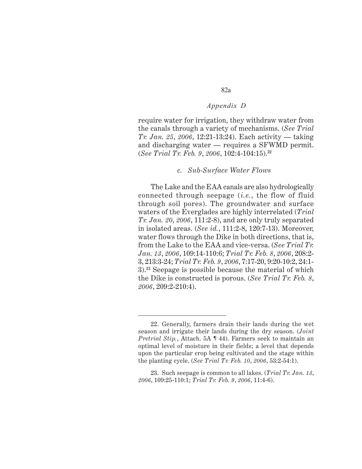82a

require water for irrigation, they withdraw water from the canals through a variety of mechanisms. (*See Trial Tr. Jan. 25*, *2006*, 12:21-13:24). Each activity — taking and discharging water — requires a SFWMD permit. (*See Trial Tr. Feb. 9*, *2006*, 102:4-104:15).**<sup>22</sup>**

#### *c. Sub-Surface Water Flows*

The Lake and the EAA canals are also hydrologically connected through seepage (*i.e.*, the flow of fluid through soil pores). The groundwater and surface waters of the Everglades are highly interrelated (*Trial Tr. Jan. 20*, *2006*, 111:2-8), and are only truly separated in isolated areas. (*See id.*, 111:2-8, 120:7-13). Moreover, water flows through the Dike in both directions, that is, from the Lake to the EAA and vice-versa. (*See Trial Tr. Jan. 13*, *2006*, 109:14-110:6; *Trial Tr. Feb. 8*, *2006*, 208:2- 3, 213:3-24; *Trial Tr. Feb. 9*, *2006*, 7:17-20, 9:20-10:2, 24:1- 3).**23** Seepage is possible because the material of which the Dike is constructed is porous. (*See Trial Tr. Feb. 8*, *2006*, 209:2-210:4).

<sup>22.</sup> Generally, farmers drain their lands during the wet season and irrigate their lands during the dry season. (*Joint Pretrial Stip.*, Attach. 5A ¶ 44). Farmers seek to maintain an optimal level of moisture in their fields; a level that depends upon the particular crop being cultivated and the stage within the planting cycle. (*See Trial Tr. Feb. 10*, *2006*, 53:2-54:1).

<sup>23.</sup> Such seepage is common to all lakes. (*Trial Tr. Jan. 13*, *2006*, 109:25-110:1; *Trial Tr. Feb. 9*, *2006*, 11:4-6).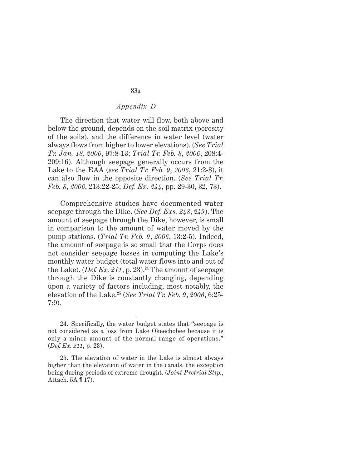The direction that water will flow, both above and below the ground, depends on the soil matrix (porosity of the soils), and the difference in water level (water always flows from higher to lower elevations). (*See Trial Tr. Jan. 18*, *2006*, 97:8-13; *Trial Tr. Feb. 8*, *2006*, 208:4- 209:16). Although seepage generally occurs from the Lake to the EAA (*see Trial Tr. Feb. 9*, *2006*, 21:2-8), it can also flow in the opposite direction. (*See Trial Tr. Feb. 8*, *2006*, 213:22-25; *Def. Ex. 244*, pp. 29-30, 32, 73).

Comprehensive studies have documented water seepage through the Dike. (*See Def. Exs. 248*, *249*). The amount of seepage through the Dike, however, is small in comparison to the amount of water moved by the pump stations. (*Trial Tr. Feb. 9*, *2006*, 13:2-5). Indeed, the amount of seepage is so small that the Corps does not consider seepage losses in computing the Lake's monthly water budget (total water flows into and out of the Lake). (*Def. Ex. 211*, p. 23).**<sup>24</sup>** The amount of seepage through the Dike is constantly changing, depending upon a variety of factors including, most notably, the elevation of the Lake.**<sup>25</sup>** (*See Trial Tr. Feb. 9*, *2006*, 6:25- 7:9).

<sup>24.</sup> Specifically, the water budget states that "seepage is not considered as a loss from Lake Okeechobee because it is only a minor amount of the normal range of operations." (*Def. Ex. 211*, p. 23).

<sup>25.</sup> The elevation of water in the Lake is almost always higher than the elevation of water in the canals, the exception being during periods of extreme drought. (*Joint Pretrial Stip.*, Attach. 5A ¶ 17).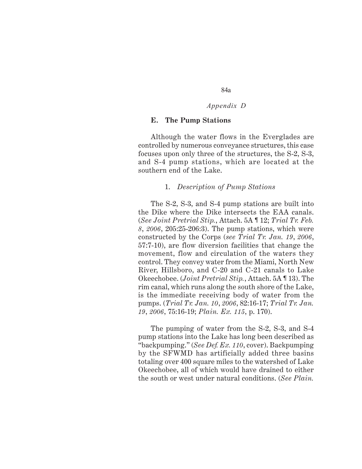## **E. The Pump Stations**

Although the water flows in the Everglades are controlled by numerous conveyance structures, this case focuses upon only three of the structures, the S-2, S-3, and S-4 pump stations, which are located at the southern end of the Lake.

#### 1. *Description of Pump Stations*

The S-2, S-3, and S-4 pump stations are built into the Dike where the Dike intersects the EAA canals. (*See Joint Pretrial Stip.*, Attach. 5A ¶ 12; *Trial Tr. Feb. 8*, *2006*, 205:25-206:3). The pump stations, which were constructed by the Corps (*see Trial Tr. Jan. 19*, *2006*, 57:7-10), are flow diversion facilities that change the movement, flow and circulation of the waters they control. They convey water from the Miami, North New River, Hillsboro, and C-20 and C-21 canals to Lake Okeechobee. (*Joint Pretrial Stip.*, Attach. 5A ¶ 13). The rim canal, which runs along the south shore of the Lake, is the immediate receiving body of water from the pumps. (*Trial Tr. Jan. 10*, *2006*, 82:16-17; *Trial Tr. Jan. 19*, *2006*, 75:16-19; *Plain. Ex. 115*, p. 170).

The pumping of water from the S-2, S-3, and S-4 pump stations into the Lake has long been described as "backpumping." (*See Def. Ex. 110*, cover). Backpumping by the SFWMD has artificially added three basins totaling over 400 square miles to the watershed of Lake Okeechobee, all of which would have drained to either the south or west under natural conditions. (*See Plain.*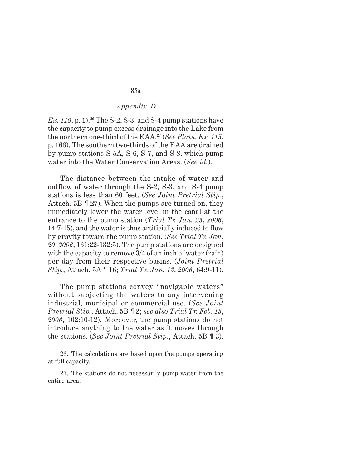*Ex. 110*, p. 1).**<sup>26</sup>** The S-2, S-3, and S-4 pump stations have the capacity to pump excess drainage into the Lake from the northern one-third of the EAA.**<sup>27</sup>** (*See Plain. Ex. 115*, p. 166). The southern two-thirds of the EAA are drained by pump stations S-5A, S-6, S-7, and S-8, which pump water into the Water Conservation Areas. (*See id.*).

The distance between the intake of water and outflow of water through the S-2, S-3, and S-4 pump stations is less than 60 feet. (*See Joint Pretrial Stip.*, Attach. 5B ¶ 27). When the pumps are turned on, they immediately lower the water level in the canal at the entrance to the pump station (*Trial Tr. Jan. 25*, *2006*, 14:7-15), and the water is thus artificially induced to flow by gravity toward the pump station. (*See Trial Tr. Jan. 20*, *2006*, 131:22-132:5). The pump stations are designed with the capacity to remove 3/4 of an inch of water (rain) per day from their respective basins. (*Joint Pretrial Stip.*, Attach. 5A ¶ 16; *Trial Tr. Jan. 13*, *2006*, 64:9-11).

The pump stations convey "navigable waters" without subjecting the waters to any intervening industrial, municipal or commercial use. (*See Joint Pretrial Stip.*, Attach. 5B ¶ 2; *see also Trial Tr. Feb. 13*, *2006*, 102:10-12). Moreover, the pump stations do not introduce anything to the water as it moves through the stations. (*See Joint Pretrial Stip.*, Attach. 5B ¶ 3).

<sup>26.</sup> The calculations are based upon the pumps operating at full capacity.

<sup>27.</sup> The stations do not necessarily pump water from the entire area.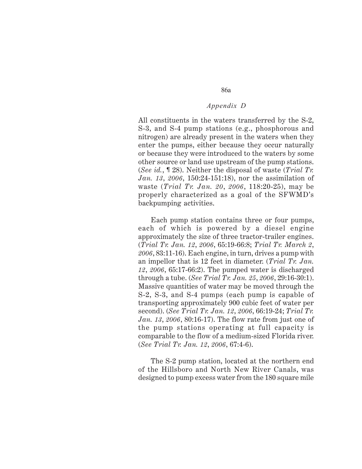All constituents in the waters transferred by the S-2, S-3, and S-4 pump stations (e.g., phosphorous and nitrogen) are already present in the waters when they enter the pumps, either because they occur naturally or because they were introduced to the waters by some other source or land use upstream of the pump stations. (*See id.*, ¶ 28). Neither the disposal of waste (*Trial Tr. Jan. 13*, *2006*, 150:24-151:18), nor the assimilation of waste (*Trial Tr. Jan. 20*, *2006*, 118:20-25), may be properly characterized as a goal of the SFWMD's backpumping activities.

Each pump station contains three or four pumps, each of which is powered by a diesel engine approximately the size of three tractor-trailer engines. (*Trial Tr. Jan. 12*, *2006*, 65:19-66:8; *Trial Tr. March 2*, *2006*, 83:11-16). Each engine, in turn, drives a pump with an impellor that is 12 feet in diameter. (*Trial Tr. Jan. 12*, *2006*, 65:17-66:2). The pumped water is discharged through a tube. (*See Trial Tr. Jan. 25*, *2006*, 29:16-30:1). Massive quantities of water may be moved through the S-2, S-3, and S-4 pumps (each pump is capable of transporting approximately 900 cubic feet of water per second). (*See Trial Tr. Jan. 12*, *2006*, 66:19-24; *Trial Tr. Jan. 13*, *2006*, 80:16-17). The flow rate from just one of the pump stations operating at full capacity is comparable to the flow of a medium-sized Florida river. (*See Trial Tr. Jan. 12*, *2006*, 67:4-6).

The S-2 pump station, located at the northern end of the Hillsboro and North New River Canals, was designed to pump excess water from the 180 square mile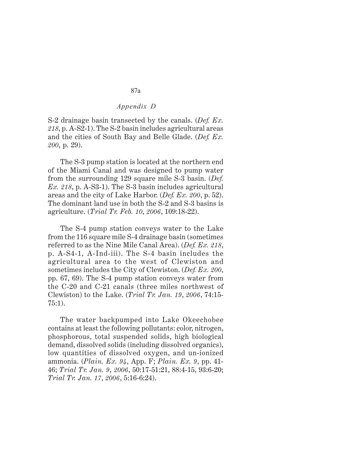S-2 drainage basin transected by the canals. (*Def. Ex. 218*, p. A-S2-1). The S-2 basin includes agricultural areas and the cities of South Bay and Belle Glade. (*Def. Ex. 200*, p. 29).

The S-3 pump station is located at the northern end of the Miami Canal and was designed to pump water from the surrounding 129 square mile S-3 basin. (*Def. Ex. 218*, p. A-S3-1). The S-3 basin includes agricultural areas and the city of Lake Harbor. (*Def. Ex. 200*, p. 52). The dominant land use in both the S-2 and S-3 basins is agriculture. (*Trial Tr. Feb. 10*, *2006*, 109:18-22).

The S-4 pump station conveys water to the Lake from the 116 square mile S-4 drainage basin (sometimes referred to as the Nine Mile Canal Area). (*Def. Ex. 218*, p. A-S4-1, A-Ind-iii). The S-4 basin includes the agricultural area to the west of Clewiston and sometimes includes the City of Clewiston. (*Def. Ex. 200*, pp. 67, 69). The S-4 pump station conveys water from the C-20 and C-21 canals (three miles northwest of Clewiston) to the Lake. (*Trial Tr. Jan. 19*, *2006*, 74:15- 75:1).

The water backpumped into Lake Okeechobee contains at least the following pollutants: color, nitrogen, phosphorous, total suspended solids, high biological demand, dissolved solids (including dissolved organics), low quantities of dissolved oxygen, and un-ionized ammonia. (*Plain. Ex. 94*, App. F; *Plain. Ex. 9*, pp. 41- 46; *Trial Tr. Jan. 9*, *2006*, 50:17-51:21, 88:4-15, 93:6-20; *Trial Tr. Jan. 17*, *2006*, 5:16-6:24).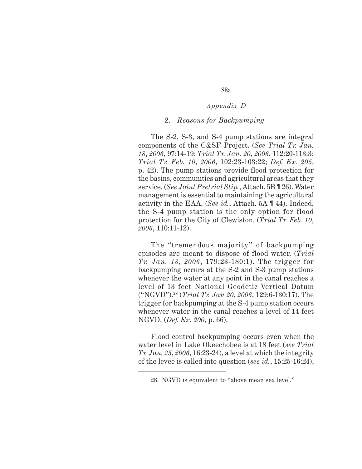### 2. *Reasons for Backpumping*

The S-2, S-3, and S-4 pump stations are integral components of the C&SF Project. (*See Trial Tr. Jan. 18*, *2006*, 97:14-19; *Trial Tr. Jan. 20*, *2006*, 112:20-113:3; *Trial Tr. Feb. 10*, *2006*, 102:23-103:22; *Def. Ex. 205*, p. 42). The pump stations provide flood protection for the basins, communities and agricultural areas that they service. (*See Joint Pretrial Stip.*, Attach. 5B ¶ 26). Water management is essential to maintaining the agricultural activity in the EAA. (*See id.*, Attach. 5A ¶ 44). Indeed, the S-4 pump station is the only option for flood protection for the City of Clewiston. (*Trial Tr. Feb. 10*, *2006*, 110:11-12).

The "tremendous majority" of backpumping episodes are meant to dispose of flood water. (*Trial Tr. Jan. 13*, *2006*, 179:23-180:1). The trigger for backpumping occurs at the S-2 and S-3 pump stations whenever the water at any point in the canal reaches a level of 13 feet National Geodetic Vertical Datum ("NGVD").**28** (*Trial Tr. Jan 20*, *2006*, 129:6-130:17). The trigger for backpumping at the S-4 pump station occurs whenever water in the canal reaches a level of 14 feet NGVD. (*Def. Ex. 200*, p. 66).

Flood control backpumping occurs even when the water level in Lake Okeechobee is at 18 feet (*see Trial Tr. Jan. 25*, *2006*, 16:23-24), a level at which the integrity of the levee is called into question (*see id.*, 15:25-16:24),

<sup>28.</sup> NGVD is equivalent to "above mean sea level."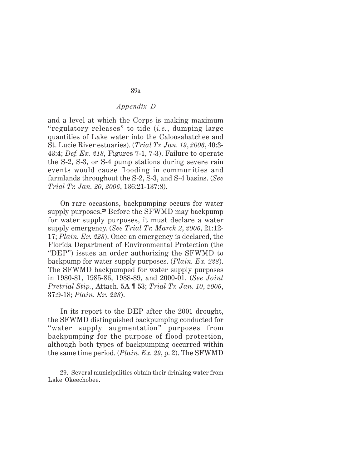and a level at which the Corps is making maximum "regulatory releases" to tide (*i.e.*, dumping large quantities of Lake water into the Caloosahatchee and St. Lucie River estuaries). (*Trial Tr. Jan. 19*, *2006*, 40:3- 43:4; *Def. Ex. 218*, Figures 7-1, 7-3). Failure to operate the S-2, S-3, or S-4 pump stations during severe rain events would cause flooding in communities and farmlands throughout the S-2, S-3, and S-4 basins. (*See Trial Tr. Jan. 20*, *2006*, 136:21-137:8).

On rare occasions, backpumping occurs for water supply purposes.**29** Before the SFWMD may backpump for water supply purposes, it must declare a water supply emergency. (*See Trial Tr. March 2*, *2006*, 21:12- 17; *Plain. Ex. 228*). Once an emergency is declared, the Florida Department of Environmental Protection (the "DEP") issues an order authorizing the SFWMD to backpump for water supply purposes. (*Plain. Ex. 228*). The SFWMD backpumped for water supply purposes in 1980-81, 1985-86, 1988-89, and 2000-01. (*See Joint Pretrial Stip.*, Attach. 5A ¶ 53; *Trial Tr. Jan. 10*, *2006*, 37:9-18; *Plain. Ex. 228*).

In its report to the DEP after the 2001 drought, the SFWMD distinguished backpumping conducted for "water supply augmentation" purposes from backpumping for the purpose of flood protection, although both types of backpumping occurred within the same time period. (*Plain. Ex. 29*, p. 2). The SFWMD

<sup>29.</sup> Several municipalities obtain their drinking water from Lake Okeechobee.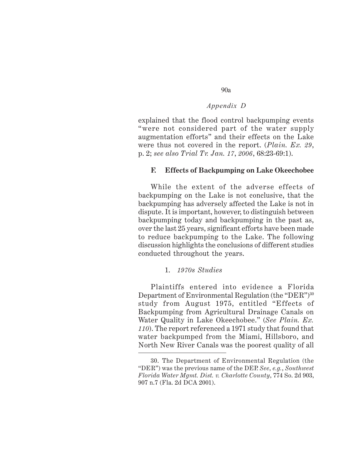explained that the flood control backpumping events "were not considered part of the water supply augmentation efforts" and their effects on the Lake were thus not covered in the report. (*Plain. Ex. 29*, p. 2; *see also Trial Tr. Jan. 17*, *2006*, 68:23-69:1).

## **F. Effects of Backpumping on Lake Okeechobee**

While the extent of the adverse effects of backpumping on the Lake is not conclusive, that the backpumping has adversely affected the Lake is not in dispute. It is important, however, to distinguish between backpumping today and backpumping in the past as, over the last 25 years, significant efforts have been made to reduce backpumping to the Lake. The following discussion highlights the conclusions of different studies conducted throughout the years.

## 1. *1970s Studies*

Plaintiffs entered into evidence a Florida Department of Environmental Regulation (the "DER")<sup>30</sup> study from August 1975, entitled "Effects of Backpumping from Agricultural Drainage Canals on Water Quality in Lake Okeechobee." (*See Plain. Ex. 110*). The report referenced a 1971 study that found that water backpumped from the Miami, Hillsboro, and North New River Canals was the poorest quality of all

<sup>30.</sup> The Department of Environmental Regulation (the "DER") was the previous name of the DEP. *See*, *e.g.*, *Southwest Florida Water Mgmt. Dist. v. Charlotte County*, 774 So. 2d 903, 907 n.7 (Fla. 2d DCA 2001).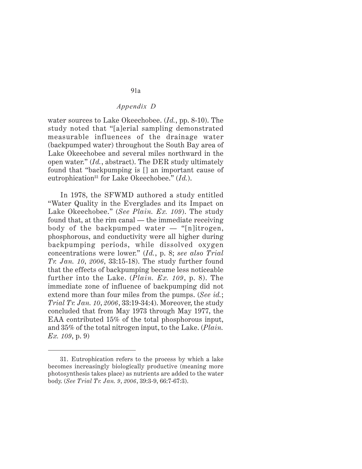water sources to Lake Okeechobee. (*Id.*, pp. 8-10). The study noted that "[a]erial sampling demonstrated measurable influences of the drainage water (backpumped water) throughout the South Bay area of Lake Okeechobee and several miles northward in the open water." (*Id.*, abstract). The DER study ultimately found that "backpumping is [] an important cause of eutrophication<sup>31</sup> for Lake Okeechobee." (*Id.*).

In 1978, the SFWMD authored a study entitled "Water Quality in the Everglades and its Impact on Lake Okeechobee." (*See Plain. Ex. 109*). The study found that, at the rim canal — the immediate receiving body of the backpumped water — "[n]itrogen, phosphorous, and conductivity were all higher during backpumping periods, while dissolved oxygen concentrations were lower." (*Id.*, p. 8; *see also Trial Tr. Jan. 10*, *2006*, 33:15-18). The study further found that the effects of backpumping became less noticeable further into the Lake. (*Plain. Ex. 109*, p. 8). The immediate zone of influence of backpumping did not extend more than four miles from the pumps. (*See id.*; *Trial Tr. Jan. 10*, *2006*, 33:19-34:4). Moreover, the study concluded that from May 1973 through May 1977, the EAA contributed 15% of the total phosphorous input, and 35% of the total nitrogen input, to the Lake. (*Plain. Ex. 109*, p. 9)

<sup>31.</sup> Eutrophication refers to the process by which a lake becomes increasingly biologically productive (meaning more photosynthesis takes place) as nutrients are added to the water body. (*See Trial Tr. Jan. 9*, *2006*, 39:3-9, 66:7-67:3).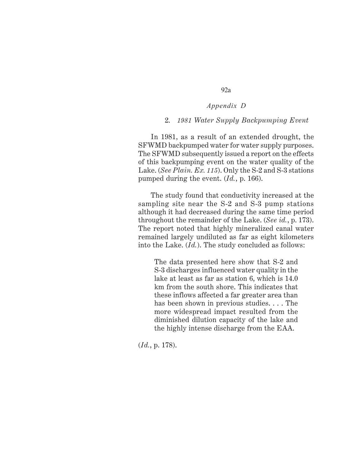92a

## 2. *1981 Water Supply Backpumping Event*

In 1981, as a result of an extended drought, the SFWMD backpumped water for water supply purposes. The SFWMD subsequently issued a report on the effects of this backpumping event on the water quality of the Lake. (*See Plain. Ex. 115*). Only the S-2 and S-3 stations pumped during the event. (*Id.*, p. 166).

The study found that conductivity increased at the sampling site near the S-2 and S-3 pump stations although it had decreased during the same time period throughout the remainder of the Lake. (*See id.*, p. 173). The report noted that highly mineralized canal water remained largely undiluted as far as eight kilometers into the Lake. (*Id.*). The study concluded as follows:

The data presented here show that S-2 and S-3 discharges influenced water quality in the lake at least as far as station 6, which is 14.0 km from the south shore. This indicates that these inflows affected a far greater area than has been shown in previous studies. . . . The more widespread impact resulted from the diminished dilution capacity of the lake and the highly intense discharge from the EAA.

(*Id.*, p. 178).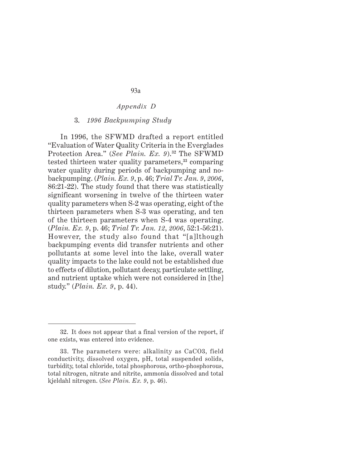#### 3. *1996 Backpumping Study*

In 1996, the SFWMD drafted a report entitled "Evaluation of Water Quality Criteria in the Everglades Protection Area." (*See Plain. Ex. 9*).**<sup>32</sup>** The SFWMD tested thirteen water quality parameters,**33** comparing water quality during periods of backpumping and nobackpumping. (*Plain. Ex. 9*, p. 46; *Trial Tr. Jan. 9*, *2006*, 86:21-22). The study found that there was statistically significant worsening in twelve of the thirteen water quality parameters when S-2 was operating, eight of the thirteen parameters when S-3 was operating, and ten of the thirteen parameters when S-4 was operating. (*Plain. Ex. 9*, p. 46; *Trial Tr. Jan. 12*, *2006*, 52:1-56:21). However, the study also found that "[a]lthough backpumping events did transfer nutrients and other pollutants at some level into the lake, overall water quality impacts to the lake could not be established due to effects of dilution, pollutant decay, particulate settling, and nutrient uptake which were not considered in [the] study." (*Plain. Ex. 9*, p. 44).

<sup>32.</sup> It does not appear that a final version of the report, if one exists, was entered into evidence.

<sup>33.</sup> The parameters were: alkalinity as CaCO3, field conductivity, dissolved oxygen, pH, total suspended solids, turbidity, total chloride, total phosphorous, ortho-phosphorous, total nitrogen, nitrate and nitrite, ammonia dissolved and total kjeldahl nitrogen. (*See Plain. Ex. 9*, p. 46).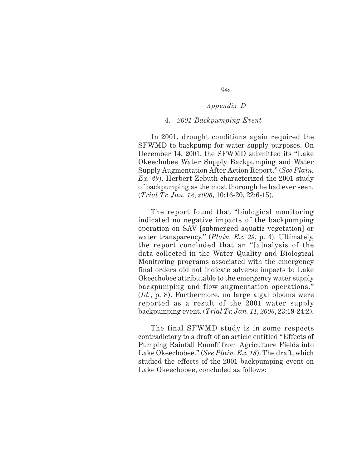### 4. *2001 Backpumping Event*

In 2001, drought conditions again required the SFWMD to backpump for water supply purposes. On December 14, 2001, the SFWMD submitted its "Lake Okeechobee Water Supply Backpumping and Water Supply Augmentation After Action Report." (*See Plain. Ex. 29*). Herbert Zebuth characterized the 2001 study of backpumping as the most thorough he had ever seen. (*Trial Tr. Jan. 18*, *2006*, 10:16-20, 22:6-15).

The report found that "biological monitoring indicated no negative impacts of the backpumping operation on SAV [submerged aquatic vegetation] or water transparency." (*Plain. Ex. 29*, p. 4). Ultimately, the report concluded that an "[a]nalysis of the data collected in the Water Quality and Biological Monitoring programs associated with the emergency final orders did not indicate adverse impacts to Lake Okeechobee attributable to the emergency water supply backpumping and flow augmentation operations." (*Id.*, p. 8). Furthermore, no large algal blooms were reported as a result of the 2001 water supply backpumping event. (*Trial Tr. Jan. 11*, *2006*, 23:19-24:2).

The final SFWMD study is in some respects contradictory to a draft of an article entitled "Effects of Pumping Rainfall Runoff from Agriculture Fields into Lake Okeechobee." (*See Plain. Ex. 18*). The draft, which studied the effects of the 2001 backpumping event on Lake Okeechobee, concluded as follows: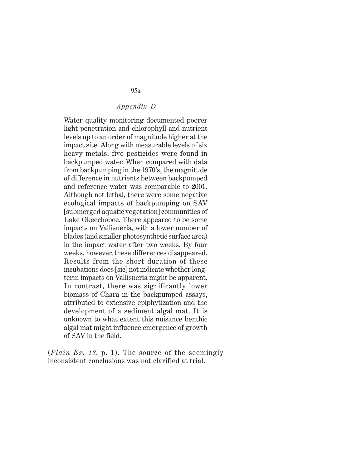Water quality monitoring documented poorer light penetration and chlorophyll and nutrient levels up to an order of magnitude higher at the impact site. Along with measurable levels of six heavy metals, five pesticides were found in backpumped water. When compared with data from backpumping in the 1970's, the magnitude of difference in nutrients between backpumped and reference water was comparable to 2001. Although not lethal, there were some negative ecological impacts of backpumping on SAV [submerged aquatic vegetation] communities of Lake Okeechobee. There appeared to be some impacts on Vallisneria, with a lower number of blades (and smaller photosynthetic surface area) in the impact water after two weeks. By four weeks, however, these differences disappeared. Results from the short duration of these incubations does [sic] not indicate whether longterm impacts on Vallisneria might be apparent. In contrast, there was significantly lower biomass of Chara in the backpumped assays, attributed to extensive epiphytization and the development of a sediment algal mat. It is unknown to what extent this nuisance benthic algal mat might influence emergence of growth of SAV in the field.

(*Plain Ex. 18*, p. 1). The source of the seemingly inconsistent conclusions was not clarified at trial.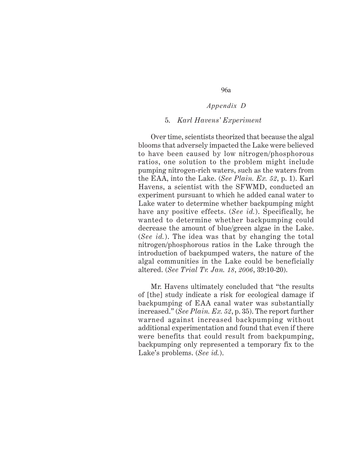96a

#### 5. *Karl Havens' Experiment*

Over time, scientists theorized that because the algal blooms that adversely impacted the Lake were believed to have been caused by low nitrogen/phosphorous ratios, one solution to the problem might include pumping nitrogen-rich waters, such as the waters from the EAA, into the Lake. (*See Plain. Ex. 52*, p. 1). Karl Havens, a scientist with the SFWMD, conducted an experiment pursuant to which he added canal water to Lake water to determine whether backpumping might have any positive effects. (*See id.*). Specifically, he wanted to determine whether backpumping could decrease the amount of blue/green algae in the Lake. (*See id.*). The idea was that by changing the total nitrogen/phosphorous ratios in the Lake through the introduction of backpumped waters, the nature of the algal communities in the Lake could be beneficially altered. (*See Trial Tr. Jan. 18*, *2006*, 39:10-20).

Mr. Havens ultimately concluded that "the results of [the] study indicate a risk for ecological damage if backpumping of EAA canal water was substantially increased." (*See Plain. Ex. 52*, p. 35). The report further warned against increased backpumping without additional experimentation and found that even if there were benefits that could result from backpumping, backpumping only represented a temporary fix to the Lake's problems. (*See id.*).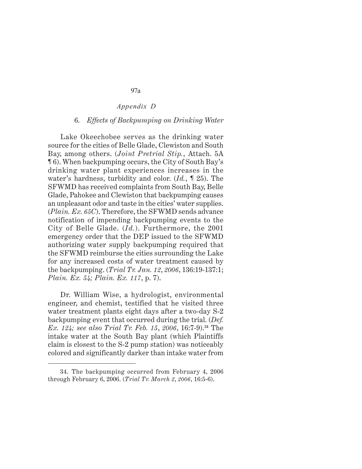### 6. *Effects of Backpumping on Drinking Water*

Lake Okeechobee serves as the drinking water source for the cities of Belle Glade, Clewiston and South Bay, among others. (*Joint Pretrial Stip.*, Attach. 5A ¶ 6). When backpumping occurs, the City of South Bay's drinking water plant experiences increases in the water's hardness, turbidity and color. (*Id.*, ¶ 25). The SFWMD has received complaints from South Bay, Belle Glade, Pahokee and Clewiston that backpumping causes an unpleasant odor and taste in the cities' water supplies. (*Plain. Ex. 65C*). Therefore, the SFWMD sends advance notification of impending backpumping events to the City of Belle Glade. (*Id.*). Furthermore, the 2001 emergency order that the DEP issued to the SFWMD authorizing water supply backpumping required that the SFWMD reimburse the cities surrounding the Lake for any increased costs of water treatment caused by the backpumping. (*Trial Tr. Jan. 12*, *2006*, 136:19-137:1; *Plain. Ex. 54; Plain. Ex. 117*, p. 7).

Dr. William Wise, a hydrologist, environmental engineer, and chemist, testified that he visited three water treatment plants eight days after a two-day S-2 backpumping event that occurred during the trial. (*Def. Ex. 124; see also Trial Tr. Feb. 15*, *2006*, 16:7-9).**<sup>34</sup>** The intake water at the South Bay plant (which Plaintiffs claim is closest to the S-2 pump station) was noticeably colored and significantly darker than intake water from

<sup>34.</sup> The backpumping occurred from February 4, 2006 through February 6, 2006. (*Trial Tr. March 2*, *2006*, 16:5-6).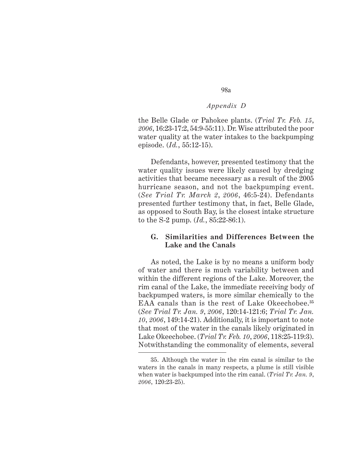the Belle Glade or Pahokee plants. (*Trial Tr. Feb. 15*, *2006*, 16:23-17:2, 54:9-55:11). Dr. Wise attributed the poor water quality at the water intakes to the backpumping episode. (*Id.*, 55:12-15).

Defendants, however, presented testimony that the water quality issues were likely caused by dredging activities that became necessary as a result of the 2005 hurricane season, and not the backpumping event. (*See Trial Tr. March 2*, *2006*, 46:5-24). Defendants presented further testimony that, in fact, Belle Glade, as opposed to South Bay, is the closest intake structure to the S-2 pump. (*Id.*, 85:22-86:1).

## **G. Similarities and Differences Between the Lake and the Canals**

As noted, the Lake is by no means a uniform body of water and there is much variability between and within the different regions of the Lake. Moreover, the rim canal of the Lake, the immediate receiving body of backpumped waters, is more similar chemically to the EAA canals than is the rest of Lake Okeechobee.**<sup>35</sup>** (*See Trial Tr. Jan. 9*, *2006*, 120:14-121:6; *Trial Tr. Jan. 10*, *2006*, 149:14-21). Additionally, it is important to note that most of the water in the canals likely originated in Lake Okeechobee. (*Trial Tr. Feb. 10*, *2006*, 118:25-119:3). Notwithstanding the commonality of elements, several

<sup>35.</sup> Although the water in the rim canal is similar to the waters in the canals in many respects, a plume is still visible when water is backpumped into the rim canal. (*Trial Tr. Jan. 9*, *2006*, 120:23-25).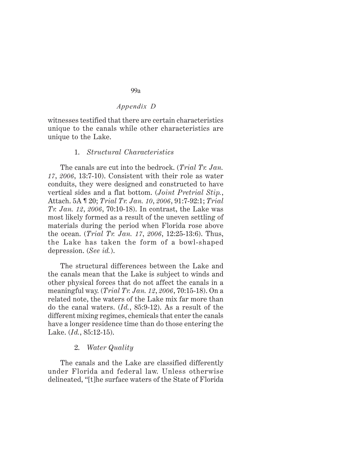## *Appendix D*

witnesses testified that there are certain characteristics unique to the canals while other characteristics are unique to the Lake.

#### 1. *Structural Characteristics*

The canals are cut into the bedrock. (*Trial Tr. Jan. 17*, *2006*, 13:7-10). Consistent with their role as water conduits, they were designed and constructed to have vertical sides and a flat bottom. (*Joint Pretrial Stip.*, Attach. 5A ¶ 20; *Trial Tr. Jan. 10*, *2006*, 91:7-92:1; *Trial Tr. Jan. 12*, *2006*, 70:10-18). In contrast, the Lake was most likely formed as a result of the uneven settling of materials during the period when Florida rose above the ocean. (*Trial Tr. Jan. 17*, *2006*, 12:25-13:6). Thus, the Lake has taken the form of a bowl-shaped depression. (*See id.*).

The structural differences between the Lake and the canals mean that the Lake is subject to winds and other physical forces that do not affect the canals in a meaningful way. (*Trial Tr. Jan. 12*, *2006*, 70:15-18). On a related note, the waters of the Lake mix far more than do the canal waters. (*Id.*, 85:9-12). As a result of the different mixing regimes, chemicals that enter the canals have a longer residence time than do those entering the Lake. (*Id.*, 85:12-15).

#### 2. *Water Quality*

The canals and the Lake are classified differently under Florida and federal law. Unless otherwise delineated, "[t]he surface waters of the State of Florida

99a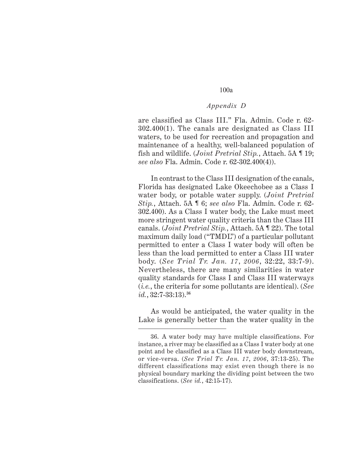## *Appendix D*

are classified as Class III." Fla. Admin. Code r. 62- 302.400(1). The canals are designated as Class III waters, to be used for recreation and propagation and maintenance of a healthy, well-balanced population of fish and wildlife. (*Joint Pretrial Stip.*, Attach. 5A ¶ 19; *see also* Fla. Admin. Code r. 62-302.400(4)).

In contrast to the Class III designation of the canals, Florida has designated Lake Okeechobee as a Class I water body, or potable water supply. (*Joint Pretrial Stip.*, Attach. 5A ¶ 6; *see also* Fla. Admin. Code r. 62- 302.400). As a Class I water body, the Lake must meet more stringent water quality criteria than the Class III canals. (*Joint Pretrial Stip.*, Attach. 5A ¶ 22). The total maximum daily load ("TMDL") of a particular pollutant permitted to enter a Class I water body will often be less than the load permitted to enter a Class III water body. (*See Trial Tr. Jan. 17*, *2006*, 32:22, 33:7-9). Nevertheless, there are many similarities in water quality standards for Class I and Class III waterways (*i.e.*, the criteria for some pollutants are identical). (*See id.*, 32:7-33:13).**<sup>36</sup>**

As would be anticipated, the water quality in the Lake is generally better than the water quality in the

<sup>36.</sup> A water body may have multiple classifications. For instance, a river may be classified as a Class I water body at one point and be classified as a Class III water body downstream, or vice-versa. (*See Trial Tr. Jan. 17*, *2006*, 37:13-25). The different classifications may exist even though there is no physical boundary marking the dividing point between the two classifications. (*See id.*, 42:15-17).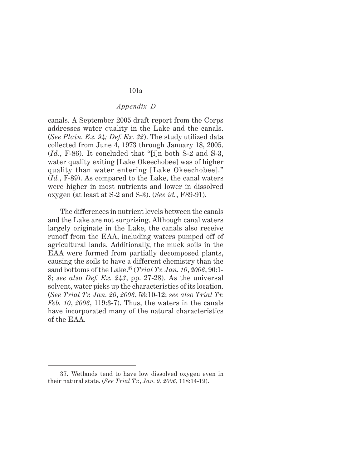# *Appendix D*

canals. A September 2005 draft report from the Corps addresses water quality in the Lake and the canals. (*See Plain. Ex. 94; Def. Ex. 32*). The study utilized data collected from June 4, 1973 through January 18, 2005. (*Id.*, F-86). It concluded that "[i]n both S-2 and S-3, water quality exiting [Lake Okeechobee] was of higher quality than water entering [Lake Okeechobee]." (*Id.*, F-89). As compared to the Lake, the canal waters were higher in most nutrients and lower in dissolved oxygen (at least at S-2 and S-3). (*See id.*, F89-91).

The differences in nutrient levels between the canals and the Lake are not surprising. Although canal waters largely originate in the Lake, the canals also receive runoff from the EAA, including waters pumped off of agricultural lands. Additionally, the muck soils in the EAA were formed from partially decomposed plants, causing the soils to have a different chemistry than the sand bottoms of the Lake.**<sup>37</sup>** (*Trial Tr. Jan. 10*, *2006*, 90:1- 8; *see also Def. Ex. 243*, pp. 27-28). As the universal solvent, water picks up the characteristics of its location. (*See Trial Tr. Jan. 20*, *2006*, 53:10-12; *see also Trial Tr. Feb. 10*, *2006*, 119:3-7). Thus, the waters in the canals have incorporated many of the natural characteristics of the EAA.

<sup>37.</sup> Wetlands tend to have low dissolved oxygen even in their natural state. (*See Trial Tr.*, *Jan. 9*, *2006*, 118:14-19).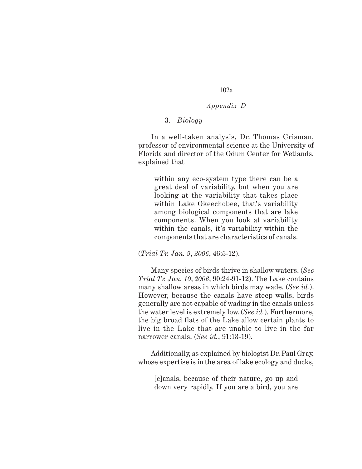## *Appendix D*

# 3. *Biology*

In a well-taken analysis, Dr. Thomas Crisman, professor of environmental science at the University of Florida and director of the Odum Center for Wetlands, explained that

within any eco-system type there can be a great deal of variability, but when you are looking at the variability that takes place within Lake Okeechobee, that's variability among biological components that are lake components. When you look at variability within the canals, it's variability within the components that are characteristics of canals.

(*Trial Tr. Jan. 9*, *2006*, 46:5-12).

Many species of birds thrive in shallow waters. (*See Trial Tr. Jan. 10*, *2006*, 90:24-91-12). The Lake contains many shallow areas in which birds may wade. (*See id.*). However, because the canals have steep walls, birds generally are not capable of wading in the canals unless the water level is extremely low. (*See id.*). Furthermore, the big broad flats of the Lake allow certain plants to live in the Lake that are unable to live in the far narrower canals. (*See id.*, 91:13-19).

Additionally, as explained by biologist Dr. Paul Gray, whose expertise is in the area of lake ecology and ducks,

[c]anals, because of their nature, go up and down very rapidly. If you are a bird, you are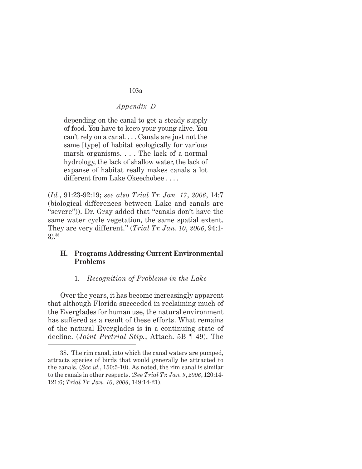# *Appendix D*

depending on the canal to get a steady supply of food. You have to keep your young alive. You can't rely on a canal. . . . Canals are just not the same [type] of habitat ecologically for various marsh organisms. . . . The lack of a normal hydrology, the lack of shallow water, the lack of expanse of habitat really makes canals a lot different from Lake Okeechobee . . . .

(*Id.*, 91:23-92:19; *see also Trial Tr. Jan. 17*, *2006*, 14:7 (biological differences between Lake and canals are "severe")). Dr. Gray added that "canals don't have the same water cycle vegetation, the same spatial extent. They are very different." (*Trial Tr. Jan. 10*, *2006*, 94:1- 3).**<sup>38</sup>**

# **H. Programs Addressing Current Environmental Problems**

## 1. *Recognition of Problems in the Lake*

Over the years, it has become increasingly apparent that although Florida succeeded in reclaiming much of the Everglades for human use, the natural environment has suffered as a result of these efforts. What remains of the natural Everglades is in a continuing state of decline. (*Joint Pretrial Stip.*, Attach. 5B ¶ 49). The

<sup>38.</sup> The rim canal, into which the canal waters are pumped, attracts species of birds that would generally be attracted to the canals. (*See id.*, 150:5-10). As noted, the rim canal is similar to the canals in other respects. (*See Trial Tr. Jan. 9*, *2006*, 120:14- 121:6; *Trial Tr. Jan. 10*, *2006*, 149:14-21).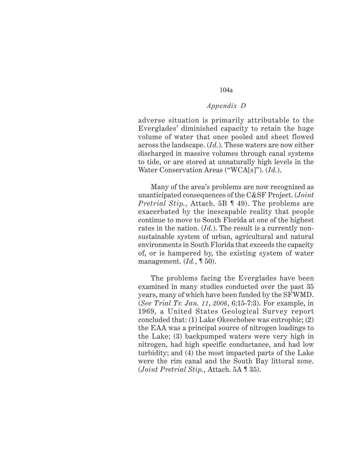## *Appendix D*

adverse situation is primarily attributable to the Everglades' diminished capacity to retain the huge volume of water that once pooled and sheet flowed across the landscape. (*Id.*). These waters are now either discharged in massive volumes through canal systems to tide, or are stored at unnaturally high levels in the Water Conservation Areas ("WCA[s]"). (*Id.*).

Many of the area's problems are now recognized as unanticipated consequences of the C&SF Project. (*Joint Pretrial Stip.*, Attach. 5B ¶ 49). The problems are exacerbated by the inescapable reality that people continue to move to South Florida at one of the highest rates in the nation. (*Id.*). The result is a currently nonsustainable system of urban, agricultural and natural environments in South Florida that exceeds the capacity of, or is hampered by, the existing system of water management. (*Id.*, ¶ 50).

The problems facing the Everglades have been examined in many studies conducted over the past 35 years, many of which have been funded by the SFWMD. (*See Trial Tr. Jan. 11*, *2006*, 6:15-7:3). For example, in 1969, a United States Geological Survey report concluded that: (1) Lake Okeechobee was eutrophic; (2) the EAA was a principal source of nitrogen loadings to the Lake; (3) backpumped waters were very high in nitrogen, had high specific conductance, and had low turbidity; and (4) the most impacted parts of the Lake were the rim canal and the South Bay littoral zone. (*Joint Pretrial Stip.*, Attach. 5A ¶ 35).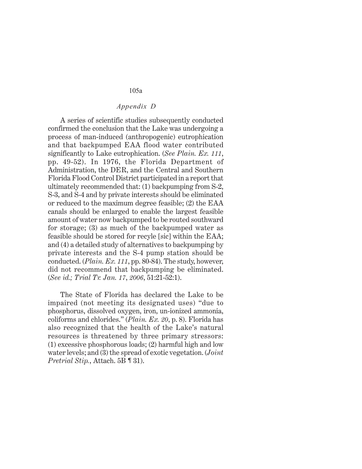## *Appendix D*

A series of scientific studies subsequently conducted confirmed the conclusion that the Lake was undergoing a process of man-induced (anthropogenic) eutrophication and that backpumped EAA flood water contributed significantly to Lake eutrophication. (*See Plain. Ex. 111*, pp. 49-52). In 1976, the Florida Department of Administration, the DER, and the Central and Southern Florida Flood Control District participated in a report that ultimately recommended that: (1) backpumping from S-2, S-3, and S-4 and by private interests should be eliminated or reduced to the maximum degree feasible; (2) the EAA canals should be enlarged to enable the largest feasible amount of water now backpumped to be routed southward for storage; (3) as much of the backpumped water as feasible should be stored for recyle [sic] within the EAA; and (4) a detailed study of alternatives to backpumping by private interests and the S-4 pump station should be conducted. (*Plain. Ex. 111*, pp. 80-84). The study, however, did not recommend that backpumping be eliminated. (*See id.; Trial Tr. Jan. 17*, *2006*, 51:21-52:1).

The State of Florida has declared the Lake to be impaired (not meeting its designated uses) "due to phosphorus, dissolved oxygen, iron, un-ionized ammonia, coliforms and chlorides." (*Plain. Ex. 20*, p. 8). Florida has also recognized that the health of the Lake's natural resources is threatened by three primary stressors: (1) excessive phosphorous loads; (2) harmful high and low water levels; and (3) the spread of exotic vegetation. (*Joint Pretrial Stip.*, Attach. 5B ¶ 31).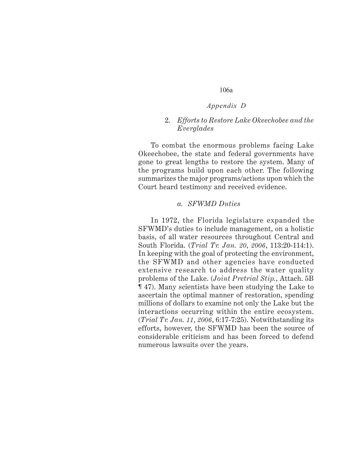# *Appendix D*

## 2. *Efforts to Restore Lake Okeechobee and the Everglades*

To combat the enormous problems facing Lake Okeechobee, the state and federal governments have gone to great lengths to restore the system. Many of the programs build upon each other. The following summarizes the major programs/actions upon which the Court heard testimony and received evidence.

#### *a. SFWMD Duties*

In 1972, the Florida legislature expanded the SFWMD's duties to include management, on a holistic basis, of all water resources throughout Central and South Florida. (*Trial Tr. Jan. 20*, *2006*, 113:20-114:1). In keeping with the goal of protecting the environment, the SFWMD and other agencies have conducted extensive research to address the water quality problems of the Lake. (*Joint Pretrial Stip.*, Attach. 5B ¶ 47). Many scientists have been studying the Lake to ascertain the optimal manner of restoration, spending millions of dollars to examine not only the Lake but the interactions occurring within the entire ecosystem. (*Trial Tr. Jan. 11*, *2006*, 6:17-7:25). Notwithstanding its efforts, however, the SFWMD has been the source of considerable criticism and has been forced to defend numerous lawsuits over the years.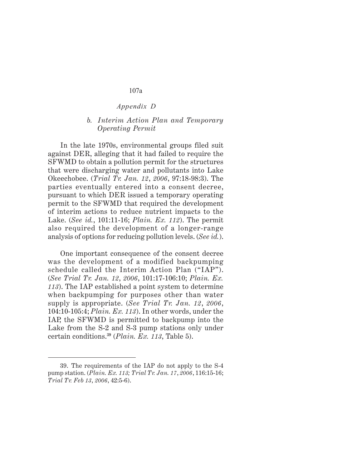# *Appendix D*

## *b. Interim Action Plan and Temporary Operating Permit*

In the late 1970s, environmental groups filed suit against DER, alleging that it had failed to require the SFWMD to obtain a pollution permit for the structures that were discharging water and pollutants into Lake Okeechobee. (*Trial Tr. Jan. 12*, *2006*, 97:18-98:3). The parties eventually entered into a consent decree, pursuant to which DER issued a temporary operating permit to the SFWMD that required the development of interim actions to reduce nutrient impacts to the Lake. (*See id.*, 101:11-16; *Plain. Ex. 112*). The permit also required the development of a longer-range analysis of options for reducing pollution levels. (*See id.*).

One important consequence of the consent decree was the development of a modified backpumping schedule called the Interim Action Plan ("IAP"). (*See Trial Tr. Jan. 12*, *2006*, 101:17-106:10; *Plain. Ex. 113*). The IAP established a point system to determine when backpumping for purposes other than water supply is appropriate. (*See Trial Tr. Jan. 12*, *2006*, 104:10-105:4; *Plain. Ex. 113*). In other words, under the IAP, the SFWMD is permitted to backpump into the Lake from the S-2 and S-3 pump stations only under certain conditions.**<sup>39</sup>** (*Plain. Ex. 113*, Table 5).

<sup>39.</sup> The requirements of the IAP do not apply to the S-4 pump station. (*Plain. Ex. 113; Trial Tr. Jan. 17*, *2006*, 116:15-16; *Trial Tr. Feb 13*, *2006*, 42:5-6).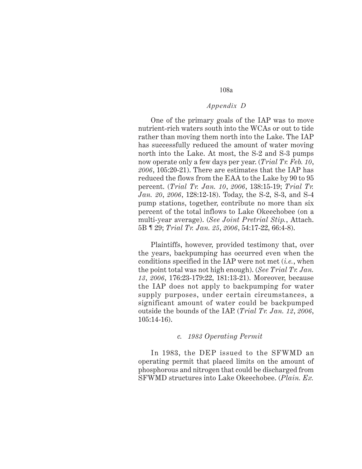## *Appendix D*

One of the primary goals of the IAP was to move nutrient-rich waters south into the WCAs or out to tide rather than moving them north into the Lake. The IAP has successfully reduced the amount of water moving north into the Lake. At most, the S-2 and S-3 pumps now operate only a few days per year. (*Trial Tr. Feb. 10*, *2006*, 105:20-21). There are estimates that the IAP has reduced the flows from the EAA to the Lake by 90 to 95 percent. (*Trial Tr. Jan. 10*, *2006*, 138:15-19; *Trial Tr. Jan. 20*, *2006*, 128:12-18). Today, the S-2, S-3, and S-4 pump stations, together, contribute no more than six percent of the total inflows to Lake Okeechobee (on a multi-year average). (*See Joint Pretrial Stip.*, Attach. 5B ¶ 29; *Trial Tr. Jan. 25*, *2006*, 54:17-22, 66:4-8).

Plaintiffs, however, provided testimony that, over the years, backpumping has occurred even when the conditions specified in the IAP were not met (*i.e.*, when the point total was not high enough). (*See Trial Tr. Jan. 13*, *2006*, 176:23-179:22, 181:13-21). Moreover, because the IAP does not apply to backpumping for water supply purposes, under certain circumstances, a significant amount of water could be backpumped outside the bounds of the IAP. (*Trial Tr. Jan. 12*, *2006*, 105:14-16).

#### *c. 1983 Operating Permit*

In 1983, the DEP issued to the SFWMD an operating permit that placed limits on the amount of phosphorous and nitrogen that could be discharged from SFWMD structures into Lake Okeechobee. (*Plain. Ex.*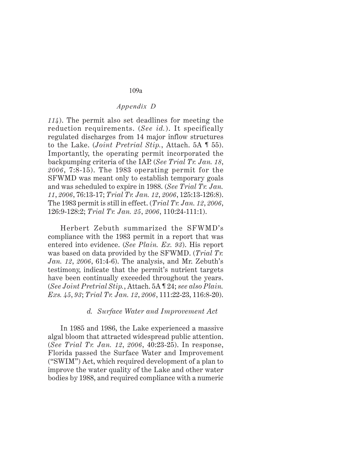# *Appendix D*

*114*). The permit also set deadlines for meeting the reduction requirements. (*See id.*). It specifically regulated discharges from 14 major inflow structures to the Lake. (*Joint Pretrial Stip.*, Attach. 5A ¶ 55). Importantly, the operating permit incorporated the backpumping criteria of the IAP. (*See Trial Tr. Jan. 18*, *2006*, 7:8-15). The 1983 operating permit for the SFWMD was meant only to establish temporary goals and was scheduled to expire in 1988. (*See Trial Tr. Jan. 11*, *2006*, 76:13-17; *Trial Tr. Jan. 12*, *2006*, 125:13-126:8). The 1983 permit is still in effect. (*Trial Tr. Jan. 12*, *2006*, 126:9-128:2; *Trial Tr. Jan. 25*, *2006*, 110:24-111:1).

Herbert Zebuth summarized the SFWMD's compliance with the 1983 permit in a report that was entered into evidence. (*See Plain. Ex. 93*). His report was based on data provided by the SFWMD. (*Trial Tr. Jan. 12*, *2006*, 61:4-6). The analysis, and Mr. Zebuth's testimony, indicate that the permit's nutrient targets have been continually exceeded throughout the years. (*See Joint Pretrial Stip.*, Attach. 5A ¶ 24; *see also Plain. Exs. 45*, *93*; *Trial Tr. Jan. 12*, *2006*, 111:22-23, 116:8-20).

#### *d. Surface Water and Improvement Act*

In 1985 and 1986, the Lake experienced a massive algal bloom that attracted widespread public attention. (*See Trial Tr. Jan. 12*, *2006*, 40:23-25). In response, Florida passed the Surface Water and Improvement ("SWIM") Act, which required development of a plan to improve the water quality of the Lake and other water bodies by 1988, and required compliance with a numeric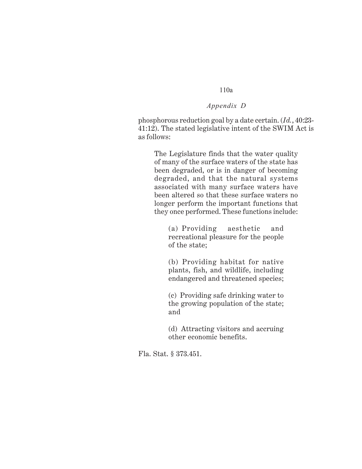# *Appendix D*

phosphorous reduction goal by a date certain. (*Id.*, 40:23- 41:12). The stated legislative intent of the SWIM Act is as follows:

The Legislature finds that the water quality of many of the surface waters of the state has been degraded, or is in danger of becoming degraded, and that the natural systems associated with many surface waters have been altered so that these surface waters no longer perform the important functions that they once performed. These functions include:

(a) Providing aesthetic and recreational pleasure for the people of the state;

(b) Providing habitat for native plants, fish, and wildlife, including endangered and threatened species;

(c) Providing safe drinking water to the growing population of the state; and

(d) Attracting visitors and accruing other economic benefits.

Fla. Stat. § 373.451.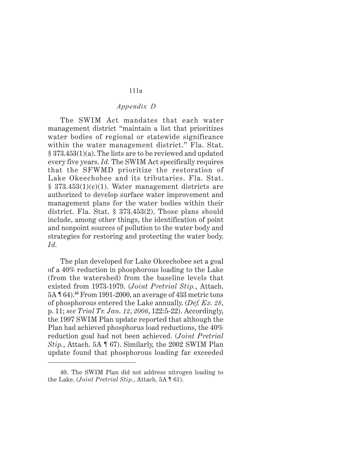## *Appendix D*

The SWIM Act mandates that each water management district "maintain a list that prioritizes water bodies of regional or statewide significance within the water management district." Fla. Stat. § 373.453(1)(a). The lists are to be reviewed and updated every five years. *Id.* The SWIM Act specifically requires that the SFWMD prioritize the restoration of Lake Okeechobee and its tributaries. Fla. Stat.  $\S$  373.453(1)(c)(1). Water management districts are authorized to develop surface water improvement and management plans for the water bodies within their district. Fla. Stat. § 373.453(2). Those plans should include, among other things, the identification of point and nonpoint sources of pollution to the water body and strategies for restoring and protecting the water body. *Id.*

The plan developed for Lake Okeechobee set a goal of a 40% reduction in phosphorous loading to the Lake (from the watershed) from the baseline levels that existed from 1973-1979. (*Joint Pretrial Stip.*, Attach. 5A ¶ 64).**<sup>40</sup>** From 1991-2000, an average of 433 metric tons of phosphorous entered the Lake annually. (*Def. Ex. 28*, p. 11; *see Trial Tr. Jan. 12*, *2006*, 122:5-22). Accordingly, the 1997 SWIM Plan update reported that although the Plan had achieved phosphorus load reductions, the 40% reduction goal had not been achieved. (*Joint Pretrial Stip.*, Attach. 5A ¶ 67). Similarly, the 2002 SWIM Plan update found that phosphorous loading far exceeded

<sup>40.</sup> The SWIM Plan did not address nitrogen loading to the Lake. (*Joint Pretrial Stip.*, Attach. 5A ¶ 61).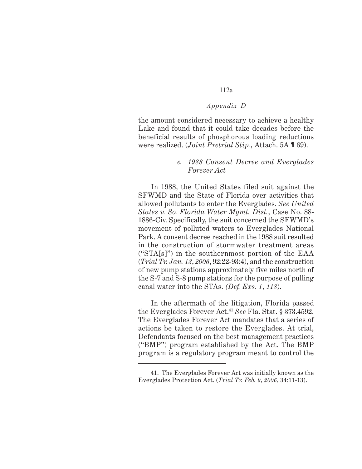## *Appendix D*

the amount considered necessary to achieve a healthy Lake and found that it could take decades before the beneficial results of phosphorous loading reductions were realized. (*Joint Pretrial Stip.*, Attach. 5A ¶ 69).

## *e. 1988 Consent Decree and Everglades Forever Act*

In 1988, the United States filed suit against the SFWMD and the State of Florida over activities that allowed pollutants to enter the Everglades. *See United States v. So. Florida Water Mgmt. Dist.*, Case No. 88- 1886-Civ. Specifically, the suit concerned the SFWMD's movement of polluted waters to Everglades National Park. A consent decree reached in the 1988 suit resulted in the construction of stormwater treatment areas ("STA[s]") in the southernmost portion of the EAA (*Trial Tr. Jan. 13*, *2006*, 92:22-93:4), and the construction of new pump stations approximately five miles north of the S-7 and S-8 pump stations for the purpose of pulling canal water into the STAs. *(Def. Exs. 1*, *118*).

In the aftermath of the litigation, Florida passed the Everglades Forever Act.**<sup>41</sup>** *See* Fla. Stat. § 373.4592. The Everglades Forever Act mandates that a series of actions be taken to restore the Everglades. At trial, Defendants focused on the best management practices ("BMP") program established by the Act. The BMP program is a regulatory program meant to control the

<sup>41.</sup> The Everglades Forever Act was initially known as the Everglades Protection Act. (*Trial Tr. Feb. 9*, *2006*, 34:11-13).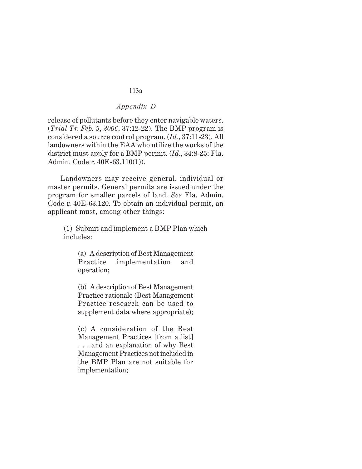# *Appendix D*

release of pollutants before they enter navigable waters. (*Trial Tr. Feb. 9*, *2006*, 37:12-22). The BMP program is considered a source control program. (*Id.*, 37:11-23). All landowners within the EAA who utilize the works of the district must apply for a BMP permit. (*Id.*, 34:8-25; Fla. Admin. Code r. 40E-63.110(1)).

Landowners may receive general, individual or master permits. General permits are issued under the program for smaller parcels of land. *See* Fla. Admin. Code r. 40E-63.120. To obtain an individual permit, an applicant must, among other things:

(1) Submit and implement a BMP Plan which includes:

(a) A description of Best Management Practice implementation and operation;

(b) A description of Best Management Practice rationale (Best Management Practice research can be used to supplement data where appropriate);

(c) A consideration of the Best Management Practices [from a list] . . . and an explanation of why Best Management Practices not included in the BMP Plan are not suitable for implementation;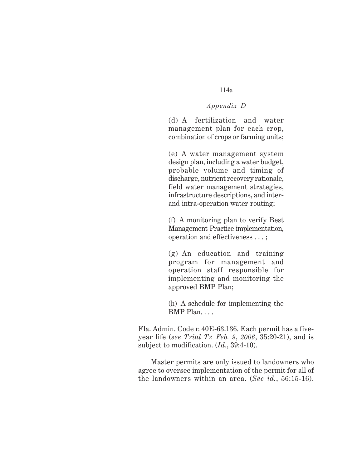# *Appendix D*

(d) A fertilization and water management plan for each crop, combination of crops or farming units;

(e) A water management system design plan, including a water budget, probable volume and timing of discharge, nutrient recovery rationale, field water management strategies, infrastructure descriptions, and interand intra-operation water routing;

(f) A monitoring plan to verify Best Management Practice implementation, operation and effectiveness . . . ;

(g) An education and training program for management and operation staff responsible for implementing and monitoring the approved BMP Plan;

(h) A schedule for implementing the BMP Plan. . . .

Fla. Admin. Code r. 40E-63.136. Each permit has a fiveyear life (*see Trial Tr. Feb. 9*, *2006*, 35:20-21), and is subject to modification. (*Id.*, 39:4-10).

Master permits are only issued to landowners who agree to oversee implementation of the permit for all of the landowners within an area. (*See id.*, 56:15-16).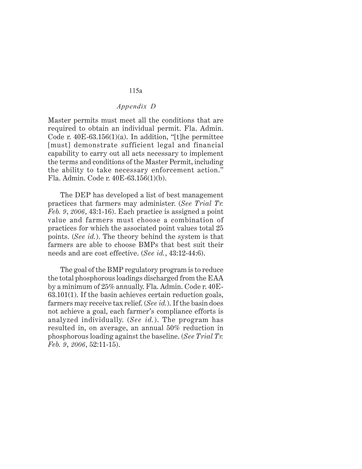## *Appendix D*

Master permits must meet all the conditions that are required to obtain an individual permit. Fla. Admin. Code r.  $40E-63.156(1)(a)$ . In addition, "[t]he permittee [must] demonstrate sufficient legal and financial capability to carry out all acts necessary to implement the terms and conditions of the Master Permit, including the ability to take necessary enforcement action." Fla. Admin. Code r. 40E-63.156(1)(b).

The DEP has developed a list of best management practices that farmers may administer. (*See Trial Tr. Feb. 9*, *2006*, 43:1-16). Each practice is assigned a point value and farmers must choose a combination of practices for which the associated point values total 25 points. (*See id.*). The theory behind the system is that farmers are able to choose BMPs that best suit their needs and are cost effective. (*See id.*, 43:12-44:6).

The goal of the BMP regulatory program is to reduce the total phosphorous loadings discharged from the EAA by a minimum of 25% annually. Fla. Admin. Code r. 40E-63.101(1). If the basin achieves certain reduction goals, farmers may receive tax relief. (*See id.*). If the basin does not achieve a goal, each farmer's compliance efforts is analyzed individually. (*See id.*). The program has resulted in, on average, an annual 50% reduction in phosphorous loading against the baseline. (*See Trial Tr. Feb. 9*, *2006*, 52:11-15).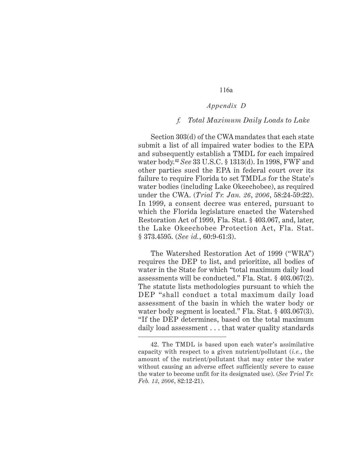## *Appendix D*

#### *f. Total Maximum Daily Loads to Lake*

Section 303(d) of the CWA mandates that each state submit a list of all impaired water bodies to the EPA and subsequently establish a TMDL for each impaired water body.**<sup>42</sup>** *See* 33 U.S.C. § 1313(d). In 1998, FWF and other parties sued the EPA in federal court over its failure to require Florida to set TMDLs for the State's water bodies (including Lake Okeechobee), as required under the CWA. (*Trial Tr. Jan. 26*, *2006*, 58:24-59:22). In 1999, a consent decree was entered, pursuant to which the Florida legislature enacted the Watershed Restoration Act of 1999, Fla. Stat. § 403.067, and, later, the Lake Okeechobee Protection Act, Fla. Stat. § 373.4595. (*See id.*, 60:9-61:3).

The Watershed Restoration Act of 1999 ("WRA") requires the DEP to list, and prioritize, all bodies of water in the State for which "total maximum daily load assessments will be conducted." Fla. Stat. § 403.067(2). The statute lists methodologies pursuant to which the DEP "shall conduct a total maximum daily load assessment of the basin in which the water body or water body segment is located." Fla. Stat. § 403.067(3). "If the DEP determines, based on the total maximum daily load assessment . . . that water quality standards

<sup>42.</sup> The TMDL is based upon each water's assimilative capacity with respect to a given nutrient/pollutant (*i.e.*, the amount of the nutrient/pollutant that may enter the water without causing an adverse effect sufficiently severe to cause the water to become unfit for its designated use). (*See Trial Tr. Feb. 13*, *2006*, 82:12-21).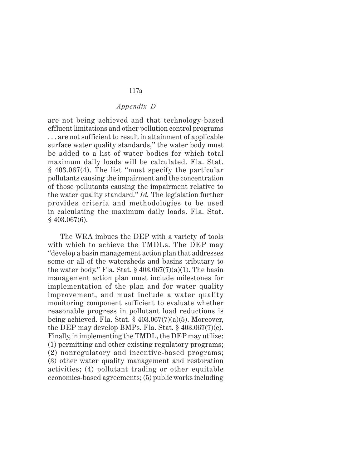## *Appendix D*

are not being achieved and that technology-based effluent limitations and other pollution control programs . . . are not sufficient to result in attainment of applicable surface water quality standards," the water body must be added to a list of water bodies for which total maximum daily loads will be calculated. Fla. Stat. § 403.067(4). The list "must specify the particular pollutants causing the impairment and the concentration of those pollutants causing the impairment relative to the water quality standard." *Id.* The legislation further provides criteria and methodologies to be used in calculating the maximum daily loads. Fla. Stat.  $§$  403.067(6).

The WRA imbues the DEP with a variety of tools with which to achieve the TMDLs. The DEP may "develop a basin management action plan that addresses some or all of the watersheds and basins tributary to the water body." Fla. Stat.  $\S 403.067(7)(a)(1)$ . The basin management action plan must include milestones for implementation of the plan and for water quality improvement, and must include a water quality monitoring component sufficient to evaluate whether reasonable progress in pollutant load reductions is being achieved. Fla. Stat.  $\S$  403.067(7)(a)(5). Moreover, the DEP may develop BMPs. Fla. Stat.  $§$  403.067(7)(c). Finally, in implementing the TMDL, the DEP may utilize: (1) permitting and other existing regulatory programs; (2) nonregulatory and incentive-based programs; (3) other water quality management and restoration activities; (4) pollutant trading or other equitable economics-based agreements; (5) public works including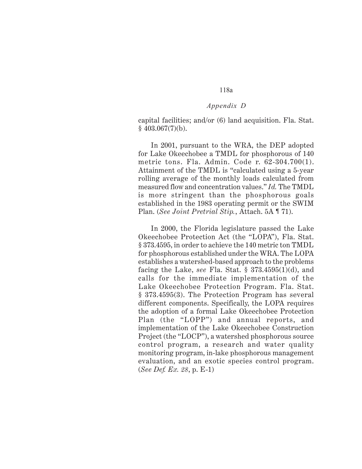#### *Appendix D*

capital facilities; and/or (6) land acquisition. Fla. Stat.  $§$  403.067(7)(b).

In 2001, pursuant to the WRA, the DEP adopted for Lake Okeechobee a TMDL for phosphorous of 140 metric tons. Fla. Admin. Code r. 62-304.700(1). Attainment of the TMDL is "calculated using a 5-year rolling average of the monthly loads calculated from measured flow and concentration values." *Id.* The TMDL is more stringent than the phosphorous goals established in the 1983 operating permit or the SWIM Plan. (*See Joint Pretrial Stip.*, Attach. 5A ¶ 71).

In 2000, the Florida legislature passed the Lake Okeechobee Protection Act (the "LOPA"), Fla. Stat. § 373.4595, in order to achieve the 140 metric ton TMDL for phosphorous established under the WRA. The LOPA establishes a watershed-based approach to the problems facing the Lake, *see* Fla. Stat. § 373.4595(1)(d), and calls for the immediate implementation of the Lake Okeechobee Protection Program. Fla. Stat. § 373.4595(3). The Protection Program has several different components. Specifically, the LOPA requires the adoption of a formal Lake Okeechobee Protection Plan (the "LOPP") and annual reports, and implementation of the Lake Okeechobee Construction Project (the "LOCP"), a watershed phosphorous source control program, a research and water quality monitoring program, in-lake phosphorous management evaluation, and an exotic species control program. (*See Def. Ex. 28*, p. E-1)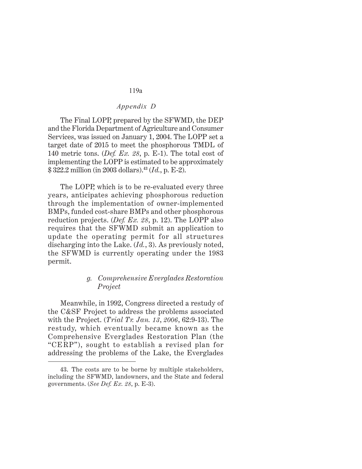# *Appendix D*

The Final LOPP, prepared by the SFWMD, the DEP and the Florida Department of Agriculture and Consumer Services, was issued on January 1, 2004. The LOPP set a target date of 2015 to meet the phosphorous TMDL of 140 metric tons. (*Def. Ex. 28*, p. E-1). The total cost of implementing the LOPP is estimated to be approximately \$ 322.2 million (in 2003 dollars).**<sup>43</sup>** (*Id.*, p. E-2).

The LOPP, which is to be re-evaluated every three years, anticipates achieving phosphorous reduction through the implementation of owner-implemented BMPs, funded cost-share BMPs and other phosphorous reduction projects. (*Def. Ex. 28*, p. 12). The LOPP also requires that the SFWMD submit an application to update the operating permit for all structures discharging into the Lake. (*Id.*, 3). As previously noted, the SFWMD is currently operating under the 1983 permit.

## *g. Comprehensive Everglades Restoration Project*

Meanwhile, in 1992, Congress directed a restudy of the C&SF Project to address the problems associated with the Project. (*Trial Tr. Jan. 13*, *2006*, 62:9-13). The restudy, which eventually became known as the Comprehensive Everglades Restoration Plan (the "CERP"), sought to establish a revised plan for addressing the problems of the Lake, the Everglades

<sup>43.</sup> The costs are to be borne by multiple stakeholders, including the SFWMD, landowners, and the State and federal governments. (*See Def. Ex. 28*, p. E-3).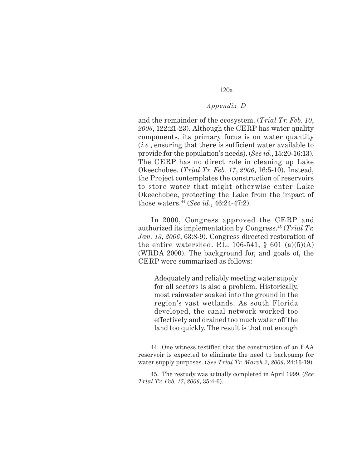## *Appendix D*

and the remainder of the ecosystem. (*Trial Tr. Feb. 10*, *2006*, 122:21-23). Although the CERP has water quality components, its primary focus is on water quantity (*i.e.*, ensuring that there is sufficient water available to provide for the population's needs). (*See id.*, 15:20-16:13). The CERP has no direct role in cleaning up Lake Okeechobee. (*Trial Tr. Feb. 17*, *2006*, 16:5-10). Instead, the Project contemplates the construction of reservoirs to store water that might otherwise enter Lake Okeechobee, protecting the Lake from the impact of those waters.**44** (*See id.*, 46:24-47:2).

In 2000, Congress approved the CERP and authorized its implementation by Congress.**<sup>45</sup>** (*Trial Tr. Jan. 13*, *2006*, 63:8-9). Congress directed restoration of the entire watershed. P.L.  $106-541$ ,  $\frac{601}{a}(a)(5)(A)$ (WRDA 2000). The background for, and goals of, the CERP were summarized as follows:

Adequately and reliably meeting water supply for all sectors is also a problem. Historically, most rainwater soaked into the ground in the region's vast wetlands. As south Florida developed, the canal network worked too effectively and drained too much water off the land too quickly. The result is that not enough

<sup>44.</sup> One witness testified that the construction of an EAA reservoir is expected to eliminate the need to backpump for water supply purposes. (*See Trial Tr. March 2*, *2006*, 24:16-19).

<sup>45.</sup> The restudy was actually completed in April 1999. (*See Trial Tr. Feb. 17*, *2006*, 35:4-6).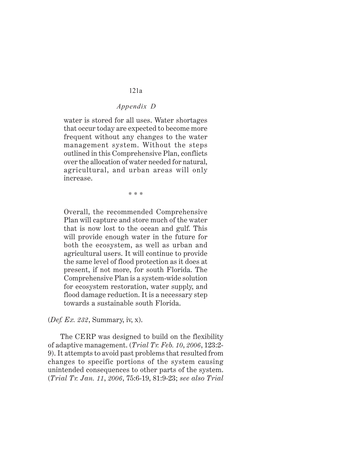# *Appendix D*

water is stored for all uses. Water shortages that occur today are expected to become more frequent without any changes to the water management system. Without the steps outlined in this Comprehensive Plan, conflicts over the allocation of water needed for natural, agricultural, and urban areas will only increase.

\* \* \*

Overall, the recommended Comprehensive Plan will capture and store much of the water that is now lost to the ocean and gulf. This will provide enough water in the future for both the ecosystem, as well as urban and agricultural users. It will continue to provide the same level of flood protection as it does at present, if not more, for south Florida. The Comprehensive Plan is a system-wide solution for ecosystem restoration, water supply, and flood damage reduction. It is a necessary step towards a sustainable south Florida.

(*Def. Ex. 232*, Summary, iv, x).

The CERP was designed to build on the flexibility of adaptive management. (*Trial Tr. Feb. 10*, *2006*, 123:2- 9). It attempts to avoid past problems that resulted from changes to specific portions of the system causing unintended consequences to other parts of the system. (*Trial Tr. Jan. 11*, *2006*, 75:6-19, 81:9-23; *see also Trial*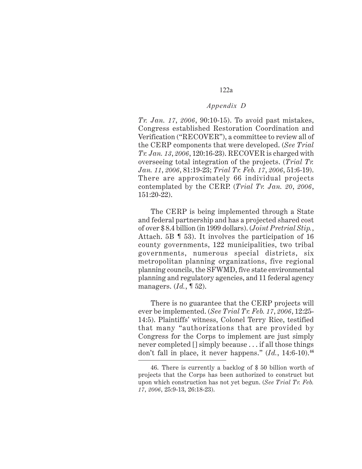## *Appendix D*

*Tr. Jan. 17*, *2006*, 90:10-15). To avoid past mistakes, Congress established Restoration Coordination and Verification ("RECOVER"), a committee to review all of the CERP components that were developed. (*See Trial Tr. Jan. 13*, *2006*, 120:16-23). RECOVER is charged with overseeing total integration of the projects. (*Trial Tr. Jan. 11*, *2006*, 81:19-23; *Trial Tr. Feb. 17*, *2006*, 51:6-19). There are approximately 66 individual projects contemplated by the CERP. (*Trial Tr. Jan. 20*, *2006*, 151:20-22).

The CERP is being implemented through a State and federal partnership and has a projected shared cost of over \$ 8.4 billion (in 1999 dollars). (*Joint Pretrial Stip.*, Attach. 5B ¶ 53). It involves the participation of 16 county governments, 122 municipalities, two tribal governments, numerous special districts, six metropolitan planning organizations, five regional planning councils, the SFWMD, five state environmental planning and regulatory agencies, and 11 federal agency managers. (*Id.*, ¶ 52).

There is no guarantee that the CERP projects will ever be implemented. (*See Trial Tr. Feb. 17*, *2006*, 12:25- 14:5). Plaintiffs' witness, Colonel Terry Rice, testified that many "authorizations that are provided by Congress for the Corps to implement are just simply never completed [] simply because . . . if all those things don't fall in place, it never happens." (*Id.*, 14:6-10).**<sup>46</sup>**

<sup>46.</sup> There is currently a backlog of \$ 50 billion worth of projects that the Corps has been authorized to construct but upon which construction has not yet begun. (*See Trial Tr. Feb. 17*, *2006*, 25:9-13, 26:18-23).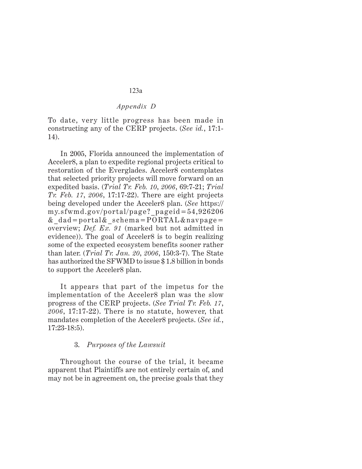## *Appendix D*

To date, very little progress has been made in constructing any of the CERP projects. (*See id.*, 17:1- 14).

In 2005, Florida announced the implementation of Acceler8, a plan to expedite regional projects critical to restoration of the Everglades. Acceler8 contemplates that selected priority projects will move forward on an expedited basis. (*Trial Tr. Feb. 10*, *2006*, 69:7-21; *Trial Tr. Feb. 17*, *2006*, 17:17-22). There are eight projects being developed under the Acceler8 plan. (*See* https:// my.sfwmd.gov/portal/page?\_pageid=54,926206 &\_dad=portal&\_schema=PORTAL&navpage= overview; *Def. Ex. 91* (marked but not admitted in evidence)). The goal of Acceler8 is to begin realizing some of the expected ecosystem benefits sooner rather than later. (*Trial Tr. Jan. 20*, *2006*, 150:3-7). The State has authorized the SFWMD to issue \$ 1.8 billion in bonds to support the Acceler8 plan.

It appears that part of the impetus for the implementation of the Acceler8 plan was the slow progress of the CERP projects. (*See Trial Tr. Feb. 17*, *2006*, 17:17-22). There is no statute, however, that mandates completion of the Acceler8 projects. (*See id.*, 17:23-18:5).

## 3. *Purposes of the Lawsuit*

Throughout the course of the trial, it became apparent that Plaintiffs are not entirely certain of, and may not be in agreement on, the precise goals that they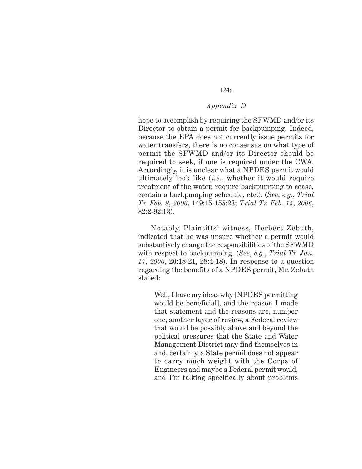## *Appendix D*

hope to accomplish by requiring the SFWMD and/or its Director to obtain a permit for backpumping. Indeed, because the EPA does not currently issue permits for water transfers, there is no consensus on what type of permit the SFWMD and/or its Director should be required to seek, if one is required under the CWA. Accordingly, it is unclear what a NPDES permit would ultimately look like (*i.e.*, whether it would require treatment of the water, require backpumping to cease, contain a backpumping schedule, etc.). (*See*, *e.g.*, *Trial Tr. Feb. 8*, *2006*, 149:15-155:23; *Trial Tr. Feb. 15*, *2006*, 82:2-92:13).

Notably, Plaintiffs' witness, Herbert Zebuth, indicated that he was unsure whether a permit would substantively change the responsibilities of the SFWMD with respect to backpumping. (*See*, *e.g.*, *Trial Tr. Jan. 17*, *2006*, 20:18-21, 28:4-18). In response to a question regarding the benefits of a NPDES permit, Mr. Zebuth stated:

Well, I have my ideas why [NPDES permitting would be beneficial], and the reason I made that statement and the reasons are, number one, another layer of review, a Federal review that would be possibly above and beyond the political pressures that the State and Water Management District may find themselves in and, certainly, a State permit does not appear to carry much weight with the Corps of Engineers and maybe a Federal permit would, and I'm talking specifically about problems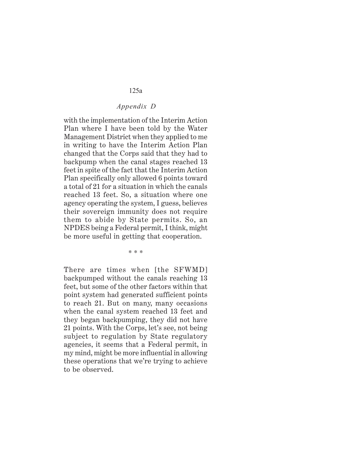## *Appendix D*

with the implementation of the Interim Action Plan where I have been told by the Water Management District when they applied to me in writing to have the Interim Action Plan changed that the Corps said that they had to backpump when the canal stages reached 13 feet in spite of the fact that the Interim Action Plan specifically only allowed 6 points toward a total of 21 for a situation in which the canals reached 13 feet. So, a situation where one agency operating the system, I guess, believes their sovereign immunity does not require them to abide by State permits. So, an NPDES being a Federal permit, I think, might be more useful in getting that cooperation.

\* \* \*

There are times when [the SFWMD] backpumped without the canals reaching 13 feet, but some of the other factors within that point system had generated sufficient points to reach 21. But on many, many occasions when the canal system reached 13 feet and they began backpumping, they did not have 21 points. With the Corps, let's see, not being subject to regulation by State regulatory agencies, it seems that a Federal permit, in my mind, might be more influential in allowing these operations that we're trying to achieve to be observed.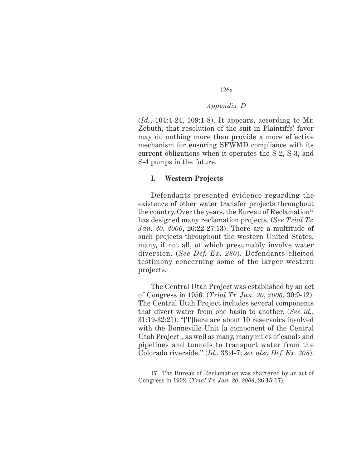## *Appendix D*

(*Id.*, 104:4-24, 109:1-8). It appears, according to Mr. Zebuth, that resolution of the suit in Plaintiffs' favor may do nothing more than provide a more effective mechanism for ensuring SFWMD compliance with its current obligations when it operates the S-2, S-3, and S-4 pumps in the future.

#### **I. Western Projects**

Defendants presented evidence regarding the existence of other water transfer projects throughout the country. Over the years, the Bureau of Reclamation**<sup>47</sup>** has designed many reclamation projects. (*See Trial Tr. Jan. 20*, *2006*, 26:22-27:13). There are a multitude of such projects throughout the western United States, many, if not all, of which presumably involve water diversion. (*See Def. Ex. 280*). Defendants elicited testimony concerning some of the larger western projects.

The Central Utah Project was established by an act of Congress in 1956. (*Trial Tr. Jan. 20*, *2006*, 30:9-12). The Central Utah Project includes several components that divert water from one basin to another. (*See id.*, 31:19-32:21). "[T]here are about 10 reservoirs involved with the Bonneville Unit [a component of the Central Utah Project], as well as many, many miles of canals and pipelines and tunnels to transport water from the Colorado riverside." (*Id.*, 33:4-7; *see also Def. Ex. 308*).

<sup>47.</sup> The Bureau of Reclamation was chartered by an act of Congress in 1902. (*Trial Tr. Jan. 20*, *2006*, 26:15-17).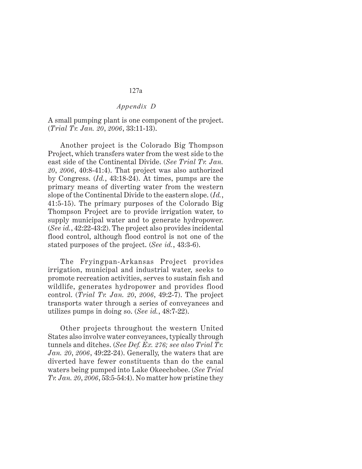## *Appendix D*

A small pumping plant is one component of the project. (*Trial Tr. Jan. 20*, *2006*, 33:11-13).

Another project is the Colorado Big Thompson Project, which transfers water from the west side to the east side of the Continental Divide. (*See Trial Tr. Jan. 20*, *2006*, 40:8-41:4). That project was also authorized by Congress. (*Id.*, 43:18-24). At times, pumps are the primary means of diverting water from the western slope of the Continental Divide to the eastern slope. (*Id.*, 41:5-15). The primary purposes of the Colorado Big Thompson Project are to provide irrigation water, to supply municipal water and to generate hydropower. (*See id.*, 42:22-43:2). The project also provides incidental flood control, although flood control is not one of the stated purposes of the project. (*See id.*, 43:3-6).

The Fryingpan-Arkansas Project provides irrigation, municipal and industrial water, seeks to promote recreation activities, serves to sustain fish and wildlife, generates hydropower and provides flood control. (*Trial Tr. Jan. 20*, *2006*, 49:2-7). The project transports water through a series of conveyances and utilizes pumps in doing so. (*See id.*, 48:7-22).

Other projects throughout the western United States also involve water conveyances, typically through tunnels and ditches. (*See Def. Ex. 276; see also Trial Tr. Jan. 20*, *2006*, 49:22-24). Generally, the waters that are diverted have fewer constituents than do the canal waters being pumped into Lake Okeechobee. (*See Trial Tr. Jan. 20*, *2006*, 53:5-54:4). No matter how pristine they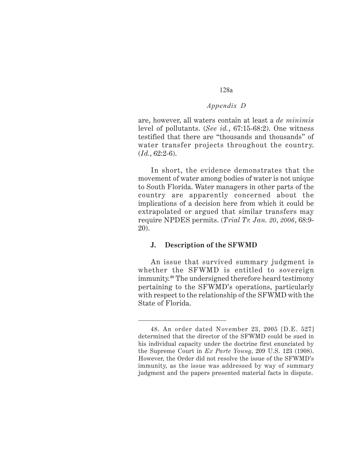# *Appendix D*

are, however, all waters contain at least a *de minimis* level of pollutants. (*See id.*, 67:15-68:2). One witness testified that there are "thousands and thousands" of water transfer projects throughout the country. (*Id.*, 62:2-6).

In short, the evidence demonstrates that the movement of water among bodies of water is not unique to South Florida. Water managers in other parts of the country are apparently concerned about the implications of a decision here from which it could be extrapolated or argued that similar transfers may require NPDES permits. (*Trial Tr. Jan. 20*, *2006*, 68:9- 20).

#### **J. Description of the SFWMD**

An issue that survived summary judgment is whether the SFWMD is entitled to sovereign immunity.**48** The undersigned therefore heard testimony pertaining to the SFWMD's operations, particularly with respect to the relationship of the SFWMD with the State of Florida.

<sup>48.</sup> An order dated November 23, 2005 [D.E. 527] determined that the director of the SFWMD could be sued in his individual capacity under the doctrine first enunciated by the Supreme Court in *Ex Parte Young*, 209 U.S. 123 (1908). However, the Order did not resolve the issue of the SFWMD's immunity, as the issue was addressed by way of summary judgment and the papers presented material facts in dispute.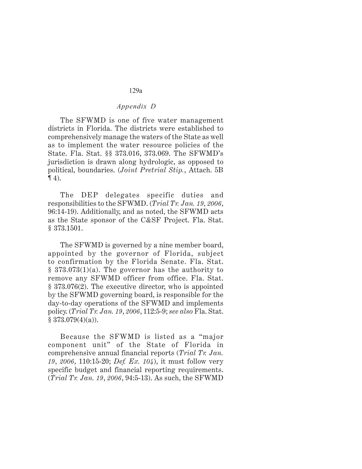# *Appendix D*

The SFWMD is one of five water management districts in Florida. The districts were established to comprehensively manage the waters of the State as well as to implement the water resource policies of the State. Fla. Stat. §§ 373.016, 373.069. The SFWMD's jurisdiction is drawn along hydrologic, as opposed to political, boundaries. (*Joint Pretrial Stip.*, Attach. 5B  $\P(4)$ .

The DEP delegates specific duties and responsibilities to the SFWMD. (*Trial Tr. Jan. 19*, *2006*, 96:14-19). Additionally, and as noted, the SFWMD acts as the State sponsor of the C&SF Project. Fla. Stat. § 373.1501.

The SFWMD is governed by a nine member board, appointed by the governor of Florida, subject to confirmation by the Florida Senate. Fla. Stat.  $§ 373.073(1)(a)$ . The governor has the authority to remove any SFWMD officer from office. Fla. Stat. § 373.076(2). The executive director, who is appointed by the SFWMD governing board, is responsible for the day-to-day operations of the SFWMD and implements policy. (*Trial Tr. Jan. 19*, *2006*, 112:5-9; *see also* Fla. Stat.  $§ 373.079(4)(a)$ .

Because the SFWMD is listed as a "major component unit" of the State of Florida in comprehensive annual financial reports (*Trial Tr. Jan. 19*, *2006*, 110:15-20; *Def. Ex. 104*), it must follow very specific budget and financial reporting requirements. (*Trial Tr. Jan. 19*, *2006*, 94:5-13). As such, the SFWMD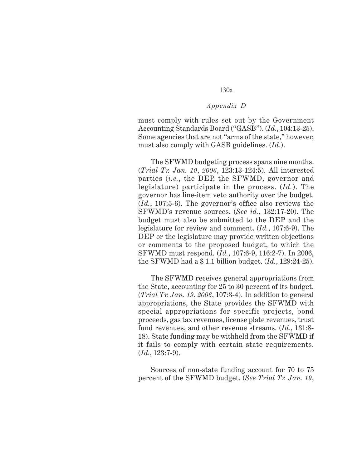## *Appendix D*

must comply with rules set out by the Government Accounting Standards Board ("GASB"). (*Id.*, 104:13-25). Some agencies that are not "arms of the state," however, must also comply with GASB guidelines. (*Id.*).

The SFWMD budgeting process spans nine months. (*Trial Tr. Jan. 19*, *2006*, 123:13-124:5). All interested parties (*i.e.*, the DEP, the SFWMD, governor and legislature) participate in the process. (*Id.*). The governor has line-item veto authority over the budget. (*Id.*, 107:5-6). The governor's office also reviews the SFWMD's revenue sources. (*See id.*, 132:17-20). The budget must also be submitted to the DEP and the legislature for review and comment. (*Id.*, 107:6-9). The DEP or the legislature may provide written objections or comments to the proposed budget, to which the SFWMD must respond. (*Id.*, 107:6-9, 116:2-7). In 2006, the SFWMD had a \$ 1.1 billion budget. (*Id.*, 129:24-25).

The SFWMD receives general appropriations from the State, accounting for 25 to 30 percent of its budget. (*Trial Tr. Jan. 19*, *2006*, 107:3-4). In addition to general appropriations, the State provides the SFWMD with special appropriations for specific projects, bond proceeds, gas tax revenues, license plate revenues, trust fund revenues, and other revenue streams. (*Id.*, 131:8- 18). State funding may be withheld from the SFWMD if it fails to comply with certain state requirements. (*Id.*, 123:7-9).

Sources of non-state funding account for 70 to 75 percent of the SFWMD budget. (*See Trial Tr. Jan. 19*,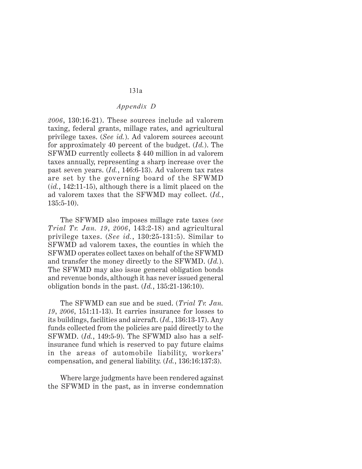# *Appendix D*

*2006*, 130:16-21). These sources include ad valorem taxing, federal grants, millage rates, and agricultural privilege taxes. (*See id.*). Ad valorem sources account for approximately 40 percent of the budget. (*Id.*). The SFWMD currently collects \$ 440 million in ad valorem taxes annually, representing a sharp increase over the past seven years. (*Id.*, 146:6-13). Ad valorem tax rates are set by the governing board of the SFWMD (*id.*, 142:11-15), although there is a limit placed on the ad valorem taxes that the SFWMD may collect. (*Id.*, 135:5-10).

The SFWMD also imposes millage rate taxes (*see Trial Tr. Jan. 19*, *2006*, 143:2-18) and agricultural privilege taxes. (*See id.*, 130:25-131:5). Similar to SFWMD ad valorem taxes, the counties in which the SFWMD operates collect taxes on behalf of the SFWMD and transfer the money directly to the SFWMD. (*Id.*). The SFWMD may also issue general obligation bonds and revenue bonds, although it has never issued general obligation bonds in the past. (*Id.*, 135:21-136:10).

The SFWMD can sue and be sued. (*Trial Tr. Jan. 19*, *2006*, 151:11-13). It carries insurance for losses to its buildings, facilities and aircraft. (*Id.*, 136:13-17). Any funds collected from the policies are paid directly to the SFWMD. (*Id.*, 149:5-9). The SFWMD also has a selfinsurance fund which is reserved to pay future claims in the areas of automobile liability, workers' compensation, and general liability. (*Id.*, 136:16:137:3).

Where large judgments have been rendered against the SFWMD in the past, as in inverse condemnation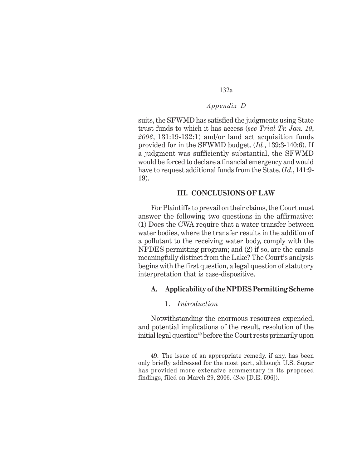# *Appendix D*

suits, the SFWMD has satisfied the judgments using State trust funds to which it has access (*see Trial Tr. Jan. 19*, *2006*, 131:19-132:1) and/or land act acquisition funds provided for in the SFWMD budget. (*Id.*, 139:3-140:6). If a judgment was sufficiently substantial, the SFWMD would be forced to declare a financial emergency and would have to request additional funds from the State. (*Id.*, 141:9- 19).

#### **III. CONCLUSIONS OF LAW**

For Plaintiffs to prevail on their claims, the Court must answer the following two questions in the affirmative: (1) Does the CWA require that a water transfer between water bodies, where the transfer results in the addition of a pollutant to the receiving water body, comply with the NPDES permitting program; and (2) if so, are the canals meaningfully distinct from the Lake? The Court's analysis begins with the first question, a legal question of statutory interpretation that is case-dispositive.

#### **A. Applicability of the NPDES Permitting Scheme**

## 1. *Introduction*

Notwithstanding the enormous resources expended, and potential implications of the result, resolution of the initial legal question**<sup>49</sup>** before the Court rests primarily upon

<sup>49.</sup> The issue of an appropriate remedy, if any, has been only briefly addressed for the most part, although U.S. Sugar has provided more extensive commentary in its proposed findings, filed on March 29, 2006. (*See* [D.E. 596]).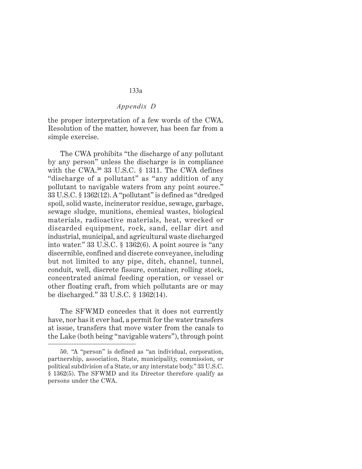## *Appendix D*

the proper interpretation of a few words of the CWA. Resolution of the matter, however, has been far from a simple exercise.

The CWA prohibits "the discharge of any pollutant by any person" unless the discharge is in compliance with the CWA.**<sup>50</sup>** 33 U.S.C. § 1311. The CWA defines "discharge of a pollutant" as "any addition of any pollutant to navigable waters from any point source." 33 U.S.C. § 1362(12). A "pollutant" is defined as "dredged spoil, solid waste, incinerator residue, sewage, garbage, sewage sludge, munitions, chemical wastes, biological materials, radioactive materials, heat, wrecked or discarded equipment, rock, sand, cellar dirt and industrial, municipal, and agricultural waste discharged into water." 33 U.S.C. § 1362(6). A point source is "any discernible, confined and discrete conveyance, including but not limited to any pipe, ditch, channel, tunnel, conduit, well, discrete fissure, container, rolling stock, concentrated animal feeding operation, or vessel or other floating craft, from which pollutants are or may be discharged." 33 U.S.C. § 1362(14).

The SFWMD concedes that it does not currently have, nor has it ever had, a permit for the water transfers at issue, transfers that move water from the canals to the Lake (both being "navigable waters"), through point

<sup>50. &</sup>quot;A "person" is defined as "an individual, corporation, partnership, association, State, municipality, commission, or political subdivision of a State, or any interstate body." 33 U.S.C. § 1362(5). The SFWMD and its Director therefore qualify as persons under the CWA.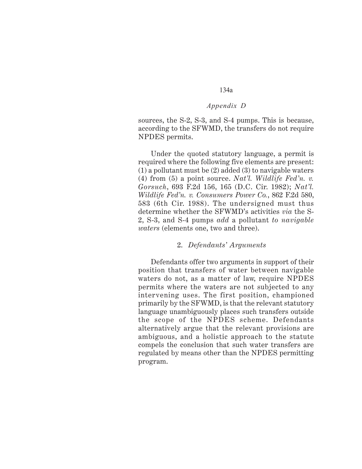## *Appendix D*

sources, the S-2, S-3, and S-4 pumps. This is because, according to the SFWMD, the transfers do not require NPDES permits.

Under the quoted statutory language, a permit is required where the following five elements are present: (1) a pollutant must be (2) added (3) to navigable waters (4) from (5) a point source. *Nat'l. Wildlife Fed'n. v. Gorsuch*, 693 F.2d 156, 165 (D.C. Cir. 1982); *Nat'l. Wildlife Fed'n. v. Consumers Power Co.*, 862 F.2d 580, 583 (6th Cir. 1988). The undersigned must thus determine whether the SFWMD's activities *via* the S-2, S-3, and S-4 pumps *add* a pollutant *to navigable waters* (elements one, two and three).

#### 2. *Defendants' Arguments*

Defendants offer two arguments in support of their position that transfers of water between navigable waters do not, as a matter of law, require NPDES permits where the waters are not subjected to any intervening uses. The first position, championed primarily by the SFWMD, is that the relevant statutory language unambiguously places such transfers outside the scope of the NPDES scheme. Defendants alternatively argue that the relevant provisions are ambiguous, and a holistic approach to the statute compels the conclusion that such water transfers are regulated by means other than the NPDES permitting program.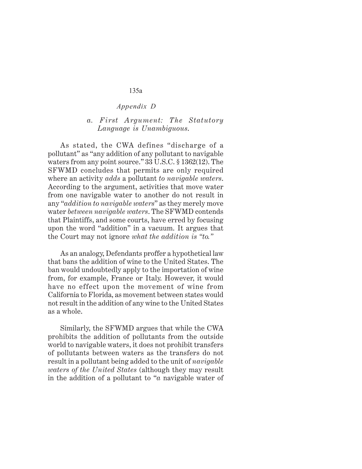#### *Appendix D*

#### *a. First Argument: The Statutory Language is Unambiguous*.

As stated, the CWA defines "discharge of a pollutant" as "any addition of any pollutant to navigable waters from any point source." 33 U.S.C. § 1362(12). The SFWMD concludes that permits are only required where an activity *adds* a pollutant *to navigable waters*. According to the argument, activities that move water from one navigable water to another do not result in any "*addition to navigable waters*" as they merely move water *between navigable waters*. The SFWMD contends that Plaintiffs, and some courts, have erred by focusing upon the word "addition" in a vacuum. It argues that the Court may not ignore *what the addition is "to."*

As an analogy, Defendants proffer a hypothetical law that bans the addition of wine to the United States. The ban would undoubtedly apply to the importation of wine from, for example, France or Italy. However, it would have no effect upon the movement of wine from California to Florida, as movement between states would not result in the addition of any wine to the United States as a whole.

Similarly, the SFWMD argues that while the CWA prohibits the addition of pollutants from the outside world to navigable waters, it does not prohibit transfers of pollutants between waters as the transfers do not result in a pollutant being added to the unit of *navigable waters of the United States* (although they may result in the addition of a pollutant to "*a* navigable water of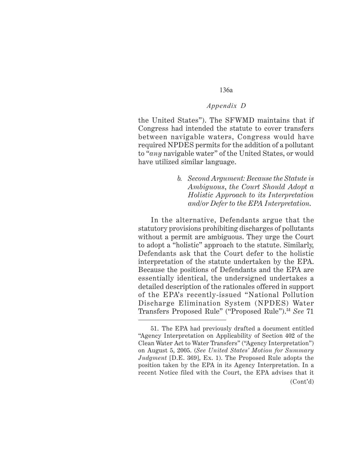#### *Appendix D*

the United States"). The SFWMD maintains that if Congress had intended the statute to cover transfers between navigable waters, Congress would have required NPDES permits for the addition of a pollutant to "*any* navigable water" of the United States, or would have utilized similar language.

> *b. Second Argument: Because the Statute is Ambiguous*, *the Court Should Adopt a Holistic Approach to its Interpretation and/or Defer to the EPA Interpretation*.

In the alternative, Defendants argue that the statutory provisions prohibiting discharges of pollutants without a permit are ambiguous. They urge the Court to adopt a "holistic" approach to the statute. Similarly, Defendants ask that the Court defer to the holistic interpretation of the statute undertaken by the EPA. Because the positions of Defendants and the EPA are essentially identical, the undersigned undertakes a detailed description of the rationales offered in support of the EPA's recently-issued "National Pollution Discharge Elimination System (NPDES) Water Transfers Proposed Rule" ("Proposed Rule").**<sup>51</sup>** *See* 71

<sup>51.</sup> The EPA had previously drafted a document entitled "Agency Interpretation on Applicability of Section 402 of the Clean Water Act to Water Transfers" ("Agency Interpretation") on August 5, 2005. (*See United States' Motion for Summary Judgment* [D.E. 369], Ex. 1). The Proposed Rule adopts the position taken by the EPA in its Agency Interpretation. In a recent Notice filed with the Court, the EPA advises that it (Cont'd)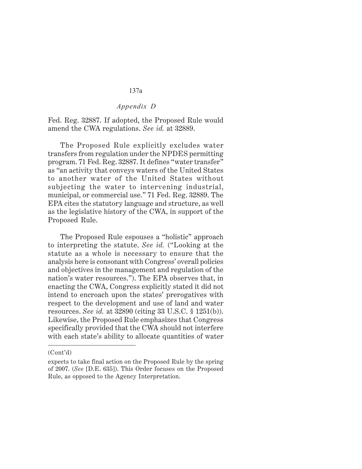#### *Appendix D*

Fed. Reg. 32887. If adopted, the Proposed Rule would amend the CWA regulations. *See id.* at 32889.

The Proposed Rule explicitly excludes water transfers from regulation under the NPDES permitting program. 71 Fed. Reg. 32887. It defines "water transfer" as "an activity that conveys waters of the United States to another water of the United States without subjecting the water to intervening industrial, municipal, or commercial use." 71 Fed. Reg. 32889. The EPA cites the statutory language and structure, as well as the legislative history of the CWA, in support of the Proposed Rule.

The Proposed Rule espouses a "holistic" approach to interpreting the statute. *See id.* ("Looking at the statute as a whole is necessary to ensure that the analysis here is consonant with Congress' overall policies and objectives in the management and regulation of the nation's water resources."). The EPA observes that, in enacting the CWA, Congress explicitly stated it did not intend to encroach upon the states' prerogatives with respect to the development and use of land and water resources. *See id.* at 32890 (citing 33 U.S.C. § 1251(b)). Likewise, the Proposed Rule emphasizes that Congress specifically provided that the CWA should not interfere with each state's ability to allocate quantities of water

<sup>(</sup>Cont'd)

expects to take final action on the Proposed Rule by the spring of 2007. (*See* [D.E. 635]). This Order focuses on the Proposed Rule, as opposed to the Agency Interpretation.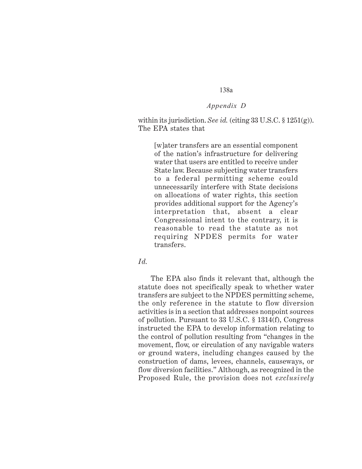# *Appendix D*

within its jurisdiction. *See id.* (citing 33 U.S.C. § 1251(g)). The EPA states that

[w]ater transfers are an essential component of the nation's infrastructure for delivering water that users are entitled to receive under State law. Because subjecting water transfers to a federal permitting scheme could unnecessarily interfere with State decisions on allocations of water rights, this section provides additional support for the Agency's interpretation that, absent a clear Congressional intent to the contrary, it is reasonable to read the statute as not requiring NPDES permits for water transfers.

#### *Id.*

The EPA also finds it relevant that, although the statute does not specifically speak to whether water transfers are subject to the NPDES permitting scheme, the only reference in the statute to flow diversion activities is in a section that addresses nonpoint sources of pollution. Pursuant to 33 U.S.C. § 1314(f), Congress instructed the EPA to develop information relating to the control of pollution resulting from "changes in the movement, flow, or circulation of any navigable waters or ground waters, including changes caused by the construction of dams, levees, channels, causeways, or flow diversion facilities." Although, as recognized in the Proposed Rule, the provision does not *exclusively*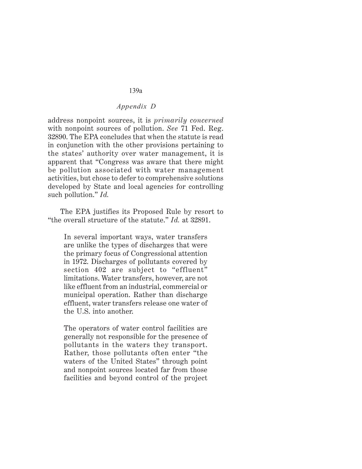#### *Appendix D*

address nonpoint sources, it is *primarily concerned* with nonpoint sources of pollution. *See* 71 Fed. Reg. 32890. The EPA concludes that when the statute is read in conjunction with the other provisions pertaining to the states' authority over water management, it is apparent that "Congress was aware that there might be pollution associated with water management activities, but chose to defer to comprehensive solutions developed by State and local agencies for controlling such pollution." *Id.*

The EPA justifies its Proposed Rule by resort to "the overall structure of the statute." *Id.* at 32891.

In several important ways, water transfers are unlike the types of discharges that were the primary focus of Congressional attention in 1972. Discharges of pollutants covered by section 402 are subject to "effluent" limitations. Water transfers, however, are not like effluent from an industrial, commercial or municipal operation. Rather than discharge effluent, water transfers release one water of the U.S. into another.

The operators of water control facilities are generally not responsible for the presence of pollutants in the waters they transport. Rather, those pollutants often enter "the waters of the United States" through point and nonpoint sources located far from those facilities and beyond control of the project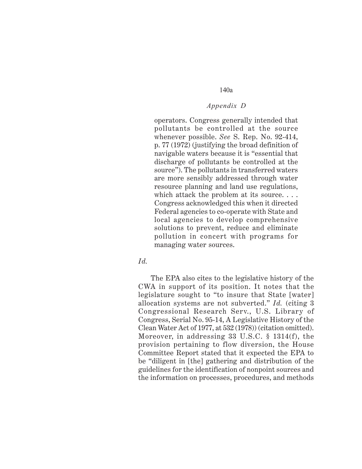#### *Appendix D*

operators. Congress generally intended that pollutants be controlled at the source whenever possible. *See* S. Rep. No. 92-414, p. 77 (1972) (justifying the broad definition of navigable waters because it is "essential that discharge of pollutants be controlled at the source"). The pollutants in transferred waters are more sensibly addressed through water resource planning and land use regulations, which attack the problem at its source.... Congress acknowledged this when it directed Federal agencies to co-operate with State and local agencies to develop comprehensive solutions to prevent, reduce and eliminate pollution in concert with programs for managing water sources.

#### *Id.*

The EPA also cites to the legislative history of the CWA in support of its position. It notes that the legislature sought to "to insure that State [water] allocation systems are not subverted." *Id.* (citing 3 Congressional Research Serv., U.S. Library of Congress, Serial No. 95-14, A Legislative History of the Clean Water Act of 1977, at 532 (1978)) (citation omitted). Moreover, in addressing 33 U.S.C. § 1314(f), the provision pertaining to flow diversion, the House Committee Report stated that it expected the EPA to be "diligent in [the] gathering and distribution of the guidelines for the identification of nonpoint sources and the information on processes, procedures, and methods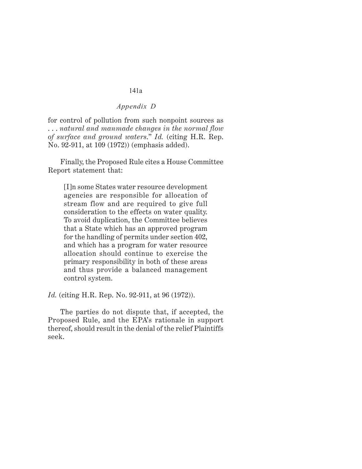#### *Appendix D*

for control of pollution from such nonpoint sources as . . . *natural and manmade changes in the normal flow of surface and ground waters*." *Id.* (citing H.R. Rep. No. 92-911, at 109 (1972)) (emphasis added).

Finally, the Proposed Rule cites a House Committee Report statement that:

[I]n some States water resource development agencies are responsible for allocation of stream flow and are required to give full consideration to the effects on water quality. To avoid duplication, the Committee believes that a State which has an approved program for the handling of permits under section 402, and which has a program for water resource allocation should continue to exercise the primary responsibility in both of these areas and thus provide a balanced management control system.

*Id.* (citing H.R. Rep. No. 92-911, at 96 (1972)).

The parties do not dispute that, if accepted, the Proposed Rule, and the EPA's rationale in support thereof, should result in the denial of the relief Plaintiffs seek.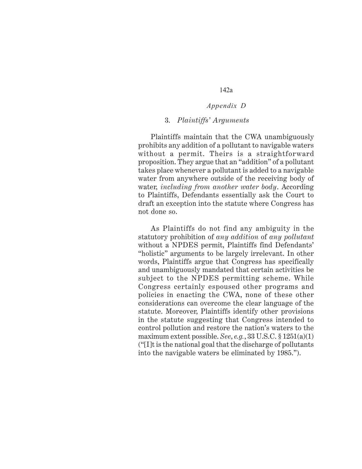#### *Appendix D*

#### 3. *Plaintiffs' Arguments*

Plaintiffs maintain that the CWA unambiguously prohibits any addition of a pollutant to navigable waters without a permit. Theirs is a straightforward proposition. They argue that an "addition" of a pollutant takes place whenever a pollutant is added to a navigable water from anywhere outside of the receiving body of water, *including from another water body*. According to Plaintiffs, Defendants essentially ask the Court to draft an exception into the statute where Congress has not done so.

As Plaintiffs do not find any ambiguity in the statutory prohibition of *any addition* of *any pollutant* without a NPDES permit, Plaintiffs find Defendants' "holistic" arguments to be largely irrelevant. In other words, Plaintiffs argue that Congress has specifically and unambiguously mandated that certain activities be subject to the NPDES permitting scheme. While Congress certainly espoused other programs and policies in enacting the CWA, none of these other considerations can overcome the clear language of the statute. Moreover, Plaintiffs identify other provisions in the statute suggesting that Congress intended to control pollution and restore the nation's waters to the maximum extent possible. *See*, *e.g.*, 33 U.S.C. § 1251(a)(1) ("[I]t is the national goal that the discharge of pollutants into the navigable waters be eliminated by 1985.").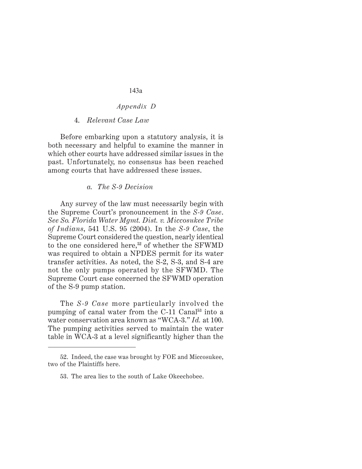#### *Appendix D*

#### 4. *Relevant Case Law*

Before embarking upon a statutory analysis, it is both necessary and helpful to examine the manner in which other courts have addressed similar issues in the past. Unfortunately, no consensus has been reached among courts that have addressed these issues.

#### *a. The S-9 Decision*

Any survey of the law must necessarily begin with the Supreme Court's pronouncement in the *S-9 Case*. *See So. Florida Water Mgmt. Dist. v. Miccosukee Tribe of Indians*, 541 U.S. 95 (2004). In the *S-9 Case*, the Supreme Court considered the question, nearly identical to the one considered here,**<sup>52</sup>** of whether the SFWMD was required to obtain a NPDES permit for its water transfer activities. As noted, the S-2, S-3, and S-4 are not the only pumps operated by the SFWMD. The Supreme Court case concerned the SFWMD operation of the S-9 pump station.

The *S-9 Case* more particularly involved the pumping of canal water from the C-11 Canal**53** into a water conservation area known as "WCA-3." *Id.* at 100. The pumping activities served to maintain the water table in WCA-3 at a level significantly higher than the

<sup>52.</sup> Indeed, the case was brought by FOE and Miccosukee, two of the Plaintiffs here.

<sup>53.</sup> The area lies to the south of Lake Okeechobee.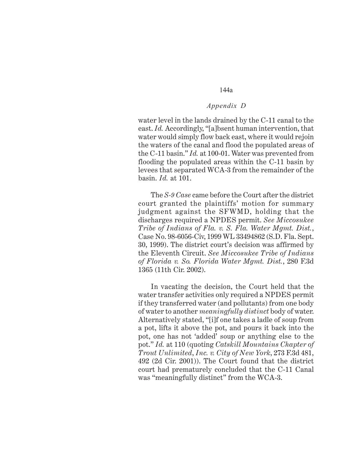#### *Appendix D*

water level in the lands drained by the C-11 canal to the east. *Id.* Accordingly, "[a]bsent human intervention, that water would simply flow back east, where it would rejoin the waters of the canal and flood the populated areas of the C-11 basin." *Id.* at 100-01. Water was prevented from flooding the populated areas within the C-11 basin by levees that separated WCA-3 from the remainder of the basin. *Id.* at 101.

The *S-9 Case* came before the Court after the district court granted the plaintiffs' motion for summary judgment against the SFWMD, holding that the discharges required a NPDES permit. *See Miccosukee Tribe of Indians of Fla. v. S. Fla. Water Mgmt. Dist.*, Case No. 98-6056-Civ, 1999 WL 33494862 (S.D. Fla. Sept. 30, 1999). The district court's decision was affirmed by the Eleventh Circuit. *See Miccosukee Tribe of Indians of Florida v. So. Florida Water Mgmt. Dist.*, 280 F.3d 1365 (11th Cir. 2002).

In vacating the decision, the Court held that the water transfer activities only required a NPDES permit if they transferred water (and pollutants) from one body of water to another *meaningfully distinct* body of water. Alternatively stated, "[i]f one takes a ladle of soup from a pot, lifts it above the pot, and pours it back into the pot, one has not 'added' soup or anything else to the pot." *Id.* at 110 (quoting *Catskill Mountains Chapter of Trout Unlimited*, *Inc. v. City of New York*, 273 F.3d 481, 492 (2d Cir. 2001)). The Court found that the district court had prematurely concluded that the C-11 Canal was "meaningfully distinct" from the WCA-3.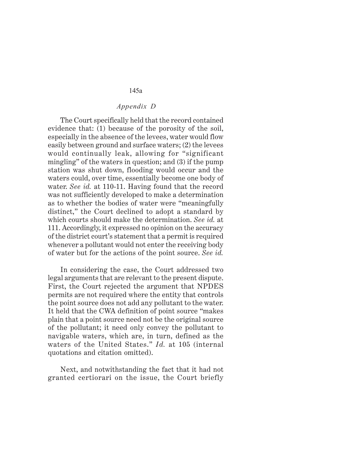#### *Appendix D*

The Court specifically held that the record contained evidence that: (1) because of the porosity of the soil, especially in the absence of the levees, water would flow easily between ground and surface waters; (2) the levees would continually leak, allowing for "significant mingling" of the waters in question; and (3) if the pump station was shut down, flooding would occur and the waters could, over time, essentially become one body of water. *See id.* at 110-11. Having found that the record was not sufficiently developed to make a determination as to whether the bodies of water were "meaningfully distinct," the Court declined to adopt a standard by which courts should make the determination. *See id.* at 111. Accordingly, it expressed no opinion on the accuracy of the district court's statement that a permit is required whenever a pollutant would not enter the receiving body of water but for the actions of the point source. *See id.*

In considering the case, the Court addressed two legal arguments that are relevant to the present dispute. First, the Court rejected the argument that NPDES permits are not required where the entity that controls the point source does not add any pollutant to the water. It held that the CWA definition of point source "makes plain that a point source need not be the original source of the pollutant; it need only convey the pollutant to navigable waters, which are, in turn, defined as the waters of the United States." *Id.* at 105 (internal quotations and citation omitted).

Next, and notwithstanding the fact that it had not granted certiorari on the issue, the Court briefly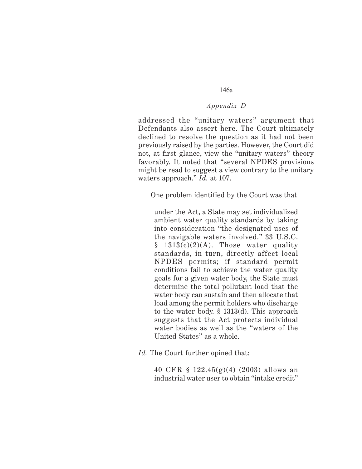#### *Appendix D*

addressed the "unitary waters" argument that Defendants also assert here. The Court ultimately declined to resolve the question as it had not been previously raised by the parties. However, the Court did not, at first glance, view the "unitary waters" theory favorably. It noted that "several NPDES provisions might be read to suggest a view contrary to the unitary waters approach." *Id.* at 107.

One problem identified by the Court was that

under the Act, a State may set individualized ambient water quality standards by taking into consideration "the designated uses of the navigable waters involved." 33 U.S.C.  $§$  1313(c)(2)(A). Those water quality standards, in turn, directly affect local NPDES permits; if standard permit conditions fail to achieve the water quality goals for a given water body, the State must determine the total pollutant load that the water body can sustain and then allocate that load among the permit holders who discharge to the water body. § 1313(d). This approach suggests that the Act protects individual water bodies as well as the "waters of the United States" as a whole.

*Id.* The Court further opined that:

40 CFR § 122.45(g)(4) (2003) allows an industrial water user to obtain "intake credit"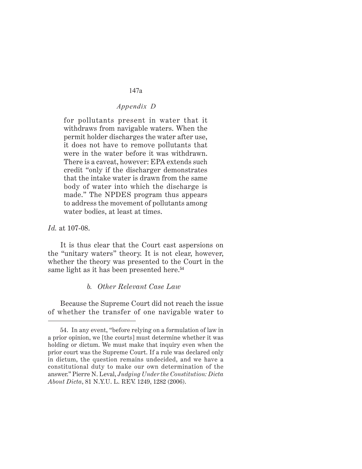# *Appendix D*

for pollutants present in water that it withdraws from navigable waters. When the permit holder discharges the water after use, it does not have to remove pollutants that were in the water before it was withdrawn. There is a caveat, however: EPA extends such credit "only if the discharger demonstrates that the intake water is drawn from the same body of water into which the discharge is made." The NPDES program thus appears to address the movement of pollutants among water bodies, at least at times.

*Id.* at 107-08.

It is thus clear that the Court cast aspersions on the "unitary waters" theory. It is not clear, however, whether the theory was presented to the Court in the same light as it has been presented here.**<sup>54</sup>**

#### *b. Other Relevant Case Law*

Because the Supreme Court did not reach the issue of whether the transfer of one navigable water to

<sup>54.</sup> In any event, "before relying on a formulation of law in a prior opinion, we [the courts] must determine whether it was holding or dictum. We must make that inquiry even when the prior court was the Supreme Court. If a rule was declared only in dictum, the question remains undecided, and we have a constitutional duty to make our own determination of the answer." Pierre N. Leval, *Judging Under the Constitution: Dicta About Dicta*, 81 N.Y.U. L. REV. 1249, 1282 (2006).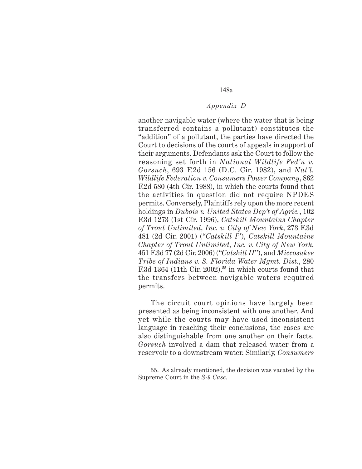#### *Appendix D*

another navigable water (where the water that is being transferred contains a pollutant) constitutes the "addition" of a pollutant, the parties have directed the Court to decisions of the courts of appeals in support of their arguments. Defendants ask the Court to follow the reasoning set forth in *National Wildlife Fed'n v. Gorsuch*, 693 F.2d 156 (D.C. Cir. 1982), and *Nat'l. Wildlife Federation v. Consumers Power Company*, 862 F.2d 580 (4th Cir. 1988), in which the courts found that the activities in question did not require NPDES permits. Conversely, Plaintiffs rely upon the more recent holdings in *Dubois v. United States Dep't of Agric.*, 102 F.3d 1273 (1st Cir. 1996), *Catskill Mountains Chapter of Trout Unlimited*, *Inc. v. City of New York*, 273 F.3d 481 (2d Cir. 2001) ("*Catskill I*"), *Catskill Mountains Chapter of Trout Unlimited*, *Inc. v. City of New York*, 451 F.3d 77 (2d Cir. 2006) ("*Catskill II*"), and *Miccosukee Tribe of Indians v. S. Florida Water Mgmt. Dist.*, 280 F.3d 1364 (11th Cir. 2002),**<sup>55</sup>** in which courts found that the transfers between navigable waters required permits.

The circuit court opinions have largely been presented as being inconsistent with one another. And yet while the courts may have used inconsistent language in reaching their conclusions, the cases are also distinguishable from one another on their facts. *Gorsuch* involved a dam that released water from a reservoir to a downstream water. Similarly, *Consumers*

<sup>55.</sup> As already mentioned, the decision was vacated by the Supreme Court in the *S-9 Case*.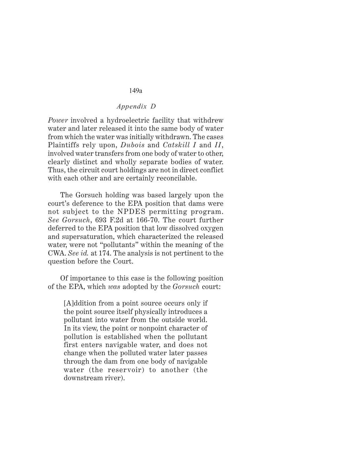# *Appendix D*

*Power* involved a hydroelectric facility that withdrew water and later released it into the same body of water from which the water was initially withdrawn. The cases Plaintiffs rely upon, *Dubois* and *Catskill I* and *II*, involved water transfers from one body of water to other, clearly distinct and wholly separate bodies of water. Thus, the circuit court holdings are not in direct conflict with each other and are certainly reconcilable.

The Gorsuch holding was based largely upon the court's deference to the EPA position that dams were not subject to the NPDES permitting program. *See Gorsuch*, 693 F.2d at 166-70. The court further deferred to the EPA position that low dissolved oxygen and supersaturation, which characterized the released water, were not "pollutants" within the meaning of the CWA. *See id.* at 174. The analysis is not pertinent to the question before the Court.

Of importance to this case is the following position of the EPA, which *was* adopted by the *Gorsuch* court:

[A]ddition from a point source occurs only if the point source itself physically introduces a pollutant into water from the outside world. In its view, the point or nonpoint character of pollution is established when the pollutant first enters navigable water, and does not change when the polluted water later passes through the dam from one body of navigable water (the reservoir) to another (the downstream river).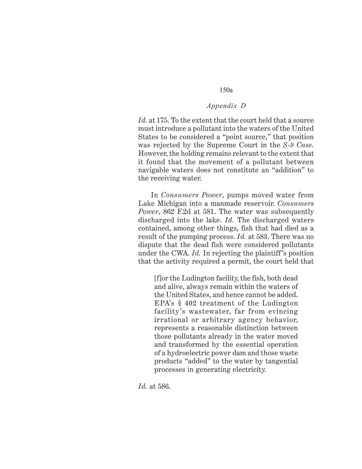### *Appendix D*

*Id.* at 175. To the extent that the court held that a source must introduce a pollutant into the waters of the United States to be considered a "point source," that position was rejected by the Supreme Court in the *S-9 Case*. However, the holding remains relevant to the extent that it found that the movement of a pollutant between navigable waters does not constitute an "addition" to the receiving water.

In *Consumers Power*, pumps moved water from Lake Michigan into a manmade reservoir. *Consumers Power*, 862 F.2d at 581. The water was subsequently discharged into the lake. *Id.* The discharged waters contained, among other things, fish that had died as a result of the pumping process. *Id.* at 583. There was no dispute that the dead fish were considered pollutants under the CWA. *Id.* In rejecting the plaintiff's position that the activity required a permit, the court held that

[f]or the Ludington facility, the fish, both dead and alive, always remain within the waters of the United States, and hence cannot be added. EPA's § 402 treatment of the Ludington facility's wastewater, far from evincing irrational or arbitrary agency behavior, represents a reasonable distinction between those pollutants already in the water moved and transformed by the essential operation of a hydroelectric power dam and those waste products "added" to the water by tangential processes in generating electricity.

*Id.* at 586.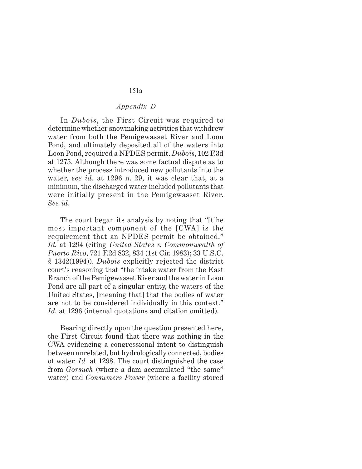# *Appendix D*

In *Dubois*, the First Circuit was required to determine whether snowmaking activities that withdrew water from both the Pemigewasset River and Loon Pond, and ultimately deposited all of the waters into Loon Pond, required a NPDES permit. *Dubois*, 102 F.3d at 1275. Although there was some factual dispute as to whether the process introduced new pollutants into the water, *see id.* at 1296 n. 29, it was clear that, at a minimum, the discharged water included pollutants that were initially present in the Pemigewasset River. *See id.*

The court began its analysis by noting that "[t]he most important component of the [CWA] is the requirement that an NPDES permit be obtained." *Id.* at 1294 (citing *United States v. Commonwealth of Puerto Rico*, 721 F.2d 832, 834 (1st Cir. 1983); 33 U.S.C. § 1342(1994)). *Dubois* explicitly rejected the district court's reasoning that "the intake water from the East Branch of the Pemigewasset River and the water in Loon Pond are all part of a singular entity, the waters of the United States, [meaning that] that the bodies of water are not to be considered individually in this context." *Id.* at 1296 (internal quotations and citation omitted).

Bearing directly upon the question presented here, the First Circuit found that there was nothing in the CWA evidencing a congressional intent to distinguish between unrelated, but hydrologically connected, bodies of water. *Id.* at 1298. The court distinguished the case from *Gorsuch* (where a dam accumulated "the same" water) and *Consumers Power* (where a facility stored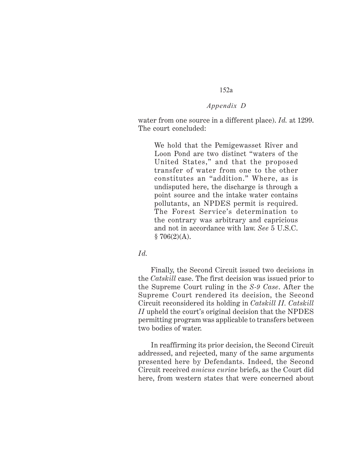# *Appendix D*

water from one source in a different place). *Id.* at 1299. The court concluded:

We hold that the Pemigewasset River and Loon Pond are two distinct "waters of the United States," and that the proposed transfer of water from one to the other constitutes an "addition." Where, as is undisputed here, the discharge is through a point source and the intake water contains pollutants, an NPDES permit is required. The Forest Service's determination to the contrary was arbitrary and capricious and not in accordance with law. *See* 5 U.S.C.  $$706(2)(A).$ 

# *Id.*

Finally, the Second Circuit issued two decisions in the *Catskill* case. The first decision was issued prior to the Supreme Court ruling in the *S-9 Case*. After the Supreme Court rendered its decision, the Second Circuit reconsidered its holding in *Catskill II. Catskill II* upheld the court's original decision that the NPDES permitting program was applicable to transfers between two bodies of water.

In reaffirming its prior decision, the Second Circuit addressed, and rejected, many of the same arguments presented here by Defendants. Indeed, the Second Circuit received *amicus curiae* briefs, as the Court did here, from western states that were concerned about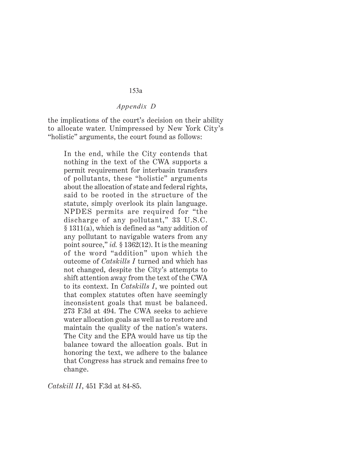#### *Appendix D*

the implications of the court's decision on their ability to allocate water. Unimpressed by New York City's "holistic" arguments, the court found as follows:

In the end, while the City contends that nothing in the text of the CWA supports a permit requirement for interbasin transfers of pollutants, these "holistic" arguments about the allocation of state and federal rights, said to be rooted in the structure of the statute, simply overlook its plain language. NPDES permits are required for "the discharge of any pollutant," 33 U.S.C. § 1311(a), which is defined as "any addition of any pollutant to navigable waters from any point source," *id.* § 1362(12). It is the meaning of the word "addition" upon which the outcome of *Catskills I* turned and which has not changed, despite the City's attempts to shift attention away from the text of the CWA to its context. In *Catskills I*, we pointed out that complex statutes often have seemingly inconsistent goals that must be balanced. 273 F.3d at 494. The CWA seeks to achieve water allocation goals as well as to restore and maintain the quality of the nation's waters. The City and the EPA would have us tip the balance toward the allocation goals. But in honoring the text, we adhere to the balance that Congress has struck and remains free to change.

*Catskill II*, 451 F.3d at 84-85.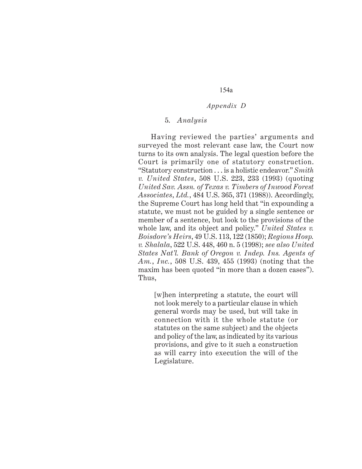#### *Appendix D*

#### 5. *Analysis*

Having reviewed the parties' arguments and surveyed the most relevant case law, the Court now turns to its own analysis. The legal question before the Court is primarily one of statutory construction. "Statutory construction . . . is a holistic endeavor." *Smith v. United States*, 508 U.S. 223, 233 (1993) (quoting *United Sav. Assn. of Texas v. Timbers of Inwood Forest Associates*, *Ltd.*, 484 U.S. 365, 371 (1988)). Accordingly, the Supreme Court has long held that "in expounding a statute, we must not be guided by a single sentence or member of a sentence, but look to the provisions of the whole law, and its object and policy." *United States v. Boisdore's Heirs*, 49 U.S. 113, 122 (1850); *Regions Hosp. v. Shalala*, 522 U.S. 448, 460 n. 5 (1998); *see also United States Nat'l. Bank of Oregon v. Indep. Ins. Agents of Am.*, *Inc.*, 508 U.S. 439, 455 (1993) (noting that the maxim has been quoted "in more than a dozen cases"). Thus,

[w]hen interpreting a statute, the court will not look merely to a particular clause in which general words may be used, but will take in connection with it the whole statute (or statutes on the same subject) and the objects and policy of the law, as indicated by its various provisions, and give to it such a construction as will carry into execution the will of the Legislature.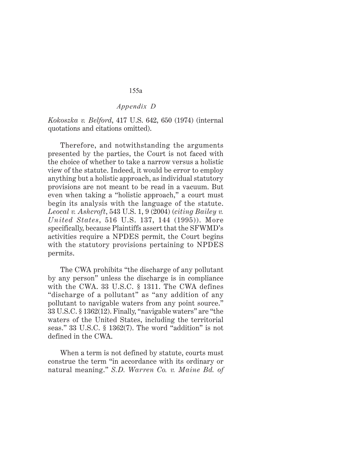# *Appendix D*

*Kokoszka v. Belford*, 417 U.S. 642, 650 (1974) (internal quotations and citations omitted).

Therefore, and notwithstanding the arguments presented by the parties, the Court is not faced with the choice of whether to take a narrow versus a holistic view of the statute. Indeed, it would be error to employ anything but a holistic approach, as individual statutory provisions are not meant to be read in a vacuum. But even when taking a "holistic approach," a court must begin its analysis with the language of the statute. *Leocal v. Ashcroft*, 543 U.S. 1, 9 (2004) (*citing Bailey v. United States*, 516 U.S. 137, 144 (1995)). More specifically, because Plaintiffs assert that the SFWMD's activities require a NPDES permit, the Court begins with the statutory provisions pertaining to NPDES permits.

The CWA prohibits "the discharge of any pollutant by any person" unless the discharge is in compliance with the CWA. 33 U.S.C. § 1311. The CWA defines "discharge of a pollutant" as "any addition of any pollutant to navigable waters from any point source." 33 U.S.C. § 1362(12). Finally, "navigable waters" are "the waters of the United States, including the territorial seas." 33 U.S.C. § 1362(7). The word "addition" is not defined in the CWA.

When a term is not defined by statute, courts must construe the term "in accordance with its ordinary or natural meaning." *S.D. Warren Co. v. Maine Bd. of*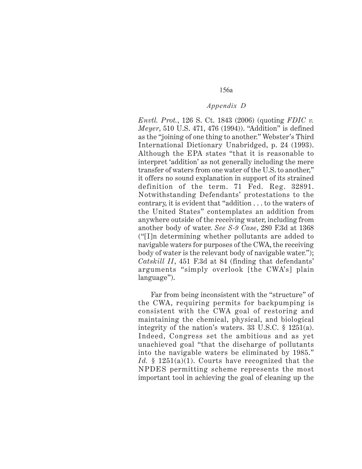#### *Appendix D*

*Envtl. Prot.*, 126 S. Ct. 1843 (2006) (quoting *FDIC v. Meyer*, 510 U.S. 471, 476 (1994)). "Addition" is defined as the "joining of one thing to another." Webster's Third International Dictionary Unabridged, p. 24 (1993). Although the EPA states "that it is reasonable to interpret 'addition' as not generally including the mere transfer of waters from one water of the U.S. to another," it offers no sound explanation in support of its strained definition of the term. 71 Fed. Reg. 32891. Notwithstanding Defendants' protestations to the contrary, it is evident that "addition . . . to the waters of the United States" contemplates an addition from anywhere outside of the receiving water, including from another body of water. *See S-9 Case*, 280 F.3d at 1368 ("[I]n determining whether pollutants are added to navigable waters for purposes of the CWA, the receiving body of water is the relevant body of navigable water."); *Catskill II*, 451 F.3d at 84 (finding that defendants' arguments "simply overlook [the CWA's] plain language").

Far from being inconsistent with the "structure" of the CWA, requiring permits for backpumping is consistent with the CWA goal of restoring and maintaining the chemical, physical, and biological integrity of the nation's waters. 33 U.S.C. § 1251(a). Indeed, Congress set the ambitious and as yet unachieved goal "that the discharge of pollutants into the navigable waters be eliminated by 1985." Id. § 1251(a)(1). Courts have recognized that the NPDES permitting scheme represents the most important tool in achieving the goal of cleaning up the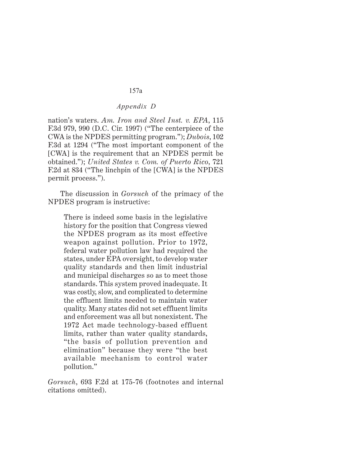### *Appendix D*

nation's waters. *Am. Iron and Steel Inst. v. EPA*, 115 F.3d 979, 990 (D.C. Cir. 1997) ("The centerpiece of the CWA is the NPDES permitting program."); *Dubois*, 102 F.3d at 1294 ("The most important component of the [CWA] is the requirement that an NPDES permit be obtained."); *United States v. Com. of Puerto Rico*, 721 F.2d at 834 ("The linchpin of the [CWA] is the NPDES permit process.").

The discussion in *Gorsuch* of the primacy of the NPDES program is instructive:

There is indeed some basis in the legislative history for the position that Congress viewed the NPDES program as its most effective weapon against pollution. Prior to 1972, federal water pollution law had required the states, under EPA oversight, to develop water quality standards and then limit industrial and municipal discharges so as to meet those standards. This system proved inadequate. It was costly, slow, and complicated to determine the effluent limits needed to maintain water quality. Many states did not set effluent limits and enforcement was all but nonexistent. The 1972 Act made technology-based effluent limits, rather than water quality standards, "the basis of pollution prevention and elimination" because they were "the best available mechanism to control water pollution."

*Gorsuch*, 693 F.2d at 175-76 (footnotes and internal citations omitted).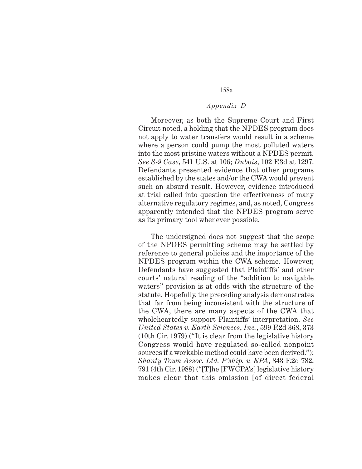#### *Appendix D*

Moreover, as both the Supreme Court and First Circuit noted, a holding that the NPDES program does not apply to water transfers would result in a scheme where a person could pump the most polluted waters into the most pristine waters without a NPDES permit. *See S-9 Case*, 541 U.S. at 106; *Dubois*, 102 F.3d at 1297. Defendants presented evidence that other programs established by the states and/or the CWA would prevent such an absurd result. However, evidence introduced at trial called into question the effectiveness of many alternative regulatory regimes, and, as noted, Congress apparently intended that the NPDES program serve as its primary tool whenever possible.

The undersigned does not suggest that the scope of the NPDES permitting scheme may be settled by reference to general policies and the importance of the NPDES program within the CWA scheme. However, Defendants have suggested that Plaintiffs' and other courts' natural reading of the "addition to navigable waters" provision is at odds with the structure of the statute. Hopefully, the preceding analysis demonstrates that far from being inconsistent with the structure of the CWA, there are many aspects of the CWA that wholeheartedly support Plaintiffs' interpretation. *See United States v. Earth Sciences*, *Inc.*, 599 F.2d 368, 373 (10th Cir. 1979) ("It is clear from the legislative history Congress would have regulated so-called nonpoint sources if a workable method could have been derived."); *Shanty Town Assoc. Ltd. P'ship. v. EPA*, 843 F.2d 782, 791 (4th Cir. 1988) ("[T]he [FWCPA's] legislative history makes clear that this omission [of direct federal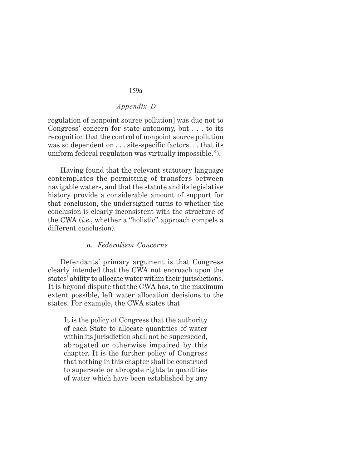# *Appendix D*

regulation of nonpoint source pollution] was due not to Congress' concern for state autonomy, but . . . to its recognition that the control of nonpoint source pollution was so dependent on  $\dots$  site-specific factors... that its uniform federal regulation was virtually impossible.").

Having found that the relevant statutory language contemplates the permitting of transfers between navigable waters, and that the statute and its legislative history provide a considerable amount of support for that conclusion, the undersigned turns to whether the conclusion is clearly inconsistent with the structure of the CWA (*i.e.*, whether a "holistic" approach compels a different conclusion).

#### *a. Federalism Concerns*

Defendants' primary argument is that Congress clearly intended that the CWA not encroach upon the states' ability to allocate water within their jurisdictions. It is beyond dispute thatthe CWA has, to the maximum extent possible, left water allocation decisions to the states. For example, the CWA states that

It is the policy of Congress that the authority of each State to allocate quantities of water within its jurisdiction shall not be superseded, abrogated or otherwise impaired by this chapter. It is the further policy of Congress that nothing in this chapter shall be construed to supersede or abrogate rights to quantities of water which have been established by any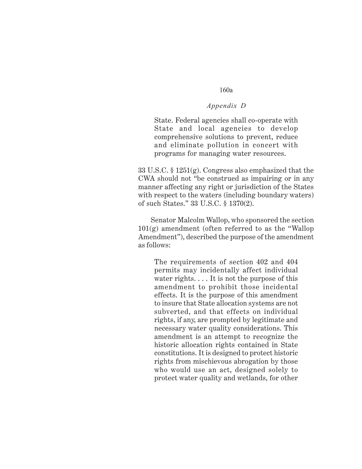### *Appendix D*

State. Federal agencies shall co-operate with State and local agencies to develop comprehensive solutions to prevent, reduce and eliminate pollution in concert with programs for managing water resources.

33 U.S.C. § 1251(g). Congress also emphasized that the CWA should not "be construed as impairing or in any manner affecting any right or jurisdiction of the States with respect to the waters (including boundary waters) of such States." 33 U.S.C. § 1370(2).

Senator Malcolm Wallop, who sponsored the section  $101(g)$  amendment (often referred to as the "Wallop Amendment"), described the purpose of the amendment as follows:

The requirements of section 402 and 404 permits may incidentally affect individual water rights. . . . It is not the purpose of this amendment to prohibit those incidental effects. It is the purpose of this amendment to insure that State allocation systems are not subverted, and that effects on individual rights, if any, are prompted by legitimate and necessary water quality considerations. This amendment is an attempt to recognize the historic allocation rights contained in State constitutions. It is designed to protect historic rights from mischievous abrogation by those who would use an act, designed solely to protect water quality and wetlands, for other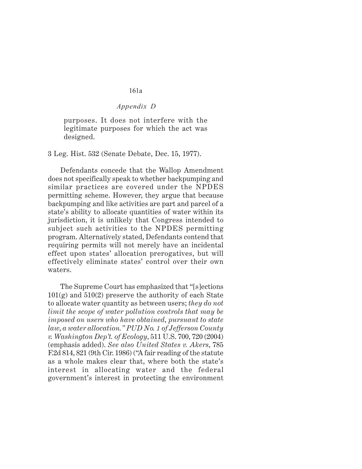#### *Appendix D*

purposes. It does not interfere with the legitimate purposes for which the act was designed.

3 Leg. Hist. 532 (Senate Debate, Dec. 15, 1977).

Defendants concede that the Wallop Amendment does not specifically speak to whether backpumping and similar practices are covered under the NPDES permitting scheme. However, they argue that because backpumping and like activities are part and parcel of a state's ability to allocate quantities of water within its jurisdiction, it is unlikely that Congress intended to subject such activities to the NPDES permitting program. Alternatively stated, Defendants contend that requiring permits will not merely have an incidental effect upon states' allocation prerogatives, but will effectively eliminate states' control over their own waters.

The Supreme Court has emphasized that "[s]ections 101(g) and 510(2) preserve the authority of each State to allocate water quantity as between users; *they do not limit the scope of water pollution controls that may be imposed on users who have obtained*, *pursuant to state law*, *a water allocation." PUD No. 1 of Jefferson County v. Washington Dep't. of Ecology*, 511 U.S. 700, 720 (2004) (emphasis added). *See also United States v. Akers*, 785 F.2d 814, 821 (9th Cir. 1986) ("A fair reading of the statute as a whole makes clear that, where both the state's interest in allocating water and the federal government's interest in protecting the environment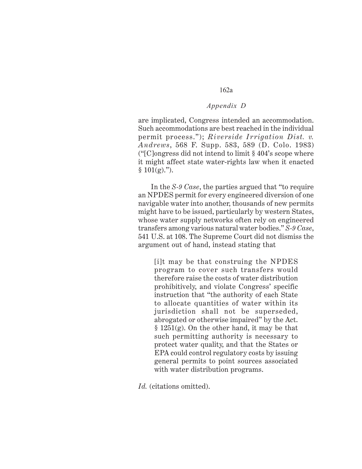### *Appendix D*

are implicated, Congress intended an accommodation. Such accommodations are best reached in the individual permit process."); *Riverside Irrigation Dist. v. Andrews*, 568 F. Supp. 583, 589 (D. Colo. 1983) ("[C]ongress did not intend to limit  $\S 404$ 's scope where it might affect state water-rights law when it enacted  $§ 101(g).$ ").

In the *S-9 Case*, the parties argued that "to require an NPDES permit for every engineered diversion of one navigable water into another, thousands of new permits might have to be issued, particularly by western States, whose water supply networks often rely on engineered transfers among various natural water bodies." *S-9 Case*, 541 U.S. at 108. The Supreme Court did not dismiss the argument out of hand, instead stating that

[i]t may be that construing the NPDES program to cover such transfers would therefore raise the costs of water distribution prohibitively, and violate Congress' specific instruction that "the authority of each State to allocate quantities of water within its jurisdiction shall not be superseded, abrogated or otherwise impaired" by the Act. § 1251(g). On the other hand, it may be that such permitting authority is necessary to protect water quality, and that the States or EPA could control regulatory costs by issuing general permits to point sources associated with water distribution programs.

*Id.* (citations omitted).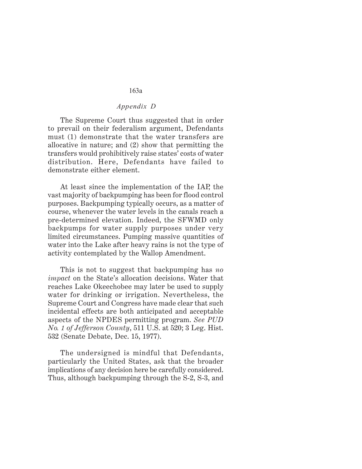#### *Appendix D*

The Supreme Court thus suggested that in order to prevail on their federalism argument, Defendants must (1) demonstrate that the water transfers are allocative in nature; and (2) show that permitting the transfers would prohibitively raise states' costs of water distribution. Here, Defendants have failed to demonstrate either element.

At least since the implementation of the IAP, the vast majority of backpumping has been for flood control purposes. Backpumping typically occurs, as a matter of course, whenever the water levels in the canals reach a pre-determined elevation. Indeed, the SFWMD only backpumps for water supply purposes under very limited circumstances. Pumping massive quantities of water into the Lake after heavy rains is not the type of activity contemplated by the Wallop Amendment.

This is not to suggest that backpumping has *no impact* on the State's allocation decisions. Water that reaches Lake Okeechobee may later be used to supply water for drinking or irrigation. Nevertheless, the Supreme Court and Congress have made clear that such incidental effects are both anticipated and acceptable aspects of the NPDES permitting program. *See PUD No. 1 of Jefferson County*, 511 U.S. at 520; 3 Leg. Hist. 532 (Senate Debate, Dec. 15, 1977).

The undersigned is mindful that Defendants, particularly the United States, ask that the broader implications of any decision here be carefully considered. Thus, although backpumping through the S-2, S-3, and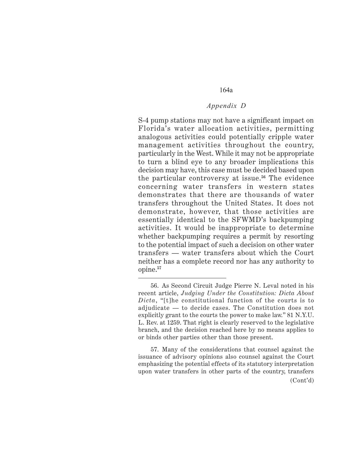#### *Appendix D*

S-4 pump stations may not have a significant impact on Florida's water allocation activities, permitting analogous activities could potentially cripple water management activities throughout the country, particularly in the West. While it may not be appropriate to turn a blind eye to any broader implications this decision may have, this case must be decided based upon the particular controversy at issue.**56** The evidence concerning water transfers in western states demonstrates that there are thousands of water transfers throughout the United States. It does not demonstrate, however, that those activities are essentially identical to the SFWMD's backpumping activities. It would be inappropriate to determine whether backpumping requires a permit by resorting to the potential impact of such a decision on other water transfers — water transfers about which the Court neither has a complete record nor has any authority to opine.**<sup>57</sup>**

57. Many of the considerations that counsel against the issuance of advisory opinions also counsel against the Court emphasizing the potential effects of its statutory interpretation upon water transfers in other parts of the country, transfers (Cont'd)

<sup>56.</sup> As Second Circuit Judge Pierre N. Leval noted in his recent article, *Judging Under the Constitution: Dicta About Dicta*, "[t]he constitutional function of the courts is to adjudicate — to decide cases. The Constitution does not explicitly grant to the courts the power to make law." 81 N.Y.U. L. Rev. at 1259. That right is clearly reserved to the legislative branch, and the decision reached here by no means applies to or binds other parties other than those present.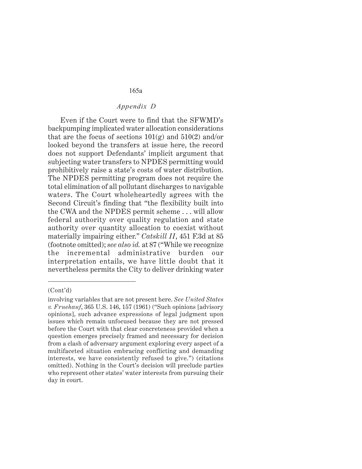# *Appendix D*

Even if the Court were to find that the SFWMD's backpumping implicated water allocation considerations that are the focus of sections  $101(g)$  and  $510(2)$  and/or looked beyond the transfers at issue here, the record does not support Defendants' implicit argument that subjecting water transfers to NPDES permitting would prohibitively raise a state's costs of water distribution. The NPDES permitting program does not require the total elimination of all pollutant discharges to navigable waters. The Court wholeheartedly agrees with the Second Circuit's finding that "the flexibility built into the CWA and the NPDES permit scheme . . . will allow federal authority over quality regulation and state authority over quantity allocation to coexist without materially impairing either." *Catskill II*, 451 F.3d at 85 (footnote omitted); *see also id.* at 87 ("While we recognize the incremental administrative burden our interpretation entails, we have little doubt that it nevertheless permits the City to deliver drinking water

<sup>(</sup>Cont'd)

involving variables that are not present here. *See United States v. Fruehauf*, 365 U.S. 146, 157 (1961) ("Such opinions [advisory opinions], such advance expressions of legal judgment upon issues which remain unfocused because they are not pressed before the Court with that clear concreteness provided when a question emerges precisely framed and necessary for decision from a clash of adversary argument exploring every aspect of a multifaceted situation embracing conflicting and demanding interests, we have consistently refused to give.") (citations omitted). Nothing in the Court's decision will preclude parties who represent other states' water interests from pursuing their day in court.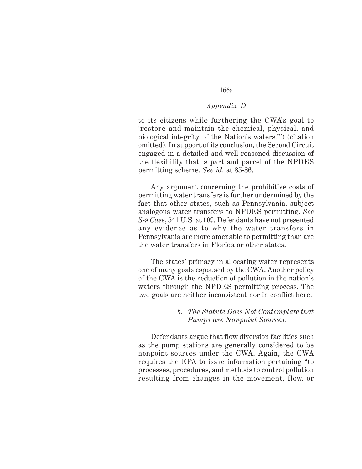#### *Appendix D*

to its citizens while furthering the CWA's goal to 'restore and maintain the chemical, physical, and biological integrity of the Nation's waters.'") (citation omitted). In support of its conclusion, the Second Circuit engaged in a detailed and well-reasoned discussion of the flexibility that is part and parcel of the NPDES permitting scheme. *See id.* at 85-86.

Any argument concerning the prohibitive costs of permitting water transfers is further undermined by the fact that other states, such as Pennsylvania, subject analogous water transfers to NPDES permitting. *See S-9 Case*, 541 U.S. at 109. Defendants have not presented any evidence as to why the water transfers in Pennsylvania are more amenable to permitting than are the water transfers in Florida or other states.

The states' primacy in allocating water represents one of many goals espoused by the CWA. Another policy of the CWA is the reduction of pollution in the nation's waters through the NPDES permitting process. The two goals are neither inconsistent nor in conflict here.

#### *b. The Statute Does Not Contemplate that Pumps are Nonpoint Sources.*

Defendants argue that flow diversion facilities such as the pump stations are generally considered to be nonpoint sources under the CWA. Again, the CWA requires the EPA to issue information pertaining "to processes, procedures, and methods to control pollution resulting from changes in the movement, flow, or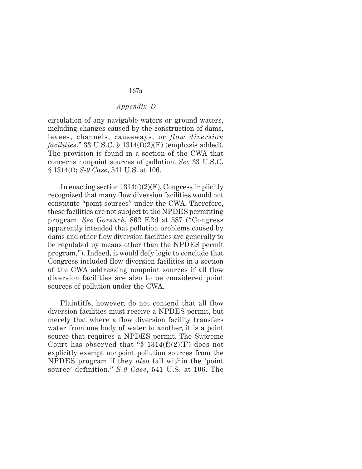#### *Appendix D*

circulation of any navigable waters or ground waters, including changes caused by the construction of dams, levees, channels, causeways, or *flow diversion facilities*." 33 U.S.C. § 1314(f)(2)(F) (emphasis added). The provision is found in a section of the CWA that concerns nonpoint sources of pollution. *See* 33 U.S.C. § 1314(f); *S-9 Case*, 541 U.S. at 106.

In enacting section  $1314(f)(2)(F)$ , Congress implicitly recognized that many flow diversion facilities would not constitute "point sources" under the CWA. Therefore, these facilities are not subject to the NPDES permitting program. *See Gorsuch*, 862 F.2d at 587 ("Congress apparently intended that pollution problems caused by dams and other flow diversion facilities are generally to be regulated by means other than the NPDES permit program."). Indeed, it would defy logic to conclude that Congress included flow diversion facilities in a section of the CWA addressing nonpoint sources if all flow diversion facilities are also to be considered point sources of pollution under the CWA.

Plaintiffs, however, do not contend that all flow diversion facilities must receive a NPDES permit, but merely that where a flow diversion facility transfers water from one body of water to another, it is a point source that requires a NPDES permit. The Supreme Court has observed that " $\S$  1314(f)(2)(F) does not explicitly exempt nonpoint pollution sources from the NPDES program if they *also* fall within the 'point source' definition." *S-9 Case*, 541 U.S. at 106. The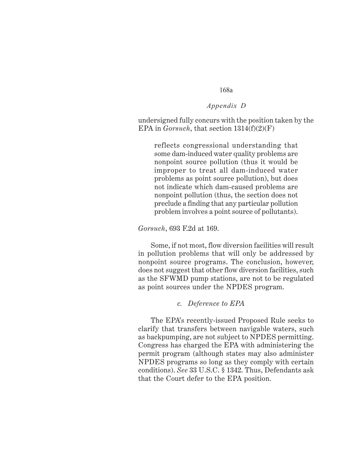#### *Appendix D*

undersigned fully concurs with the position taken by the EPA in *Gorsuch*, that section 1314(f)(2)(F)

reflects congressional understanding that some dam-induced water quality problems are nonpoint source pollution (thus it would be improper to treat all dam-induced water problems as point source pollution), but does not indicate which dam-caused problems are nonpoint pollution (thus, the section does not preclude a finding that any particular pollution problem involves a point source of pollutants).

*Gorsuch*, 693 F.2d at 169.

Some, if not most, flow diversion facilities will result in pollution problems that will only be addressed by nonpoint source programs. The conclusion, however, does not suggest that other flow diversion facilities, such as the SFWMD pump stations, are not to be regulated as point sources under the NPDES program.

#### *c. Deference to EPA*

The EPA's recently-issued Proposed Rule seeks to clarify that transfers between navigable waters, such as backpumping, are not subject to NPDES permitting. Congress has charged the EPA with administering the permit program (although states may also administer NPDES programs so long as they comply with certain conditions). *See* 33 U.S.C. § 1342. Thus, Defendants ask that the Court defer to the EPA position.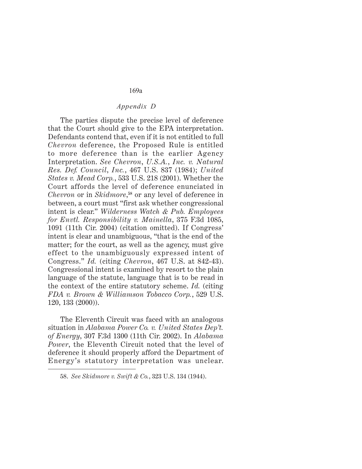#### *Appendix D*

The parties dispute the precise level of deference that the Court should give to the EPA interpretation. Defendants contend that, even if it is not entitled to full *Chevron* deference, the Proposed Rule is entitled to more deference than is the earlier Agency Interpretation. *See Chevron*, *U.S.A.*, *Inc. v. Natural Res. Def. Council*, *Inc.*, 467 U.S. 837 (1984); *United States v. Mead Corp.*, 533 U.S. 218 (2001). Whether the Court affords the level of deference enunciated in *Chevron* or in *Skidmore*, **<sup>58</sup>** or any level of deference in between, a court must "first ask whether congressional intent is clear." *Wilderness Watch & Pub. Employees for Envtl. Responsibility v. Mainella*, 375 F.3d 1085, 1091 (11th Cir. 2004) (citation omitted). If Congress' intent is clear and unambiguous, "that is the end of the matter; for the court, as well as the agency, must give effect to the unambiguously expressed intent of Congress." *Id.* (citing *Chevron*, 467 U.S. at 842-43). Congressional intent is examined by resort to the plain language of the statute, language that is to be read in the context of the entire statutory scheme. *Id.* (citing *FDA v. Brown & Williamson Tobacco Corp.*, 529 U.S. 120, 133 (2000)).

The Eleventh Circuit was faced with an analogous situation in *Alabama Power Co. v. United States Dep't. of Energy*, 307 F.3d 1300 (11th Cir. 2002). In *Alabama Power*, the Eleventh Circuit noted that the level of deference it should properly afford the Department of Energy's statutory interpretation was unclear.

<sup>58.</sup> *See Skidmore v. Swift & Co.*, 323 U.S. 134 (1944).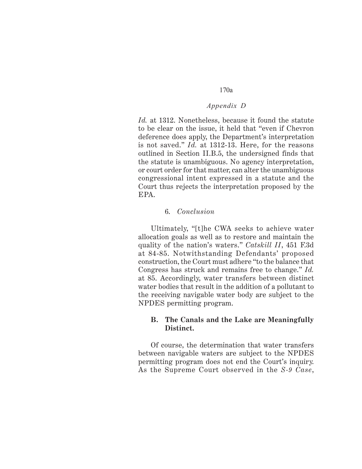#### *Appendix D*

*Id.* at 1312. Nonetheless, because it found the statute to be clear on the issue, it held that "even if Chevron deference does apply, the Department's interpretation is not saved." *Id.* at 1312-13. Here, for the reasons outlined in Section II.B.5, the undersigned finds that the statute is unambiguous. No agency interpretation, or court order for that matter, can alter the unambiguous congressional intent expressed in a statute and the Court thus rejects the interpretation proposed by the EPA.

#### 6. *Conclusion*

Ultimately, "[t]he CWA seeks to achieve water allocation goals as well as to restore and maintain the quality of the nation's waters." *Catskill II*, 451 F.3d at 84-85. Notwithstanding Defendants' proposed construction, the Court must adhere "to the balance that Congress has struck and remains free to change." *Id.* at 85. Accordingly, water transfers between distinct water bodies that result in the addition of a pollutant to the receiving navigable water body are subject to the NPDES permitting program.

#### **B. The Canals and the Lake are Meaningfully Distinct.**

Of course, the determination that water transfers between navigable waters are subject to the NPDES permitting program does not end the Court's inquiry. As the Supreme Court observed in the *S-9 Case*,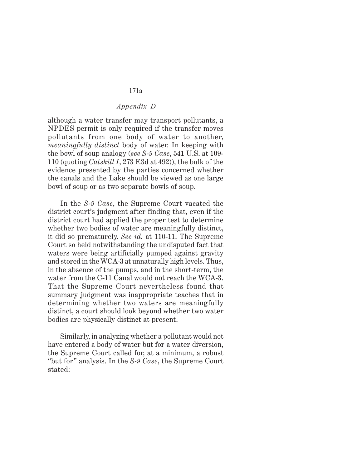#### *Appendix D*

although a water transfer may transport pollutants, a NPDES permit is only required if the transfer moves pollutants from one body of water to another, *meaningfully distinct* body of water. In keeping with the bowl of soup analogy (*see S-9 Case*, 541 U.S. at 109- 110 (quoting *Catskill I*, 273 F.3d at 492)), the bulk of the evidence presented by the parties concerned whether the canals and the Lake should be viewed as one large bowl of soup or as two separate bowls of soup.

In the *S-9 Case*, the Supreme Court vacated the district court's judgment after finding that, even if the district court had applied the proper test to determine whether two bodies of water are meaningfully distinct, it did so prematurely. *See id.* at 110-11. The Supreme Court so held notwithstanding the undisputed fact that waters were being artificially pumped against gravity and stored in the WCA-3 at unnaturally high levels. Thus, in the absence of the pumps, and in the short-term, the water from the C-11 Canal would not reach the WCA-3. That the Supreme Court nevertheless found that summary judgment was inappropriate teaches that in determining whether two waters are meaningfully distinct, a court should look beyond whether two water bodies are physically distinct at present.

Similarly, in analyzing whether a pollutant would not have entered a body of water but for a water diversion, the Supreme Court called for, at a minimum, a robust "but for" analysis. In the *S-9 Case*, the Supreme Court stated: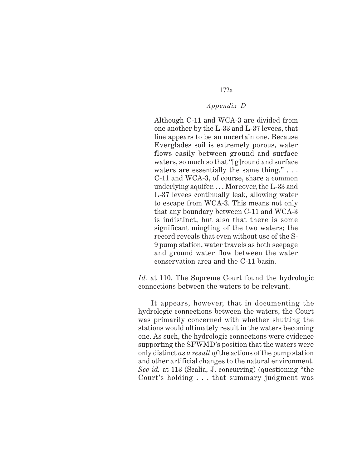# *Appendix D*

Although C-11 and WCA-3 are divided from one another by the L-33 and L-37 levees, that line appears to be an uncertain one. Because Everglades soil is extremely porous, water flows easily between ground and surface waters, so much so that "[g]round and surface waters are essentially the same thing."... C-11 and WCA-3, of course, share a common underlying aquifer... Moreover, the  $L-33$  and L-37 levees continually leak, allowing water to escape from WCA-3. This means not only that any boundary between C-11 and WCA-3 is indistinct, but also that there is some significant mingling of the two waters; the record reveals that even without use of the S-9 pump station, water travels as both seepage and ground water flow between the water conservation area and the C-11 basin.

*Id.* at 110. The Supreme Court found the hydrologic connections between the waters to be relevant.

It appears, however, that in documenting the hydrologic connections between the waters, the Court was primarily concerned with whether shutting the stations would ultimately result in the waters becoming one. As such, the hydrologic connections were evidence supporting the SFWMD's position that the waters were only distinct *as a result of* the actions of the pump station and other artificial changes to the natural environment. *See id.* at 113 (Scalia, J. concurring) (questioning "the Court's holding . . . that summary judgment was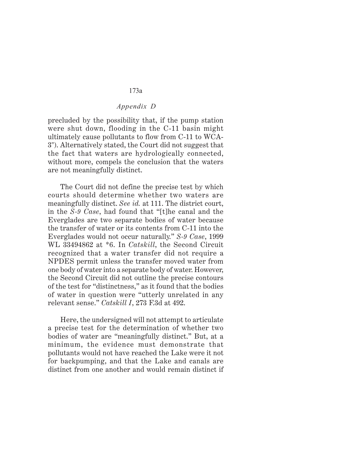# *Appendix D*

precluded by the possibility that, if the pump station were shut down, flooding in the C-11 basin might ultimately cause pollutants to flow from C-11 to WCA-3"). Alternatively stated, the Court did not suggest that the fact that waters are hydrologically connected, without more, compels the conclusion that the waters are not meaningfully distinct.

The Court did not define the precise test by which courts should determine whether two waters are meaningfully distinct. *See id.* at 111. The district court, in the *S-9 Case*, had found that "[t]he canal and the Everglades are two separate bodies of water because the transfer of water or its contents from C-11 into the Everglades would not occur naturally." *S-9 Case*, 1999 WL 33494862 at \*6. In *Catskill*, the Second Circuit recognized that a water transfer did not require a NPDES permit unless the transfer moved water from one body of water into a separate body of water. However, the Second Circuit did not outline the precise contours of the test for "distinctness," as it found that the bodies of water in question were "utterly unrelated in any relevant sense." *Catskill I*, 273 F.3d at 492.

Here, the undersigned will not attempt to articulate a precise test for the determination of whether two bodies of water are "meaningfully distinct." But, at a minimum, the evidence must demonstrate that pollutants would not have reached the Lake were it not for backpumping, and that the Lake and canals are distinct from one another and would remain distinct if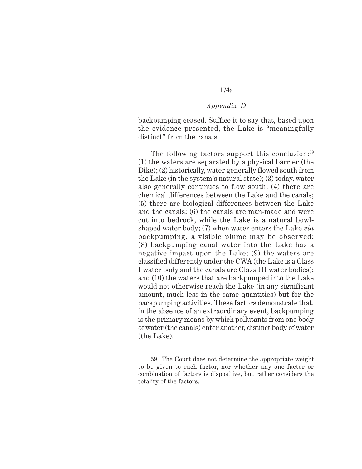# *Appendix D*

backpumping ceased. Suffice it to say that, based upon the evidence presented, the Lake is "meaningfully distinct" from the canals.

The following factors support this conclusion:**<sup>59</sup>** (1) the waters are separated by a physical barrier (the Dike); (2) historically, water generally flowed south from the Lake (in the system's natural state); (3) today, water also generally continues to flow south; (4) there are chemical differences between the Lake and the canals; (5) there are biological differences between the Lake and the canals; (6) the canals are man-made and were cut into bedrock, while the Lake is a natural bowlshaped water body; (7) when water enters the Lake *via* backpumping, a visible plume may be observed; (8) backpumping canal water into the Lake has a negative impact upon the Lake; (9) the waters are classified differently under the CWA (the Lake is a Class I water body and the canals are Class III water bodies); and (10) the waters that are backpumped into the Lake would not otherwise reach the Lake (in any significant amount, much less in the same quantities) but for the backpumping activities. These factors demonstrate that, in the absence of an extraordinary event, backpumping is the primary means by which pollutants from one body of water (the canals) enter another, distinct body of water (the Lake).

<sup>59.</sup> The Court does not determine the appropriate weight to be given to each factor, nor whether any one factor or combination of factors is dispositive, but rather considers the totality of the factors.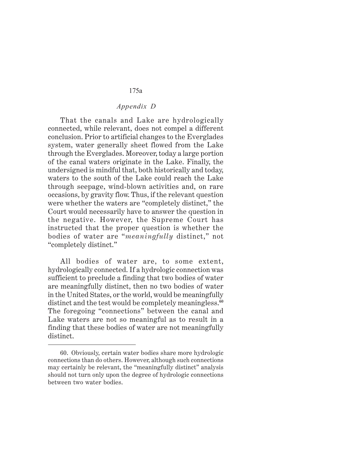# *Appendix D*

That the canals and Lake are hydrologically connected, while relevant, does not compel a different conclusion. Prior to artificial changes to the Everglades system, water generally sheet flowed from the Lake through the Everglades. Moreover, today a large portion of the canal waters originate in the Lake. Finally, the undersigned is mindful that, both historically and today, waters to the south of the Lake could reach the Lake through seepage, wind-blown activities and, on rare occasions, by gravity flow. Thus, if the relevant question were whether the waters are "completely distinct," the Court would necessarily have to answer the question in the negative. However, the Supreme Court has instructed that the proper question is whether the bodies of water are "*meaningfully* distinct," not "completely distinct."

All bodies of water are, to some extent, hydrologically connected. If a hydrologic connection was sufficient to preclude a finding that two bodies of water are meaningfully distinct, then no two bodies of water in the United States, or the world, would be meaningfully distinct and the test would be completely meaningless.**<sup>60</sup>** The foregoing "connections" between the canal and Lake waters are not so meaningful as to result in a finding that these bodies of water are not meaningfully distinct.

<sup>60.</sup> Obviously, certain water bodies share more hydrologic connections than do others. However, although such connections may certainly be relevant, the "meaningfully distinct" analysis should not turn only upon the degree of hydrologic connections between two water bodies.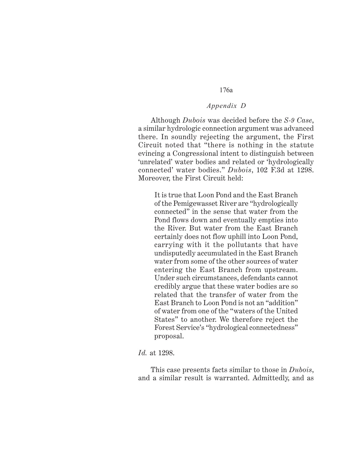# *Appendix D*

Although *Dubois* was decided before the *S-9 Case*, a similar hydrologic connection argument was advanced there. In soundly rejecting the argument, the First Circuit noted that "there is nothing in the statute evincing a Congressional intent to distinguish between 'unrelated' water bodies and related or 'hydrologically connected' water bodies." *Dubois*, 102 F.3d at 1298. Moreover, the First Circuit held:

It is true that Loon Pond and the East Branch of the Pemigewasset River are "hydrologically connected" in the sense that water from the Pond flows down and eventually empties into the River. But water from the East Branch certainly does not flow uphill into Loon Pond, carrying with it the pollutants that have undisputedly accumulated in the East Branch water from some of the other sources of water entering the East Branch from upstream. Under such circumstances, defendants cannot credibly argue that these water bodies are so related that the transfer of water from the East Branch to Loon Pond is not an "addition" of water from one of the "waters of the United States" to another. We therefore reject the Forest Service's "hydrological connectedness" proposal.

#### *Id.* at 1298.

This case presents facts similar to those in *Dubois*, and a similar result is warranted. Admittedly, and as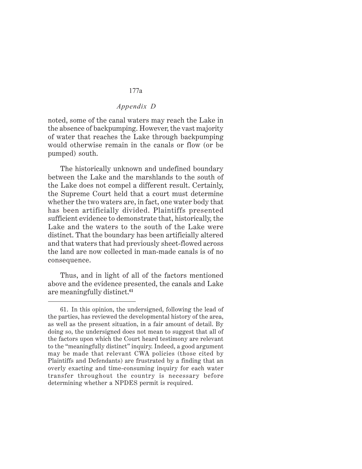# *Appendix D*

noted, some of the canal waters may reach the Lake in the absence of backpumping. However, the vast majority of water that reaches the Lake through backpumping would otherwise remain in the canals or flow (or be pumped) south.

The historically unknown and undefined boundary between the Lake and the marshlands to the south of the Lake does not compel a different result. Certainly, the Supreme Court held that a court must determine whether the two waters are, in fact, one water body that has been artificially divided. Plaintiffs presented sufficient evidence to demonstrate that, historically, the Lake and the waters to the south of the Lake were distinct. That the boundary has been artificially altered and that waters that had previously sheet-flowed across the land are now collected in man-made canals is of no consequence.

Thus, and in light of all of the factors mentioned above and the evidence presented, the canals and Lake are meaningfully distinct.**<sup>61</sup>**

<sup>61.</sup> In this opinion, the undersigned, following the lead of the parties, has reviewed the developmental history of the area, as well as the present situation, in a fair amount of detail. By doing so, the undersigned does not mean to suggest that all of the factors upon which the Court heard testimony are relevant to the "meaningfully distinct" inquiry. Indeed, a good argument may be made that relevant CWA policies (those cited by Plaintiffs and Defendants) are frustrated by a finding that an overly exacting and time-consuming inquiry for each water transfer throughout the country is necessary before determining whether a NPDES permit is required.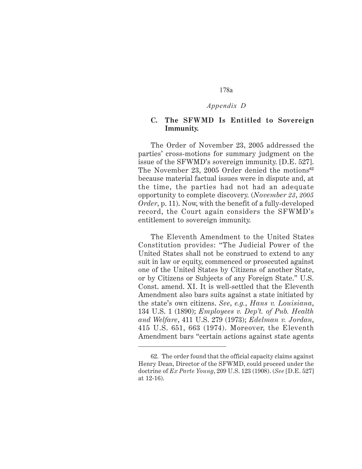#### *Appendix D*

# **C. The SFWMD Is Entitled to Sovereign Immunity.**

The Order of November 23, 2005 addressed the parties' cross-motions for summary judgment on the issue of the SFWMD's sovereign immunity. [D.E. 527]. The November 23, 2005 Order denied the motions**<sup>62</sup>** because material factual issues were in dispute and, at the time, the parties had not had an adequate opportunity to complete discovery. (*November 23*, *2005 Order*, p. 11). Now, with the benefit of a fully-developed record, the Court again considers the SFWMD's entitlement to sovereign immunity.

The Eleventh Amendment to the United States Constitution provides: "The Judicial Power of the United States shall not be construed to extend to any suit in law or equity, commenced or prosecuted against one of the United States by Citizens of another State, or by Citizens or Subjects of any Foreign State." U.S. Const. amend. XI. It is well-settled that the Eleventh Amendment also bars suits against a state initiated by the state's own citizens. *See*, *e.g.*, *Hans v. Louisiana*, 134 U.S. 1 (1890); *Employees v. Dep't. of Pub. Health and Welfare*, 411 U.S. 279 (1973); *Edelman v. Jordan*, 415 U.S. 651, 663 (1974). Moreover, the Eleventh Amendment bars "certain actions against state agents

<sup>62.</sup> The order found that the official capacity claims against Henry Dean, Director of the SFWMD, could proceed under the doctrine of *Ex Parte Young*, 209 U.S. 123 (1908). (*See* [D.E. 527] at 12-16).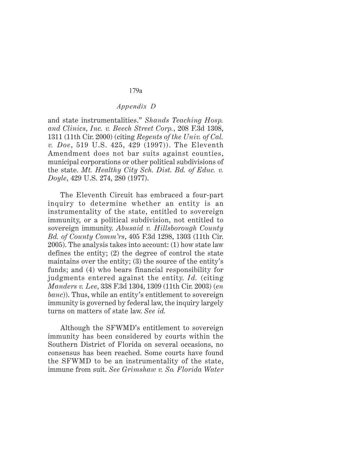# *Appendix D*

and state instrumentalities." *Shands Teaching Hosp. and Clinics*, *Inc. v. Beech Street Corp.*, 208 F.3d 1308, 1311 (11th Cir. 2000) (citing *Regents of the Univ. of Cal. v. Doe*, 519 U.S. 425, 429 (1997)). The Eleventh Amendment does not bar suits against counties, municipal corporations or other political subdivisions of the state. *Mt. Healthy City Sch. Dist. Bd. of Educ. v. Doyle*, 429 U.S. 274, 280 (1977).

The Eleventh Circuit has embraced a four-part inquiry to determine whether an entity is an instrumentality of the state, entitled to sovereign immunity, or a political subdivision, not entitled to sovereign immunity. *Abusaid v. Hillsborough County Bd. of County Comm'rs*, 405 F.3d 1298, 1303 (11th Cir. 2005). The analysis takes into account: (1) how state law defines the entity; (2) the degree of control the state maintains over the entity; (3) the source of the entity's funds; and (4) who bears financial responsibility for judgments entered against the entity. *Id.* (citing *Manders v. Lee*, 338 F.3d 1304, 1309 (11th Cir. 2003) (*en banc*)). Thus, while an entity's entitlement to sovereign immunity is governed by federal law, the inquiry largely turns on matters of state law. *See id.*

Although the SFWMD's entitlement to sovereign immunity has been considered by courts within the Southern District of Florida on several occasions, no consensus has been reached. Some courts have found the SFWMD to be an instrumentality of the state, immune from suit. *See Grimshaw v. So. Florida Water*

#### 179a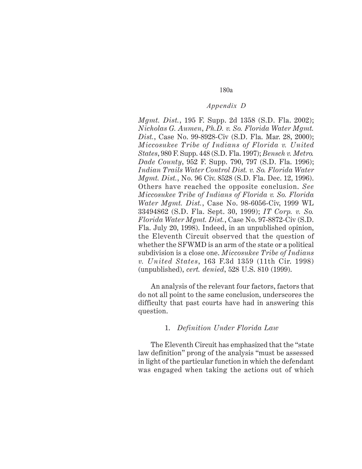#### *Appendix D*

*Mgmt. Dist.*, 195 F. Supp. 2d 1358 (S.D. Fla. 2002); *Nicholas G. Aumen*, *Ph.D. v. So. Florida Water Mgmt. Dist.*, Case No. 99-8928-Civ (S.D. Fla. Mar. 28, 2000); *Miccosukee Tribe of Indians of Florida v. United States*, 980 F. Supp. 448 (S.D. Fla. 1997); *Bensch v. Metro. Dade County*, 952 F. Supp. 790, 797 (S.D. Fla. 1996); *Indian Trails Water Control Dist. v. So. Florida Water Mgmt. Dist.*, No. 96 Civ. 8528 (S.D. Fla. Dec. 12, 1996). Others have reached the opposite conclusion. *See Miccosukee Tribe of Indians of Florida v. So. Florida Water Mgmt. Dist.*, Case No. 98-6056-Civ, 1999 WL 33494862 (S.D. Fla. Sept. 30, 1999); *IT Corp. v. So. Florida Water Mgmt. Dist.*, Case No. 97-8872-Civ (S.D. Fla. July 20, 1998). Indeed, in an unpublished opinion, the Eleventh Circuit observed that the question of whether the SFWMD is an arm of the state or a political subdivision is a close one. *Miccosukee Tribe of Indians v. United States*, 163 F.3d 1359 (11th Cir. 1998) (unpublished), *cert. denied*, 528 U.S. 810 (1999).

An analysis of the relevant four factors, factors that do not all point to the same conclusion, underscores the difficulty that past courts have had in answering this question.

#### 1. *Definition Under Florida Law*

The Eleventh Circuit has emphasized that the "state law definition" prong of the analysis "must be assessed in light of the particular function in which the defendant was engaged when taking the actions out of which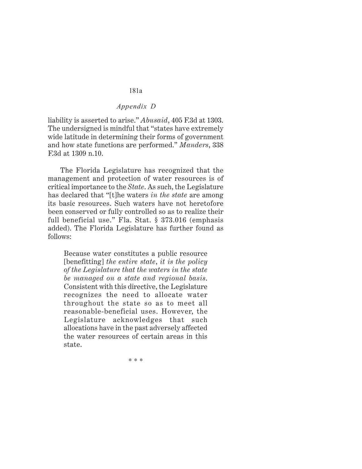#### *Appendix D*

liability is asserted to arise." *Abusaid*, 405 F.3d at 1303. The undersigned is mindful that "states have extremely wide latitude in determining their forms of government and how state functions are performed." *Manders*, 338 F.3d at 1309 n.10.

The Florida Legislature has recognized that the management and protection of water resources is of critical importance to the *State*. As such, the Legislature has declared that "[t]he waters *in the state* are among its basic resources. Such waters have not heretofore been conserved or fully controlled so as to realize their full beneficial use." Fla. Stat. § 373.016 (emphasis added). The Florida Legislature has further found as follows:

Because water constitutes a public resource [benefitting] *the entire state*, *it is the policy of the Legislature that the waters in the state be managed on a state and regional basis*. Consistent with this directive, the Legislature recognizes the need to allocate water throughout the state so as to meet all reasonable-beneficial uses. However, the Legislature acknowledges that such allocations have in the past adversely affected the water resources of certain areas in this state.

\* \* \*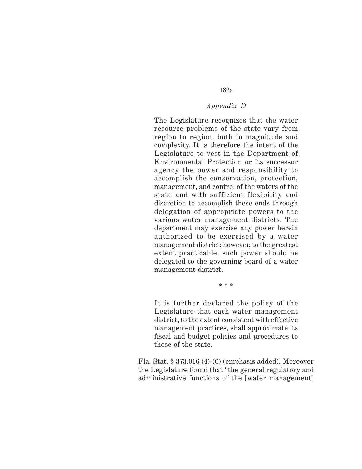## *Appendix D*

The Legislature recognizes that the water resource problems of the state vary from region to region, both in magnitude and complexity. It is therefore the intent of the Legislature to vest in the Department of Environmental Protection or its successor agency the power and responsibility to accomplish the conservation, protection, management, and control of the waters of the state and with sufficient flexibility and discretion to accomplish these ends through delegation of appropriate powers to the various water management districts. The department may exercise any power herein authorized to be exercised by a water management district; however, to the greatest extent practicable, such power should be delegated to the governing board of a water management district.

\* \* \*

It is further declared the policy of the Legislature that each water management district, to the extent consistent with effective management practices, shall approximate its fiscal and budget policies and procedures to those of the state.

Fla. Stat. § 373.016 (4)-(6) (emphasis added). Moreover the Legislature found that "the general regulatory and administrative functions of the [water management]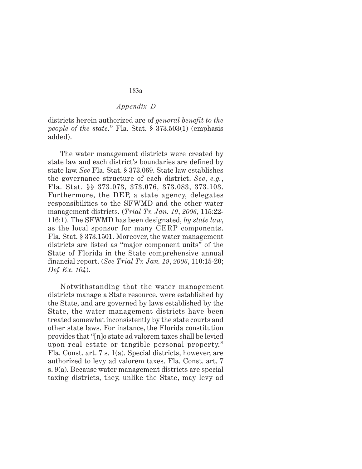#### *Appendix D*

districts herein authorized are of *general benefit to the people of the state*." Fla. Stat. § 373.503(1) (emphasis added).

The water management districts were created by state law and each district's boundaries are defined by state law. *See* Fla. Stat. § 373.069. State law establishes the governance structure of each district. *See*, *e.g.*, Fla. Stat. §§ 373.073, 373.076, 373.083, 373.103. Furthermore, the DEP, a state agency, delegates responsibilities to the SFWMD and the other water management districts. (*Trial Tr. Jan. 19*, *2006*, 115:22- 116:1). The SFWMD has been designated, *by state law*, as the local sponsor for many CERP components. Fla. Stat. § 373.1501. Moreover, the water management districts are listed as "major component units" of the State of Florida in the State comprehensive annual financial report. (*See Trial Tr. Jan. 19*, *2006*, 110:15-20; *Def. Ex. 104*).

Notwithstanding that the water management districts manage a State resource, were established by the State, and are governed by laws established by the State, the water management districts have been treated somewhat inconsistently by the state courts and other state laws. For instance, the Florida constitution provides that "[n]o state ad valorem taxes shall be levied upon real estate or tangible personal property." Fla. Const. art. 7 s. 1(a). Special districts, however, are authorized to levy ad valorem taxes. Fla. Const. art. 7 s. 9(a). Because water management districts are special taxing districts, they, unlike the State, may levy ad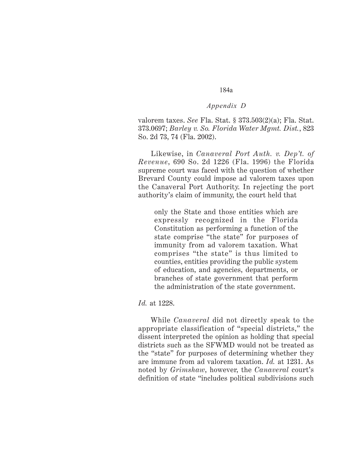#### *Appendix D*

valorem taxes. *See* Fla. Stat. § 373.503(2)(a); Fla. Stat. 373.0697; *Barley v. So. Florida Water Mgmt. Dist.*, 823 So. 2d 73, 74 (Fla. 2002).

Likewise, in *Canaveral Port Auth. v. Dep't. of Revenue*, 690 So. 2d 1226 (Fla. 1996) the Florida supreme court was faced with the question of whether Brevard County could impose ad valorem taxes upon the Canaveral Port Authority. In rejecting the port authority's claim of immunity, the court held that

only the State and those entities which are expressly recognized in the Florida Constitution as performing a function of the state comprise "the state" for purposes of immunity from ad valorem taxation. What comprises "the state" is thus limited to counties, entities providing the public system of education, and agencies, departments, or branches of state government that perform the administration of the state government.

#### *Id.* at 1228.

While *Canaveral* did not directly speak to the appropriate classification of "special districts," the dissent interpreted the opinion as holding that special districts such as the SFWMD would not be treated as the "state" for purposes of determining whether they are immune from ad valorem taxation. *Id.* at 1231. As noted by *Grimshaw*, however, the *Canaveral* court's definition of state "includes political subdivisions such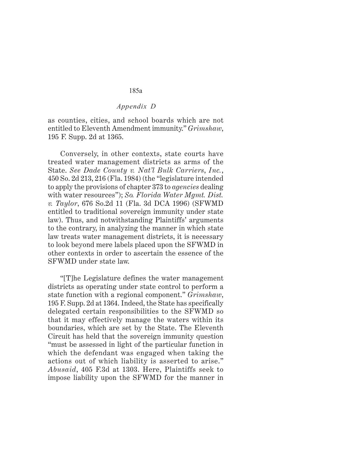#### *Appendix D*

as counties, cities, and school boards which are not entitled to Eleventh Amendment immunity." *Grimshaw*, 195 F. Supp. 2d at 1365.

Conversely, in other contexts, state courts have treated water management districts as arms of the State. *See Dade County v. Nat'l Bulk Carriers*, *Inc.*, 450 So. 2d 213, 216 (Fla. 1984) (the "legislature intended to apply the provisions of chapter 373 to *agencies* dealing with water resources"); *So. Florida Water Mgmt. Dist. v. Taylor*, 676 So.2d 11 (Fla. 3d DCA 1996) (SFWMD entitled to traditional sovereign immunity under state law). Thus, and notwithstanding Plaintiffs' arguments to the contrary, in analyzing the manner in which state law treats water management districts, it is necessary to look beyond mere labels placed upon the SFWMD in other contexts in order to ascertain the essence of the SFWMD under state law.

"[T]he Legislature defines the water management districts as operating under state control to perform a state function with a regional component." *Grimshaw*, 195 F. Supp. 2d at 1364. Indeed, the State has specifically delegated certain responsibilities to the SFWMD so that it may effectively manage the waters within its boundaries, which are set by the State. The Eleventh Circuit has held that the sovereign immunity question "must be assessed in light of the particular function in which the defendant was engaged when taking the actions out of which liability is asserted to arise." *Abusaid*, 405 F.3d at 1303. Here, Plaintiffs seek to impose liability upon the SFWMD for the manner in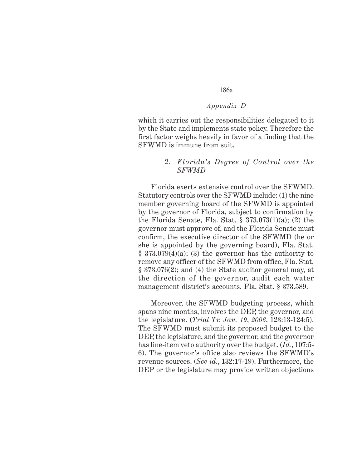#### *Appendix D*

which it carries out the responsibilities delegated to it by the State and implements state policy. Therefore the first factor weighs heavily in favor of a finding that the SFWMD is immune from suit.

#### 2. *Florida's Degree of Control over the SFWMD*

Florida exerts extensive control over the SFWMD. Statutory controls over the SFWMD include: (1) the nine member governing board of the SFWMD is appointed by the governor of Florida, subject to confirmation by the Florida Senate, Fla. Stat.  $\S 373.073(1)(a)$ ; (2) the governor must approve of, and the Florida Senate must confirm, the executive director of the SFWMD (he or she is appointed by the governing board), Fla. Stat.  $§ 373.079(4)(a);$  (3) the governor has the authority to remove any officer of the SFWMD from office, Fla. Stat. § 373.076(2); and (4) the State auditor general may, at the direction of the governor, audit each water management district's accounts. Fla. Stat. § 373.589.

Moreover, the SFWMD budgeting process, which spans nine months, involves the DEP, the governor, and the legislature. (*Trial Tr. Jan. 19*, *2006*, 123:13-124:5). The SFWMD must submit its proposed budget to the DEP, the legislature, and the governor, and the governor has line-item veto authority over the budget. (*Id.*, 107:5- 6). The governor's office also reviews the SFWMD's revenue sources. (*See id.*, 132:17-19). Furthermore, the DEP or the legislature may provide written objections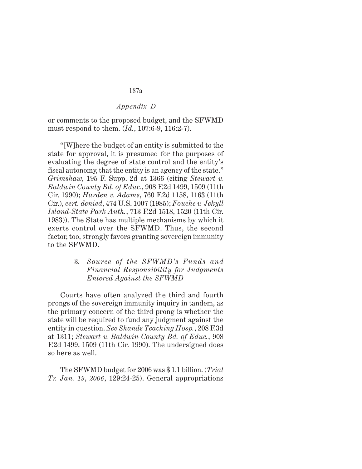#### *Appendix D*

or comments to the proposed budget, and the SFWMD must respond to them. (*Id.*, 107:6-9, 116:2-7).

"[W]here the budget of an entity is submitted to the state for approval, it is presumed for the purposes of evaluating the degree of state control and the entity's fiscal autonomy, that the entity is an agency of the state." *Grimshaw*, 195 F. Supp. 2d at 1366 (citing *Stewart v. Baldwin County Bd. of Educ.*, 908 F.2d 1499, 1509 (11th Cir. 1990); *Harden v. Adams*, 760 F.2d 1158, 1163 (11th Cir.), *cert. denied*, 474 U.S. 1007 (1985); *Fouche v. Jekyll Island-State Park Auth.*, 713 F.2d 1518, 1520 (11th Cir. 1983)). The State has multiple mechanisms by which it exerts control over the SFWMD. Thus, the second factor, too, strongly favors granting sovereign immunity to the SFWMD.

# 3. *Source of the SFWMD's Funds and Financial Responsibility for Judgments Entered Against the SFWMD*

Courts have often analyzed the third and fourth prongs of the sovereign immunity inquiry in tandem, as the primary concern of the third prong is whether the state will be required to fund any judgment against the entity in question. *See Shands Teaching Hosp.*, 208 F.3d at 1311; *Stewart v. Baldwin County Bd. of Educ.*, 908 F.2d 1499, 1509 (11th Cir. 1990). The undersigned does so here as well.

The SFWMD budget for 2006 was \$ 1.1 billion. (*Trial Tr. Jan. 19*, *2006*, 129:24-25). General appropriations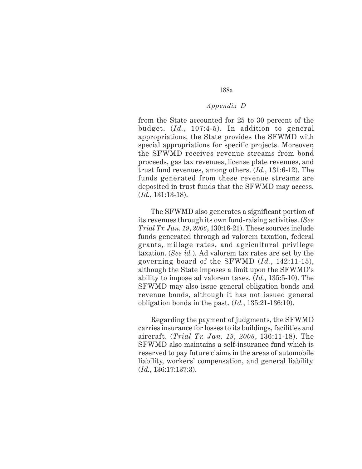#### *Appendix D*

from the State accounted for 25 to 30 percent of the budget. (*Id.*, 107:4-5). In addition to general appropriations, the State provides the SFWMD with special appropriations for specific projects. Moreover, the SFWMD receives revenue streams from bond proceeds, gas tax revenues, license plate revenues, and trust fund revenues, among others. (*Id.*, 131:6-12). The funds generated from these revenue streams are deposited in trust funds that the SFWMD may access. (*Id.*, 131:13-18).

The SFWMD also generates a significant portion of its revenues through its own fund-raising activities. (*See Trial Tr. Jan. 19*, *2006*, 130:16-21). These sources include funds generated through ad valorem taxation, federal grants, millage rates, and agricultural privilege taxation. (*See id.*). Ad valorem tax rates are set by the governing board of the SFWMD (*Id.*, 142:11-15), although the State imposes a limit upon the SFWMD's ability to impose ad valorem taxes. (*Id.*, 135:5-10). The SFWMD may also issue general obligation bonds and revenue bonds, although it has not issued general obligation bonds in the past. (*Id.*, 135:21-136:10).

Regarding the payment of judgments, the SFWMD carries insurance for losses to its buildings, facilities and aircraft. (*Trial Tr. Jan. 19*, *2006*, 136:11-18). The SFWMD also maintains a self-insurance fund which is reserved to pay future claims in the areas of automobile liability, workers' compensation, and general liability. (*Id.*, 136:17:137:3).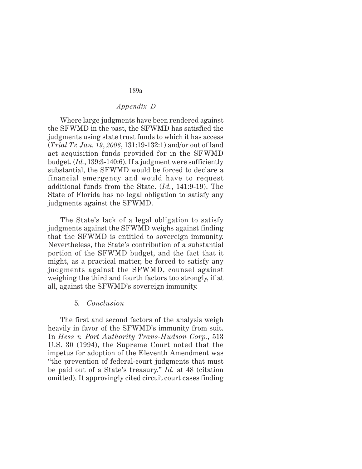#### *Appendix D*

Where large judgments have been rendered against the SFWMD in the past, the SFWMD has satisfied the judgments using state trust funds to which it has access (*Trial Tr. Jan. 19*, *2006*, 131:19-132:1) and/or out of land act acquisition funds provided for in the SFWMD budget. (*Id.*, 139:3-140:6). If a judgment were sufficiently substantial, the SFWMD would be forced to declare a financial emergency and would have to request additional funds from the State. (*Id.*, 141:9-19). The State of Florida has no legal obligation to satisfy any judgments against the SFWMD.

The State's lack of a legal obligation to satisfy judgments against the SFWMD weighs against finding that the SFWMD is entitled to sovereign immunity. Nevertheless, the State's contribution of a substantial portion of the SFWMD budget, and the fact that it might, as a practical matter, be forced to satisfy any judgments against the SFWMD, counsel against weighing the third and fourth factors too strongly, if at all, against the SFWMD's sovereign immunity.

#### 5. *Conclusion*

The first and second factors of the analysis weigh heavily in favor of the SFWMD's immunity from suit. In *Hess v. Port Authority Trans-Hudson Corp.*, 513 U.S. 30 (1994), the Supreme Court noted that the impetus for adoption of the Eleventh Amendment was "the prevention of federal-court judgments that must be paid out of a State's treasury." *Id.* at 48 (citation omitted). It approvingly cited circuit court cases finding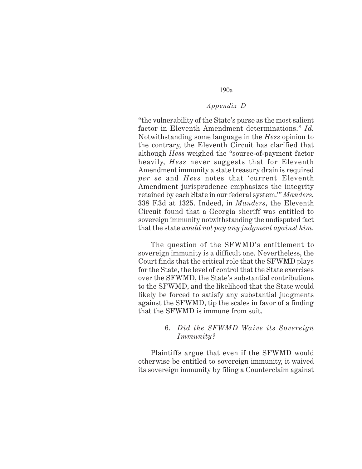#### *Appendix D*

"the vulnerability of the State's purse as the most salient factor in Eleventh Amendment determinations." *Id.* Notwithstanding some language in the *Hess* opinion to the contrary, the Eleventh Circuit has clarified that although *Hess* weighed the "source-of-payment factor heavily, *Hess* never suggests that for Eleventh Amendment immunity a state treasury drain is required *per se* and *Hess* notes that 'current Eleventh Amendment jurisprudence emphasizes the integrity retained by each State in our federal system.'" *Manders*, 338 F.3d at 1325. Indeed, in *Manders*, the Eleventh Circuit found that a Georgia sheriff was entitled to sovereign immunity notwithstanding the undisputed fact that the state *would not pay any judgment against him*.

The question of the SFWMD's entitlement to sovereign immunity is a difficult one. Nevertheless, the Court finds that the critical role that the SFWMD plays for the State, the level of control that the State exercises over the SFWMD, the State's substantial contributions to the SFWMD, and the likelihood that the State would likely be forced to satisfy any substantial judgments against the SFWMD, tip the scales in favor of a finding that the SFWMD is immune from suit.

#### 6. *Did the SFWMD Waive its Sovereign Immunity?*

Plaintiffs argue that even if the SFWMD would otherwise be entitled to sovereign immunity, it waived its sovereign immunity by filing a Counterclaim against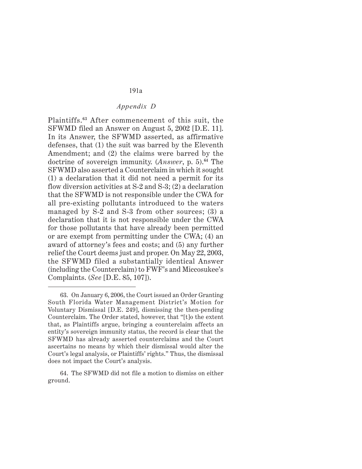# *Appendix D*

Plaintiffs.**<sup>63</sup>** After commencement of this suit, the SFWMD filed an Answer on August 5, 2002 [D.E. 11]. In its Answer, the SFWMD asserted, as affirmative defenses, that (1) the suit was barred by the Eleventh Amendment; and (2) the claims were barred by the doctrine of sovereign immunity. (*Answer*, p. 5).**<sup>64</sup>** The SFWMD also asserted a Counterclaim in which it sought (1) a declaration that it did not need a permit for its flow diversion activities at S-2 and S-3; (2) a declaration that the SFWMD is not responsible under the CWA for all pre-existing pollutants introduced to the waters managed by S-2 and S-3 from other sources; (3) a declaration that it is not responsible under the CWA for those pollutants that have already been permitted or are exempt from permitting under the CWA; (4) an award of attorney's fees and costs; and (5) any further relief the Court deems just and proper. On May 22, 2003, the SFWMD filed a substantially identical Answer (including the Counterclaim) to FWF's and Miccosukee's Complaints. (*See* [D.E. 85, 107]).

<sup>63.</sup> On January 6, 2006, the Court issued an Order Granting South Florida Water Management District's Motion for Voluntary Dismissal [D.E. 249], dismissing the then-pending Counterclaim. The Order stated, however, that "[t]o the extent that, as Plaintiffs argue, bringing a counterclaim affects an entity's sovereign immunity status, the record is clear that the SFWMD has already asserted counterclaims and the Court ascertains no means by which their dismissal would alter the Court's legal analysis, or Plaintiffs' rights." Thus, the dismissal does not impact the Court's analysis.

<sup>64.</sup> The SFWMD did not file a motion to dismiss on either ground.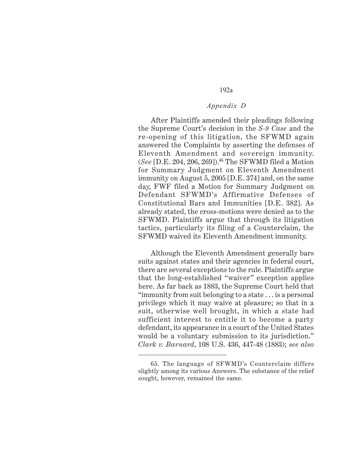#### *Appendix D*

After Plaintiffs amended their pleadings following the Supreme Court's decision in the *S-9 Case* and the re-opening of this litigation, the SFWMD again answered the Complaints by asserting the defenses of Eleventh Amendment and sovereign immunity. (*See* [D.E. 204, 206, 269]).**<sup>65</sup>** The SFWMD filed a Motion for Summary Judgment on Eleventh Amendment immunity on August 5, 2005 [D.E. 374] and, on the same day, FWF filed a Motion for Summary Judgment on Defendant SFWMD's Affirmative Defenses of Constitutional Bars and Immunities [D.E. 382]. As already stated, the cross-motions were denied as to the SFWMD. Plaintiffs argue that through its litigation tactics, particularly its filing of a Counterclaim, the SFWMD waived its Eleventh Amendment immunity.

Although the Eleventh Amendment generally bars suits against states and their agencies in federal court, there are several exceptions to the rule. Plaintiffs argue that the long-established "waiver" exception applies here. As far back as 1883, the Supreme Court held that "immunity from suit belonging to a state . . . is a personal privilege which it may waive at pleasure; so that in a suit, otherwise well brought, in which a state had sufficient interest to entitle it to become a party defendant, its appearance in a court of the United States would be a voluntary submission to its jurisdiction." *Clark v. Barnard*, 108 U.S. 436, 447-48 (1883); *see also*

<sup>65.</sup> The language of SFWMD's Counterclaim differs slightly among its various Answers. The substance of the relief sought, however, remained the same.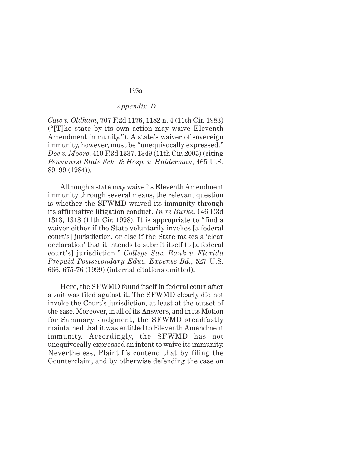# *Appendix D*

*Cate v. Oldham*, 707 F.2d 1176, 1182 n. 4 (11th Cir. 1983) ("[T]he state by its own action may waive Eleventh Amendment immunity."). A state's waiver of sovereign immunity, however, must be "unequivocally expressed." *Doe v. Moore*, 410 F.3d 1337, 1349 (11th Cir. 2005) (citing *Pennhurst State Sch. & Hosp. v. Halderman*, 465 U.S. 89, 99 (1984)).

Although a state may waive its Eleventh Amendment immunity through several means, the relevant question is whether the SFWMD waived its immunity through its affirmative litigation conduct. *In re Burke*, 146 F.3d 1313, 1318 (11th Cir. 1998). It is appropriate to "find a waiver either if the State voluntarily invokes [a federal court's] jurisdiction, or else if the State makes a 'clear declaration' that it intends to submit itself to [a federal court's] jurisdiction." *College Sav. Bank v. Florida Prepaid Postsecondary Educ. Expense Bd.*, 527 U.S. 666, 675-76 (1999) (internal citations omitted).

Here, the SFWMD found itself in federal court after a suit was filed against it. The SFWMD clearly did not invoke the Court's jurisdiction, at least at the outset of the case. Moreover, in all of its Answers, and in its Motion for Summary Judgment, the SFWMD steadfastly maintained that it was entitled to Eleventh Amendment immunity. Accordingly, the SFWMD has not unequivocally expressed an intent to waive its immunity. Nevertheless, Plaintiffs contend that by filing the Counterclaim, and by otherwise defending the case on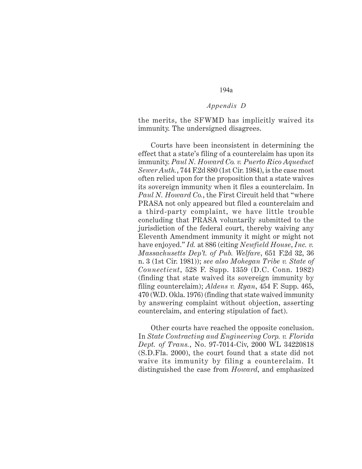#### *Appendix D*

the merits, the SFWMD has implicitly waived its immunity. The undersigned disagrees.

Courts have been inconsistent in determining the effect that a state's filing of a counterclaim has upon its immunity. *Paul N. Howard Co. v. Puerto Rico Aqueduct Sewer Auth.*, 744 F.2d 880 (1st Cir. 1984), is the case most often relied upon for the proposition that a state waives its sovereign immunity when it files a counterclaim. In *Paul N. Howard Co.*, the First Circuit held that "where PRASA not only appeared but filed a counterclaim and a third-party complaint, we have little trouble concluding that PRASA voluntarily submitted to the jurisdiction of the federal court, thereby waiving any Eleventh Amendment immunity it might or might not have enjoyed." *Id.* at 886 (citing *Newfield House*, *Inc. v. Massachusetts Dep't. of Pub. Welfare*, 651 F.2d 32, 36 n. 3 (1st Cir. 1981)); *see also Mohegan Tribe v. State of Connecticut*, 528 F. Supp. 1359 (D.C. Conn. 1982) (finding that state waived its sovereign immunity by filing counterclaim); *Aldens v. Ryan*, 454 F. Supp. 465, 470 (W.D. Okla. 1976) (finding that state waived immunity by answering complaint without objection, asserting counterclaim, and entering stipulation of fact).

Other courts have reached the opposite conclusion. In *State Contracting and Engineering Corp. v. Florida Dept. of Trans.*, No. 97-7014-Civ, 2000 WL 34220818 (S.D.Fla. 2000), the court found that a state did not waive its immunity by filing a counterclaim. It distinguished the case from *Howard*, and emphasized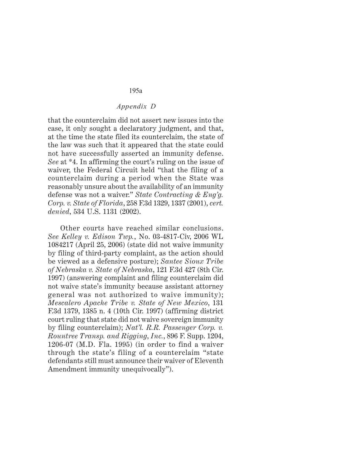#### *Appendix D*

that the counterclaim did not assert new issues into the case, it only sought a declaratory judgment, and that, at the time the state filed its counterclaim, the state of the law was such that it appeared that the state could not have successfully asserted an immunity defense. *See* at \*4. In affirming the court's ruling on the issue of waiver, the Federal Circuit held "that the filing of a counterclaim during a period when the State was reasonably unsure about the availability of an immunity defense was not a waiver." *State Contracting & Eng'g. Corp. v. State of Florida*, 258 F.3d 1329, 1337 (2001), *cert. denied*, 534 U.S. 1131 (2002).

Other courts have reached similar conclusions. *See Kelley v. Edison Twp.*, No. 03-4817-Civ, 2006 WL 1084217 (April 25, 2006) (state did not waive immunity by filing of third-party complaint, as the action should be viewed as a defensive posture); *Santee Sioux Tribe of Nebraska v. State of Nebraska*, 121 F.3d 427 (8th Cir. 1997) (answering complaint and filing counterclaim did not waive state's immunity because assistant attorney general was not authorized to waive immunity); *Mescalero Apache Tribe v. State of New Mexico*, 131 F.3d 1379, 1385 n. 4 (10th Cir. 1997) (affirming district court ruling that state did not waive sovereign immunity by filing counterclaim); *Nat'l. R.R. Passenger Corp. v. Rountree Transp. and Rigging*, *Inc.*, 896 F. Supp. 1204, 1206-07 (M.D. Fla. 1995) (in order to find a waiver through the state's filing of a counterclaim "state defendants still must announce their waiver of Eleventh Amendment immunity unequivocally").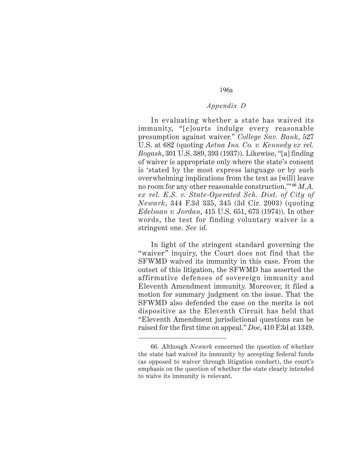# *Appendix D*

In evaluating whether a state has waived its immunity, "[c]ourts indulge every reasonable presumption against waiver." *College Sav. Bank*, 527 U.S. at 682 (quoting *Aetna Ins. Co. v. Kennedy ex rel. Bogash*, 301 U.S. 389, 393 (1937)). Likewise, "[a] finding of waiver is appropriate only where the state's consent is 'stated by the most express language or by such overwhelming implications from the text as [will] leave no room for any other reasonable construction.'" **<sup>66</sup>** *M.A. ex rel. E.S. v. State-Operated Sch. Dist. of City of Newark*, 344 F.3d 335, 345 (3d Cir. 2003) (quoting *Edelman v. Jordan*, 415 U.S. 651, 673 (1974)). In other words, the test for finding voluntary waiver is a stringent one. *See id.*

In light of the stringent standard governing the "waiver" inquiry, the Court does not find that the SFWMD waived its immunity in this case. From the outset of this litigation, the SFWMD has asserted the affirmative defenses of sovereign immunity and Eleventh Amendment immunity. Moreover, it filed a motion for summary judgment on the issue. That the SFWMD also defended the case on the merits is not dispositive as the Eleventh Circuit has held that "Eleventh Amendment jurisdictional questions can be raised for the first time on appeal." *Doe*, 410 F.3d at 1349.

<sup>66.</sup> Although *Newark* concerned the question of whether the state had waived its immunity by accepting federal funds (as opposed to waiver through litigation conduct), the court's emphasis on the question of whether the state clearly intended to waive its immunity is relevant.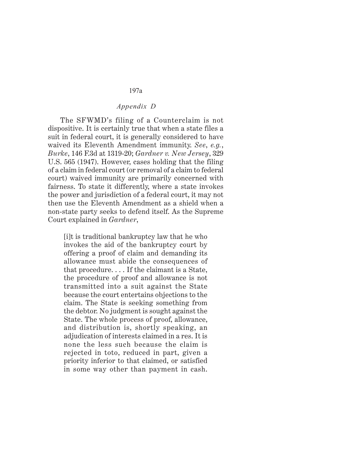## *Appendix D*

The SFWMD's filing of a Counterclaim is not dispositive. It is certainly true that when a state files a suit in federal court, it is generally considered to have waived its Eleventh Amendment immunity. *See*, *e.g.*, *Burke*, 146 F.3d at 1319-20; *Gardner v. New Jersey*, 329 U.S. 565 (1947). However, cases holding that the filing of a claim in federal court (or removal of a claim to federal court) waived immunity are primarily concerned with fairness. To state it differently, where a state invokes the power and jurisdiction of a federal court, it may not then use the Eleventh Amendment as a shield when a non-state party seeks to defend itself. As the Supreme Court explained in *Gardner*,

[i]t is traditional bankruptcy law that he who invokes the aid of the bankruptcy court by offering a proof of claim and demanding its allowance must abide the consequences of that procedure. . . . If the claimant is a State, the procedure of proof and allowance is not transmitted into a suit against the State because the court entertains objections to the claim. The State is seeking something from the debtor. No judgment is sought against the State. The whole process of proof, allowance, and distribution is, shortly speaking, an adjudication of interests claimed in a res. It is none the less such because the claim is rejected in toto, reduced in part, given a priority inferior to that claimed, or satisfied in some way other than payment in cash.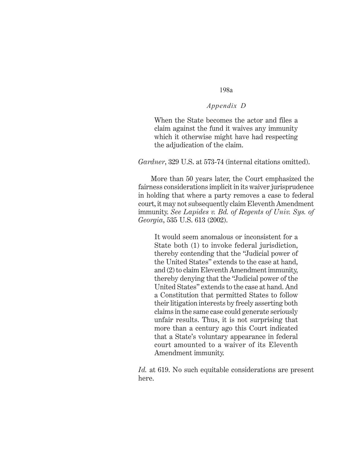# *Appendix D*

When the State becomes the actor and files a claim against the fund it waives any immunity which it otherwise might have had respecting the adjudication of the claim.

*Gardner*, 329 U.S. at 573-74 (internal citations omitted).

More than 50 years later, the Court emphasized the fairness considerations implicit in its waiver jurisprudence in holding that where a party removes a case to federal court, it may not subsequently claim Eleventh Amendment immunity. *See Lapides v. Bd. of Regents of Univ. Sys. of Georgia*, 535 U.S. 613 (2002).

It would seem anomalous or inconsistent for a State both (1) to invoke federal jurisdiction. thereby contending that the "Judicial power of the United States" extends to the case at hand, and (2) to claim Eleventh Amendment immunity, thereby denying that the "Judicial power of the United States" extends to the case at hand. And a Constitution that permitted States to follow their litigation interests by freely asserting both claims in the same case could generate seriously unfair results. Thus, it is not surprising that more than a century ago this Court indicated that a State's voluntary appearance in federal court amounted to a waiver of its Eleventh Amendment immunity.

*Id.* at 619. No such equitable considerations are present here.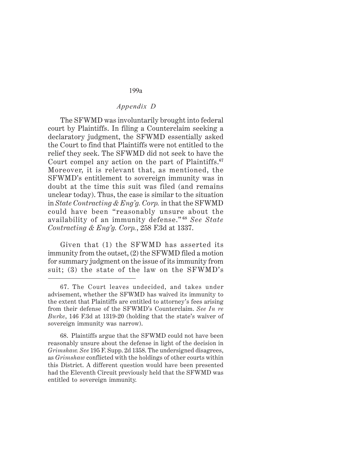#### *Appendix D*

The SFWMD was involuntarily brought into federal court by Plaintiffs. In filing a Counterclaim seeking a declaratory judgment, the SFWMD essentially asked the Court to find that Plaintiffs were not entitled to the relief they seek. The SFWMD did not seek to have the Court compel any action on the part of Plaintiffs.**<sup>67</sup>** Moreover, it is relevant that, as mentioned, the SFWMD's entitlement to sovereign immunity was in doubt at the time this suit was filed (and remains unclear today). Thus, the case is similar to the situation in *State Contracting & Eng'g. Corp.* in that the SFWMD could have been "reasonably unsure about the availability of an immunity defense." **<sup>68</sup>** *See State Contracting & Eng'g. Corp.*, 258 F.3d at 1337.

Given that (1) the SFWMD has asserted its immunity from the outset, (2) the SFWMD filed a motion for summary judgment on the issue of its immunity from suit; (3) the state of the law on the SFWMD's

68. Plaintiffs argue that the SFWMD could not have been reasonably unsure about the defense in light of the decision in *Grimshaw. See* 195 F. Supp. 2d 1358. The undersigned disagrees, as *Grimshaw* conflicted with the holdings of other courts within this District. A different question would have been presented had the Eleventh Circuit previously held that the SFWMD was entitled to sovereign immunity.

<sup>67.</sup> The Court leaves undecided, and takes under advisement, whether the SFWMD has waived its immunity to the extent that Plaintiffs are entitled to attorney's fees arising from their defense of the SFWMD's Counterclaim. *See In re Burke*, 146 F.3d at 1319-20 (holding that the state's waiver of sovereign immunity was narrow).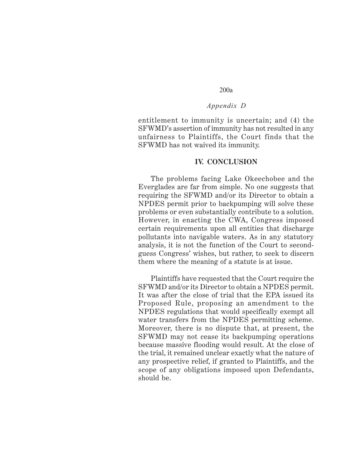#### *Appendix D*

entitlement to immunity is uncertain; and (4) the SFWMD's assertion of immunity has not resulted in any unfairness to Plaintiffs, the Court finds that the SFWMD has not waived its immunity.

#### **IV. CONCLUSION**

The problems facing Lake Okeechobee and the Everglades are far from simple. No one suggests that requiring the SFWMD and/or its Director to obtain a NPDES permit prior to backpumping will solve these problems or even substantially contribute to a solution. However, in enacting the CWA, Congress imposed certain requirements upon all entities that discharge pollutants into navigable waters. As in any statutory analysis, it is not the function of the Court to secondguess Congress' wishes, but rather, to seek to discern them where the meaning of a statute is at issue.

Plaintiffs have requested that the Court require the SFWMD and/or its Director to obtain a NPDES permit. It was after the close of trial that the EPA issued its Proposed Rule, proposing an amendment to the NPDES regulations that would specifically exempt all water transfers from the NPDES permitting scheme. Moreover, there is no dispute that, at present, the SFWMD may not cease its backpumping operations because massive flooding would result. At the close of the trial, it remained unclear exactly what the nature of any prospective relief, if granted to Plaintiffs, and the scope of any obligations imposed upon Defendants, should be.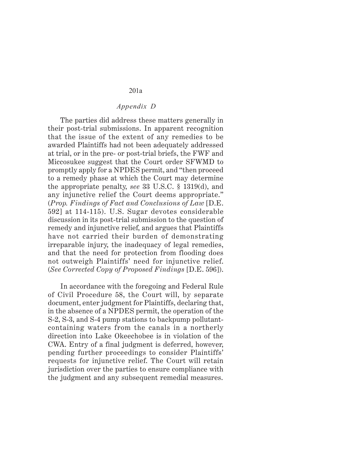# *Appendix D*

The parties did address these matters generally in their post-trial submissions. In apparent recognition that the issue of the extent of any remedies to be awarded Plaintiffs had not been adequately addressed at trial, or in the pre- or post-trial briefs, the FWF and Miccosukee suggest that the Court order SFWMD to promptly apply for a NPDES permit, and "then proceed to a remedy phase at which the Court may determine the appropriate penalty, *see* 33 U.S.C. § 1319(d), and any injunctive relief the Court deems appropriate." (*Prop. Findings of Fact and Conclusions of Law* [D.E. 592] at 114-115). U.S. Sugar devotes considerable discussion in its post-trial submission to the question of remedy and injunctive relief, and argues that Plaintiffs have not carried their burden of demonstrating irreparable injury, the inadequacy of legal remedies, and that the need for protection from flooding does not outweigh Plaintiffs' need for injunctive relief. (*See Corrected Copy of Proposed Findings* [D.E. 596]).

In accordance with the foregoing and Federal Rule of Civil Procedure 58, the Court will, by separate document, enter judgment for Plaintiffs, declaring that, in the absence of a NPDES permit, the operation of the S-2, S-3, and S-4 pump stations to backpump pollutantcontaining waters from the canals in a northerly direction into Lake Okeechobee is in violation of the CWA. Entry of a final judgment is deferred, however, pending further proceedings to consider Plaintiffs' requests for injunctive relief. The Court will retain jurisdiction over the parties to ensure compliance with the judgment and any subsequent remedial measures.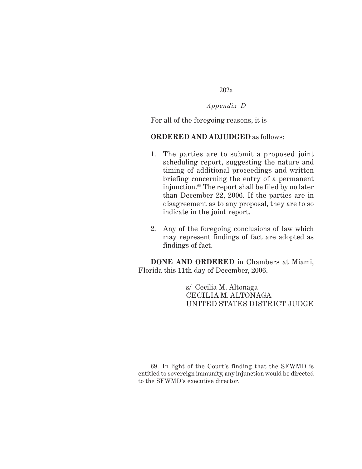*Appendix D*

For all of the foregoing reasons, it is

# **ORDERED AND ADJUDGED** as follows:

- 1. The parties are to submit a proposed joint scheduling report, suggesting the nature and timing of additional proceedings and written briefing concerning the entry of a permanent injunction.**<sup>69</sup>** The report shall be filed by no later than December 22, 2006. If the parties are in disagreement as to any proposal, they are to so indicate in the joint report.
- 2. Any of the foregoing conclusions of law which may represent findings of fact are adopted as findings of fact.

**DONE AND ORDERED** in Chambers at Miami, Florida this 11th day of December, 2006.

> s/ Cecilia M. Altonaga CECILIA M. ALTONAGA UNITED STATES DISTRICT JUDGE

<sup>69.</sup> In light of the Court's finding that the SFWMD is entitled to sovereign immunity, any injunction would be directed to the SFWMD's executive director.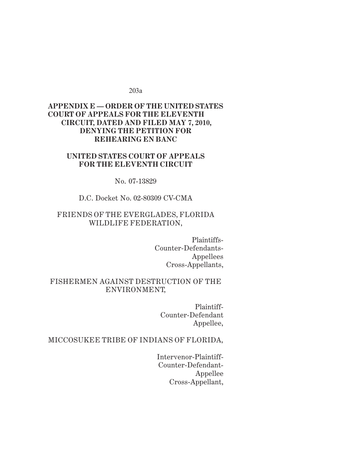# *Appendix E* **APPENDIX E — ORDER OF THE UNITED STATES COURT OF APPEALS FOR THE ELEVENTH CIRCUIT, DATED AND FILED MAY 7, 2010, DENYING THE PETITION FOR REHEARING EN BANC**

# **UNITED STATES COURT OF APPEALS FOR THE ELEVENTH CIRCUIT**

No. 07-13829

#### D.C. Docket No. 02-80309 CV-CMA

# FRIENDS OF THE EVERGLADES, FLORIDA WILDLIFE FEDERATION,

Plaintiffs-Counter-Defendants-Appellees Cross-Appellants,

# FISHERMEN AGAINST DESTRUCTION OF THE ENVIRONMENT,

Plaintiff-Counter-Defendant Appellee,

# MICCOSUKEE TRIBE OF INDIANS OF FLORIDA,

Intervenor-Plaintiff-Counter-Defendant-Appellee Cross-Appellant,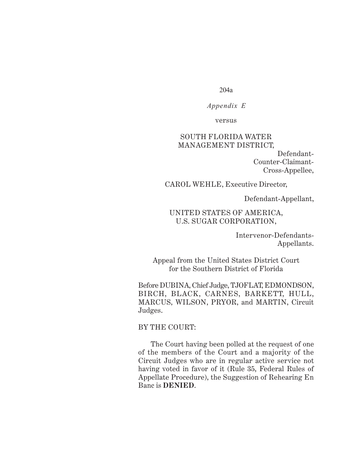*Appendix E*

versus

# SOUTH FLORIDA WATER MANAGEMENT DISTRICT, Defendant-Counter-Claimant-

CAROL WEHLE, Executive Director,

Defendant-Appellant,

Cross-Appellee,

# UNITED STATES OF AMERICA, U.S. SUGAR CORPORATION,

Intervenor-Defendants-Appellants.

Appeal from the United States District Court for the Southern District of Florida

Before DUBINA, Chief Judge, TJOFLAT, EDMONDSON, BIRCH, BLACK, CARNES, BARKETT, HULL, MARCUS, WILSON, PRYOR, and MARTIN, Circuit Judges.

# BY THE COURT:

The Court having been polled at the request of one of the members of the Court and a majority of the Circuit Judges who are in regular active service not having voted in favor of it (Rule 35, Federal Rules of Appellate Procedure), the Suggestion of Rehearing En Banc is **DENIED**.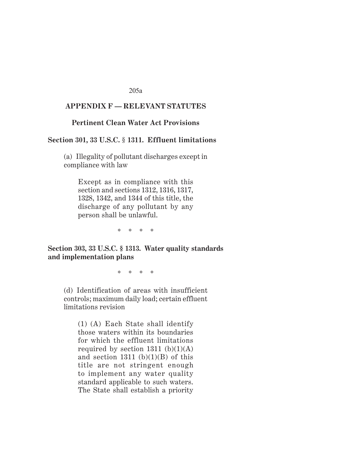#### *Appendix F* **APPENDIX F — RELEVANT STATUTES**

#### **Pertinent Clean Water Act Provisions**

#### **Section 301, 33 U.S.C.** § **1311. Effluent limitations**

(a) Illegality of pollutant discharges except in compliance with law

Except as in compliance with this section and sections 1312, 1316, 1317, 1328, 1342, and 1344 of this title, the discharge of any pollutant by any person shall be unlawful.

\*\*\*\*

**Section 303, 33 U.S.C. § 1313. Water quality standards and implementation plans**

\*\*\*\*

(d) Identification of areas with insufficient controls; maximum daily load; certain effluent limitations revision

(1) (A) Each State shall identify those waters within its boundaries for which the effluent limitations required by section 1311  $(b)(1)(A)$ and section 1311 (b) $(1)(B)$  of this title are not stringent enough to implement any water quality standard applicable to such waters. The State shall establish a priority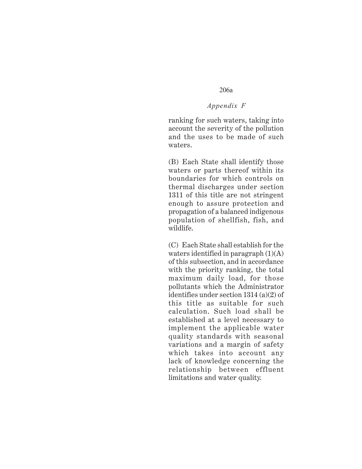#### *Appendix F*

ranking for such waters, taking into account the severity of the pollution and the uses to be made of such waters.

(B) Each State shall identify those waters or parts thereof within its boundaries for which controls on thermal discharges under section 1311 of this title are not stringent enough to assure protection and propagation of a balanced indigenous population of shellfish, fish, and wildlife.

(C) Each State shall establish for the waters identified in paragraph (1)(A) of this subsection, and in accordance with the priority ranking, the total maximum daily load, for those pollutants which the Administrator identifies under section 1314 (a)(2) of this title as suitable for such calculation. Such load shall be established at a level necessary to implement the applicable water quality standards with seasonal variations and a margin of safety which takes into account any lack of knowledge concerning the relationship between effluent limitations and water quality.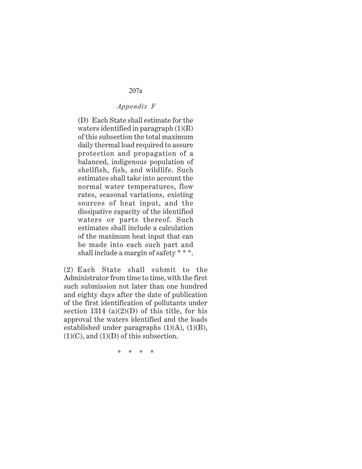# *Appendix F*

(D) Each State shall estimate for the waters identified in paragraph (1)(B) of this subsection the total maximum daily thermal load required to assure protection and propagation of a balanced, indigenous population of shellfish, fish, and wildlife. Such estimates shall take into account the normal water temperatures, flow rates, seasonal variations, existing sources of heat input, and the dissipative capacity of the identified waters or parts thereof. Such estimates shall include a calculation of the maximum heat input that can be made into each such part and shall include a margin of safety \* \* \*.

(2) Each State shall submit to the Administrator from time to time, with the first such submission not later than one hundred and eighty days after the date of publication of the first identification of pollutants under section 1314 (a) $(2)(D)$  of this title, for his approval the waters identified and the loads established under paragraphs  $(1)(A)$ ,  $(1)(B)$ ,  $(1)(C)$ , and  $(1)(D)$  of this subsection.

\*\*\*\*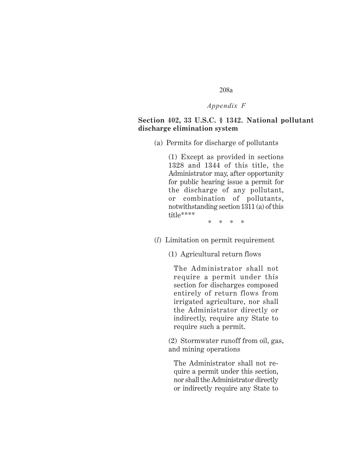#### *Appendix F*

# **Section 402, 33 U.S.C. § 1342. National pollutant discharge elimination system**

(a) Permits for discharge of pollutants

(1) Except as provided in sections 1328 and 1344 of this title, the Administrator may, after opportunity for public hearing issue a permit for the discharge of any pollutant, or combination of pollutants, notwithstanding section 1311 (a) of this title\*\*\*\*

\*\*\*\*

- (*l*) Limitation on permit requirement
	- (1) Agricultural return flows

The Administrator shall not require a permit under this section for discharges composed entirely of return flows from irrigated agriculture, nor shall the Administrator directly or indirectly, require any State to require such a permit.

(2) Stormwater runoff from oil, gas, and mining operations

The Administrator shall not require a permit under this section, nor shall the Administrator directly or indirectly require any State to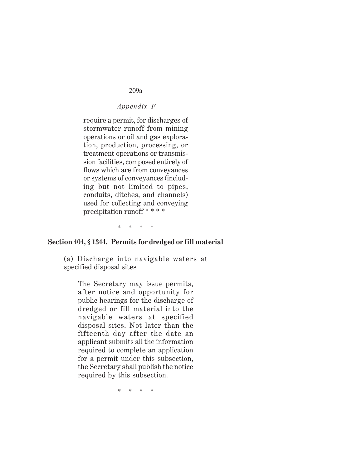## *Appendix F*

require a permit, for discharges of stormwater runoff from mining operations or oil and gas exploration, production, processing, or treatment operations or transmission facilities, composed entirely of flows which are from conveyances or systems of conveyances (including but not limited to pipes, conduits, ditches, and channels) used for collecting and conveying precipitation runoff \* \* \* \*

\*\*\*\*

### **Section 404, § 1344. Permits for dredged or fill material**

(a) Discharge into navigable waters at specified disposal sites

The Secretary may issue permits, after notice and opportunity for public hearings for the discharge of dredged or fill material into the navigable waters at specified disposal sites. Not later than the fifteenth day after the date an applicant submits all the information required to complete an application for a permit under this subsection, the Secretary shall publish the notice required by this subsection.

 $**$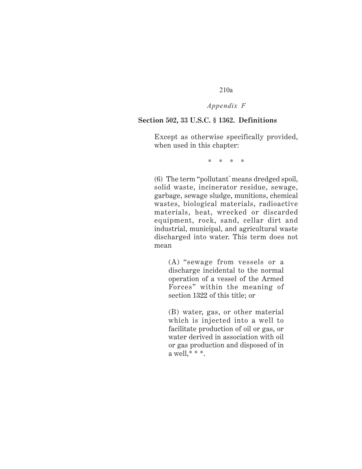## *Appendix F*

#### **Section 502, 33 U.S.C. § 1362. Definitions**

Except as otherwise specifically provided, when used in this chapter:

\*\*\*\*

(6) The term "pollutant" means dredged spoil, solid waste, incinerator residue, sewage, garbage, sewage sludge, munitions, chemical wastes, biological materials, radioactive materials, heat, wrecked or discarded equipment, rock, sand, cellar dirt and industrial, municipal, and agricultural waste discharged into water. This term does not mean

(A) "sewage from vessels or a discharge incidental to the normal operation of a vessel of the Armed Forces" within the meaning of section 1322 of this title; or

(B) water, gas, or other material which is injected into a well to facilitate production of oil or gas, or water derived in association with oil or gas production and disposed of in a well,\* \* \*.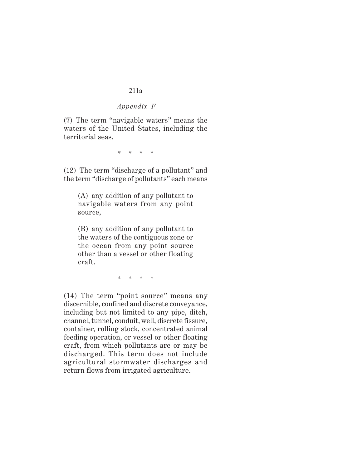# *Appendix F*

(7) The term "navigable waters" means the waters of the United States, including the territorial seas.

\*\*\*\*

(12) The term "discharge of a pollutant" and the term "discharge of pollutants" each means

(A) any addition of any pollutant to navigable waters from any point source,

(B) any addition of any pollutant to the waters of the contiguous zone or the ocean from any point source other than a vessel or other floating craft.

\*\*\*\*

(14) The term "point source" means any discernible, confined and discrete conveyance, including but not limited to any pipe, ditch, channel, tunnel, conduit, well, discrete fissure, container, rolling stock, concentrated animal feeding operation, or vessel or other floating craft, from which pollutants are or may be discharged. This term does not include agricultural stormwater discharges and return flows from irrigated agriculture.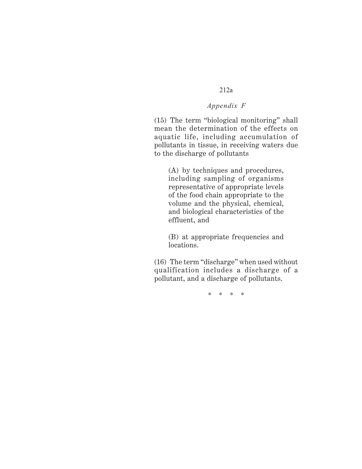## *Appendix F*

(15) The term "biological monitoring" shall mean the determination of the effects on aquatic life, including accumulation of pollutants in tissue, in receiving waters due to the discharge of pollutants

(A) by techniques and procedures, including sampling of organisms representative of appropriate levels of the food chain appropriate to the volume and the physical, chemical, and biological characteristics of the effluent, and

(B) at appropriate frequencies and locations.

(16) The term "discharge" when used without qualification includes a discharge of a pollutant, and a discharge of pollutants.

\*\*\*\*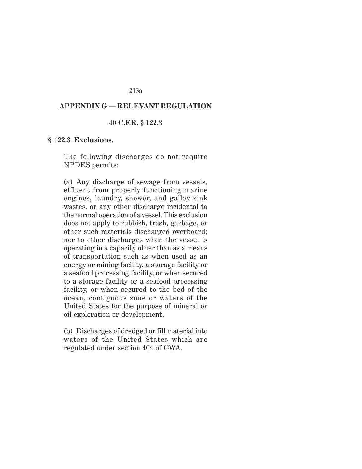#### *Appendix G* **APPENDIX G — RELEVANT REGULATION**

#### **40 C.F.R. § 122.3**

#### **§ 122.3 Exclusions.**

The following discharges do not require NPDES permits:

(a) Any discharge of sewage from vessels, effluent from properly functioning marine engines, laundry, shower, and galley sink wastes, or any other discharge incidental to the normal operation of a vessel. This exclusion does not apply to rubbish, trash, garbage, or other such materials discharged overboard; nor to other discharges when the vessel is operating in a capacity other than as a means of transportation such as when used as an energy or mining facility, a storage facility or a seafood processing facility, or when secured to a storage facility or a seafood processing facility, or when secured to the bed of the ocean, contiguous zone or waters of the United States for the purpose of mineral or oil exploration or development.

(b) Discharges of dredged or fill material into waters of the United States which are regulated under section 404 of CWA.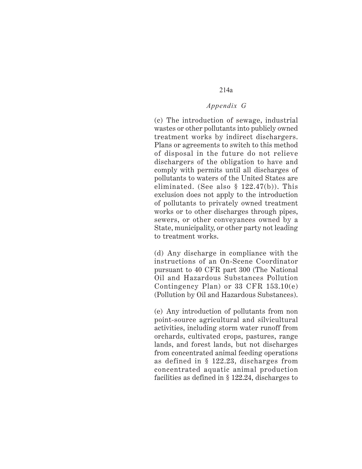## *Appendix G*

(c) The introduction of sewage, industrial wastes or other pollutants into publicly owned treatment works by indirect dischargers. Plans or agreements to switch to this method of disposal in the future do not relieve dischargers of the obligation to have and comply with permits until all discharges of pollutants to waters of the United States are eliminated. (See also § 122.47(b)). This exclusion does not apply to the introduction of pollutants to privately owned treatment works or to other discharges through pipes, sewers, or other conveyances owned by a State, municipality, or other party not leading to treatment works.

(d) Any discharge in compliance with the instructions of an On-Scene Coordinator pursuant to 40 CFR part 300 (The National Oil and Hazardous Substances Pollution Contingency Plan) or 33 CFR 153.10(e) (Pollution by Oil and Hazardous Substances).

(e) Any introduction of pollutants from non point-source agricultural and silvicultural activities, including storm water runoff from orchards, cultivated crops, pastures, range lands, and forest lands, but not discharges from concentrated animal feeding operations as defined in § 122.23, discharges from concentrated aquatic animal production facilities as defined in § 122.24, discharges to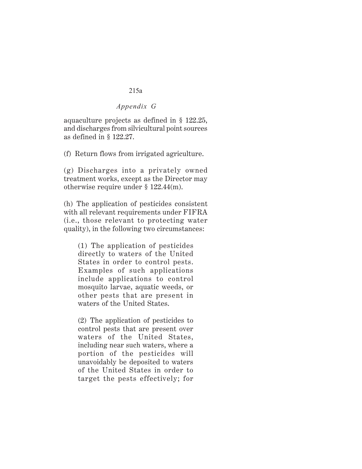## *Appendix G*

aquaculture projects as defined in § 122.25, and discharges from silvicultural point sources as defined in § 122.27.

(f) Return flows from irrigated agriculture.

(g) Discharges into a privately owned treatment works, except as the Director may otherwise require under § 122.44(m).

(h) The application of pesticides consistent with all relevant requirements under FIFRA (i.e., those relevant to protecting water quality), in the following two circumstances:

(1) The application of pesticides directly to waters of the United States in order to control pests. Examples of such applications include applications to control mosquito larvae, aquatic weeds, or other pests that are present in waters of the United States.

(2) The application of pesticides to control pests that are present over waters of the United States, including near such waters, where a portion of the pesticides will unavoidably be deposited to waters of the United States in order to target the pests effectively; for